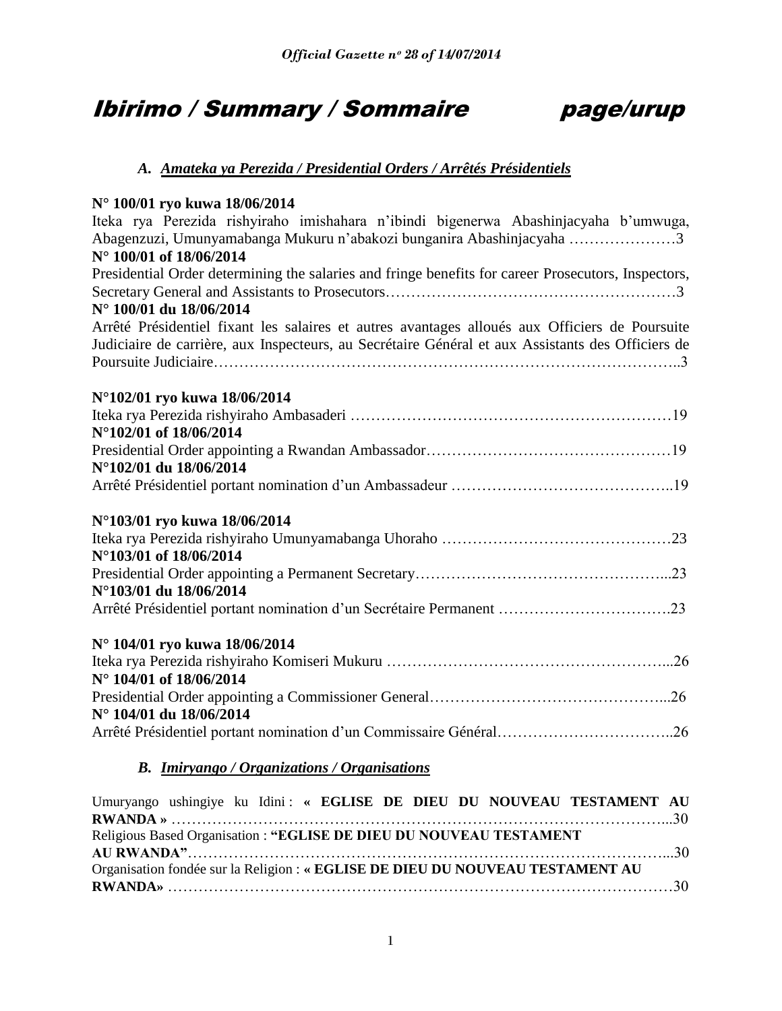# Ibirimo / Summary / Sommaire page/urup



# *A. Amateka ya Perezida / Presidential Orders / Arrêtés Présidentiels*

# **N° 100/01 ryo kuwa 18/06/2014**

| $100/011$ VV KU WU 10/00/2011<br>Iteka rya Perezida rishyiraho imishahara n'ibindi bigenerwa Abashinjacyaha b'umwuga,<br>Abagenzuzi, Umunyamabanga Mukuru n'abakozi bunganira Abashinjacyaha 3<br>N° 100/01 of 18/06/2014 |
|---------------------------------------------------------------------------------------------------------------------------------------------------------------------------------------------------------------------------|
| Presidential Order determining the salaries and fringe benefits for career Prosecutors, Inspectors,                                                                                                                       |
|                                                                                                                                                                                                                           |
| N° 100/01 du 18/06/2014                                                                                                                                                                                                   |
| Arrêté Présidentiel fixant les salaires et autres avantages alloués aux Officiers de Poursuite                                                                                                                            |
| Judiciaire de carrière, aux Inspecteurs, au Secrétaire Général et aux Assistants des Officiers de                                                                                                                         |
|                                                                                                                                                                                                                           |
| N°102/01 ryo kuwa 18/06/2014                                                                                                                                                                                              |
|                                                                                                                                                                                                                           |
| N°102/01 of 18/06/2014                                                                                                                                                                                                    |
|                                                                                                                                                                                                                           |
| N°102/01 du 18/06/2014                                                                                                                                                                                                    |
|                                                                                                                                                                                                                           |
| N°103/01 ryo kuwa 18/06/2014                                                                                                                                                                                              |
|                                                                                                                                                                                                                           |
| N°103/01 of 18/06/2014                                                                                                                                                                                                    |
|                                                                                                                                                                                                                           |
| N°103/01 du 18/06/2014                                                                                                                                                                                                    |
|                                                                                                                                                                                                                           |
| N° 104/01 ryo kuwa 18/06/2014                                                                                                                                                                                             |
|                                                                                                                                                                                                                           |
| N° 104/01 of 18/06/2014                                                                                                                                                                                                   |
|                                                                                                                                                                                                                           |
| N° 104/01 du 18/06/2014                                                                                                                                                                                                   |
| Arrêté Présidentiel portant nomination d'un Commissaire Général26                                                                                                                                                         |
|                                                                                                                                                                                                                           |

# *B. Imiryango / Organizations / Organisations*

|                                                                    |  |  |  |  |  |  |                                                                                | Umuryango ushingiye ku Idini: « EGLISE DE DIEU DU NOUVEAU TESTAMENT AU |  |
|--------------------------------------------------------------------|--|--|--|--|--|--|--------------------------------------------------------------------------------|------------------------------------------------------------------------|--|
|                                                                    |  |  |  |  |  |  |                                                                                |                                                                        |  |
| Religious Based Organisation: "EGLISE DE DIEU DU NOUVEAU TESTAMENT |  |  |  |  |  |  |                                                                                |                                                                        |  |
|                                                                    |  |  |  |  |  |  |                                                                                |                                                                        |  |
|                                                                    |  |  |  |  |  |  | Organisation fondée sur la Religion : « EGLISE DE DIEU DU NOUVEAU TESTAMENT AU |                                                                        |  |
|                                                                    |  |  |  |  |  |  |                                                                                |                                                                        |  |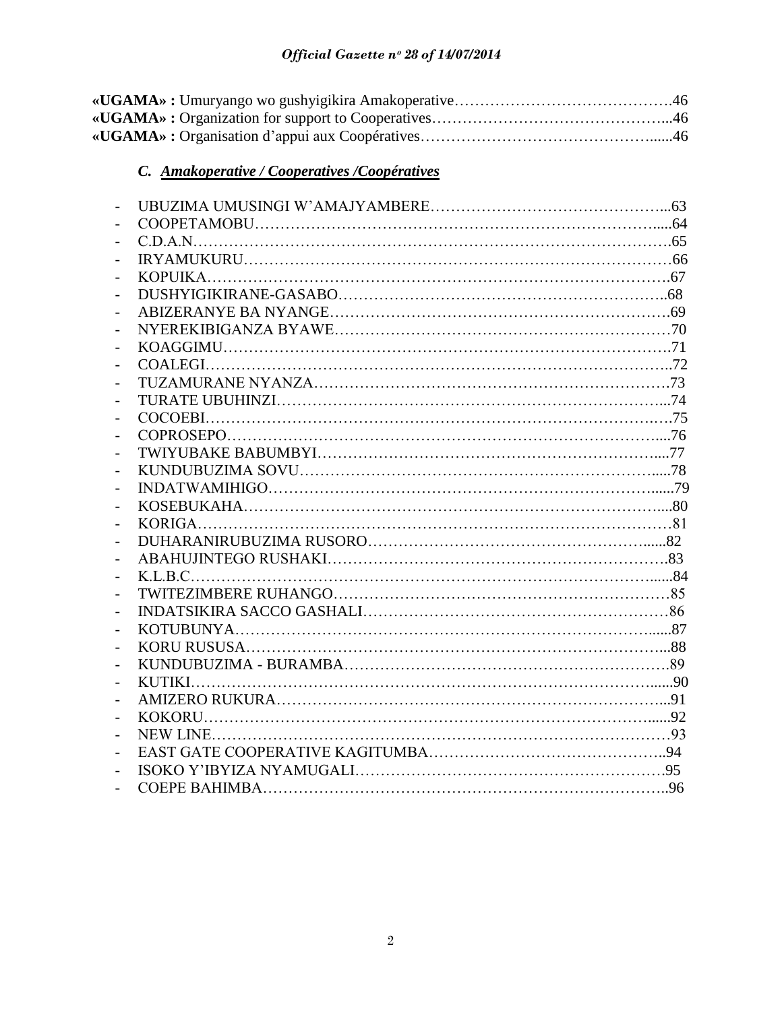# *C. Amakoperative / Cooperatives /Coopératives*

| $\overline{\phantom{0}}$ |  |
|--------------------------|--|
| $\overline{a}$           |  |
| $\overline{\phantom{0}}$ |  |
| $\overline{\phantom{0}}$ |  |
|                          |  |
| $\overline{\phantom{0}}$ |  |
| $\overline{a}$           |  |
|                          |  |
|                          |  |
|                          |  |
| $\overline{\phantom{0}}$ |  |
| $\overline{a}$           |  |
| $\overline{a}$           |  |
| $\overline{\phantom{0}}$ |  |
| $\overline{\phantom{a}}$ |  |
| $\overline{\phantom{a}}$ |  |
| $\overline{\phantom{0}}$ |  |
|                          |  |
| $\overline{\phantom{0}}$ |  |
| $\overline{\phantom{0}}$ |  |
| $\overline{\phantom{a}}$ |  |
| $\overline{\phantom{0}}$ |  |
| $\overline{a}$           |  |
| $\overline{\phantom{0}}$ |  |
| $\overline{\phantom{0}}$ |  |
| $\overline{\phantom{0}}$ |  |
|                          |  |
| $\overline{\phantom{0}}$ |  |
| $\overline{\phantom{0}}$ |  |
| $\overline{\phantom{0}}$ |  |
| $\overline{\phantom{0}}$ |  |
|                          |  |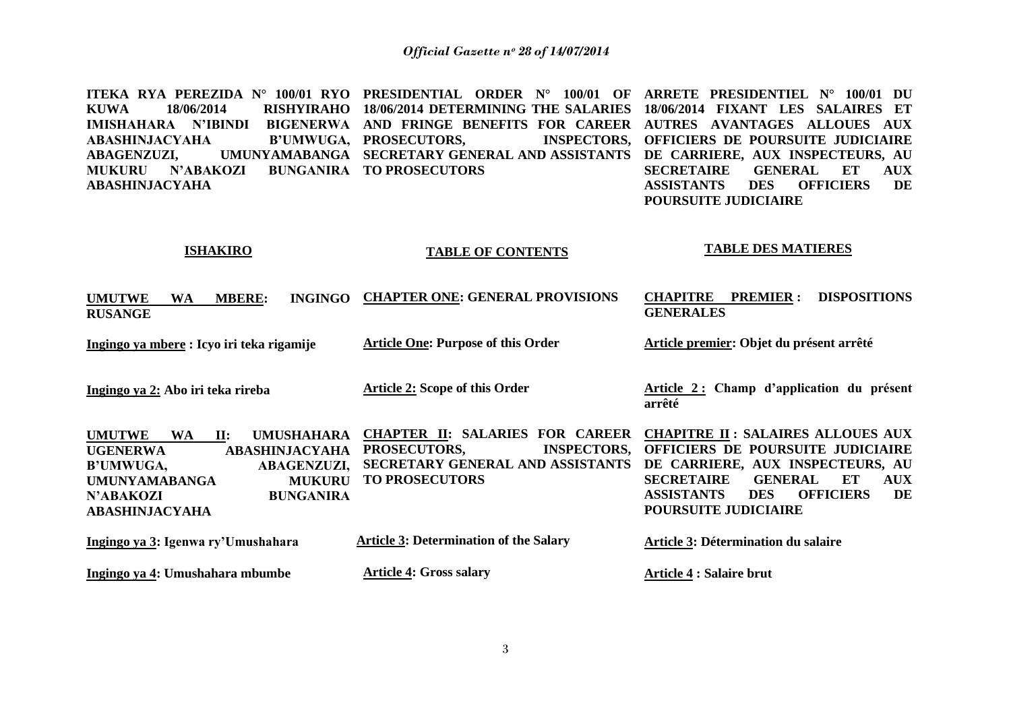**ITEKA RYA PEREZIDA N° 100/01 RYO PRESIDENTIAL ORDER N° 100/01 OF ARRETE PRESIDENTIEL N° 100/01 DU KUWA 18/06/2014 RISHYIRAHO 18/06/2014 DETERMINING THE SALARIES 18/06/2014 FIXANT LES SALAIRES ET IMISHAHARA N'IBINDI BIGENERWA AND FRINGE BENEFITS FOR CAREER AUTRES AVANTAGES ALLOUES AUX ABASHINJACYAHA ABAGENZUZI, UMUNYAMABANGA SECRETARY GENERAL AND ASSISTANTS DE CARRIERE, AUX INSPECTEURS, AU MUKURU N"ABAKOZI BUNGANIRA TO PROSECUTORS ABASHINJACYAHA B'UMWUGA, PROSECUTORS, INSPECTORS, OFFICIERS DE POURSUITE JUDICIAIRE SECRETAIRE GENERAL ET AUX ASSISTANTS DES OFFICIERS DE POURSUITE JUDICIAIRE**

#### **ISHAKIRO**

#### **TABLE OF CONTENTS**

# **TABLE DES MATIERES**

| <b>UMUTWE</b><br><b>INGINGO</b><br><b>MBERE:</b><br>WA<br><b>RUSANGE</b>                                                                                                                                                                                           | <b>CHAPTER ONE: GENERAL PROVISIONS</b>                                                                                                              | <b>DISPOSITIONS</b><br><b>CHAPITRE</b><br><b>PREMIER:</b><br><b>GENERALES</b>                                                                                                                                                                                            |
|--------------------------------------------------------------------------------------------------------------------------------------------------------------------------------------------------------------------------------------------------------------------|-----------------------------------------------------------------------------------------------------------------------------------------------------|--------------------------------------------------------------------------------------------------------------------------------------------------------------------------------------------------------------------------------------------------------------------------|
| Ingingo ya mbere: Icyo iri teka rigamije                                                                                                                                                                                                                           | <b>Article One: Purpose of this Order</b>                                                                                                           | Article premier: Objet du présent arrêté                                                                                                                                                                                                                                 |
| Ingingo ya 2: Abo iri teka rireba                                                                                                                                                                                                                                  | <b>Article 2: Scope of this Order</b>                                                                                                               | Article 2: Champ d'application du présent<br>arrêté                                                                                                                                                                                                                      |
| <b>UMUSHAHARA</b><br><b>UMUTWE</b><br><b>WA</b><br>$\mathbf{II}$ :<br><b>UGENERWA</b><br><b>ABASHINJACYAHA</b><br><b>B'UMWUGA,</b><br><b>ABAGENZUZI,</b><br><b>UMUNYAMABANGA</b><br><b>MUKURU</b><br><b>BUNGANIRA</b><br><b>N'ABAKOZI</b><br><b>ABASHINJACYAHA</b> | <b>CHAPTER II: SALARIES</b><br><b>FOR CAREER</b><br><b>INSPECTORS,</b><br>PROSECUTORS,<br>SECRETARY GENERAL AND ASSISTANTS<br><b>TO PROSECUTORS</b> | <b>CHAPITRE II: SALAIRES ALLOUES AUX</b><br>OFFICIERS DE POURSUITE JUDICIAIRE<br>DE CARRIERE, AUX INSPECTEURS, AU<br><b>SECRETAIRE</b><br><b>GENERAL</b><br>ET<br><b>AUX</b><br>DE<br><b>OFFICIERS</b><br><b>ASSISTANTS</b><br><b>DES</b><br><b>POURSUITE JUDICIAIRE</b> |
| Ingingo ya 3: Igenwa ry'Umushahara                                                                                                                                                                                                                                 | <b>Article 3: Determination of the Salary</b>                                                                                                       | <b>Article 3: Détermination du salaire</b>                                                                                                                                                                                                                               |
| Ingingo ya 4: Umushahara mbumbe                                                                                                                                                                                                                                    | <b>Article 4: Gross salary</b>                                                                                                                      | Article 4 : Salaire brut                                                                                                                                                                                                                                                 |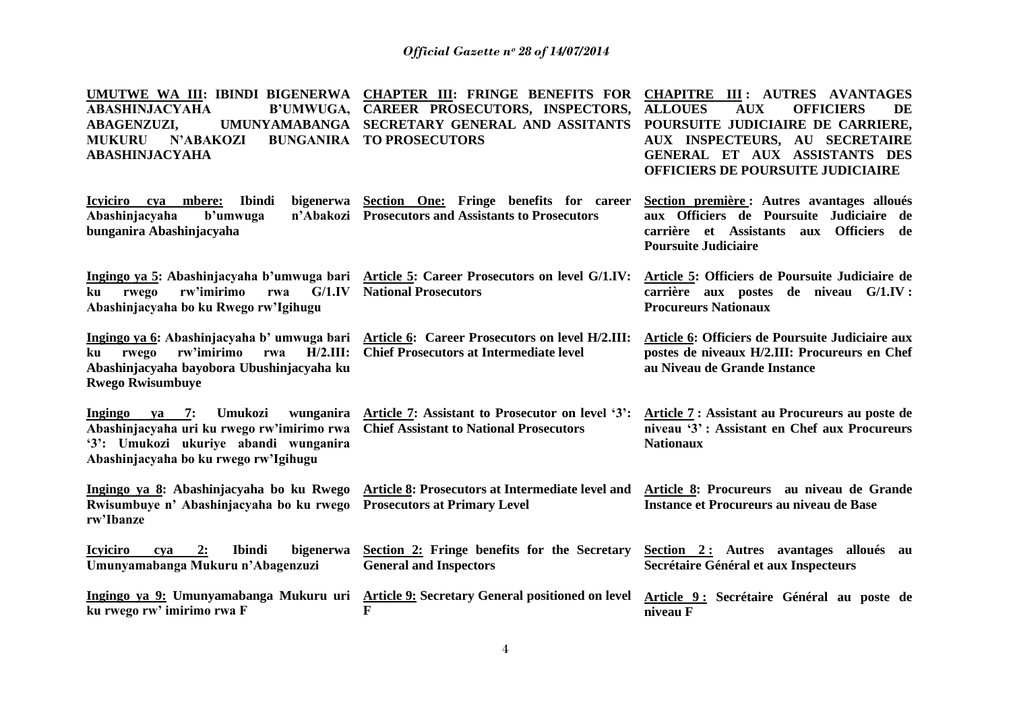| UMUTWE WA III: IBINDI BIGENERWA<br><b>ABASHINJACYAHA</b><br><b>B'UMWUGA,</b><br><b>UMUNYAMABANGA</b><br><b>ABAGENZUZI,</b><br><b>N'ABAKOZI</b><br><b>BUNGANIRA</b><br><b>MUKURU</b><br><b>ABASHINJACYAHA</b> | <b>CHAPTER III: FRINGE BENEFITS FOR</b><br>CAREER PROSECUTORS, INSPECTORS,<br>SECRETARY GENERAL AND ASSITANTS<br><b>TO PROSECUTORS</b>        | <b>CHAPITRE III: AUTRES AVANTAGES</b><br><b>AUX</b><br><b>ALLOUES</b><br><b>OFFICIERS</b><br>DE<br>POURSUITE JUDICIAIRE DE CARRIERE,<br>AUX INSPECTEURS, AU SECRETAIRE<br>GENERAL ET AUX ASSISTANTS DES<br><b>OFFICIERS DE POURSUITE JUDICIAIRE</b> |
|--------------------------------------------------------------------------------------------------------------------------------------------------------------------------------------------------------------|-----------------------------------------------------------------------------------------------------------------------------------------------|-----------------------------------------------------------------------------------------------------------------------------------------------------------------------------------------------------------------------------------------------------|
| Icyiciro cya mbere:<br><b>Ibindi</b><br>bigenerwa<br>Abashinjacyaha<br>b'umwuga<br>n'Abakozi<br>bunganira Abashinjacyaha                                                                                     | Section One: Fringe benefits for career<br><b>Prosecutors and Assistants to Prosecutors</b>                                                   | Section première : Autres avantages alloués<br>aux Officiers de Poursuite Judiciaire de<br>carrière et Assistants<br>Officiers de<br>aux<br><b>Poursuite Judiciaire</b>                                                                             |
| G/1.IV<br>rw'imirimo<br>ku<br>rwego<br>rwa<br>Abashinjacyaha bo ku Rwego rw'Igihugu                                                                                                                          | Ingingo ya 5: Abashinjacyaha b'umwuga bari Article 5: Career Prosecutors on level G/1.IV:<br><b>National Prosecutors</b>                      | Article 5: Officiers de Poursuite Judiciaire de<br>carrière aux postes de niveau G/1.IV :<br><b>Procureurs Nationaux</b>                                                                                                                            |
| rw'imirimo<br>$H/2.III$ :<br>rwego<br>rwa<br>ku<br>Abashinjacyaha bayobora Ubushinjacyaha ku<br><b>Rwego Rwisumbuye</b>                                                                                      | Ingingo ya 6: Abashinjacyaha b' umwuga bari Article 6: Career Prosecutors on level H/2.III:<br><b>Chief Prosecutors at Intermediate level</b> | Article 6: Officiers de Poursuite Judiciaire aux<br>postes de niveaux H/2.III: Procureurs en Chef<br>au Niveau de Grande Instance                                                                                                                   |
| 7:<br>Ingingo<br>Umukozi<br>wunganira<br>ya<br>Abashinjacyaha uri ku rwego rw'imirimo rwa<br>'3': Umukozi ukuriye abandi wunganira<br>Abashinjacyaha bo ku rwego rw'lgihugu                                  | Article 7: Assistant to Prosecutor on level '3':<br><b>Chief Assistant to National Prosecutors</b>                                            | Article 7: Assistant au Procureurs au poste de<br>niveau '3': Assistant en Chef aux Procureurs<br><b>Nationaux</b>                                                                                                                                  |
| Ingingo ya 8: Abashinjacyaha bo ku Rwego<br>Rwisumbuye n' Abashinjacyaha bo ku rwego<br>rw'Ibanze                                                                                                            | Article 8: Prosecutors at Intermediate level and<br><b>Prosecutors at Primary Level</b>                                                       | Article 8: Procureurs au niveau de Grande<br>Instance et Procureurs au niveau de Base                                                                                                                                                               |
| 2:<br><b>Ibindi</b><br>bigenerwa<br><b>Icyiciro</b><br>cva<br>Umunyamabanga Mukuru n'Abagenzuzi                                                                                                              | Section 2: Fringe benefits for the Secretary<br><b>General and Inspectors</b>                                                                 | Section 2: Autres avantages alloués au<br>Secrétaire Général et aux Inspecteurs                                                                                                                                                                     |
| ku rwego rw' imirimo rwa F                                                                                                                                                                                   | Ingingo ya 9: Umunyamabanga Mukuru uri Article 9: Secretary General positioned on level<br>F                                                  | Article 9: Secrétaire Général au poste de<br>niveau F                                                                                                                                                                                               |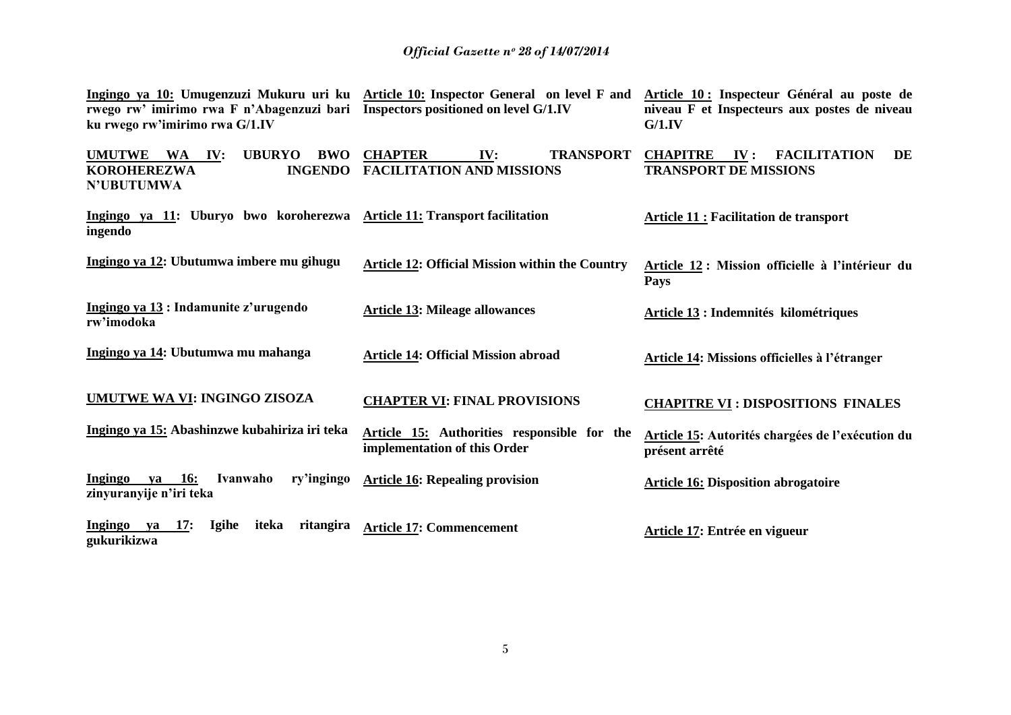| rwego rw' imirimo rwa F n'Abagenzuzi bari Inspectors positioned on level G/1.IV<br>ku rwego rw'imirimo rwa G/1.IV             | Ingingo ya 10: Umugenzuzi Mukuru uri ku Article 10: Inspector General on level F and | Article 10 : Inspecteur Général au poste de<br>niveau F et Inspecteurs aux postes de niveau<br>G/1.IV |  |  |
|-------------------------------------------------------------------------------------------------------------------------------|--------------------------------------------------------------------------------------|-------------------------------------------------------------------------------------------------------|--|--|
| <b>UMUTWE</b><br><b>UBURYO</b><br><b>BWO</b><br><b>WA</b><br>IV:<br><b>INGENDO</b><br><b>KOROHEREZWA</b><br><b>N'UBUTUMWA</b> | <b>CHAPTER</b><br><b>TRANSPORT</b><br>IV:<br><b>FACILITATION AND MISSIONS</b>        | <b>CHAPITRE</b><br>$\mathbf{IV}$ :<br><b>FACILITATION</b><br>DE<br><b>TRANSPORT DE MISSIONS</b>       |  |  |
| Ingingo ya 11: Uburyo bwo koroherezwa Article 11: Transport facilitation<br>ingendo                                           |                                                                                      | <b>Article 11 : Facilitation de transport</b>                                                         |  |  |
| Ingingo ya 12: Ubutumwa imbere mu gihugu                                                                                      | <b>Article 12: Official Mission within the Country</b>                               | Article 12 : Mission officielle à l'intérieur du<br><b>Pays</b>                                       |  |  |
| Ingingo ya 13 : Indamunite z'urugendo<br>rw'imodoka                                                                           | <b>Article 13: Mileage allowances</b>                                                | Article 13 : Indemnités kilométriques                                                                 |  |  |
| Ingingo ya 14: Ubutumwa mu mahanga                                                                                            | <b>Article 14: Official Mission abroad</b>                                           | Article 14: Missions officielles à l'étranger                                                         |  |  |
| <b>UMUTWE WA VI: INGINGO ZISOZA</b>                                                                                           | <b>CHAPTER VI: FINAL PROVISIONS</b>                                                  | <b>CHAPITRE VI: DISPOSITIONS FINALES</b>                                                              |  |  |
| Ingingo ya 15: Abashinzwe kubahiriza iri teka                                                                                 | Article 15: Authorities responsible for the<br>implementation of this Order          | Article 15: Autorités chargées de l'exécution du<br>présent arrêté                                    |  |  |
| Ingingo<br><b>16:</b><br>Ivanwaho<br>ry'ingingo<br>ya<br>zinyuranyije n'iri teka                                              | <b>Article 16: Repealing provision</b>                                               | <b>Article 16: Disposition abrogatoire</b>                                                            |  |  |
| Ingingo ya<br><b>17:</b><br><b>Igihe</b><br>iteka<br>ritangira<br>gukurikizwa                                                 | <b>Article 17: Commencement</b>                                                      | Article 17: Entrée en vigueur                                                                         |  |  |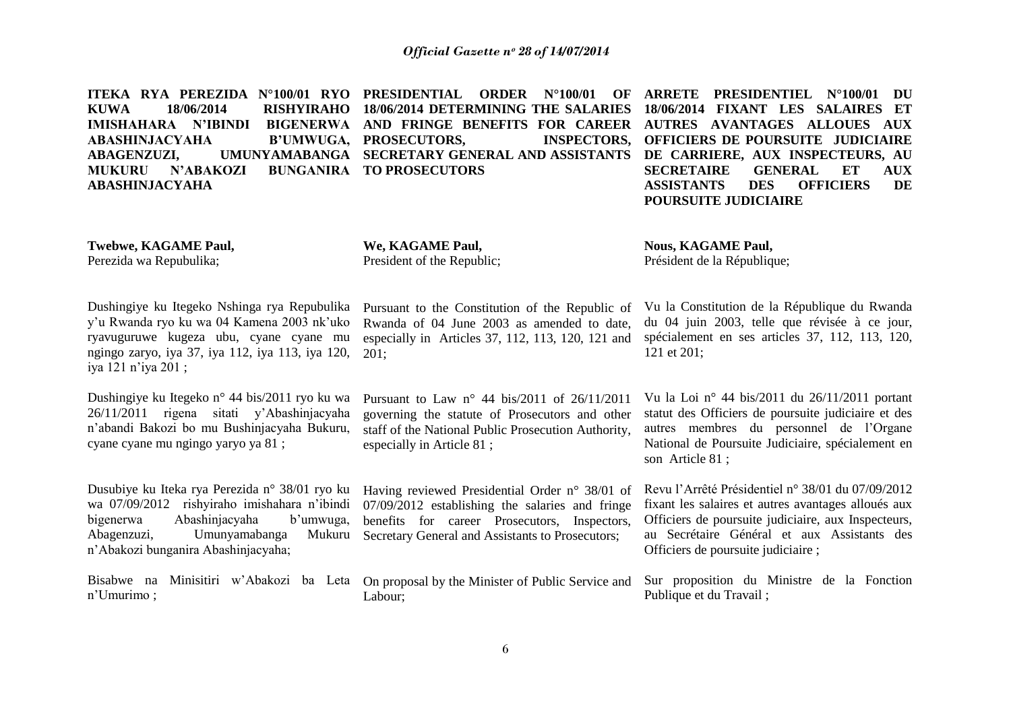**ITEKA RYA PEREZIDA N°100/01 RYO PRESIDENTIAL ORDER N°100/01 OF KUWA 18/06/2014 RISHYIRAHO 18/06/2014 DETERMINING THE SALARIES IMISHAHARA N'IBINDI BIGENERWA AND FRINGE BENEFITS FOR CAREER AUTRES AVANTAGES ALLOUES AUX ABASHINJACYAHA ABAGENZUZI, UMUNYAMABANGA SECRETARY GENERAL AND ASSISTANTS DE CARRIERE, AUX INSPECTEURS, AU MUKURU N"ABAKOZI BUNGANIRA TO PROSECUTORS ABASHINJACYAHA B'UMWUGA, PROSECUTORS, INSPECTORS, ARRETE PRESIDENTIEL N°100/01 DU 18/06/2014 FIXANT LES SALAIRES ET OFFICIERS DE POURSUITE JUDICIAIRE SECRETAIRE GENERAL ET AUX ASSISTANTS DES OFFICIERS DE POURSUITE JUDICIAIRE**

**Twebwe, KAGAME Paul,**

Perezida wa Repubulika;

**We, KAGAME Paul,** President of the Republic; **Nous, KAGAME Paul,**  Président de la République;

Dushingiye ku Itegeko Nshinga rya Repubulika y"u Rwanda ryo ku wa 04 Kamena 2003 nk"uko ryavuguruwe kugeza ubu, cyane cyane mu ngingo zaryo, iya 37, iya 112, iya 113, iya 120, iya 121 n"iya 201 ;

Dushingiye ku Itegeko n° 44 bis/2011 ryo ku wa 26/11/2011 rigena sitati y"Abashinjacyaha n"abandi Bakozi bo mu Bushinjacyaha Bukuru, cyane cyane mu ngingo yaryo ya 81 ;

Dusubiye ku Iteka rya Perezida n° 38/01 ryo ku wa 07/09/2012 rishyiraho imishahara n"ibindi bigenerwa Abashinjacyaha b"umwuga, Abagenzuzi, Umunyamabanga Mukuru n"Abakozi bunganira Abashinjacyaha;

Bisabwe na Minisitiri w"Abakozi ba Leta On proposal by the Minister of Public Service and n"Umurimo ;

Pursuant to the Constitution of the Republic of Rwanda of 04 June 2003 as amended to date, especially in Articles 37, 112, 113, 120, 121 and 201;

Pursuant to Law n° 44 bis/2011 of 26/11/2011 governing the statute of Prosecutors and other staff of the National Public Prosecution Authority, especially in Article 81 ;

Having reviewed Presidential Order n° 38/01 of 07/09/2012 establishing the salaries and fringe benefits for career Prosecutors, Inspectors, Secretary General and Assistants to Prosecutors;

Labour;

Vu la Constitution de la République du Rwanda du 04 juin 2003, telle que révisée à ce jour, spécialement en ses articles 37, 112, 113, 120, 121 et 201;

Vu la Loi n° 44 bis/2011 du 26/11/2011 portant statut des Officiers de poursuite judiciaire et des autres membres du personnel de l"Organe National de Poursuite Judiciaire, spécialement en son Article 81 ;

Revu l"Arrêté Présidentiel n° 38/01 du 07/09/2012 fixant les salaires et autres avantages alloués aux Officiers de poursuite judiciaire, aux Inspecteurs, au Secrétaire Général et aux Assistants des Officiers de poursuite judiciaire ;

Sur proposition du Ministre de la Fonction Publique et du Travail ;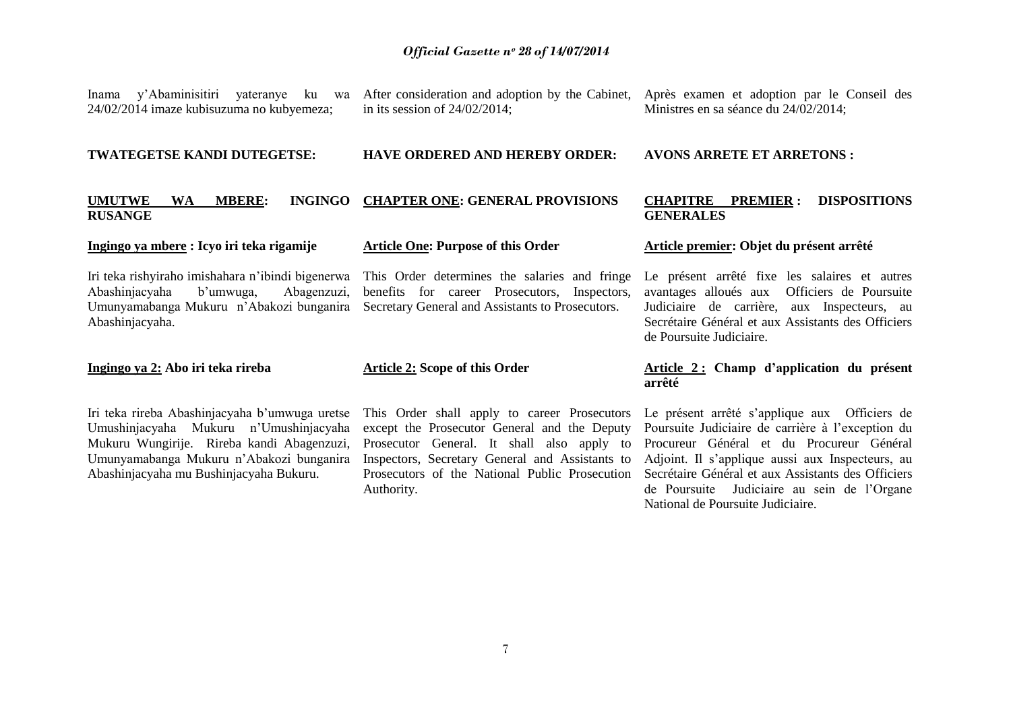24/02/2014 imaze kubisuzuma no kubyemeza;

Inama y'Abaminisitiri yateranye ku wa After consideration and adoption by the Cabinet, Après examen et adoption par le Conseil des in its session of 24/02/2014;

Ministres en sa séance du 24/02/2014;

#### **TWATEGETSE KANDI DUTEGETSE:**

#### **HAVE ORDERED AND HEREBY ORDER:**

#### **UMUTWE WA MBERE: INGINGO CHAPTER ONE: GENERAL PROVISIONS RUSANGE**

#### **Ingingo ya mbere : Icyo iri teka rigamije**

# **Article One: Purpose of this Order**

Iri teka rishyiraho imishahara n"ibindi bigenerwa Abashinjacyaha b"umwuga, Abagenzuzi, Umunyamabanga Mukuru n"Abakozi bunganira Abashinjacyaha.

### **Ingingo ya 2: Abo iri teka rireba**

Iri teka rireba Abashinjacyaha b"umwuga uretse Umushinjacyaha Mukuru n"Umushinjacyaha Mukuru Wungirije. Rireba kandi Abagenzuzi, Umunyamabanga Mukuru n"Abakozi bunganira Abashinjacyaha mu Bushinjacyaha Bukuru.

This Order determines the salaries and fringe benefits for career Prosecutors, Inspectors, Secretary General and Assistants to Prosecutors.

#### **Article 2: Scope of this Order**

This Order shall apply to career Prosecutors except the Prosecutor General and the Deputy Prosecutor General. It shall also apply to Inspectors, Secretary General and Assistants to Prosecutors of the National Public Prosecution Authority.

### **GENERALES**

**CHAPITRE PREMIER : DISPOSITIONS** 

**AVONS ARRETE ET ARRETONS :**

#### **Article premier: Objet du présent arrêté**

Le présent arrêté fixe les salaires et autres avantages alloués aux Officiers de Poursuite Judiciaire de carrière, aux Inspecteurs, au Secrétaire Général et aux Assistants des Officiers de Poursuite Judiciaire.

## **Article 2 : Champ d"application du présent arrêté**

Le présent arrêté s'applique aux Officiers de Poursuite Judiciaire de carrière à l'exception du Procureur Général et du Procureur Général Adjoint. Il s"applique aussi aux Inspecteurs, au Secrétaire Général et aux Assistants des Officiers de Poursuite Judiciaire au sein de l"Organe National de Poursuite Judiciaire.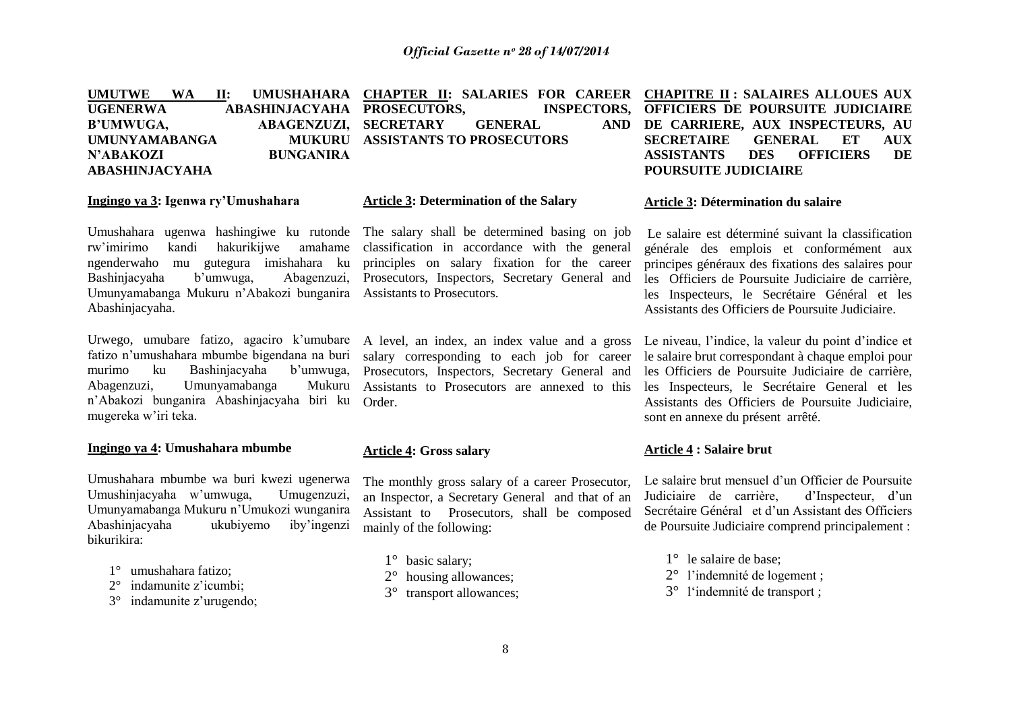|                      |                  | UMUTWE WA II: UMUSHAHARA CHAPTER II: SALARIES FOR CAREER CHAPITRE II: SALAIRES ALLOUES AUX |                             |                                               |
|----------------------|------------------|--------------------------------------------------------------------------------------------|-----------------------------|-----------------------------------------------|
| UGENERWA             |                  | ABASHINJACYAHA PROSECUTORS,                                                                |                             | INSPECTORS, OFFICIERS DE POURSUITE JUDICIAIRE |
| B'UMWUGA,            |                  | ABAGENZUZI, SECRETARY GENERAL                                                              |                             | AND DE CARRIERE, AUX INSPECTEURS, AU          |
| <b>UMUNYAMABANGA</b> |                  | MUKURU ASSISTANTS TO PROSECUTORS                                                           |                             | SECRETAIRE GENERAL ET AUX                     |
| N'ABAKOZI            | <b>BUNGANIRA</b> |                                                                                            | ASSISTANTS DES OFFICIERS    | DE                                            |
| ABASHINJACYAHA       |                  |                                                                                            | <b>POURSUITE JUDICIAIRE</b> |                                               |

#### **Ingingo ya 3: Igenwa ry"Umushahara**

Umushahara ugenwa hashingiwe ku rutonde rw"imirimo kandi hakurikijwe amahame ngenderwaho mu gutegura imishahara ku Bashinjacyaha b"umwuga, Abagenzuzi, Umunyamabanga Mukuru n"Abakozi bunganira Assistants to Prosecutors. Abashinjacyaha.

Urwego, umubare fatizo, agaciro k'umubare fatizo n"umushahara mbumbe bigendana na buri murimo ku Bashinjacyaha b'umwuga, Abagenzuzi, Umunyamabanga Mukuru n"Abakozi bunganira Abashinjacyaha biri ku mugereka w"iri teka.

#### **Ingingo ya 4: Umushahara mbumbe**

Umushahara mbumbe wa buri kwezi ugenerwa Umushinjacyaha w"umwuga, Umugenzuzi, Umunyamabanga Mukuru n"Umukozi wunganira Abashinjacyaha ukubiyemo iby"ingenzi bikurikira:

- 1° umushahara fatizo;
- 2° indamunite z"icumbi;
- 3° indamunite z"urugendo;

**Article 3: Determination of the Salary**

The salary shall be determined basing on job classification in accordance with the general principles on salary fixation for the career Prosecutors, Inspectors, Secretary General and

A level, an index, an index value and a gross salary corresponding to each job for career Prosecutors, Inspectors, Secretary General and Assistants to Prosecutors are annexed to this Order.

# **Article 4: Gross salary**

The monthly gross salary of a career Prosecutor, an Inspector, a Secretary General and that of an Assistant to Prosecutors, shall be composed mainly of the following:

- 1° basic salary;
- 2° housing allowances;
- 3° transport allowances;

# **OFFICIERS DE POURSUITE JUDICIAIRE DE CARRIERE, AUX INSPECTEURS, AU SECRETAIRE GENERAL ET AUX ASSISTANTS DES OFFICIERS DE**

#### **Article 3: Détermination du salaire**

Le salaire est déterminé suivant la classification générale des emplois et conformément aux principes généraux des fixations des salaires pour les Officiers de Poursuite Judiciaire de carrière, les Inspecteurs, le Secrétaire Général et les Assistants des Officiers de Poursuite Judiciaire.

Le niveau, l"indice, la valeur du point d"indice et le salaire brut correspondant à chaque emploi pour les Officiers de Poursuite Judiciaire de carrière, les Inspecteurs, le Secrétaire General et les Assistants des Officiers de Poursuite Judiciaire, sont en annexe du présent arrêté.

# **Article 4 : Salaire brut**

Le salaire brut mensuel d'un Officier de Poursuite Judiciaire de carrière, d"Inspecteur, d"un Secrétaire Général et d"un Assistant des Officiers de Poursuite Judiciaire comprend principalement :

- 1° le salaire de base;
- 2° l"indemnité de logement ;
- 3° l"indemnité de transport ;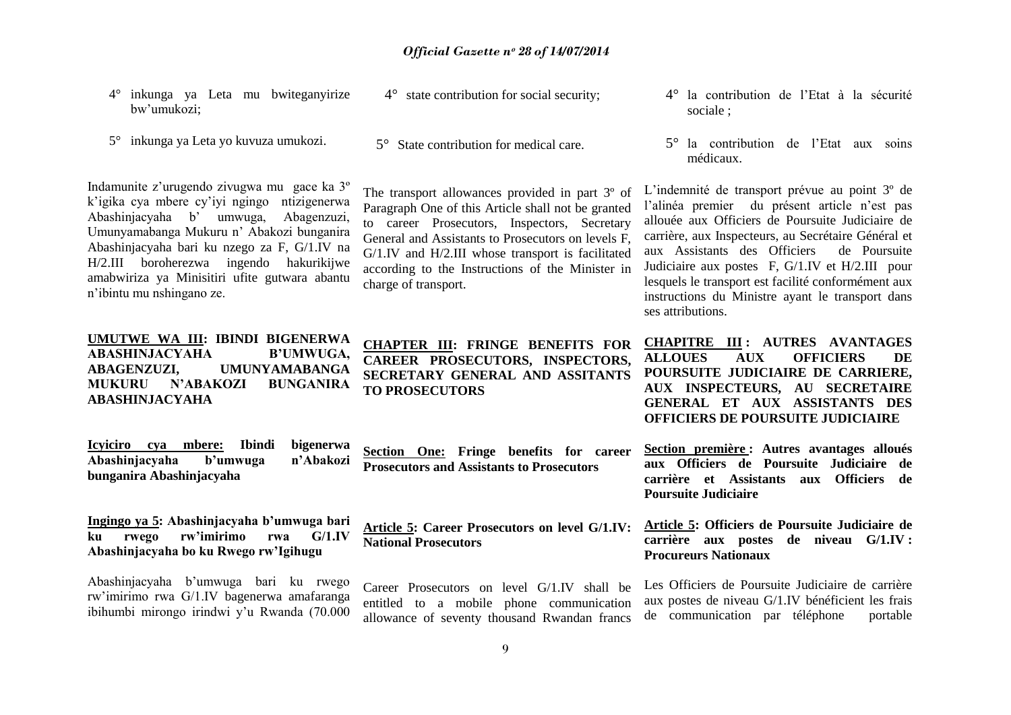|             |  | 4° inkunga ya Leta mu bwiteganyirize |
|-------------|--|--------------------------------------|
| bw'umukozi; |  |                                      |

5° inkunga ya Leta yo kuvuza umukozi.

Indamunite z"urugendo zivugwa mu gace ka 3º k"igika cya mbere cy"iyi ngingo ntizigenerwa Abashinjacyaha b" umwuga, Abagenzuzi, Umunyamabanga Mukuru n" Abakozi bunganira Abashinjacyaha bari ku nzego za F, G/1.IV na H/2.III boroherezwa ingendo hakurikijwe amabwiriza ya Minisitiri ufite gutwara abantu n"ibintu mu nshingano ze.

**UMUTWE WA III: IBINDI BIGENERWA ABASHINJACYAHA B"UMWUGA, ABAGENZUZI, UMUNYAMABANGA MUKURU N"ABAKOZI BUNGANIRA ABASHINJACYAHA**

**Icyiciro cya mbere: Ibindi bigenerwa**  Abashiniacyaha b'umwuga **bunganira Abashinjacyaha**

**Ingingo ya 5: Abashinjacyaha b"umwuga bari ku rwego rw"imirimo rwa G/1.IV Abashinjacyaha bo ku Rwego rw"Igihugu**

Abashinjacyaha b"umwuga bari ku rwego rw"imirimo rwa G/1.IV bagenerwa amafaranga ibihumbi mirongo irindwi y"u Rwanda (70.000 4° state contribution for social security;

5° State contribution for medical care.

The transport allowances provided in part 3º of Paragraph One of this Article shall not be granted to career Prosecutors, Inspectors, Secretary General and Assistants to Prosecutors on levels F, G/1.IV and H/2.III whose transport is facilitated according to the Instructions of the Minister in charge of transport.

**CHAPTER III: FRINGE BENEFITS FOR CAREER PROSECUTORS, INSPECTORS, SECRETARY GENERAL AND ASSITANTS TO PROSECUTORS**

**Section One: Fringe benefits for career Prosecutors and Assistants to Prosecutors**

**Article 5: Career Prosecutors on level G/1.IV: National Prosecutors**

Career Prosecutors on level G/1.IV shall be entitled to a mobile phone communication allowance of seventy thousand Rwandan francs

- 4° la contribution de l"Etat à la sécurité sociale ;
- 5° la contribution de l"Etat aux soins médicaux.

L"indemnité de transport prévue au point 3º de l'alinéa premier du présent article n'est pas allouée aux Officiers de Poursuite Judiciaire de carrière, aux Inspecteurs, au Secrétaire Général et aux Assistants des Officiers de Poursuite Judiciaire aux postes F, G/1.IV et H/2.III pour lesquels le transport est facilité conformément aux instructions du Ministre ayant le transport dans ses attributions.

**CHAPITRE III : AUTRES AVANTAGES ALLOUES AUX OFFICIERS DE POURSUITE JUDICIAIRE DE CARRIERE, AUX INSPECTEURS, AU SECRETAIRE GENERAL ET AUX ASSISTANTS DES OFFICIERS DE POURSUITE JUDICIAIRE**

**Section première : Autres avantages alloués aux Officiers de Poursuite Judiciaire de carrière et Assistants aux Officiers de Poursuite Judiciaire**

**Article 5: Officiers de Poursuite Judiciaire de carrière aux postes de niveau G/1.IV : Procureurs Nationaux**

Les Officiers de Poursuite Judiciaire de carrière aux postes de niveau G/1.IV bénéficient les frais de communication par téléphone portable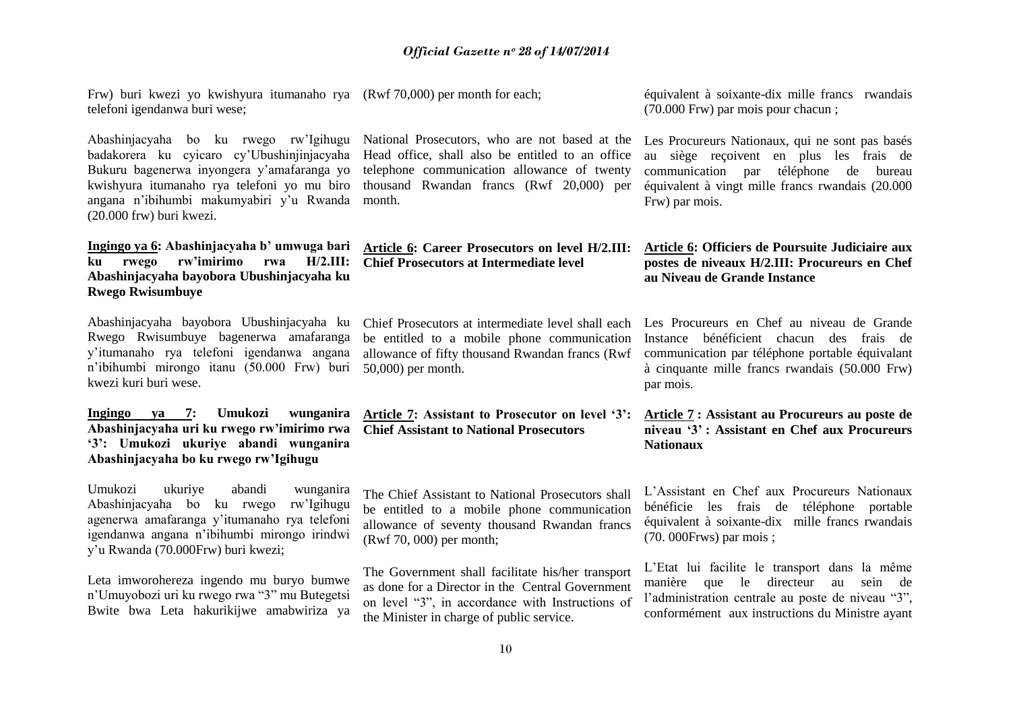| Frw) buri kwezi yo kwishyura itumanaho rya (Rwf 70,000) per month for each;<br>telefoni igendanwa buri wese;                                                                                                                                             |                                                                                                                                                                                                         | équivalent à soixante-dix mille francs rwandais<br>(70.000 Frw) par mois pour chacun;                                                                                                                              |
|----------------------------------------------------------------------------------------------------------------------------------------------------------------------------------------------------------------------------------------------------------|---------------------------------------------------------------------------------------------------------------------------------------------------------------------------------------------------------|--------------------------------------------------------------------------------------------------------------------------------------------------------------------------------------------------------------------|
| Abashinjacyaha bo ku rwego rw'lgihugu<br>badakorera ku cyicaro cy'Ubushinjinjacyaha<br>Bukuru bagenerwa inyongera y'amafaranga yo<br>kwishyura itumanaho rya telefoni yo mu biro<br>angana n'ibihumbi makumyabiri y'u Rwanda<br>(20.000 frw) buri kwezi. | National Prosecutors, who are not based at the<br>Head office, shall also be entitled to an office<br>telephone communication allowance of twenty<br>thousand Rwandan francs (Rwf 20,000) per<br>month. | Les Procureurs Nationaux, qui ne sont pas basés<br>au siège reçoivent en plus les frais de<br>téléphone de<br>communication<br>par<br>bureau<br>équivalent à vingt mille francs rwandais (20.000<br>Frw) par mois. |
| Ingingo ya 6: Abashinjacyaha b' umwuga bari<br>rw'imirimo<br>$H/2.III$ :<br>rwego<br>ku<br>rwa<br>Abashinjacyaha bayobora Ubushinjacyaha ku<br><b>Rwego Rwisumbuye</b>                                                                                   | Article 6: Career Prosecutors on level H/2.III:<br><b>Chief Prosecutors at Intermediate level</b>                                                                                                       | Article 6: Officiers de Poursuite Judiciaire aux<br>postes de niveaux H/2.III: Procureurs en Chef<br>au Niveau de Grande Instance                                                                                  |
| Abashinjacyaha bayobora Ubushinjacyaha ku<br>Rwego Rwisumbuye bagenerwa amafaranga<br>y'itumanaho rya telefoni igendanwa angana<br>n'ibihumbi mirongo itanu (50.000 Frw) buri<br>kwezi kuri buri wese.                                                   | Chief Prosecutors at intermediate level shall each<br>be entitled to a mobile phone communication<br>allowance of fifty thousand Rwandan francs (Rwf<br>50,000) per month.                              | Les Procureurs en Chef au niveau de Grande<br>Instance bénéficient chacun des frais de<br>communication par téléphone portable équivalant<br>à cinquante mille francs rwandais (50.000 Frw)<br>par mois.           |
| Umukozi<br>Ingingo ya 7:<br>wunganira<br>Abashinjacyaha uri ku rwego rw'imirimo rwa<br>'3': Umukozi ukuriye abandi wunganira<br>Abashinjacyaha bo ku rwego rw'Igihugu                                                                                    | Article 7: Assistant to Prosecutor on level '3':<br><b>Chief Assistant to National Prosecutors</b>                                                                                                      | Article 7: Assistant au Procureurs au poste de<br>niveau '3': Assistant en Chef aux Procureurs<br><b>Nationaux</b>                                                                                                 |
| Umukozi<br>ukuriye<br>abandi<br>wunganira<br>Abashinjacyaha bo ku rwego<br>rw'Igihugu<br>agenerwa amafaranga y'itumanaho rya telefoni<br>igendanwa angana n'ibihumbi mirongo irindwi<br>y'u Rwanda (70.000Frw) buri kwezi;                               | The Chief Assistant to National Prosecutors shall<br>be entitled to a mobile phone communication<br>allowance of seventy thousand Rwandan francs<br>(Rwf 70, 000) per month;                            | L'Assistant en Chef aux Procureurs Nationaux<br>bénéficie les frais de téléphone portable<br>équivalent à soixante-dix mille francs rwandais<br>$(70.000$ Frws) par mois;                                          |
| Leta imworohereza ingendo mu buryo bumwe<br>n'Umuyobozi uri ku rwego rwa "3" mu Butegetsi<br>Bwite bwa Leta hakurikijwe amabwiriza ya                                                                                                                    | The Government shall facilitate his/her transport<br>as done for a Director in the Central Government<br>on level "3", in accordance with Instructions of<br>the Minister in charge of public service.  | L'Etat lui facilite le transport dans la même<br>manière que le directeur au<br>sein<br>de<br>l'administration centrale au poste de niveau "3",<br>conformément aux instructions du Ministre ayant                 |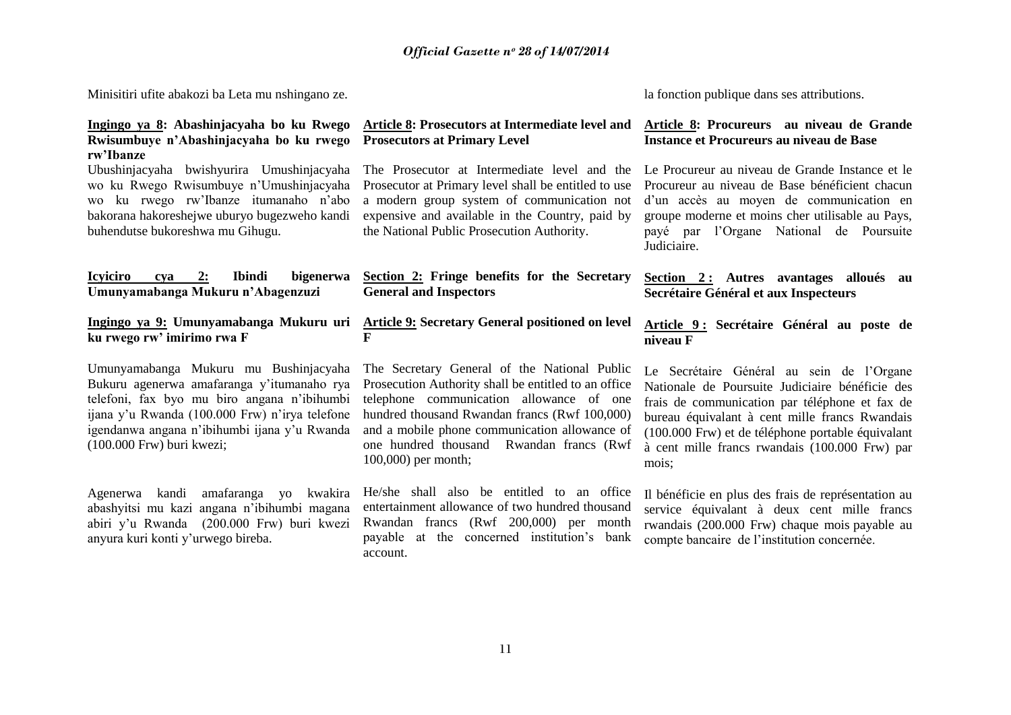Minisitiri ufite abakozi ba Leta mu nshingano ze.

## **Article 8: Prosecutors at Intermediate level and Prosecutors at Primary Level**

The Prosecutor at Intermediate level and the Prosecutor at Primary level shall be entitled to use a modern group system of communication not expensive and available in the Country, paid by the National Public Prosecution Authority.

# **Section 2: Fringe benefits for the Secretary General and Inspectors**

# **Article 9: Secretary General positioned on level F**

The Secretary General of the National Public Prosecution Authority shall be entitled to an office telephone communication allowance of one hundred thousand Rwandan francs (Rwf 100,000) and a mobile phone communication allowance of one hundred thousand Rwandan francs (Rwf 100,000) per month;

He/she shall also be entitled to an office entertainment allowance of two hundred thousand Rwandan francs (Rwf 200,000) per month payable at the concerned institution"s bank account.

la fonction publique dans ses attributions.

# **Article 8: Procureurs au niveau de Grande Instance et Procureurs au niveau de Base**

Le Procureur au niveau de Grande Instance et le Procureur au niveau de Base bénéficient chacun d"un accès au moyen de communication en groupe moderne et moins cher utilisable au Pays, payé par l"Organe National de Poursuite Judiciaire.

### **Section 2 : Autres avantages alloués au Secrétaire Général et aux Inspecteurs**

# **Article 9 : Secrétaire Général au poste de niveau F**

Le Secrétaire Général au sein de l"Organe Nationale de Poursuite Judiciaire bénéficie des frais de communication par téléphone et fax de bureau équivalant à cent mille francs Rwandais (100.000 Frw) et de téléphone portable équivalant à cent mille francs rwandais (100.000 Frw) par mois;

Il bénéficie en plus des frais de représentation au service équivalant à deux cent mille francs rwandais (200.000 Frw) chaque mois payable au compte bancaire de l"institution concernée.

#### **Ingingo ya 8: Abashinjacyaha bo ku Rwego Rwisumbuye n"Abashinjacyaha bo ku rwego rw"Ibanze**

Ubushinjacyaha bwishyurira Umushinjacyaha wo ku Rwego Rwisumbuye n"Umushinjacyaha wo ku rwego rw"Ibanze itumanaho n"abo bakorana hakoreshejwe uburyo bugezweho kandi buhendutse bukoreshwa mu Gihugu.

# **Icyiciro cya 2: Ibindi bigenerwa Umunyamabanga Mukuru n"Abagenzuzi**

**Ingingo ya 9: Umunyamabanga Mukuru uri ku rwego rw" imirimo rwa F**

Umunyamabanga Mukuru mu Bushinjacyaha Bukuru agenerwa amafaranga y"itumanaho rya telefoni, fax byo mu biro angana n"ibihumbi ijana y"u Rwanda (100.000 Frw) n"irya telefone igendanwa angana n"ibihumbi ijana y"u Rwanda (100.000 Frw) buri kwezi;

Agenerwa kandi amafaranga yo kwakira abashyitsi mu kazi angana n"ibihumbi magana abiri y"u Rwanda (200.000 Frw) buri kwezi anyura kuri konti y"urwego bireba.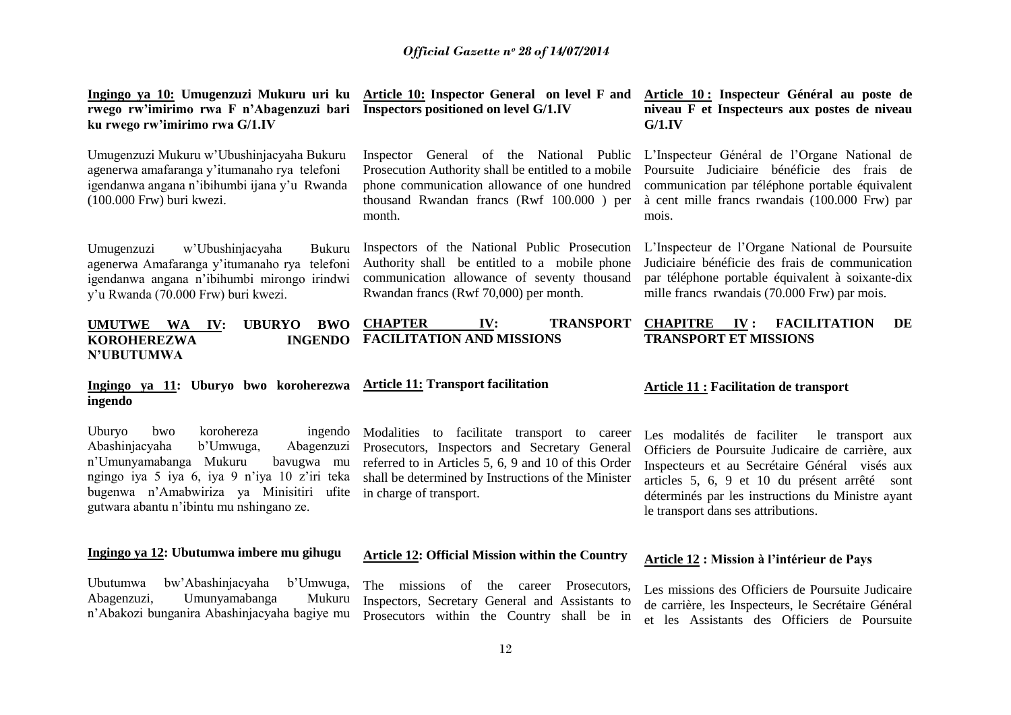**rwego rw"imirimo rwa F n"Abagenzuzi bari Inspectors positioned on level G/1.IV ku rwego rw"imirimo rwa G/1.IV**

Umugenzuzi Mukuru w"Ubushinjacyaha Bukuru agenerwa amafaranga y"itumanaho rya telefoni igendanwa angana n"ibihumbi ijana y"u Rwanda (100.000 Frw) buri kwezi.

Umugenzuzi w"Ubushinjacyaha Bukuru agenerwa Amafaranga y"itumanaho rya telefoni igendanwa angana n"ibihumbi mirongo irindwi y"u Rwanda (70.000 Frw) buri kwezi.

**Ingingo ya 10: Umugenzuzi Mukuru uri ku Article 10: Inspector General on level F and** 

Inspector General of the National Public Prosecution Authority shall be entitled to a mobile phone communication allowance of one hundred thousand Rwandan francs (Rwf 100.000 ) per month.

Inspectors of the National Public Prosecution Authority shall be entitled to a mobile phone communication allowance of seventy thousand Rwandan francs (Rwf 70,000) per month.

**Article 10 : Inspecteur Général au poste de niveau F et Inspecteurs aux postes de niveau G/1.IV**

L"Inspecteur Général de l"Organe National de Poursuite Judiciaire bénéficie des frais de communication par téléphone portable équivalent à cent mille francs rwandais (100.000 Frw) par mois.

L"Inspecteur de l"Organe National de Poursuite Judiciaire bénéficie des frais de communication par téléphone portable équivalent à soixante-dix mille francs rwandais (70.000 Frw) par mois.

#### **UMUTWE WA IV: UBURYO BWO KOROHEREZWA INGENDO N"UBUTUMWA CHAPTER IV: TRANSPORT FACILITATION AND MISSIONS CHAPITRE IV : FACILITATION DE TRANSPORT ET MISSIONS**

#### **Ingingo ya 11: Uburyo bwo koroherezwa ingendo Article 11: Transport facilitation**

Uburyo bwo korohereza ingendo Abashinjacyaha b"Umwuga, Abagenzuzi n"Umunyamabanga Mukuru bavugwa mu ngingo iya 5 iya 6, iya 9 n"iya 10 z"iri teka bugenwa n"Amabwiriza ya Minisitiri ufite gutwara abantu n"ibintu mu nshingano ze.

#### **Ingingo ya 12: Ubutumwa imbere mu gihugu**

Ubutumwa bw"Abashinjacyaha b"Umwuga, Abagenzuzi, Umunyamabanga Mukuru n"Abakozi bunganira Abashinjacyaha bagiye mu

Modalities to facilitate transport to career Prosecutors, Inspectors and Secretary General referred to in Articles 5, 6, 9 and 10 of this Order shall be determined by Instructions of the Minister in charge of transport.

#### **Article 11 : Facilitation de transport**

Les modalités de faciliter le transport aux Officiers de Poursuite Judicaire de carrière, aux Inspecteurs et au Secrétaire Général visés aux articles 5, 6, 9 et 10 du présent arrêté sont déterminés par les instructions du Ministre ayant le transport dans ses attributions.

#### **Article 12: Official Mission within the Country Article 12 : Mission à l"intérieur de Pays**

The missions of the career Prosecutors, Inspectors, Secretary General and Assistants to Prosecutors within the Country shall be in

Les missions des Officiers de Poursuite Judicaire de carrière, les Inspecteurs, le Secrétaire Général et les Assistants des Officiers de Poursuite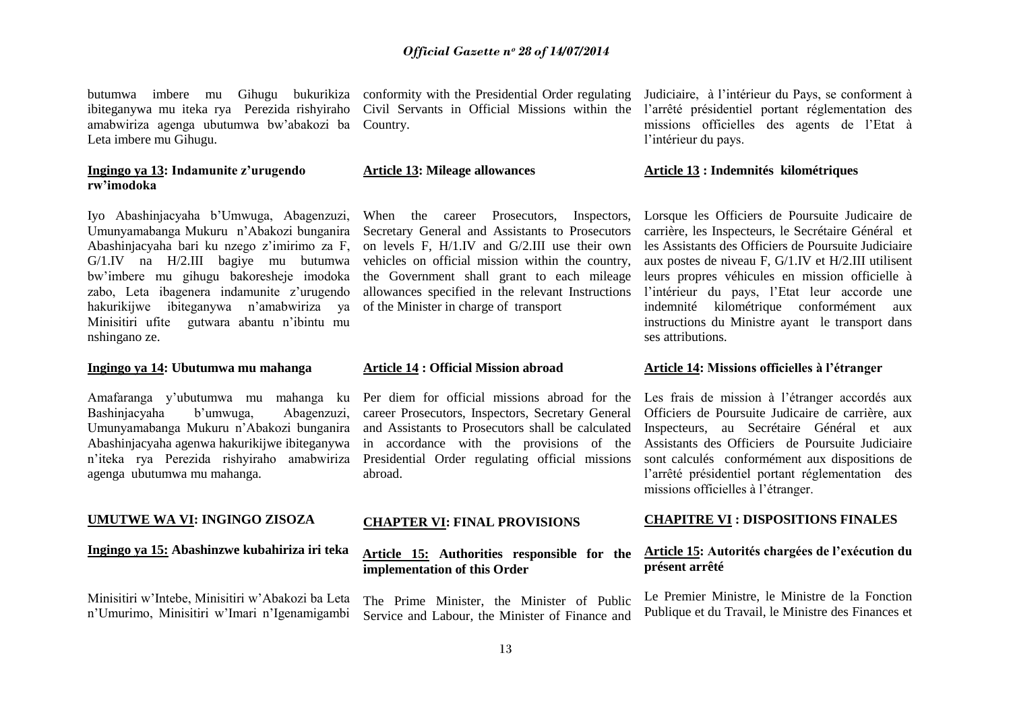butumwa imbere mu Gihugu bukurikiza conformity with the Presidential Order regulating ibiteganywa mu iteka rya Perezida rishyiraho amabwiriza agenga ubutumwa bw"abakozi ba Country. Leta imbere mu Gihugu.

# **Ingingo ya 13: Indamunite z"urugendo rw"imodoka**

Iyo Abashinjacyaha b"Umwuga, Abagenzuzi, Umunyamabanga Mukuru n"Abakozi bunganira Abashinjacyaha bari ku nzego z"imirimo za F, G/1.IV na H/2.III bagiye mu butumwa bw"imbere mu gihugu bakoresheje imodoka zabo, Leta ibagenera indamunite z'urugendo hakurikijwe ibiteganywa n"amabwiriza ya Minisitiri ufite gutwara abantu n"ibintu mu nshingano ze.

#### **Ingingo ya 14: Ubutumwa mu mahanga**

Amafaranga y"ubutumwa mu mahanga ku Bashinjacyaha b"umwuga, Abagenzuzi, Umunyamabanga Mukuru n"Abakozi bunganira Abashinjacyaha agenwa hakurikijwe ibiteganywa n"iteka rya Perezida rishyiraho amabwiriza agenga ubutumwa mu mahanga.

#### **UMUTWE WA VI: INGINGO ZISOZA**

**Ingingo ya 15: Abashinzwe kubahiriza iri teka**

Minisitiri w"Intebe, Minisitiri w"Abakozi ba Leta n"Umurimo, Minisitiri w"Imari n"Igenamigambi Civil Servants in Official Missions within the

#### **Article 13: Mileage allowances**

When the career Prosecutors, Inspectors, Secretary General and Assistants to Prosecutors on levels F, H/1.IV and G/2.III use their own vehicles on official mission within the country, the Government shall grant to each mileage allowances specified in the relevant Instructions of the Minister in charge of transport

#### **Article 14 : Official Mission abroad**

Per diem for official missions abroad for the career Prosecutors, Inspectors, Secretary General and Assistants to Prosecutors shall be calculated in accordance with the provisions of the Presidential Order regulating official missions abroad.

# **CHAPTER VI: FINAL PROVISIONS**

# **Article 15: Authorities responsible for the implementation of this Order**

The Prime Minister, the Minister of Public Service and Labour, the Minister of Finance and

Judiciaire, à l"intérieur du Pays, se conforment à l"arrêté présidentiel portant réglementation des missions officielles des agents de l"Etat à l'intérieur du pays.

#### **Article 13 : Indemnités kilométriques**

Lorsque les Officiers de Poursuite Judicaire de carrière, les Inspecteurs, le Secrétaire Général et les Assistants des Officiers de Poursuite Judiciaire aux postes de niveau F, G/1.IV et H/2.III utilisent leurs propres véhicules en mission officielle à l"intérieur du pays, l"Etat leur accorde une indemnité kilométrique conformément aux instructions du Ministre ayant le transport dans ses attributions.

#### **Article 14: Missions officielles à l"étranger**

Les frais de mission à l'étranger accordés aux Officiers de Poursuite Judicaire de carrière, aux Inspecteurs, au Secrétaire Général et aux Assistants des Officiers de Poursuite Judiciaire sont calculés conformément aux dispositions de l"arrêté présidentiel portant réglementation des missions officielles à l"étranger.

#### **CHAPITRE VI : DISPOSITIONS FINALES**

# **Article 15: Autorités chargées de l"exécution du présent arrêté**

Le Premier Ministre, le Ministre de la Fonction Publique et du Travail, le Ministre des Finances et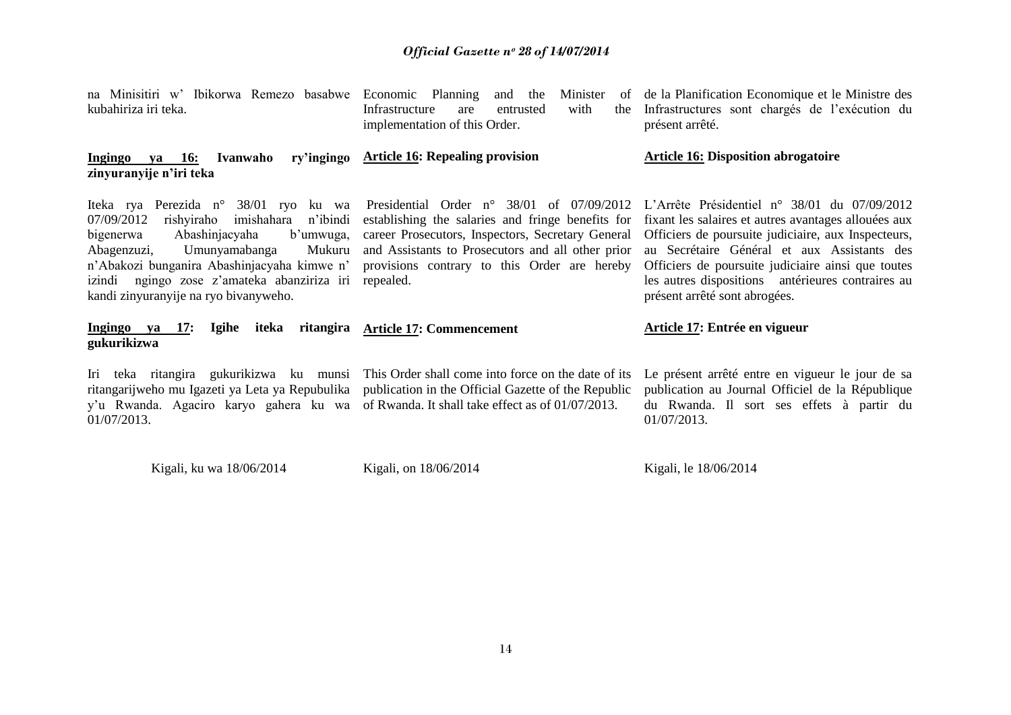| na Minisitiri w' Ibikorwa Remezo basabwe<br>kubahiriza iri teka.                                                                                                                                                                                                                                                            | Economic Planning<br>Minister<br>and the<br>of<br>Infrastructure<br>with<br>entrusted<br>the<br>are<br>implementation of this Order.                                                                                                                                           | de la Planification Economique et le Ministre des<br>Infrastructures sont chargés de l'exécution du<br>présent arrêté.                                                                                                                                                                                                                                 |  |  |
|-----------------------------------------------------------------------------------------------------------------------------------------------------------------------------------------------------------------------------------------------------------------------------------------------------------------------------|--------------------------------------------------------------------------------------------------------------------------------------------------------------------------------------------------------------------------------------------------------------------------------|--------------------------------------------------------------------------------------------------------------------------------------------------------------------------------------------------------------------------------------------------------------------------------------------------------------------------------------------------------|--|--|
| ry'ingingo<br>Ivanwaho<br>ya 16:<br>Ingingo<br>zinyuranyije n'iri teka                                                                                                                                                                                                                                                      | <b>Article 16: Repealing provision</b>                                                                                                                                                                                                                                         | <b>Article 16: Disposition abrogatoire</b>                                                                                                                                                                                                                                                                                                             |  |  |
| Iteka rya Perezida n° 38/01 ryo ku wa<br>rishyiraho<br>imishahara<br>n'ibindi<br>07/09/2012<br>Abashinjacyaha<br>b'umwuga,<br>bigenerwa<br>Abagenzuzi,<br>Umunyamabanga<br>Mukuru<br>n'Abakozi bunganira Abashinjacyaha kimwe n'<br>ngingo zose z'amateka abanziriza iri<br>izindi<br>kandi zinyuranyije na ryo bivanyweho. | Presidential Order $n^{\circ}$ 38/01 of 07/09/2012<br>establishing the salaries and fringe benefits for<br>career Prosecutors, Inspectors, Secretary General<br>and Assistants to Prosecutors and all other prior<br>provisions contrary to this Order are hereby<br>repealed. | L'Arrête Présidentiel n° 38/01 du 07/09/2012<br>fixant les salaires et autres avantages allouées aux<br>Officiers de poursuite judiciaire, aux Inspecteurs,<br>au Secrétaire Général et aux Assistants des<br>Officiers de poursuite judiciaire ainsi que toutes<br>les autres dispositions antérieures contraires au<br>présent arrêté sont abrogées. |  |  |
| Ingingo ya 17:<br>Igihe<br>iteka<br>ritangira<br>gukurikizwa                                                                                                                                                                                                                                                                | <b>Article 17: Commencement</b>                                                                                                                                                                                                                                                | Article 17: Entrée en vigueur                                                                                                                                                                                                                                                                                                                          |  |  |
| teka ritangira gukurikizwa ku munsi<br>Iri<br>ritangarijweho mu Igazeti ya Leta ya Repubulika<br>y'u Rwanda. Agaciro karyo gahera ku wa<br>01/07/2013.                                                                                                                                                                      | This Order shall come into force on the date of its<br>publication in the Official Gazette of the Republic<br>of Rwanda. It shall take effect as of 01/07/2013.                                                                                                                | Le présent arrêté entre en vigueur le jour de sa<br>publication au Journal Officiel de la République<br>du Rwanda. Il sort ses effets à partir du<br>01/07/2013.                                                                                                                                                                                       |  |  |
| Kigali, ku wa 18/06/2014                                                                                                                                                                                                                                                                                                    | Kigali, on 18/06/2014                                                                                                                                                                                                                                                          | Kigali, le 18/06/2014                                                                                                                                                                                                                                                                                                                                  |  |  |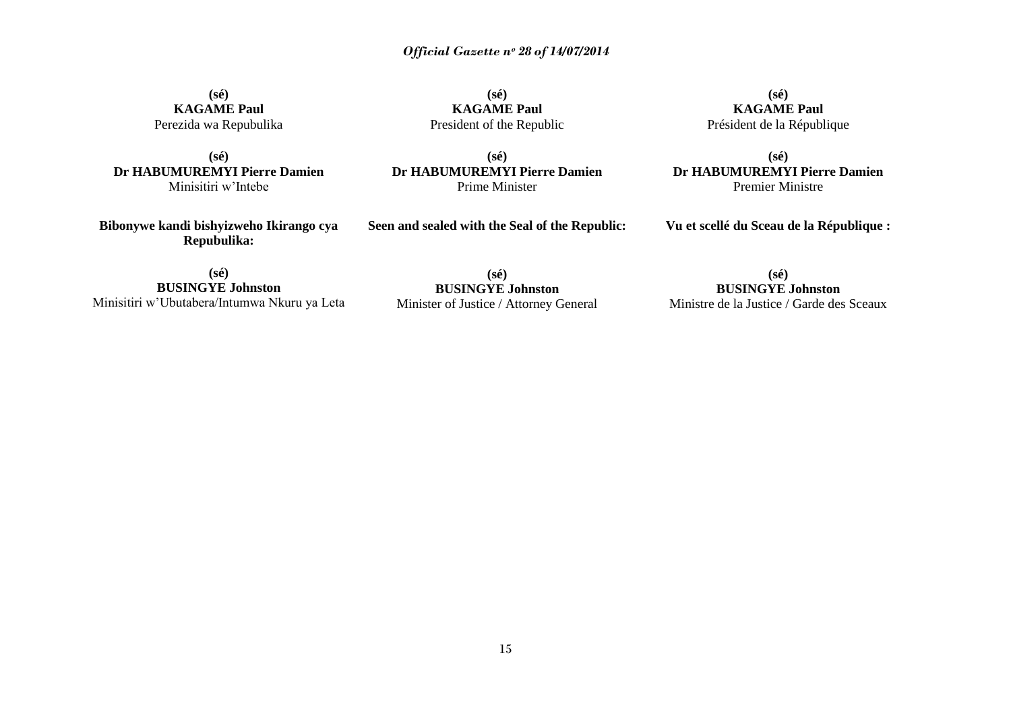**(sé) KAGAME Paul** Perezida wa Repubulika

**(sé) Dr HABUMUREMYI Pierre Damien** Minisitiri w"Intebe

**(sé) KAGAME Paul** President of the Republic

**(sé) Dr HABUMUREMYI Pierre Damien** Prime Minister

**(sé) KAGAME Paul** Président de la République

**(sé) Dr HABUMUREMYI Pierre Damien** Premier Ministre

**Bibonywe kandi bishyizweho Ikirango cya Repubulika:**

**Seen and sealed with the Seal of the Republic:**

**Vu et scellé du Sceau de la République :**

**(sé) BUSINGYE Johnston** Minisitiri w"Ubutabera/Intumwa Nkuru ya Leta

**(sé) BUSINGYE Johnston** Minister of Justice / Attorney General

**(sé) BUSINGYE Johnston** Ministre de la Justice / Garde des Sceaux

15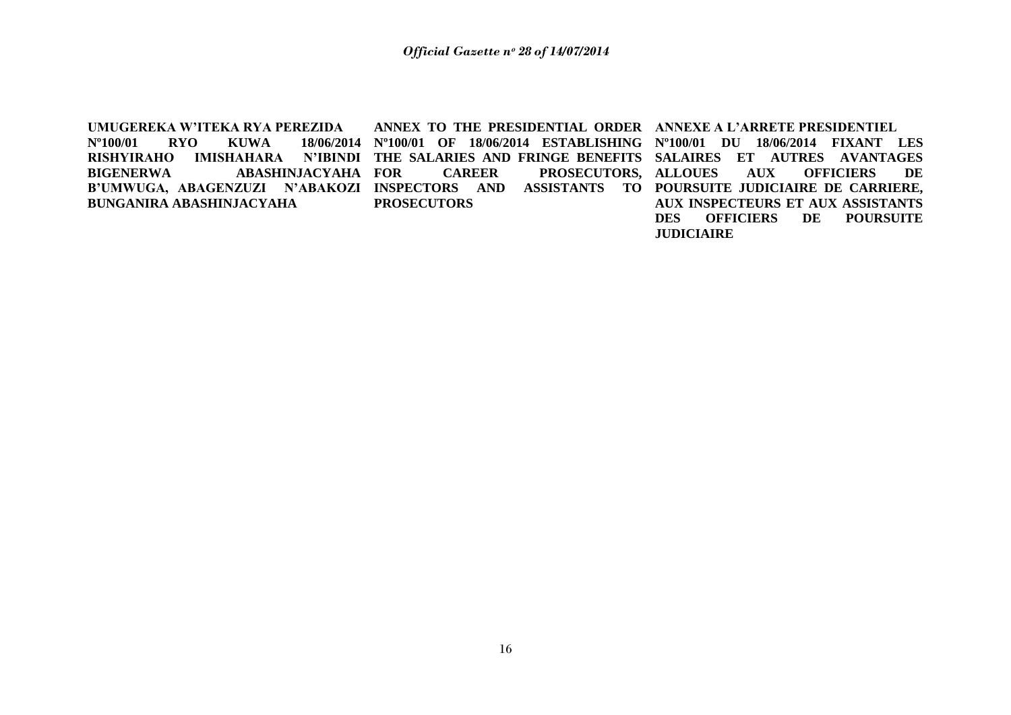**UMUGEREKA W"ITEKA RYA PEREZIDA Nº100/01 RYO KUWA 18/06/2014 Nº100/01 OF 18/06/2014 ESTABLISHING Nº100/01 DU 18/06/2014 FIXANT LES RISHYIRAHO IMISHAHARA N"IBINDI THE SALARIES AND FRINGE BENEFITS SALAIRES ET AUTRES AVANTAGES**  BIGENERWA ABASHINJACYAHA FOR **B"UMWUGA, ABAGENZUZI N"ABAKOZI INSPECTORS AND ASSISTANTS TO POURSUITE JUDICIAIRE DE CARRIERE, BUNGANIRA ABASHINJACYAHA ANNEX TO THE PRESIDENTIAL ORDER ANNEXE A L"ARRETE PRESIDENTIEL**  CAREER PROSECUTORS, ALLOUES **PROSECUTORS AUX OFFICIERS DE AUX INSPECTEURS ET AUX ASSISTANTS DES OFFICIERS DE POURSUITE JUDICIAIRE**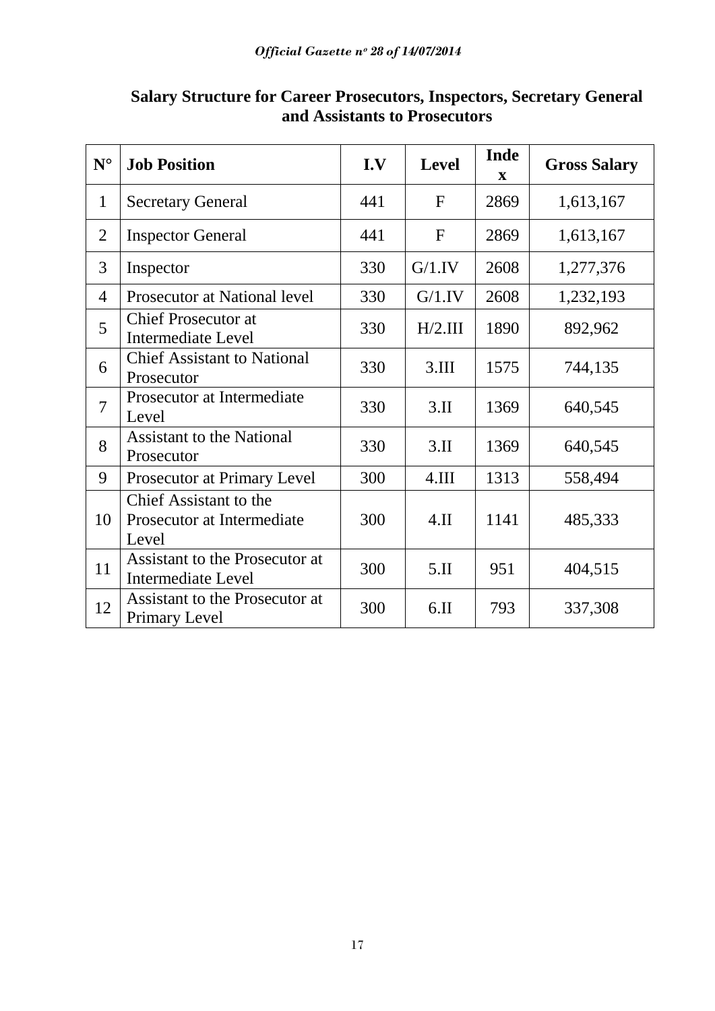| ${\bf N}^{\circ}$ | <b>Job Position</b>                                           | I.V | <b>Level</b> | <b>Inde</b><br>$\mathbf X$ | <b>Gross Salary</b> |
|-------------------|---------------------------------------------------------------|-----|--------------|----------------------------|---------------------|
| $\mathbf{1}$      | <b>Secretary General</b>                                      | 441 | $\mathbf{F}$ | 2869                       | 1,613,167           |
| $\overline{2}$    | <b>Inspector General</b>                                      | 441 | $\mathbf{F}$ | 2869                       | 1,613,167           |
| 3                 | Inspector                                                     | 330 | G/1.IV       | 2608                       | 1,277,376           |
| $\overline{4}$    | Prosecutor at National level                                  | 330 | G/1.IV       | 2608                       | 1,232,193           |
| 5                 | <b>Chief Prosecutor at</b><br><b>Intermediate Level</b>       | 330 | H/2.III      | 1890                       | 892,962             |
| 6                 | <b>Chief Assistant to National</b><br>Prosecutor              | 330 | 3.III        | 1575                       | 744,135             |
| $\overline{7}$    | Prosecutor at Intermediate<br>Level                           | 330 | $3.\Pi$      | 1369                       | 640,545             |
| 8                 | <b>Assistant to the National</b><br>Prosecutor                | 330 | $3.\Pi$      | 1369                       | 640,545             |
| 9                 | Prosecutor at Primary Level                                   | 300 | 4.III        | 1313                       | 558,494             |
| 10                | Chief Assistant to the<br>Prosecutor at Intermediate<br>Level | 300 | $4.\Pi$      | 1141                       | 485,333             |
| 11                | Assistant to the Prosecutor at<br><b>Intermediate Level</b>   | 300 | 5.1          | 951                        | 404,515             |
| 12                | Assistant to the Prosecutor at<br><b>Primary Level</b>        | 300 | 6.11         | 793                        | 337,308             |

# **Salary Structure for Career Prosecutors, Inspectors, Secretary General and Assistants to Prosecutors**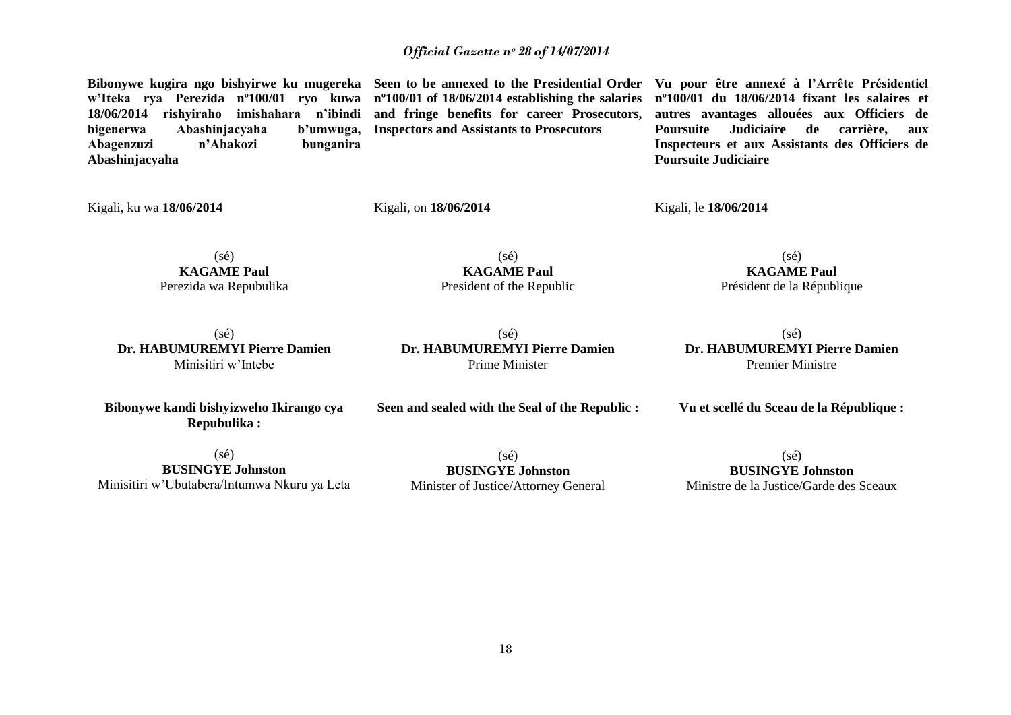**Bibonywe kugira ngo bishyirwe ku mugereka Seen to be annexed to the Presidential Order w"Iteka rya Perezida nº100/01 ryo kuwa nº100/01 of 18/06/2014 establishing the salaries 18/06/2014 rishyiraho imishahara n"ibindi and fringe benefits for career Prosecutors, bigenerwa Abashinjacyaha b"umwuga, Abagenzuzi n"Abakozi bunganira Abashinjacyaha** 

**Inspectors and Assistants to Prosecutors**

**Vu pour être annexé à l"Arrête Présidentiel nº100/01 du 18/06/2014 fixant les salaires et autres avantages allouées aux Officiers de Poursuite Judiciaire de carrière, aux Inspecteurs et aux Assistants des Officiers de Poursuite Judiciaire**

Kigali, ku wa **18/06/2014** 

Kigali, on **18/06/2014**

Kigali, le **18/06/2014** 

(sé) **KAGAME Paul** Perezida wa Repubulika

(sé) **KAGAME Paul** President of the Republic

(sé) **KAGAME Paul** Président de la République

(sé) **Dr. HABUMUREMYI Pierre Damien** Minisitiri w"Intebe

(sé) **Dr. HABUMUREMYI Pierre Damien** Prime Minister

(sé) **Dr. HABUMUREMYI Pierre Damien** Premier Ministre

**Vu et scellé du Sceau de la République :**

**Bibonywe kandi bishyizweho Ikirango cya Repubulika :**

**Seen and sealed with the Seal of the Republic :**

 $(s\acute{e})$ **BUSINGYE Johnston** Minisitiri w"Ubutabera/Intumwa Nkuru ya Leta

(sé) **BUSINGYE Johnston** Minister of Justice/Attorney General

(sé) **BUSINGYE Johnston** Ministre de la Justice/Garde des Sceaux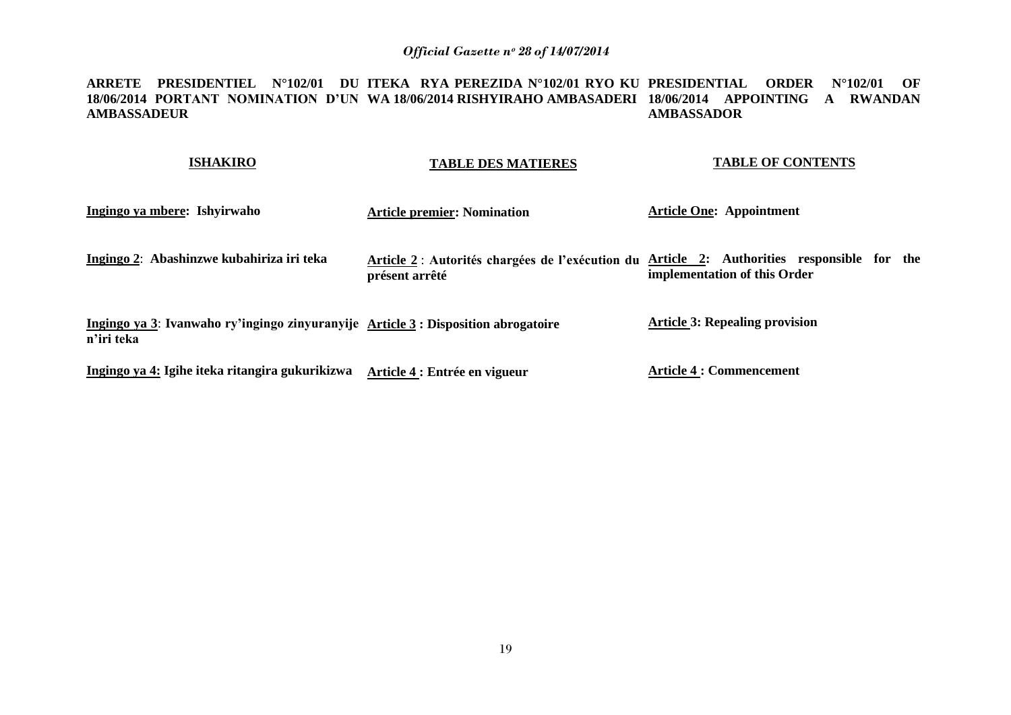#### **ARRETE PRESIDENTIEL N°102/01 DU ITEKA RYA PEREZIDA N°102/01 RYO KU PRESIDENTIAL ORDER N°102/01 OF 18/06/2014 PORTANT NOMINATION D"UN WA 18/06/2014 RISHYIRAHO AMBASADERI 18/06/2014 APPOINTING A RWANDAN AMBASSADEUR AMBASSADOR**

| <b>ISHAKIRO</b>                                                                                  | <b>TABLE DES MATIERES</b>          | <b>TABLE OF CONTENTS</b>                                                                                                   |
|--------------------------------------------------------------------------------------------------|------------------------------------|----------------------------------------------------------------------------------------------------------------------------|
| Ingingo ya mbere: Ishyirwaho                                                                     | <b>Article premier: Nomination</b> | <b>Article One: Appointment</b>                                                                                            |
| Ingingo 2: Abashinzwe kubahiriza iri teka                                                        | présent arrêté                     | Article 2: Autorités chargées de l'exécution du Article 2: Authorities responsible for the<br>implementation of this Order |
| Ingingo ya 3: Ivanwaho ry'ingingo zinyuranyije Article 3 : Disposition abrogatoire<br>n'iri teka |                                    | <b>Article 3: Repealing provision</b>                                                                                      |
| Ingingo ya 4: Igihe iteka ritangira gukurikizwa                                                  | Article 4 : Entrée en vigueur      | <b>Article 4 : Commencement</b>                                                                                            |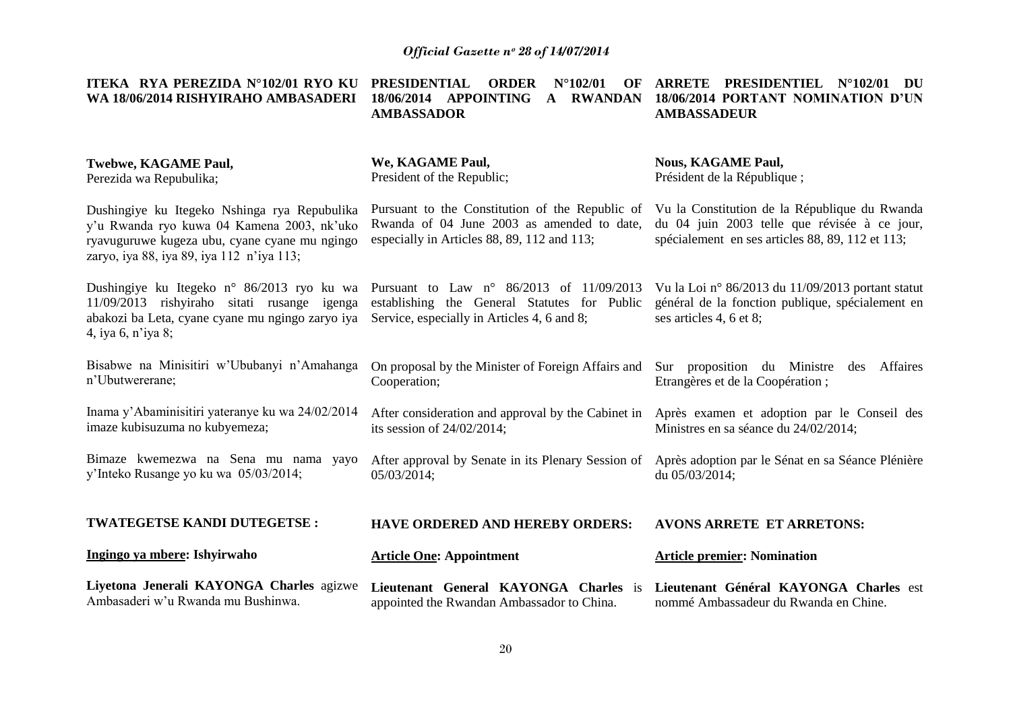| ITEKA $\overline{RY}$ A PEREZIDA $N^{\circ}102/01$ RYO KU $\overline{PRESIDENTIAL}$ |              | <b>ORDER</b> $N^{\circ}102/01$ OF ARRETE PRESIDENTIEL $N^{\circ}102/01$<br>DU |
|-------------------------------------------------------------------------------------|--------------|-------------------------------------------------------------------------------|
| WA 18/06/2014 RISHYIRAHO AMBASADERI 18/06/2014                                      | APPOINTING A | <b>RWANDAN</b> 18/06/2014 PORTANT NOMINATION D'UN                             |
|                                                                                     | AMBASSADOR   | AMBASSADEUR                                                                   |
|                                                                                     |              |                                                                               |
|                                                                                     |              |                                                                               |

| <b>Twebwe, KAGAME Paul,</b><br>Perezida wa Repubulika;                                                                                                                                   | We, KAGAME Paul,<br>President of the Republic;                                                                                                   | <b>Nous, KAGAME Paul,</b><br>Président de la République ;                                                                                         |
|------------------------------------------------------------------------------------------------------------------------------------------------------------------------------------------|--------------------------------------------------------------------------------------------------------------------------------------------------|---------------------------------------------------------------------------------------------------------------------------------------------------|
| Dushingiye ku Itegeko Nshinga rya Repubulika<br>y'u Rwanda ryo kuwa 04 Kamena 2003, nk'uko<br>ryavuguruwe kugeza ubu, cyane cyane mu ngingo<br>zaryo, iya 88, iya 89, iya 112 n'iya 113; | Pursuant to the Constitution of the Republic of<br>Rwanda of 04 June 2003 as amended to date,<br>especially in Articles 88, 89, 112 and 113;     | Vu la Constitution de la République du Rwanda<br>du 04 juin 2003 telle que révisée à ce jour,<br>spécialement en ses articles 88, 89, 112 et 113; |
| Dushingiye ku Itegeko n° 86/2013 ryo ku wa<br>11/09/2013 rishyiraho sitati rusange igenga<br>abakozi ba Leta, cyane cyane mu ngingo zaryo iya<br>4, iya 6, n'iya 8;                      | Pursuant to Law $n^{\circ}$ 86/2013 of 11/09/2013<br>establishing the General Statutes for Public<br>Service, especially in Articles 4, 6 and 8; | Vu la Loi nº 86/2013 du 11/09/2013 portant statut<br>général de la fonction publique, spécialement en<br>ses articles 4, 6 et 8;                  |
| Bisabwe na Minisitiri w'Ububanyi n'Amahanga<br>n'Ubutwererane;                                                                                                                           | On proposal by the Minister of Foreign Affairs and<br>Cooperation;                                                                               | Sur proposition du Ministre<br>Affaires<br>des<br>Etrangères et de la Coopération;                                                                |
| Inama y'Abaminisitiri yateranye ku wa 24/02/2014<br>imaze kubisuzuma no kubyemeza;                                                                                                       | After consideration and approval by the Cabinet in Après examen et adoption par le Conseil des<br>its session of $24/02/2014$ ;                  | Ministres en sa séance du 24/02/2014;                                                                                                             |
| Bimaze kwemezwa na Sena mu nama yayo<br>y'Inteko Rusange yo ku wa 05/03/2014;                                                                                                            | After approval by Senate in its Plenary Session of Après adoption par le Sénat en sa Séance Plénière<br>05/03/2014;                              | du 05/03/2014;                                                                                                                                    |
| <b>TWATEGETSE KANDI DUTEGETSE:</b>                                                                                                                                                       | <b>HAVE ORDERED AND HEREBY ORDERS:</b>                                                                                                           | <b>AVONS ARRETE ET ARRETONS:</b>                                                                                                                  |
| Ingingo ya mbere: Ishyirwaho                                                                                                                                                             | <b>Article One: Appointment</b>                                                                                                                  | <b>Article premier: Nomination</b>                                                                                                                |
| Liyetona Jenerali KAYONGA Charles agizwe<br>Ambasaderi w'u Rwanda mu Bushinwa.                                                                                                           | Lieutenant General KAYONGA Charles is<br>appointed the Rwandan Ambassador to China.                                                              | Lieutenant Général KAYONGA Charles est<br>nommé Ambassadeur du Rwanda en Chine.                                                                   |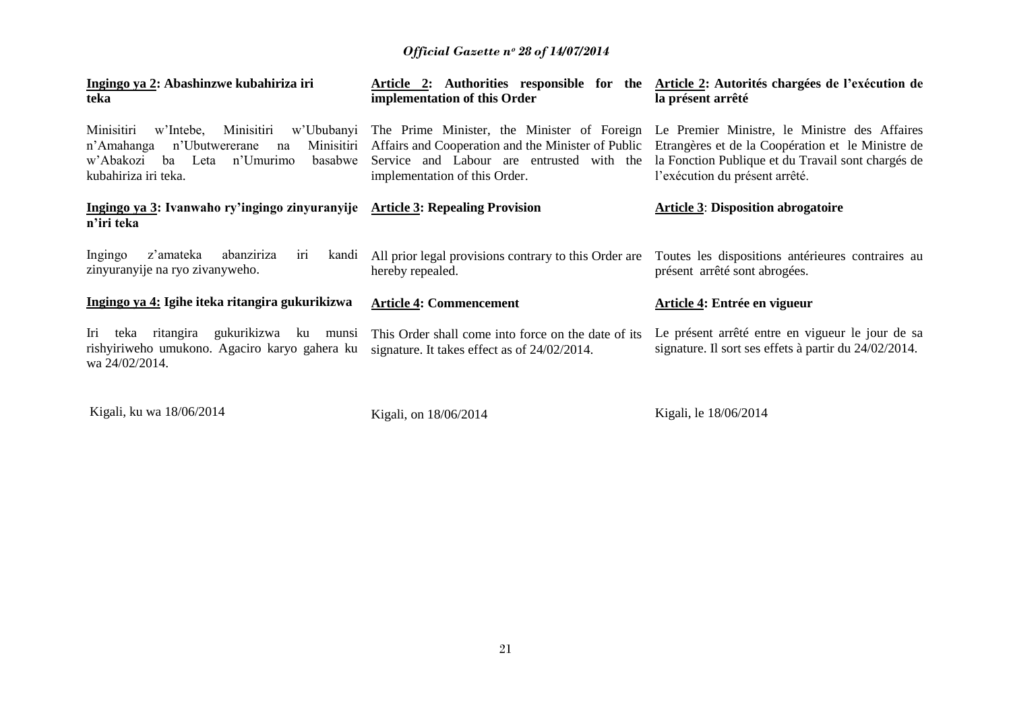| Ingingo ya 2: Abashinzwe kubahiriza iri<br>teka                                                                                                                                 | Article 2: Authorities responsible for the Article 2: Autorités chargées de l'exécution de<br>implementation of this Order                                                      | la présent arrêté                                                                                                                                                                          |
|---------------------------------------------------------------------------------------------------------------------------------------------------------------------------------|---------------------------------------------------------------------------------------------------------------------------------------------------------------------------------|--------------------------------------------------------------------------------------------------------------------------------------------------------------------------------------------|
| Minisitiri<br>w'Intebe.<br>Minisitiri<br>w'Ububanyi<br>Minisitiri<br>n'Amahanga<br>n'Ubutwererane<br>na<br>n'Umurimo<br>w'Abakozi<br>basabwe<br>ba Leta<br>kubahiriza iri teka. | The Prime Minister, the Minister of Foreign<br>Affairs and Cooperation and the Minister of Public<br>Service and Labour are entrusted with the<br>implementation of this Order. | Le Premier Ministre, le Ministre des Affaires<br>Etrangères et de la Coopération et le Ministre de<br>la Fonction Publique et du Travail sont chargés de<br>l'exécution du présent arrêté. |
| Ingingo ya 3: Ivanwaho ry'ingingo zinyuranyije Article 3: Repealing Provision<br>n'iri teka                                                                                     |                                                                                                                                                                                 | <b>Article 3: Disposition abrogatoire</b>                                                                                                                                                  |
| Ingingo<br>abanziriza<br>z'amateka<br>kandi<br>1r1<br>zinyuranyije na ryo zivanyweho.                                                                                           | All prior legal provisions contrary to this Order are<br>hereby repealed.                                                                                                       | Toutes les dispositions antérieures contraires au<br>présent arrêté sont abrogées.                                                                                                         |
| Ingingo ya 4: Igihe iteka ritangira gukurikizwa                                                                                                                                 | <b>Article 4: Commencement</b>                                                                                                                                                  | Article 4: Entrée en vigueur                                                                                                                                                               |
| Iri teka ritangira<br>gukurikizwa<br>ku<br>munsi<br>rishyiriweho umukono. Agaciro karyo gahera ku<br>wa 24/02/2014.                                                             | This Order shall come into force on the date of its<br>signature. It takes effect as of 24/02/2014.                                                                             | Le présent arrêté entre en vigueur le jour de sa<br>signature. Il sort ses effets à partir du 24/02/2014.                                                                                  |

Kigali, ku wa 18/06/2014

Kigali, on 18/06/2014

Kigali, le 18/06/2014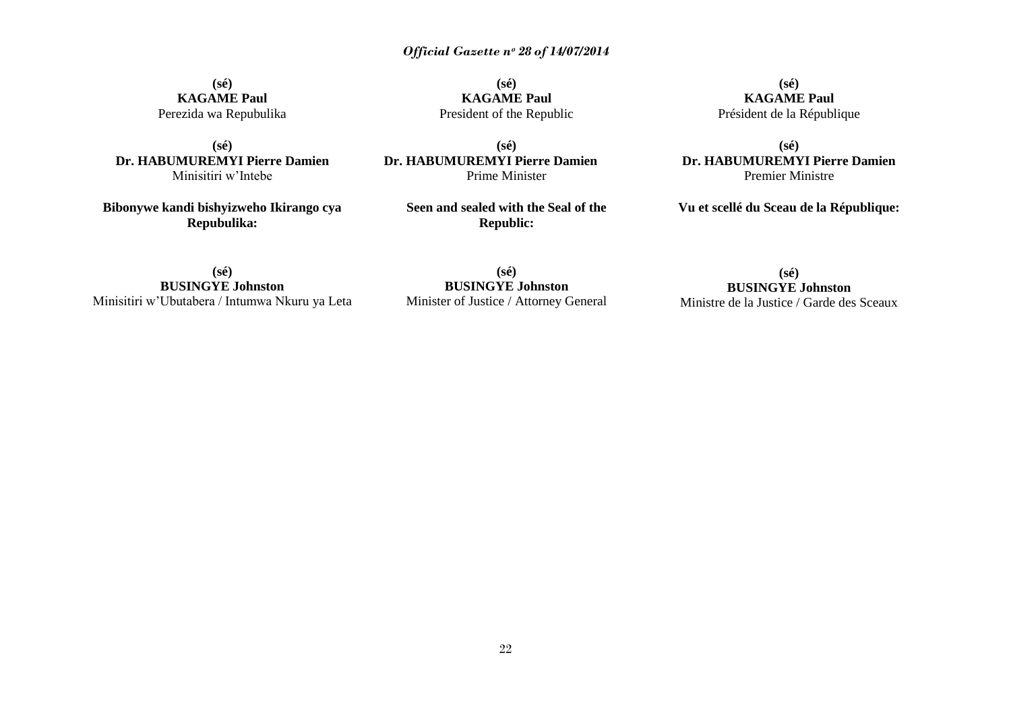**(sé) KAGAME Paul** Perezida wa Repubulika

**(sé) Dr. HABUMUREMYI Pierre Damien** Minisitiri w"Intebe

**Bibonywe kandi bishyizweho Ikirango cya Repubulika:**

**(sé) KAGAME Paul** President of the Republic

**(sé) Dr. HABUMUREMYI Pierre Damien** Prime Minister

> **Seen and sealed with the Seal of the Republic:**

**(sé) KAGAME Paul** Président de la République

**(sé) Dr. HABUMUREMYI Pierre Damien** Premier Ministre

**Vu et scellé du Sceau de la République:**

**(sé) BUSINGYE Johnston** Minisitiri w"Ubutabera / Intumwa Nkuru ya Leta

**(sé) BUSINGYE Johnston** Minister of Justice / Attorney General

**(sé) BUSINGYE Johnston** Ministre de la Justice / Garde des Sceaux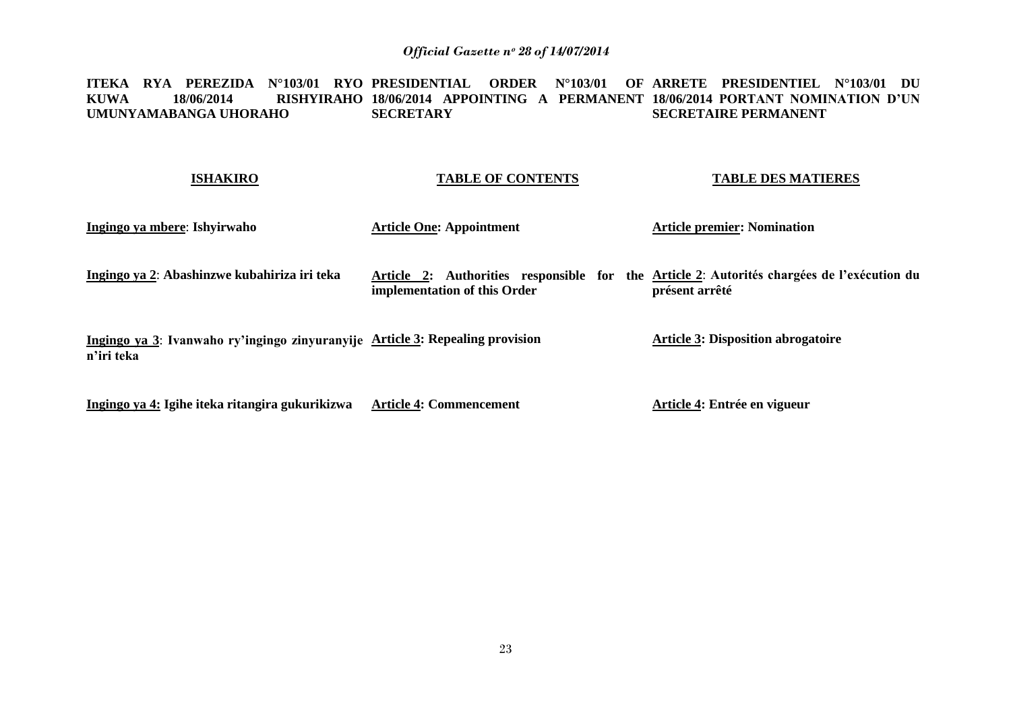**ITEKA RYA PEREZIDA N°103/01 RYO PRESIDENTIAL ORDER N°103/01 OF ARRETE PRESIDENTIEL N°103/01 DU KUWA 18/06/2014 RISHYIRAHO 18/06/2014 APPOINTING A PERMANENT 18/06/2014 PORTANT NOMINATION D"UN UMUNYAMABANGA UHORAHO SECRETARY SECRETAIRE PERMANENT** 

# **ISHAKIRO**

# **TABLE OF CONTENTS**

**TABLE DES MATIERES**

| <b>Article One: Appointment</b>                                                                                            | <b>Article premier: Nomination</b>                                            |
|----------------------------------------------------------------------------------------------------------------------------|-------------------------------------------------------------------------------|
| Article 2: Authorities responsible for the Article 2: Autorités chargées de l'exécution du<br>implementation of this Order | présent arrêté                                                                |
|                                                                                                                            | <b>Article 3: Disposition abrogatoire</b>                                     |
|                                                                                                                            | Ingingo ya 3: Ivanwaho ry'ingingo zinyuranyije Article 3: Repealing provision |

**Ingingo ya 4: Igihe iteka ritangira gukurikizwa Article 4: Commencement**

**Article 4: Entrée en vigueur**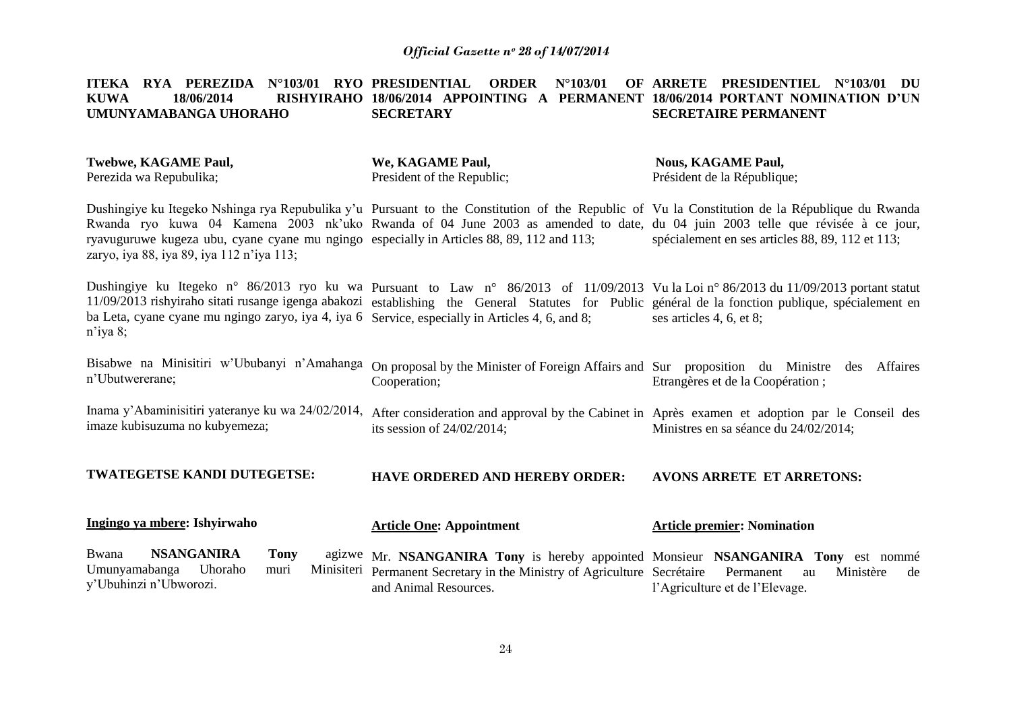#### **ITEKA RYA PEREZIDA N°103/01 RYO PRESIDENTIAL ORDER N°103/01 OF KUWA 18/06/2014 RISHYIRAHO 18/06/2014 APPOINTING A PERMANENT 18/06/2014 PORTANT NOMINATION D"UN UMUNYAMABANGA UHORAHO SECRETARY ARRETE PRESIDENTIEL N°103/01 DU SECRETAIRE PERMANENT**

| Twebwe, KAGAME Paul,<br>Perezida wa Repubulika;                                                                                                                                                                                                                                                                                                                                                                           | We, KAGAME Paul,<br>President of the Republic; | <b>Nous, KAGAME Paul,</b><br>Président de la République; |  |
|---------------------------------------------------------------------------------------------------------------------------------------------------------------------------------------------------------------------------------------------------------------------------------------------------------------------------------------------------------------------------------------------------------------------------|------------------------------------------------|----------------------------------------------------------|--|
| Dushingiye ku Itegeko Nshinga rya Repubulika y'u Pursuant to the Constitution of the Republic of Vu la Constitution de la République du Rwanda<br>Rwanda ryo kuwa 04 Kamena 2003 nk'uko Rwanda of 04 June 2003 as amended to date, du 04 juin 2003 telle que révisée à ce jour,<br>ryavuguruwe kugeza ubu, cyane cyane mu ngingo especially in Articles 88, 89, 112 and 113;<br>zaryo, iya 88, iya 89, iya 112 n'iya 113; |                                                | spécialement en ses articles 88, 89, 112 et 113;         |  |
| Dushingiye ku Itegeko n° 86/2013 ryo ku wa Pursuant to Law n° 86/2013 of 11/09/2013 Vu la Loi n° 86/2013 du 11/09/2013 portant statut<br>11/09/2013 rishyiraho sitati rusange igenga abakozi establishing the General Statutes for Public général de la fonction publique, spécialement en<br>ba Leta, cyane cyane mu ngingo zaryo, iya 4, iya 6 Service, especially in Articles 4, 6, and 8;<br>$n$ 'iya 8;              |                                                | ses articles 4, 6, et 8;                                 |  |

Bisabwe na Minisitiri w'Ububanyi n'Amahanga On proposal by the Minister of Foreign Affairs and Sur proposition du Ministre des Affaires n"Ubutwererane; Cooperation; Etrangères et de la Coopération ;

Inama y'Abaminisitiri yateranye ku wa 24/02/2014, After consideration and approval by the Cabinet in Après examen et adoption par le Conseil des imaze kubisuzuma no kubyemeza; its session of 24/02/2014; Ministres en sa séance du 24/02/2014;

**TWATEGETSE KANDI DUTEGETSE: HAVE ORDERED AND HEREBY ORDER: AVONS ARRETE ET ARRETONS:**

| Ingingo ya mbere: Ishyirwaho |      | <b>Article One: Appointment</b>                                                       | <b>Article premier: Nomination</b> |  |
|------------------------------|------|---------------------------------------------------------------------------------------|------------------------------------|--|
| Bwana<br>NSANGANIRA          | Tony | agizwe Mr. NSANGANIRA Tony is hereby appointed Monsieur NSANGANIRA Tony est nommé     |                                    |  |
| Umunyamabanga Uhoraho        | muri | Minisiteri Permanent Secretary in the Ministry of Agriculture Secrétaire Permanent au | Ministère de                       |  |
| y'Ubuhinzi n'Ubworozi.       |      | and Animal Resources.                                                                 | l'Agriculture et de l'Elevage.     |  |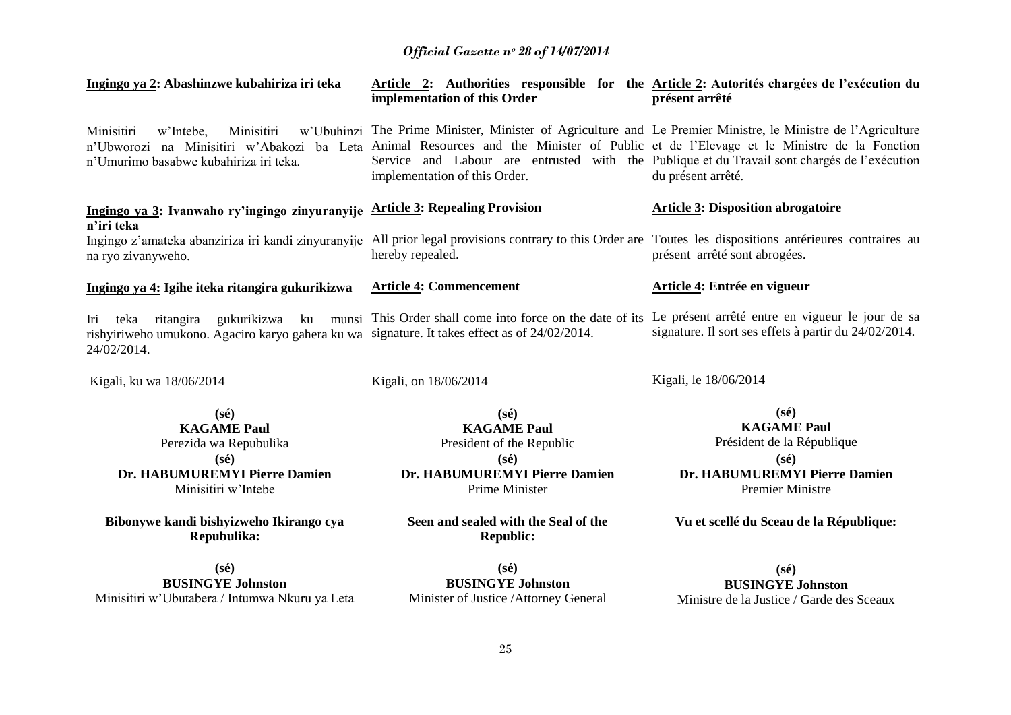| Ingingo ya 2: Abashinzwe kubahiriza iri teka                                                                                                                                                                            | Article 2: Authorities responsible for the Article 2: Autorités chargées de l'exécution du<br>implementation of this Order                                                                                                                    | présent arrêté                                                                                                                                   |
|-------------------------------------------------------------------------------------------------------------------------------------------------------------------------------------------------------------------------|-----------------------------------------------------------------------------------------------------------------------------------------------------------------------------------------------------------------------------------------------|--------------------------------------------------------------------------------------------------------------------------------------------------|
| Minisitiri<br>Minisitiri<br>w'Intebe,<br>n'Ubworozi na Minisitiri w'Abakozi ba Leta Animal Resources and the Minister of Public et de l'Elevage et le Ministre de la Fonction<br>n'Umurimo basabwe kubahiriza iri teka. | w'Ubuhinzi The Prime Minister, Minister of Agriculture and Le Premier Ministre, le Ministre de l'Agriculture<br>Service and Labour are entrusted with the Publique et du Travail sont chargés de l'exécution<br>implementation of this Order. | du présent arrêté.                                                                                                                               |
| Ingingo ya 3: Ivanwaho ry'ingingo zinyuranyije<br>n'iri teka                                                                                                                                                            | <b>Article 3: Repealing Provision</b>                                                                                                                                                                                                         | <b>Article 3: Disposition abrogatoire</b>                                                                                                        |
| Ingingo z'amateka abanziriza iri kandi zinyuranyije<br>na ryo zivanyweho.                                                                                                                                               | All prior legal provisions contrary to this Order are Toutes les dispositions antérieures contraires au<br>hereby repealed.                                                                                                                   | présent arrêté sont abrogées.                                                                                                                    |
| Ingingo ya 4: Igihe iteka ritangira gukurikizwa                                                                                                                                                                         | <b>Article 4: Commencement</b>                                                                                                                                                                                                                | Article 4: Entrée en vigueur                                                                                                                     |
| gukurikizwa ku<br>Iri<br>ritangira<br>teka<br>rishyiriweho umukono. Agaciro karyo gahera ku wa signature. It takes effect as of 24/02/2014.<br>24/02/2014.                                                              | munsi This Order shall come into force on the date of its Le présent arrêté entre en vigueur le jour de sa                                                                                                                                    | signature. Il sort ses effets à partir du 24/02/2014.                                                                                            |
| Kigali, ku wa 18/06/2014                                                                                                                                                                                                | Kigali, on 18/06/2014                                                                                                                                                                                                                         | Kigali, le 18/06/2014                                                                                                                            |
| $(s\acute{e})$<br><b>KAGAME Paul</b><br>Perezida wa Repubulika<br>$(s\acute{e})$<br>Dr. HABUMUREMYI Pierre Damien<br>Minisitiri w'Intebe                                                                                | $(s\acute{e})$<br><b>KAGAME Paul</b><br>President of the Republic<br>$(s\acute{e})$<br>Dr. HABUMUREMYI Pierre Damien<br>Prime Minister                                                                                                        | $(s\acute{e})$<br><b>KAGAME Paul</b><br>Président de la République<br>$(s\acute{e})$<br>Dr. HABUMUREMYI Pierre Damien<br><b>Premier Ministre</b> |
| Bibonywe kandi bishyizweho Ikirango cya                                                                                                                                                                                 | Seen and sealed with the Seal of the                                                                                                                                                                                                          | Vu et scellé du Sceau de la République:                                                                                                          |

**(sé) BUSINGYE Johnston** Minisitiri w"Ubutabera / Intumwa Nkuru ya Leta

**Repubulika:**

**(sé) BUSINGYE Johnston** Minister of Justice /Attorney General

**Republic:**

**(sé) BUSINGYE Johnston** Ministre de la Justice / Garde des Sceaux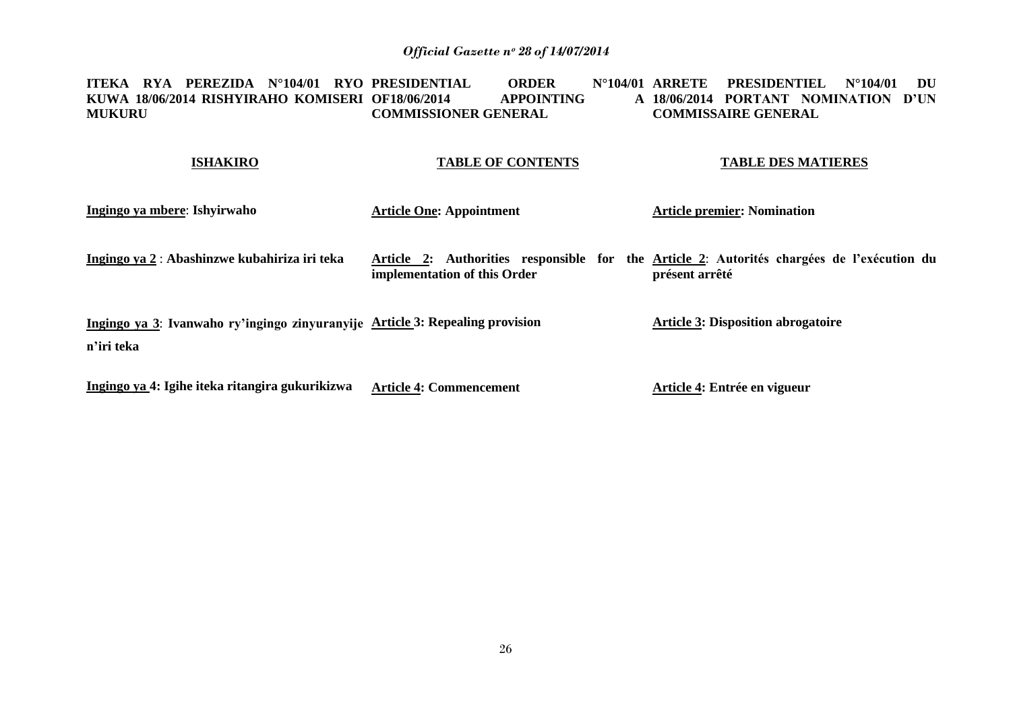#### **ITEKA RYA PEREZIDA N°104/01 RYO PRESIDENTIAL ORDER N°104/01 KUWA 18/06/2014 RISHYIRAHO KOMISERI MUKURU OF18/06/2014 APPOINTING A COMMISSIONER GENERAL ARRETE PRESIDENTIEL N°104/01 DU 18/06/2014 PORTANT NOMINATION D"UN COMMISSAIRE GENERAL**

#### **ISHAKIRO TABLE OF CONTENTS TABLE DES MATIERES**

| Ingingo ya mbere: Ishyirwaho                                                                | <b>Article One: Appointment</b> | <b>Article premier: Nomination</b>                                                                           |
|---------------------------------------------------------------------------------------------|---------------------------------|--------------------------------------------------------------------------------------------------------------|
| Ingingo ya 2 : Abashinzwe kubahiriza iri teka                                               | implementation of this Order    | Article 2: Authorities responsible for the Article 2: Autorités chargées de l'exécution du<br>présent arrêté |
| Ingingo ya 3: Ivanwaho ry'ingingo zinyuranyije Article 3: Repealing provision<br>n'iri teka |                                 | <b>Article 3: Disposition abrogatoire</b>                                                                    |
| Ingingo ya 4: Igihe iteka ritangira gukurikizwa                                             | <b>Article 4: Commencement</b>  | Article 4: Entrée en vigueur                                                                                 |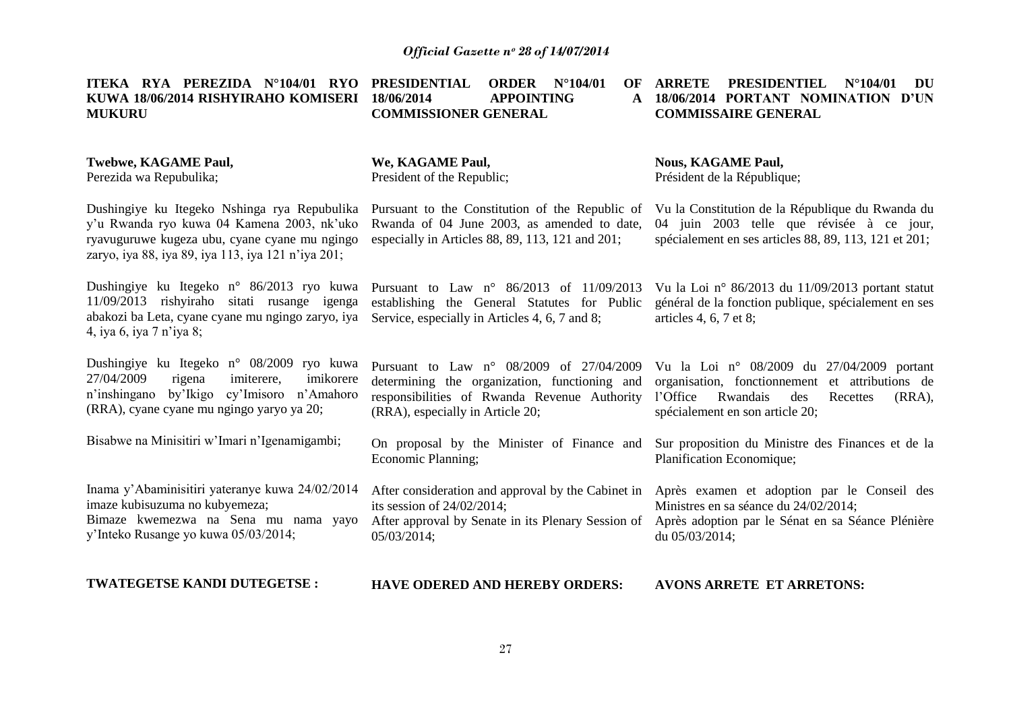| ITEKA RYA PEREZIDA N°104/01 RYO<br>KUWA 18/06/2014 RISHYIRAHO KOMISERI<br><b>MUKURU</b>                                                                                                           | <b>PRESIDENTIAL</b><br>ORDER $N^{\circ}104/01$<br>OF<br>18/06/2014<br><b>APPOINTING</b><br>A<br><b>COMMISSIONER GENERAL</b>                                                            | <b>ARRETE</b><br><b>PRESIDENTIEL</b><br>$N^{\circ}104/01$<br>DU<br>18/06/2014 PORTANT NOMINATION D'UN<br><b>COMMISSAIRE GENERAL</b>                                                      |
|---------------------------------------------------------------------------------------------------------------------------------------------------------------------------------------------------|----------------------------------------------------------------------------------------------------------------------------------------------------------------------------------------|------------------------------------------------------------------------------------------------------------------------------------------------------------------------------------------|
| <b>Twebwe, KAGAME Paul,</b><br>Perezida wa Repubulika;                                                                                                                                            | We, KAGAME Paul,<br>President of the Republic;                                                                                                                                         | <b>Nous, KAGAME Paul,</b><br>Président de la République;                                                                                                                                 |
| Dushingiye ku Itegeko Nshinga rya Repubulika<br>y'u Rwanda ryo kuwa 04 Kamena 2003, nk'uko<br>ryavuguruwe kugeza ubu, cyane cyane mu ngingo<br>zaryo, iya 88, iya 89, iya 113, iya 121 n'iya 201; | Pursuant to the Constitution of the Republic of<br>Rwanda of 04 June 2003, as amended to date,<br>especially in Articles 88, 89, 113, 121 and 201;                                     | Vu la Constitution de la République du Rwanda du<br>04 juin 2003 telle que révisée à ce jour,<br>spécialement en ses articles 88, 89, 113, 121 et 201;                                   |
| Dushingiye ku Itegeko n° 86/2013 ryo kuwa<br>11/09/2013 rishyiraho sitati rusange igenga<br>abakozi ba Leta, cyane cyane mu ngingo zaryo, iya<br>4, iya 6, iya 7 n'iya 8;                         | Pursuant to Law n° 86/2013 of 11/09/2013<br>establishing the General Statutes for Public<br>Service, especially in Articles 4, 6, 7 and 8;                                             | Vu la Loi nº 86/2013 du 11/09/2013 portant statut<br>général de la fonction publique, spécialement en ses<br>articles 4, 6, 7 et 8;                                                      |
| Dushingiye ku Itegeko n° 08/2009 ryo kuwa<br>27/04/2009<br>imikorere<br>rigena<br>imiterere,<br>n'inshingano by'Ikigo<br>cy'Imisoro n'Amahoro<br>(RRA), cyane cyane mu ngingo yaryo ya 20;        | Pursuant to Law $n^{\circ}$ 08/2009 of 27/04/2009<br>determining the organization, functioning and<br>responsibilities of Rwanda Revenue Authority<br>(RRA), especially in Article 20; | Vu la Loi nº 08/2009 du 27/04/2009 portant<br>organisation, fonctionnement et attributions de<br>l'Office<br>Rwandais<br>des<br>Recettes<br>$(RRA)$ ,<br>spécialement en son article 20; |
| Bisabwe na Minisitiri w'Imari n'Igenamigambi;                                                                                                                                                     | On proposal by the Minister of Finance and<br>Economic Planning;                                                                                                                       | Sur proposition du Ministre des Finances et de la<br>Planification Economique;                                                                                                           |
| Inama y'Abaminisitiri yateranye kuwa 24/02/2014<br>imaze kubisuzuma no kubyemeza;<br>Bimaze kwemezwa na Sena mu nama yayo<br>y'Inteko Rusange yo kuwa 05/03/2014;                                 | After consideration and approval by the Cabinet in<br>its session of $24/02/2014$ ;<br>After approval by Senate in its Plenary Session of<br>05/03/2014;                               | Après examen et adoption par le Conseil des<br>Ministres en sa séance du 24/02/2014;<br>Après adoption par le Sénat en sa Séance Plénière<br>du $05/03/2014$ ;                           |
| <b>TWATEGETSE KANDI DUTEGETSE:</b>                                                                                                                                                                | <b>HAVE ODERED AND HEREBY ORDERS:</b>                                                                                                                                                  | <b>AVONS ARRETE ET ARRETONS:</b>                                                                                                                                                         |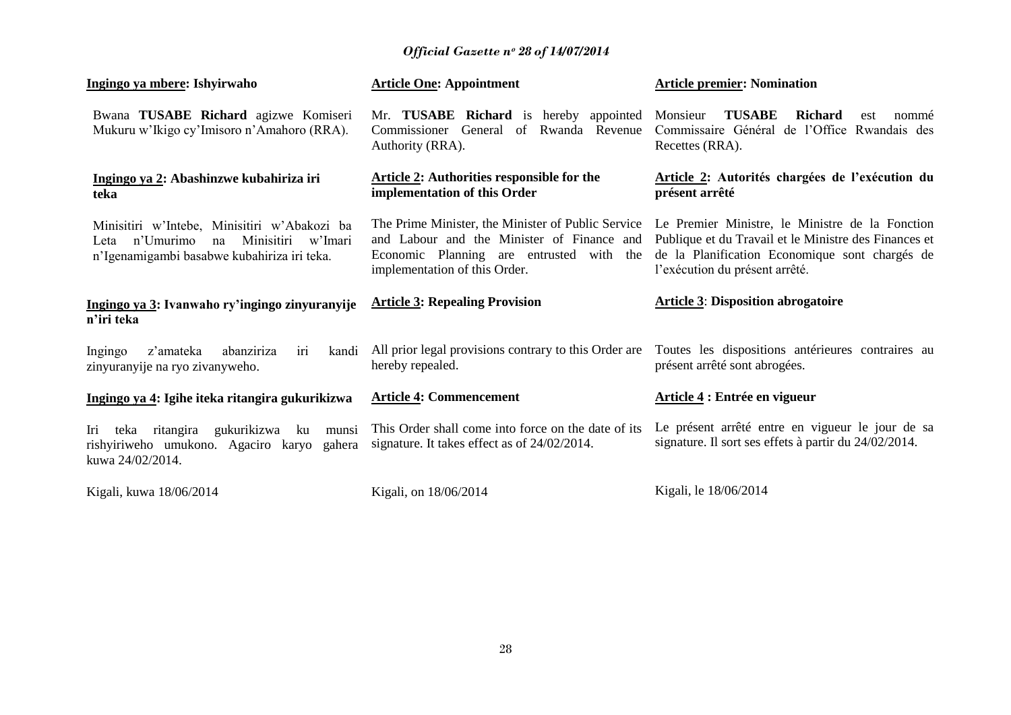**Article premier: Nomination**

**Article One: Appointment** 

**Ingingo ya mbere: Ishyirwaho**

| Bwana TUSABE Richard agizwe Komiseri<br>Mukuru w'Ikigo cy'Imisoro n'Amahoro (RRA).                                                              | Mr. TUSABE Richard is hereby appointed<br>Commissioner General of<br>Rwanda Revenue<br>Authority (RRA).                                                                       | <b>TUSABE</b><br><b>Richard</b><br>Monsieur<br>nommé<br>est<br>Commissaire Général de l'Office Rwandais des<br>Recettes (RRA).                                                               |
|-------------------------------------------------------------------------------------------------------------------------------------------------|-------------------------------------------------------------------------------------------------------------------------------------------------------------------------------|----------------------------------------------------------------------------------------------------------------------------------------------------------------------------------------------|
| Ingingo ya 2: Abashinzwe kubahiriza iri<br>teka                                                                                                 | <b>Article 2: Authorities responsible for the</b><br>implementation of this Order                                                                                             | Article 2: Autorités chargées de l'exécution du<br>présent arrêté                                                                                                                            |
| Minisitiri w'Intebe, Minisitiri w'Abakozi ba<br>n'Umurimo<br>Minisitiri<br>w'Imari<br>na<br>Leta<br>n'Igenamigambi basabwe kubahiriza iri teka. | The Prime Minister, the Minister of Public Service<br>and Labour and the Minister of Finance and<br>Economic Planning are entrusted with the<br>implementation of this Order. | Le Premier Ministre, le Ministre de la Fonction<br>Publique et du Travail et le Ministre des Finances et<br>de la Planification Economique sont chargés de<br>l'exécution du présent arrêté. |
| Ingingo ya 3: Ivanwaho ry'ingingo zinyuranyije<br>n'iri teka                                                                                    | <b>Article 3: Repealing Provision</b>                                                                                                                                         | <b>Article 3: Disposition abrogatoire</b>                                                                                                                                                    |
| abanziriza<br>Ingingo<br>kandi<br>z'amateka<br>iri<br>zinyuranyije na ryo zivanyweho.                                                           | All prior legal provisions contrary to this Order are<br>hereby repealed.                                                                                                     | Toutes les dispositions antérieures contraires au<br>présent arrêté sont abrogées.                                                                                                           |
| Ingingo ya 4: Igihe iteka ritangira gukurikizwa                                                                                                 | <b>Article 4: Commencement</b>                                                                                                                                                | Article 4 : Entrée en vigueur                                                                                                                                                                |
| gukurikizwa<br>teka<br>ritangira<br>ku<br>Iri<br>munsi<br>rishyiriweho umukono. Agaciro karyo<br>gahera<br>kuwa 24/02/2014.                     | This Order shall come into force on the date of its<br>signature. It takes effect as of 24/02/2014.                                                                           | Le présent arrêté entre en vigueur le jour de sa<br>signature. Il sort ses effets à partir du 24/02/2014.                                                                                    |
| Kigali, kuwa 18/06/2014                                                                                                                         | Kigali, on 18/06/2014                                                                                                                                                         | Kigali, le 18/06/2014                                                                                                                                                                        |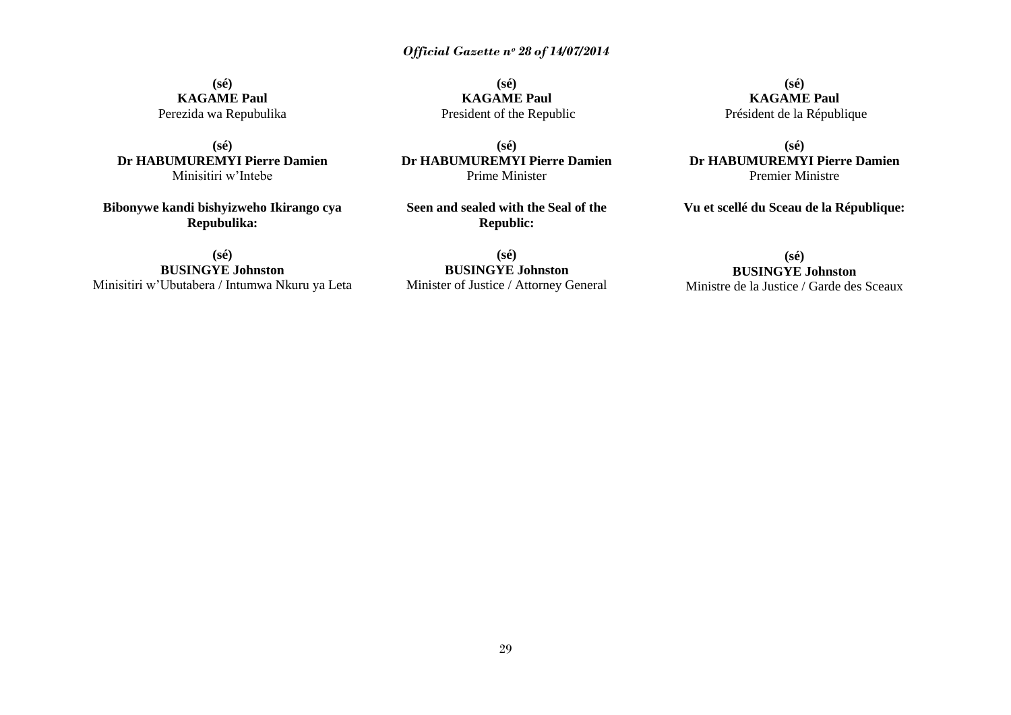**(sé) KAGAME Paul** Perezida wa Repubulika

**(sé) Dr HABUMUREMYI Pierre Damien** Minisitiri w"Intebe

**Bibonywe kandi bishyizweho Ikirango cya Repubulika:**

**(sé) BUSINGYE Johnston** Minisitiri w"Ubutabera / Intumwa Nkuru ya Leta

**(sé) KAGAME Paul** President of the Republic

**(sé) Dr HABUMUREMYI Pierre Damien** Prime Minister

**Seen and sealed with the Seal of the Republic:**

**(sé) BUSINGYE Johnston** Minister of Justice / Attorney General

**(sé) KAGAME Paul** Président de la République

**(sé) Dr HABUMUREMYI Pierre Damien** Premier Ministre

**Vu et scellé du Sceau de la République:**

# **(sé)**

**BUSINGYE Johnston**

Ministre de la Justice / Garde des Sceaux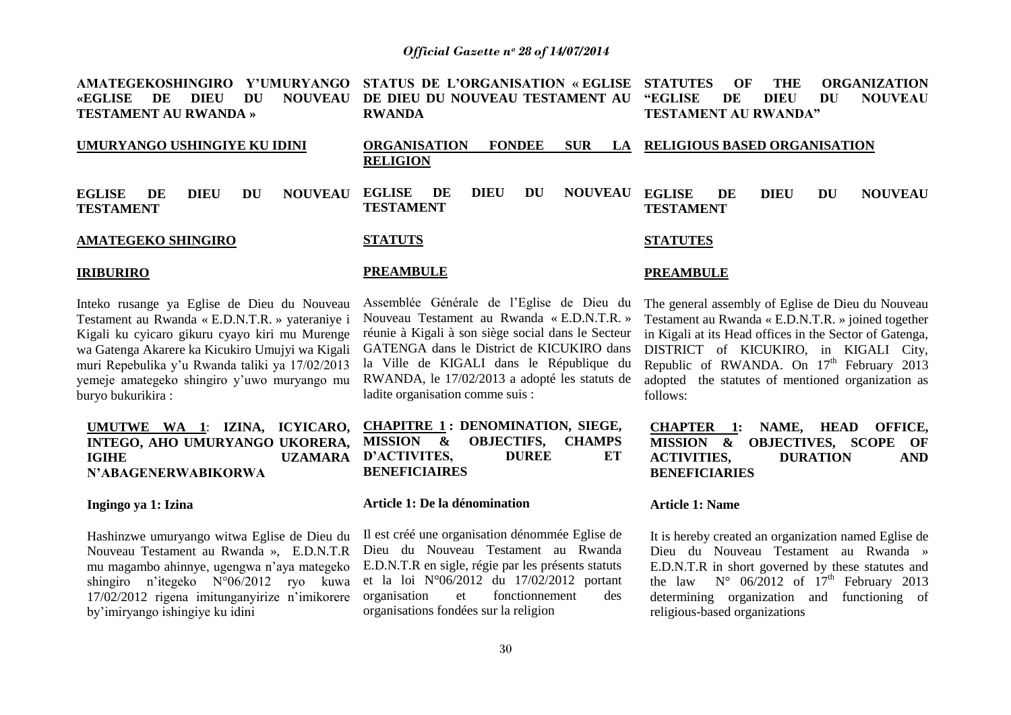| AMATEGEKOSHINGIRO Y'UMURYANGO STATUS DE L'ORGANISATION «EGLISE STATUTES<br><b>NOUVEAU</b><br>«EGLISE<br>DIEU<br>DU<br>DE<br><b>TESTAMENT AU RWANDA »</b> | DE DIEU DU NOUVEAU TESTAMENT AU "EGLISE<br><b>RWANDA</b>                     | <b>THE</b><br>$\Omega$<br><b>ORGANIZATION</b><br>DU<br><b>NOUVEAU</b><br>DE<br>DIEU<br><b>TESTAMENT AU RWANDA"</b>                                                                                                                                                     |
|----------------------------------------------------------------------------------------------------------------------------------------------------------|------------------------------------------------------------------------------|------------------------------------------------------------------------------------------------------------------------------------------------------------------------------------------------------------------------------------------------------------------------|
| UMURYANGO USHINGIYE KU IDINI                                                                                                                             | <b>ORGANISATION</b><br><b>FONDEE</b><br><b>SUR</b><br>LA.<br><b>RELIGION</b> | <b>RELIGIOUS BASED ORGANISATION</b>                                                                                                                                                                                                                                    |
| <b>NOUVEAU</b><br><b>DIEU</b><br>DU<br><b>EGLISE</b><br>DE<br><b>TESTAMENT</b>                                                                           | DIEU<br><b>NOUVEAU</b><br><b>EGLISE</b><br>DE<br>DU<br><b>TESTAMENT</b>      | <b>EGLISE</b><br><b>NOUVEAU</b><br><b>DIEU</b><br>DE<br>DU<br><b>TESTAMENT</b>                                                                                                                                                                                         |
| <b>AMATEGEKO SHINGIRO</b>                                                                                                                                | <b>STATUTS</b>                                                               | <b>STATUTES</b>                                                                                                                                                                                                                                                        |
| <b>IRIBURIRO</b>                                                                                                                                         | <b>PREAMBULE</b>                                                             | <b>PREAMBULE</b>                                                                                                                                                                                                                                                       |
|                                                                                                                                                          |                                                                              | Inteko rusange ya Eglise de Dieu du Nouveau Assemblée Générale de l'Eglise de Dieu du The general assembly of Eglise de Dieu du Nouveau<br>Tectoment ou Durande EDNTD x reterenius: Nouveau Tectoment ou Dwande «FDNTD » Tectoment ou Durande «EDNTD » isined together |

Testament au Rwanda « E.D.N.T.R. » yateraniye i Kigali ku cyicaro gikuru cyayo kiri mu Murenge wa Gatenga Akarere ka Kicukiro Umujyi wa Kigali muri Repebulika y"u Rwanda taliki ya 17/02/2013 yemeje amategeko shingiro y"uwo muryango mu buryo bukurikira :

# **UMUTWE WA 1**: **IZINA, ICYICARO, INTEGO, AHO UMURYANGO UKORERA, IGIHE UZAMARA N"ABAGENERWABIKORWA**

#### **Ingingo ya 1: Izina**

Hashinzwe umuryango witwa Eglise de Dieu du Nouveau Testament au Rwanda », E.D.N.T.R mu magambo ahinnye, ugengwa n"aya mategeko shingiro n"itegeko N°06/2012 ryo kuwa 17/02/2012 rigena imitunganyirize n"imikorere by"imiryango ishingiye ku idini

Nouveau Testament au Rwanda « E.D.N.T.R. » réunie à Kigali à son siège social dans le Secteur GATENGA dans le District de KICUKIRO dans la Ville de KIGALI dans le République du RWANDA, le 17/02/2013 a adopté les statuts de ladite organisation comme suis :

# **CHAPITRE 1 : DENOMINATION, SIEGE, MISSION & OBJECTIFS, CHAMPS D"ACTIVITES, DUREE ET BENEFICIAIRES**

## **Article 1: De la dénomination**

Il est créé une organisation dénommée Eglise de Dieu du Nouveau Testament au Rwanda E.D.N.T.R en sigle, régie par les présents statuts et la loi N°06/2012 du 17/02/2012 portant organisation et fonctionnement des organisations fondées sur la religion

Testament au Rwanda « E.D.N.T.R. » joined together in Kigali at its Head offices in the Sector of Gatenga, DISTRICT of KICUKIRO, in KIGALI City, Republic of RWANDA. On  $17<sup>th</sup>$  February 2013 adopted the statutes of mentioned organization as follows:

# **CHAPTER 1: NAME, HEAD OFFICE, MISSION & OBJECTIVES, SCOPE OF ACTIVITIES, DURATION AND BENEFICIARIES**

#### **Article 1: Name**

It is hereby created an organization named Eglise de Dieu du Nouveau Testament au Rwanda » E.D.N.T.R in short governed by these statutes and the law  $N^{\circ}$  06/2012 of 17<sup>th</sup> February 2013 determining organization and functioning of religious-based organizations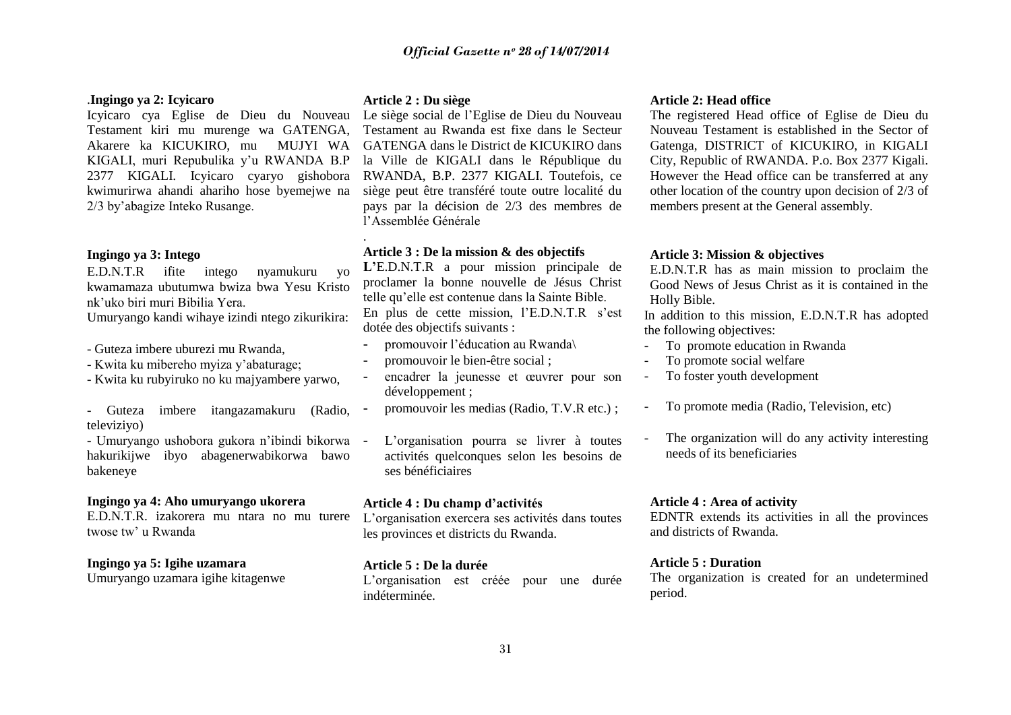#### .**Ingingo ya 2: Icyicaro**

Icyicaro cya Eglise de Dieu du Nouveau Testament kiri mu murenge wa GATENGA, Akarere ka KICUKIRO, mu MUJYI WA KIGALI, muri Repubulika y"u RWANDA B.P 2377 KIGALI. Icyicaro cyaryo gishobora kwimurirwa ahandi ahariho hose byemejwe na 2/3 by"abagize Inteko Rusange.

#### **Ingingo ya 3: Intego**

E.D.N.T.R ifite intego nyamukuru yo kwamamaza ubutumwa bwiza bwa Yesu Kristo nk"uko biri muri Bibilia Yera. Umuryango kandi wihaye izindi ntego zikurikira:

- Guteza imbere uburezi mu Rwanda,
- Kwita ku mibereho myiza y"abaturage;
- Kwita ku rubyiruko no ku majyambere yarwo,

- Guteza imbere itangazamakuru (Radio, televiziyo)

- Umuryango ushobora gukora n"ibindi bikorwa hakurikijwe ibyo abagenerwabikorwa bawo bakeneye

#### **Ingingo ya 4: Aho umuryango ukorera**

E.D.N.T.R. izakorera mu ntara no mu turere twose tw' u Rwanda

### **Ingingo ya 5: Igihe uzamara**

Umuryango uzamara igihe kitagenwe

#### **Article 2 : Du siège**

.

Le siège social de l"Eglise de Dieu du Nouveau Testament au Rwanda est fixe dans le Secteur GATENGA dans le District de KICUKIRO dans la Ville de KIGALI dans le République du RWANDA, B.P. 2377 KIGALI. Toutefois, ce siège peut être transféré toute outre localité du pays par la décision de 2/3 des membres de l"Assemblée Générale

### **Article 3 : De la mission & des objectifs**

**L"**E.D.N.T.R a pour mission principale de proclamer la bonne nouvelle de Jésus Christ telle qu"elle est contenue dans la Sainte Bible. En plus de cette mission, l'E.D.N.T.R s'est dotée des objectifs suivants :

- promouvoir l"éducation au Rwanda\
- promouvoir le bien-être social ;
- encadrer la jeunesse et œuvrer pour son développement ;
- promouvoir les medias (Radio, T.V.R etc.);
- L'organisation pourra se livrer à toutes activités quelconques selon les besoins de ses bénéficiaires

#### **Article 4 : Du champ d"activités**

L"organisation exercera ses activités dans toutes les provinces et districts du Rwanda.

#### **Article 5 : De la durée**

L"organisation est créée pour une durée indéterminée.

#### **Article 2: Head office**

The registered Head office of Eglise de Dieu du Nouveau Testament is established in the Sector of Gatenga, DISTRICT of KICUKIRO, in KIGALI City, Republic of RWANDA. P.o. Box 2377 Kigali. However the Head office can be transferred at any other location of the country upon decision of 2/3 of members present at the General assembly.

#### **Article 3: Mission & objectives**

E.D.N.T.R has as main mission to proclaim the Good News of Jesus Christ as it is contained in the Holly Bible.

In addition to this mission, E.D.N.T.R has adopted the following objectives:

- To promote education in Rwanda
- To promote social welfare
- To foster youth development
- To promote media (Radio, Television, etc)
- The organization will do any activity interesting needs of its beneficiaries

# **Article 4 : Area of activity**

EDNTR extends its activities in all the provinces and districts of Rwanda.

#### **Article 5 : Duration**

The organization is created for an undetermined period.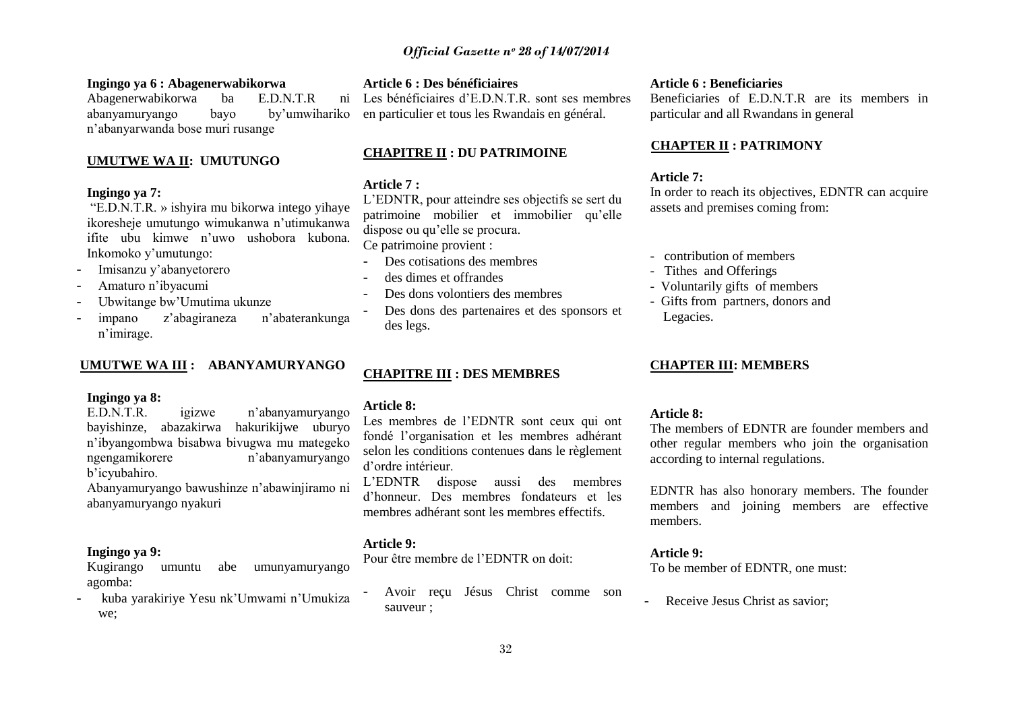### **Ingingo ya 6 : Abagenerwabikorwa**

Abagenerwabikorwa ba E.D.N.T.R ni abanyamuryango bayo by"umwihariko n"abanyarwanda bose muri rusange

#### **UMUTWE WA II: UMUTUNGO**

# **Ingingo ya 7:**

"E.D.N.T.R. » ishyira mu bikorwa intego yihaye ikoresheje umutungo wimukanwa n"utimukanwa ifite ubu kimwe n"uwo ushobora kubona. Inkomoko y"umutungo:

- Imisanzu y"abanyetorero
- Amaturo n"ibyacumi
- Ubwitange bw"Umutima ukunze
- impano z"abagiraneza n"abaterankunga n"imirage.

#### **UMUTWE WA III : ABANYAMURYANGO**

## **Ingingo ya 8:**

E.D.N.T.R. igizwe n"abanyamuryango bayishinze, abazakirwa hakurikijwe uburyo n"ibyangombwa bisabwa bivugwa mu mategeko ngengamikorere n"abanyamuryango b"icyubahiro.

Abanyamuryango bawushinze n"abawinjiramo ni abanyamuryango nyakuri

# **Ingingo ya 9:**

Kugirango umuntu abe umunyamuryango agomba:

- kuba yarakiriye Yesu nk"Umwami n"Umukiza we;

# **Article 6 : Des bénéficiaires**

Les bénéficiaires d"E.D.N.T.R. sont ses membres en particulier et tous les Rwandais en général.

# **CHAPITRE II : DU PATRIMOINE**

#### **Article 7 :**

L"EDNTR, pour atteindre ses objectifs se sert du patrimoine mobilier et immobilier qu"elle dispose ou qu"elle se procura.

Ce patrimoine provient :

- Des cotisations des membres
- des dimes et offrandes
- Des dons volontiers des membres
- Des dons des partenaires et des sponsors et des legs.

# **CHAPITRE III : DES MEMBRES**

#### **Article 8:**

Les membres de l"EDNTR sont ceux qui ont fondé l"organisation et les membres adhérant selon les conditions contenues dans le règlement d"ordre intérieur.

L"EDNTR dispose aussi des membres d"honneur. Des membres fondateurs et les membres adhérant sont les membres effectifs.

# **Article 9:**

Pour être membre de l"EDNTR on doit:

- Avoir reçu Jésus Christ comme son sauveur ;

#### **Article 6 : Beneficiaries**

Beneficiaries of E.D.N.T.R are its members in particular and all Rwandans in general

#### **CHAPTER II : PATRIMONY**

#### **Article 7:**

In order to reach its objectives, EDNTR can acquire assets and premises coming from:

- contribution of members
- Tithes and Offerings
- Voluntarily gifts of members
- Gifts from partners, donors and Legacies.

### **CHAPTER III: MEMBERS**

#### **Article 8:**

The members of EDNTR are founder members and other regular members who join the organisation according to internal regulations.

EDNTR has also honorary members. The founder members and joining members are effective members.

# **Article 9:**

To be member of EDNTR, one must:

- Receive Jesus Christ as savior;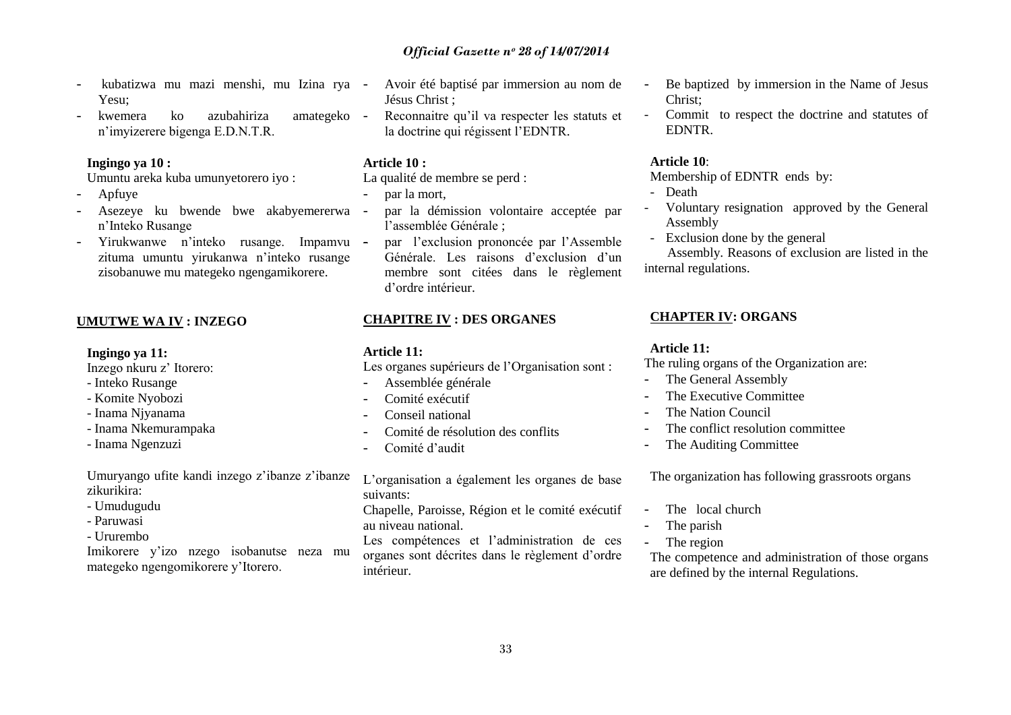Chapelle, Paroisse, Région et le comité exécutif au niveau national. Les compétences et l'administration de ces organes sont décrites dans le règlement d"ordre intérieur.

L"organisation a également les organes de base

# *Official Gazette nᵒ 28 of 14/07/2014*

- kubatizwa mu mazi menshi, mu Izina rya Yesu;
- kwemera ko azubahiriza amategeko n"imyizerere bigenga E.D.N.T.R.

#### **Ingingo ya 10 :**

Umuntu areka kuba umunyetorero iyo :

- Apfuye
- Asezeye ku bwende bwe akabyemererwa n"Inteko Rusange
- Yirukwanwe n"inteko rusange. Impamvu zituma umuntu yirukanwa n"inteko rusange zisobanuwe mu mategeko ngengamikorere.

# **UMUTWE WA IV : INZEGO**

**Ingingo ya 11:**

Inzego nkuru z" Itorero:

- Inteko Rusange
- Komite Nyobozi
- Inama Njyanama
- Inama Nkemurampaka
- Inama Ngenzuzi

Umuryango ufite kandi inzego z"ibanze z"ibanze zikurikira:

- Umudugudu
- Paruwasi
- Ururembo

Imikorere y"izo nzego isobanutse neza mu mategeko ngengomikorere y"Itorero.

- Avoir été baptisé par immersion au nom de Jésus Christ ;
- Reconnaitre qu'il va respecter les statuts et la doctrine qui régissent l'EDNTR.

#### **Article 10 :**

La qualité de membre se perd :

- par la mort,
- par la démission volontaire acceptée par l"assemblée Générale ;
- par l'exclusion prononcée par l'Assemble Générale. Les raisons d"exclusion d"un membre sont citées dans le règlement d"ordre intérieur.

#### **CHAPITRE IV : DES ORGANES**

#### **Article 11:**

suivants:

Les organes supérieurs de l'Organisation sont :

- Assemblée générale
- Comité exécutif
- Conseil national
- Comité de résolution des conflits
- Comité d'audit
- Be baptized by immersion in the Name of Jesus Christ;
- Commit to respect the doctrine and statutes of EDNTR.

#### **Article 10**:

Membership of EDNTR ends by:

- Death
- Voluntary resignation approved by the General Assembly
- Exclusion done by the general

 Assembly. Reasons of exclusion are listed in the internal regulations.

#### **CHAPTER IV: ORGANS**

#### **Article 11:**

The ruling organs of the Organization are:

- The General Assembly
- The Executive Committee
- The Nation Council
- The conflict resolution committee
- The Auditing Committee

The organization has following grassroots organs

- The local church
- The parish
- The region

The competence and administration of those organs are defined by the internal Regulations.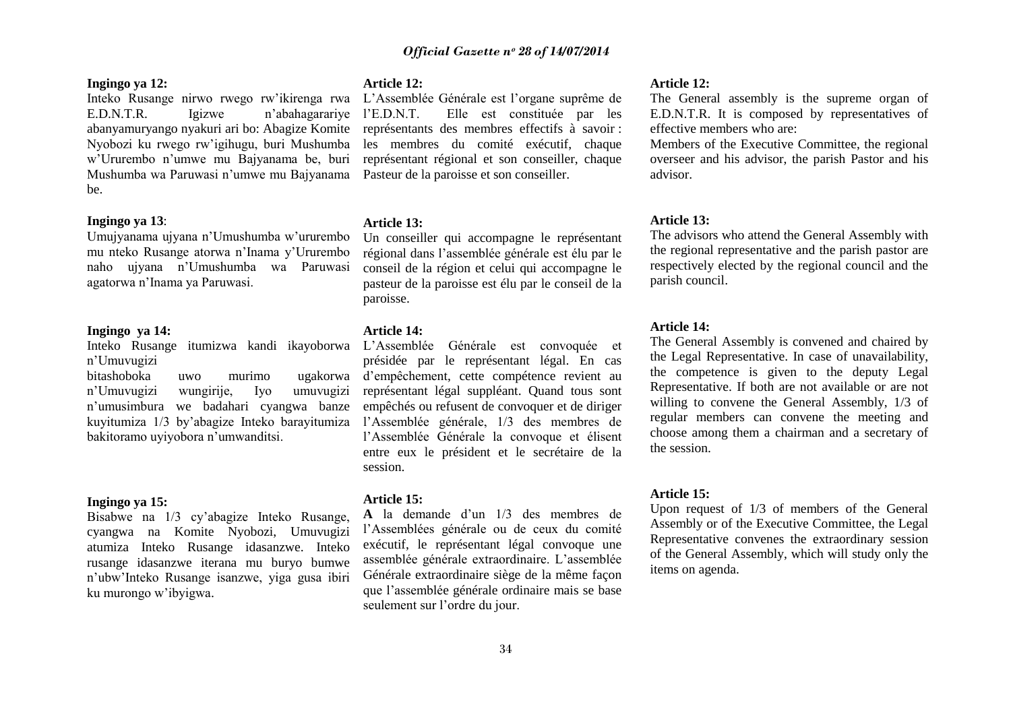#### **Ingingo ya 12:**

Inteko Rusange nirwo rwego rw"ikirenga rwa E.D.N.T.R. Igizwe n"abahagarariye abanyamuryango nyakuri ari bo: Abagize Komite Nyobozi ku rwego rw"igihugu, buri Mushumba w"Ururembo n"umwe mu Bajyanama be, buri Mushumba wa Paruwasi n"umwe mu Bajyanama Pasteur de la paroisse et son conseiller. be.

## **Ingingo ya 13**:

Umujyanama ujyana n"Umushumba w"ururembo mu nteko Rusange atorwa n"Inama y"Ururembo naho ujyana n"Umushumba wa Paruwasi agatorwa n"Inama ya Paruwasi.

# **Ingingo ya 14:**

Inteko Rusange itumizwa kandi ikayoborwa n"Umuvugizi

bitashoboka uwo murimo ugakorwa n"Umuvugizi wungirije, Iyo umuvugizi n"umusimbura we badahari cyangwa banze kuyitumiza 1/3 by"abagize Inteko barayitumiza bakitoramo uyiyobora n"umwanditsi.

#### **Ingingo ya 15:**

Bisabwe na 1/3 cy"abagize Inteko Rusange, cyangwa na Komite Nyobozi, Umuvugizi atumiza Inteko Rusange idasanzwe. Inteko rusange idasanzwe iterana mu buryo bumwe n"ubw"Inteko Rusange isanzwe, yiga gusa ibiri ku murongo w"ibyigwa.

#### **Article 12:**

L"Assemblée Générale est l"organe suprême de l"E.D.N.T. Elle est constituée par les représentants des membres effectifs à savoir : les membres du comité exécutif, chaque représentant régional et son conseiller, chaque

#### **Article 13:**

Un conseiller qui accompagne le représentant régional dans l"assemblée générale est élu par le conseil de la région et celui qui accompagne le pasteur de la paroisse est élu par le conseil de la paroisse.

#### **Article 14:**

L"Assemblée Générale est convoquée et présidée par le représentant légal. En cas d"empêchement, cette compétence revient au représentant légal suppléant. Quand tous sont empêchés ou refusent de convoquer et de diriger l"Assemblée générale, 1/3 des membres de l"Assemblée Générale la convoque et élisent entre eux le président et le secrétaire de la session.

#### **Article 15:**

**A** la demande d"un 1/3 des membres de l"Assemblées générale ou de ceux du comité exécutif, le représentant légal convoque une assemblée générale extraordinaire. L"assemblée Générale extraordinaire siège de la même façon que l"assemblée générale ordinaire mais se base seulement sur l"ordre du jour.

#### **Article 12:**

The General assembly is the supreme organ of E.D.N.T.R. It is composed by representatives of effective members who are:

Members of the Executive Committee, the regional overseer and his advisor, the parish Pastor and his advisor.

#### **Article 13:**

The advisors who attend the General Assembly with the regional representative and the parish pastor are respectively elected by the regional council and the parish council.

#### **Article 14:**

The General Assembly is convened and chaired by the Legal Representative. In case of unavailability, the competence is given to the deputy Legal Representative. If both are not available or are not willing to convene the General Assembly, 1/3 of regular members can convene the meeting and choose among them a chairman and a secretary of the session.

#### **Article 15:**

Upon request of 1/3 of members of the General Assembly or of the Executive Committee, the Legal Representative convenes the extraordinary session of the General Assembly, which will study only the items on agenda.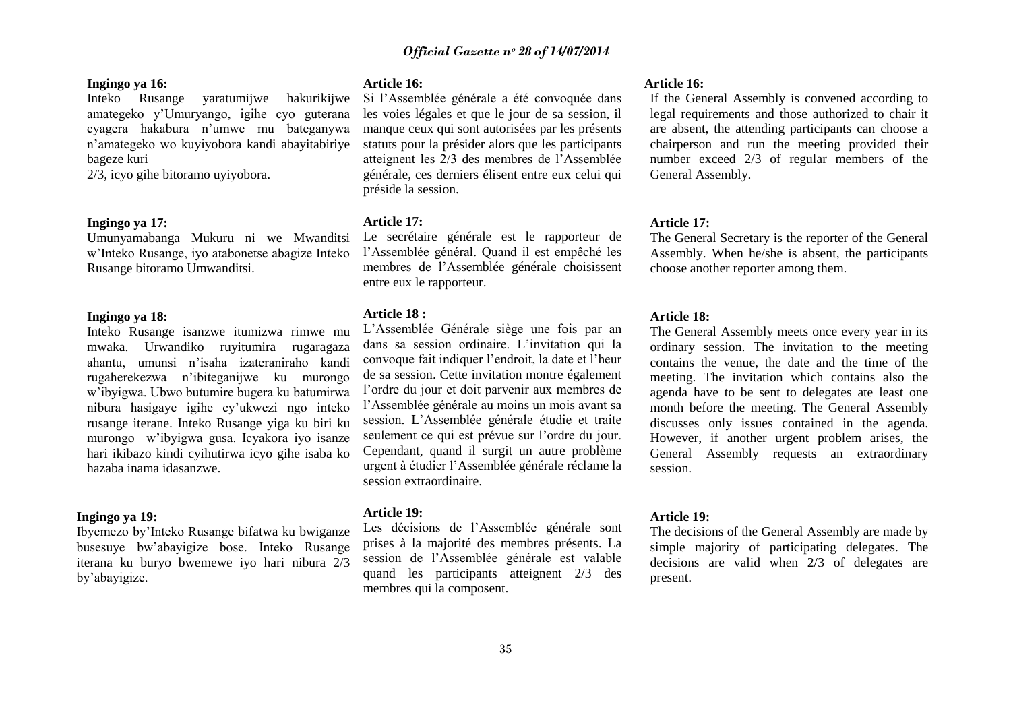### **Ingingo ya 16:**

Inteko Rusange yaratumijwe hakurikijwe amategeko y"Umuryango, igihe cyo guterana cyagera hakabura n"umwe mu bateganywa n"amategeko wo kuyiyobora kandi abayitabiriye bageze kuri

2/3, icyo gihe bitoramo uyiyobora.

#### **Ingingo ya 17:**

Umunyamabanga Mukuru ni we Mwanditsi w"Inteko Rusange, iyo atabonetse abagize Inteko Rusange bitoramo Umwanditsi.

#### **Ingingo ya 18:**

Inteko Rusange isanzwe itumizwa rimwe mu mwaka. Urwandiko ruyitumira rugaragaza ahantu, umunsi n"isaha izateraniraho kandi rugaherekezwa n"ibiteganijwe ku murongo w"ibyigwa. Ubwo butumire bugera ku batumirwa nibura hasigaye igihe cy"ukwezi ngo inteko rusange iterane. Inteko Rusange yiga ku biri ku murongo w"ibyigwa gusa. Icyakora iyo isanze hari ikibazo kindi cyihutirwa icyo gihe isaba ko hazaba inama idasanzwe.

#### **Ingingo ya 19:**

Ibyemezo by"Inteko Rusange bifatwa ku bwiganze busesuye bw"abayigize bose. Inteko Rusange iterana ku buryo bwemewe iyo hari nibura 2/3 by"abayigize.

# **Article 16:**

Si l"Assemblée générale a été convoquée dans les voies légales et que le jour de sa session, il manque ceux qui sont autorisées par les présents statuts pour la présider alors que les participants atteignent les 2/3 des membres de l"Assemblée générale, ces derniers élisent entre eux celui qui préside la session.

#### **Article 17:**

Le secrétaire générale est le rapporteur de l"Assemblée général. Quand il est empêché les membres de l"Assemblée générale choisissent entre eux le rapporteur.

#### **Article 18 :**

L"Assemblée Générale siège une fois par an dans sa session ordinaire. L"invitation qui la convoque fait indiquer l"endroit, la date et l"heur de sa session. Cette invitation montre également l"ordre du jour et doit parvenir aux membres de l"Assemblée générale au moins un mois avant sa session. L"Assemblée générale étudie et traite seulement ce qui est prévue sur l"ordre du jour. Cependant, quand il surgit un autre problème urgent à étudier l"Assemblée générale réclame la session extraordinaire.

#### **Article 19:**

Les décisions de l"Assemblée générale sont prises à la majorité des membres présents. La session de l"Assemblée générale est valable quand les participants atteignent 2/3 des membres qui la composent.

#### **Article 16:**

If the General Assembly is convened according to legal requirements and those authorized to chair it are absent, the attending participants can choose a chairperson and run the meeting provided their number exceed 2/3 of regular members of the General Assembly.

#### **Article 17:**

The General Secretary is the reporter of the General Assembly. When he/she is absent, the participants choose another reporter among them.

#### **Article 18:**

The General Assembly meets once every year in its ordinary session. The invitation to the meeting contains the venue, the date and the time of the meeting. The invitation which contains also the agenda have to be sent to delegates ate least one month before the meeting. The General Assembly discusses only issues contained in the agenda. However, if another urgent problem arises, the General Assembly requests an extraordinary session.

#### **Article 19:**

The decisions of the General Assembly are made by simple majority of participating delegates. The decisions are valid when 2/3 of delegates are present.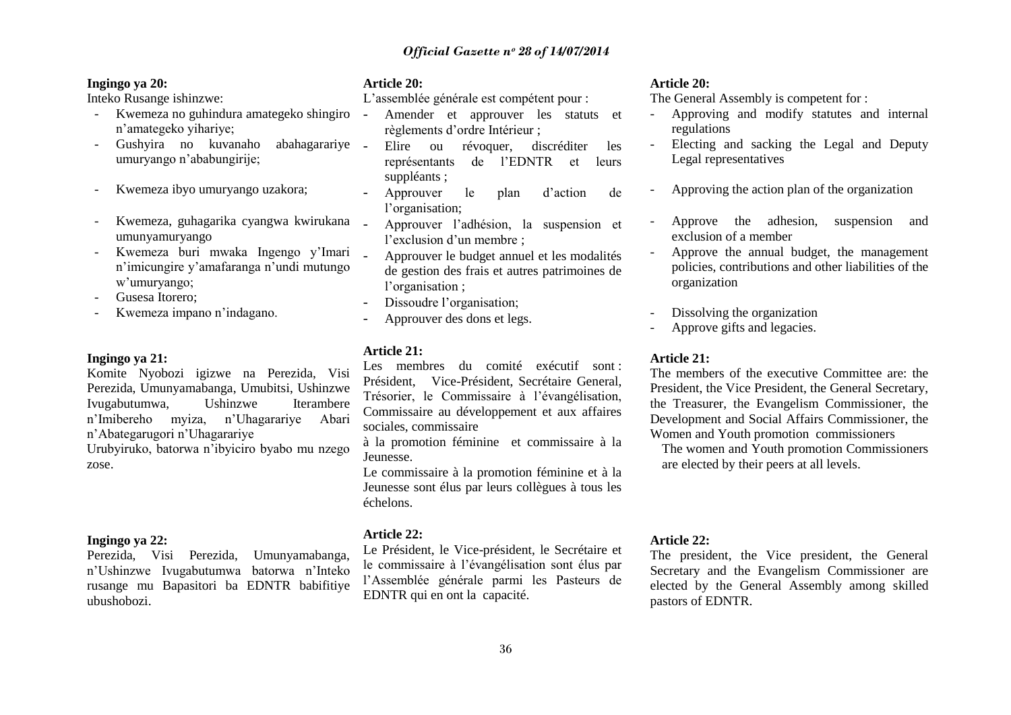# **Ingingo ya 20:**

Inteko Rusange ishinzwe:

- Kwemeza no guhindura amategeko shingiro n"amategeko yihariye;
- Gushyira no kuvanaho abahagarariye umuryango n"ababungirije;
- Kwemeza ibyo umuryango uzakora:
- Kwemeza, guhagarika cyangwa kwirukana umunyamuryango
- Kwemeza buri mwaka Ingengo y"Imari n"imicungire y"amafaranga n"undi mutungo w"umuryango;
- Gusesa Itorero;
- Kwemeza impano n'indagano.

#### **Ingingo ya 21:**

Komite Nyobozi igizwe na Perezida, Visi Perezida, Umunyamabanga, Umubitsi, Ushinzwe Ivugabutumwa, Ushinzwe Iterambere n"Imibereho myiza, n"Uhagarariye Abari n"Abategarugori n"Uhagarariye Urubyiruko, batorwa n"ibyiciro byabo mu nzego

zose.

#### **Ingingo ya 22:**

Perezida, Visi Perezida, Umunyamabanga, n"Ushinzwe Ivugabutumwa batorwa n"Inteko rusange mu Bapasitori ba EDNTR babifitiye ubushobozi.

#### **Article 20:**

L"assemblée générale est compétent pour :

- Amender et approuver les statuts et règlements d"ordre Intérieur ;
- Elire ou révoquer, discréditer les représentants de l"EDNTR et leurs suppléants ;
- Approuver le plan d"action de l'organisation;
- Approuver l"adhésion, la suspension et l'exclusion d'un membre :
- Approuver le budget annuel et les modalités de gestion des frais et autres patrimoines de l'organisation ;
- Dissoudre l'organisation;
- Approuver des dons et legs.

#### **Article 21:**

Les membres du comité exécutif sont : Président, Vice-Président, Secrétaire General, Trésorier, le Commissaire à l"évangélisation, Commissaire au développement et aux affaires sociales, commissaire

à la promotion féminine et commissaire à la Jeunesse.

Le commissaire à la promotion féminine et à la Jeunesse sont élus par leurs collègues à tous les échelons.

#### **Article 22:**

Le Président, le Vice-président, le Secrétaire et le commissaire à l"évangélisation sont élus par l"Assemblée générale parmi les Pasteurs de EDNTR qui en ont la capacité.

#### **Article 20:**

The General Assembly is competent for :

- Approving and modify statutes and internal regulations
- Electing and sacking the Legal and Deputy Legal representatives
- Approving the action plan of the organization
- Approve the adhesion, suspension and exclusion of a member
- Approve the annual budget, the management policies, contributions and other liabilities of the organization
- Dissolving the organization
- Approve gifts and legacies.

# **Article 21:**

The members of the executive Committee are: the President, the Vice President, the General Secretary, the Treasurer, the Evangelism Commissioner, the Development and Social Affairs Commissioner, the Women and Youth promotion commissioners

The women and Youth promotion Commissioners are elected by their peers at all levels.

#### **Article 22:**

The president, the Vice president, the General Secretary and the Evangelism Commissioner are elected by the General Assembly among skilled pastors of EDNTR.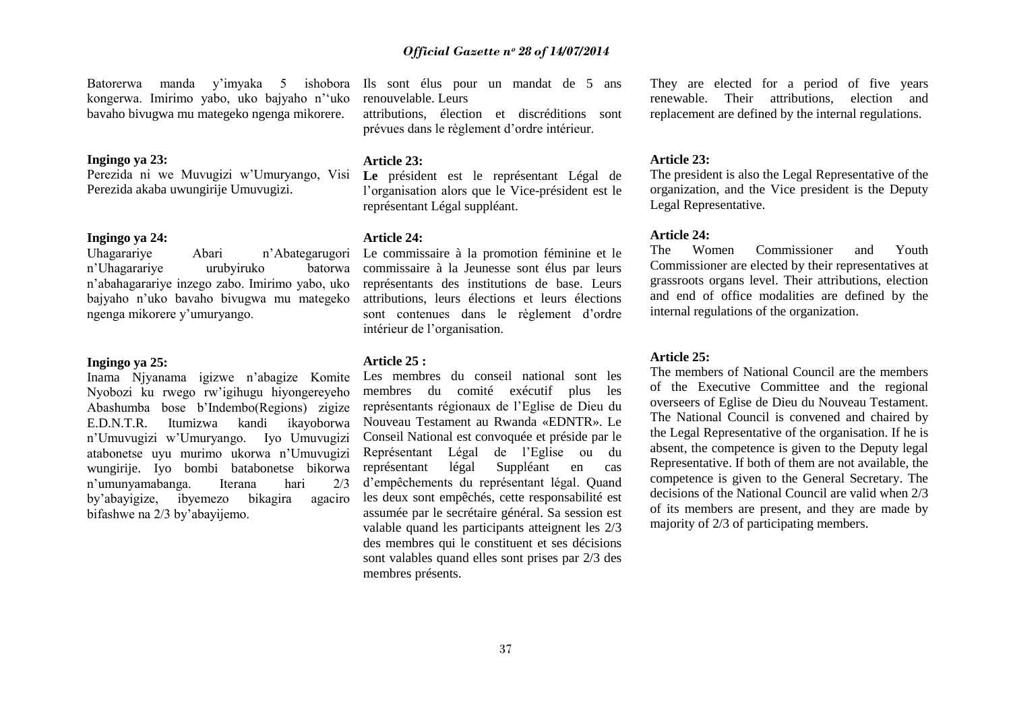Batorerwa manda y"imyaka 5 ishobora kongerwa. Imirimo yabo, uko bajyaho n""uko bavaho bivugwa mu mategeko ngenga mikorere.

#### **Ingingo ya 23:**

Perezida ni we Muvugizi w"Umuryango, Visi Perezida akaba uwungirije Umuvugizi.

**Ingingo ya 24:** Abari n'Abategarugori n"Uhagarariye urubyiruko batorwa n"abahagarariye inzego zabo. Imirimo yabo, uko bajyaho n"uko bavaho bivugwa mu mategeko ngenga mikorere y"umuryango.

#### **Ingingo ya 25:**

Inama Njyanama igizwe n"abagize Komite Nyobozi ku rwego rw"igihugu hiyongereyeho Abashumba bose b"Indembo(Regions) zigize E.D.N.T.R. Itumizwa kandi ikayoborwa n"Umuvugizi w"Umuryango. Iyo Umuvugizi atabonetse uyu murimo ukorwa n"Umuvugizi wungirije. Iyo bombi batabonetse bikorwa n"umunyamabanga. Iterana hari 2/3 by"abayigize, ibyemezo bikagira agaciro bifashwe na 2/3 by"abayijemo.

Ils sont élus pour un mandat de 5 ans renouvelable. Leurs

attributions, élection et discréditions sont prévues dans le règlement d"ordre intérieur.

#### **Article 23:**

**Le** président est le représentant Légal de l"organisation alors que le Vice-président est le représentant Légal suppléant.

#### **Article 24:**

Le commissaire à la promotion féminine et le commissaire à la Jeunesse sont élus par leurs représentants des institutions de base. Leurs attributions, leurs élections et leurs élections sont contenues dans le règlement d"ordre intérieur de l"organisation.

#### **Article 25 :**

Les membres du conseil national sont les membres du comité exécutif plus les représentants régionaux de l"Eglise de Dieu du Nouveau Testament au Rwanda «EDNTR». Le Conseil National est convoquée et préside par le Représentant Légal de l"Eglise ou du représentant légal Suppléant en cas d"empêchements du représentant légal. Quand les deux sont empêchés, cette responsabilité est assumée par le secrétaire général. Sa session est valable quand les participants atteignent les 2/3 des membres qui le constituent et ses décisions sont valables quand elles sont prises par 2/3 des membres présents.

They are elected for a period of five years renewable. Their attributions, election and replacement are defined by the internal regulations.

#### **Article 23:**

The president is also the Legal Representative of the organization, and the Vice president is the Deputy Legal Representative.

#### **Article 24:**

The Women Commissioner and Youth Commissioner are elected by their representatives at grassroots organs level. Their attributions, election and end of office modalities are defined by the internal regulations of the organization.

#### **Article 25:**

The members of National Council are the members of the Executive Committee and the regional overseers of Eglise de Dieu du Nouveau Testament. The National Council is convened and chaired by the Legal Representative of the organisation. If he is absent, the competence is given to the Deputy legal Representative. If both of them are not available, the competence is given to the General Secretary. The decisions of the National Council are valid when 2/3 of its members are present, and they are made by majority of 2/3 of participating members.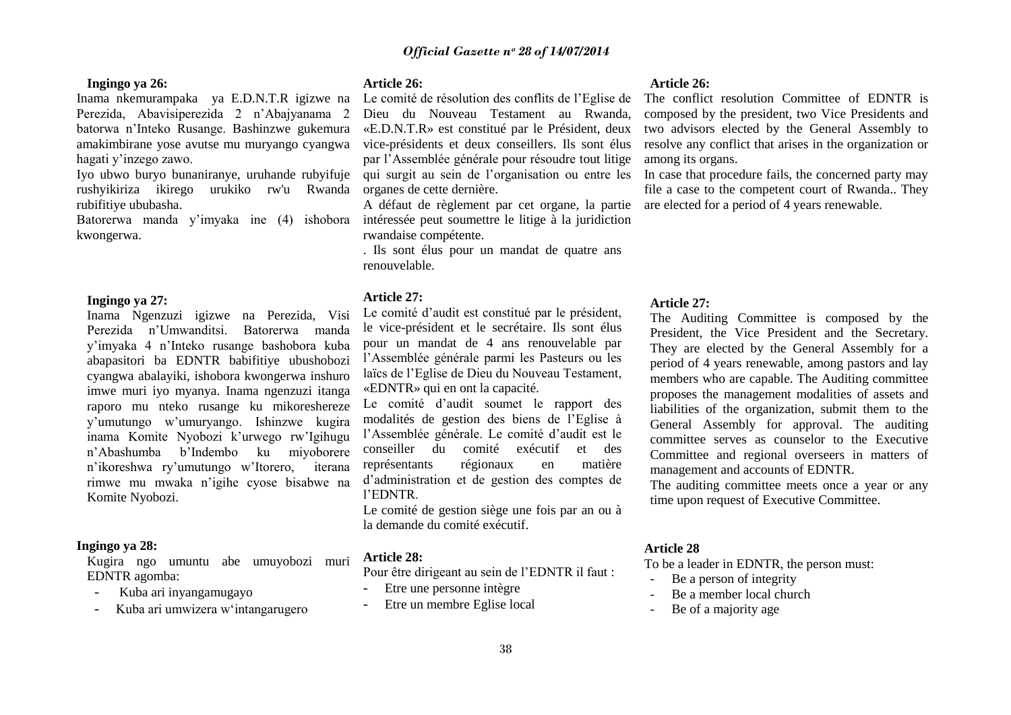#### **Ingingo ya 26:**

Inama nkemurampaka ya E.D.N.T.R igizwe na Perezida, Abavisiperezida 2 n"Abajyanama 2 batorwa n"Inteko Rusange. Bashinzwe gukemura amakimbirane yose avutse mu muryango cyangwa hagati y"inzego zawo.

Iyo ubwo buryo bunaniranye, uruhande rubyifuje rushyikiriza ikirego urukiko rw'u Rwanda rubifitiye ububasha.

Batorerwa manda y"imyaka ine (4) ishobora kwongerwa.

#### **Ingingo ya 27:**

Inama Ngenzuzi igizwe na Perezida, Visi Perezida n"Umwanditsi. Batorerwa manda y"imyaka 4 n"Inteko rusange bashobora kuba abapasitori ba EDNTR babifitiye ubushobozi cyangwa abalayiki, ishobora kwongerwa inshuro imwe muri iyo myanya. Inama ngenzuzi itanga raporo mu nteko rusange ku mikoreshereze y"umutungo w"umuryango. Ishinzwe kugira inama Komite Nyobozi k'urwego rw'Igihugu n"Abashumba b"Indembo ku miyoborere n"ikoreshwa ry"umutungo w"Itorero, iterana rimwe mu mwaka n"igihe cyose bisabwe na Komite Nyobozi.

#### **Ingingo ya 28:**

Kugira ngo umuntu abe umuyobozi muri EDNTR agomba:

- Kuba ari inyangamugayo
- Kuba ari umwizera w"intangarugero

#### **Article 26:**

Le comité de résolution des conflits de l"Eglise de Dieu du Nouveau Testament au Rwanda, «E.D.N.T.R» est constitué par le Président, deux vice-présidents et deux conseillers. Ils sont élus par l"Assemblée générale pour résoudre tout litige qui surgit au sein de l"organisation ou entre les organes de cette dernière.

A défaut de règlement par cet organe, la partie intéressée peut soumettre le litige à la juridiction rwandaise compétente.

. Ils sont élus pour un mandat de quatre ans renouvelable.

#### **Article 27:**

Le comité d"audit est constitué par le président, le vice-président et le secrétaire. Ils sont élus pour un mandat de 4 ans renouvelable par l"Assemblée générale parmi les Pasteurs ou les laïcs de l"Eglise de Dieu du Nouveau Testament, «EDNTR» qui en ont la capacité.

Le comité d"audit soumet le rapport des modalités de gestion des biens de l"Eglise à l"Assemblée générale. Le comité d"audit est le conseiller du comité exécutif et des représentants régionaux en matière d"administration et de gestion des comptes de l"EDNTR.

Le comité de gestion siège une fois par an ou à la demande du comité exécutif.

## **Article 28:**

Pour être dirigeant au sein de l"EDNTR il faut :

- Etre une personne intègre
- Etre un membre Eglise local

#### **Article 26:**

The conflict resolution Committee of EDNTR is composed by the president, two Vice Presidents and two advisors elected by the General Assembly to resolve any conflict that arises in the organization or among its organs.

In case that procedure fails, the concerned party may file a case to the competent court of Rwanda.. They are elected for a period of 4 years renewable.

#### **Article 27:**

The Auditing Committee is composed by the President, the Vice President and the Secretary. They are elected by the General Assembly for a period of 4 years renewable, among pastors and lay members who are capable. The Auditing committee proposes the management modalities of assets and liabilities of the organization, submit them to the General Assembly for approval. The auditing committee serves as counselor to the Executive Committee and regional overseers in matters of management and accounts of EDNTR.

The auditing committee meets once a year or any time upon request of Executive Committee.

#### **Article 28**

To be a leader in EDNTR, the person must:

- Be a person of integrity
- Be a member local church
- Be of a majority age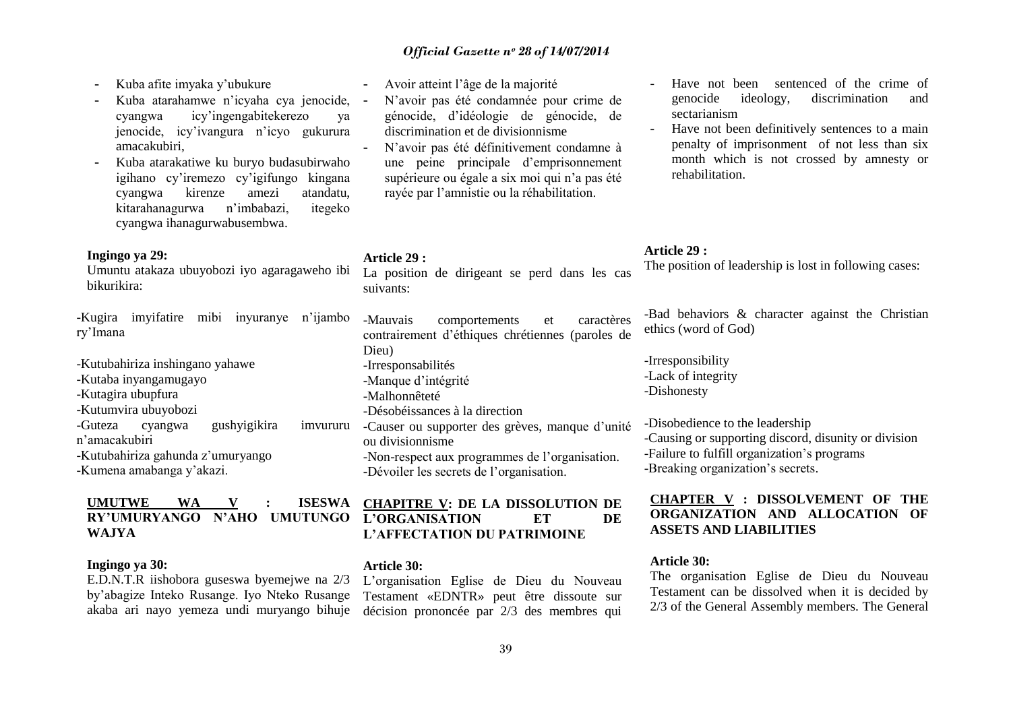- Kuba afite imyaka y"ubukure
- Kuba atarahamwe n"icyaha cya jenocide, cyangwa icy"ingengabitekerezo ya jenocide, icy"ivangura n"icyo gukurura amacakubiri,
- Kuba atarakatiwe ku buryo budasubirwaho igihano cy"iremezo cy"igifungo kingana cyangwa kirenze amezi atandatu, kitarahanagurwa n"imbabazi, itegeko cyangwa ihanagurwabusembwa.

#### **Ingingo ya 29:**

Umuntu atakaza ubuyobozi iyo agaragaweho ibi bikurikira:

-Kugira imyifatire mibi inyuranye n"ijambo ry"Imana

-Kutubahiriza inshingano yahawe -Kutaba inyangamugayo -Kutagira ubupfura -Kutumvira ubuyobozi -Guteza cyangwa gushyigikira imvururu n"amacakubiri -Kutubahiriza gahunda z"umuryango -Kumena amabanga y"akazi.

# **UMUTWE WA V : ISESWA WAJYA**

#### **Ingingo ya 30:**

E.D.N.T.R iishobora guseswa byemejwe na 2/3 by"abagize Inteko Rusange. Iyo Nteko Rusange akaba ari nayo yemeza undi muryango bihuje

- Avoir atteint l"âge de la majorité
- N"avoir pas été condamnée pour crime de génocide, d"idéologie de génocide, de discrimination et de divisionnisme
- N"avoir pas été définitivement condamne à une peine principale d"emprisonnement supérieure ou égale a six moi qui n'a pas été rayée par l"amnistie ou la réhabilitation.

#### **Article 29 :**

La position de dirigeant se perd dans les cas suivants:

-Mauvais comportements et caractères contrairement d"éthiques chrétiennes (paroles de Dieu) -Irresponsabilités -Manque d'intégrité -Malhonnêteté -Désobéissances à la direction -Causer ou supporter des grèves, manque d'unité ou divisionnisme -Non-respect aux programmes de l"organisation. -Dévoiler les secrets de l"organisation.

### **RY"UMURYANGO N"AHO UMUTUNGO L"ORGANISATION ET DE CHAPITRE V: DE LA DISSOLUTION DE L"AFFECTATION DU PATRIMOINE**

#### **Article 30:**

L"organisation Eglise de Dieu du Nouveau Testament «EDNTR» peut être dissoute sur décision prononcée par 2/3 des membres qui

- Have not been sentenced of the crime of genocide ideology, discrimination and sectarianism
- Have not been definitively sentences to a main penalty of imprisonment of not less than six month which is not crossed by amnesty or rehabilitation.

#### **Article 29 :**

The position of leadership is lost in following cases:

-Bad behaviors & character against the Christian ethics (word of God)

-Irresponsibility -Lack of integrity -Dishonesty

-Disobedience to the leadership -Causing or supporting discord, disunity or division -Failure to fulfill organization's programs -Breaking organization's secrets.

#### **CHAPTER V : DISSOLVEMENT OF THE ORGANIZATION AND ALLOCATION OF ASSETS AND LIABILITIES**

#### **Article 30:**

The organisation Eglise de Dieu du Nouveau Testament can be dissolved when it is decided by 2/3 of the General Assembly members. The General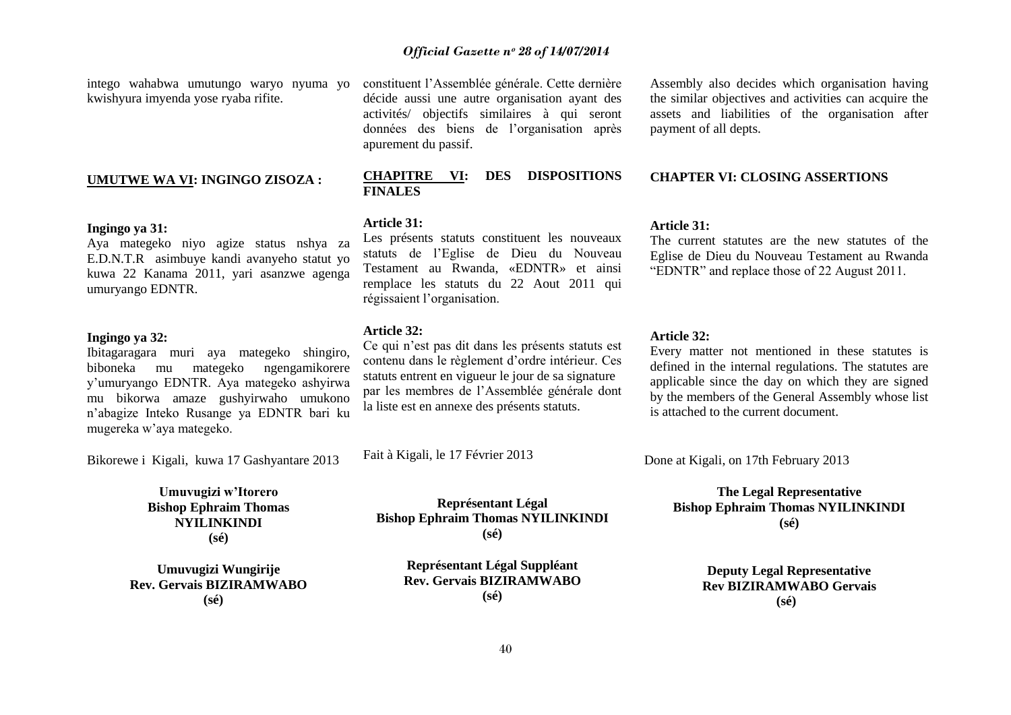kwishyura imyenda yose ryaba rifite.

#### **UMUTWE WA VI: INGINGO ZISOZA :**

#### **Ingingo ya 31:**

Aya mategeko niyo agize status nshya za E.D.N.T.R asimbuye kandi avanyeho statut yo kuwa 22 Kanama 2011, yari asanzwe agenga umuryango EDNTR.

#### **Ingingo ya 32:**

Ibitagaragara muri aya mategeko shingiro, biboneka mu mategeko ngengamikorere y"umuryango EDNTR. Aya mategeko ashyirwa mu bikorwa amaze gushyirwaho umukono n"abagize Inteko Rusange ya EDNTR bari ku mugereka w"aya mategeko.

Bikorewe i Kigali, kuwa 17 Gashyantare 2013

**Umuvugizi w"Itorero Bishop Ephraim Thomas NYILINKINDI (sé)**

**Umuvugizi Wungirije Rev. Gervais BIZIRAMWABO (sé)**

intego wahabwa umutungo waryo nyuma yo constituent l"Assemblée générale. Cette dernière décide aussi une autre organisation ayant des activités/ objectifs similaires à qui seront données des biens de l"organisation après apurement du passif.

#### **CHAPITRE VI: DES DISPOSITIONS FINALES**

#### **Article 31:**

Les présents statuts constituent les nouveaux statuts de l"Eglise de Dieu du Nouveau Testament au Rwanda, «EDNTR» et ainsi remplace les statuts du 22 Aout 2011 qui régissaient l"organisation.

#### **Article 32:**

Ce qui n"est pas dit dans les présents statuts est contenu dans le règlement d"ordre intérieur. Ces statuts entrent en vigueur le jour de sa signature par les membres de l"Assemblée générale dont la liste est en annexe des présents statuts.

Fait à Kigali, le 17 Février 2013

**Représentant Légal Bishop Ephraim Thomas NYILINKINDI (sé)**

> **Représentant Légal Suppléant Rev. Gervais BIZIRAMWABO (sé)**

Assembly also decides which organisation having the similar objectives and activities can acquire the assets and liabilities of the organisation after payment of all depts.

#### **CHAPTER VI: CLOSING ASSERTIONS**

#### **Article 31:**

The current statutes are the new statutes of the Eglise de Dieu du Nouveau Testament au Rwanda "EDNTR" and replace those of 22 August 2011.

#### **Article 32:**

Every matter not mentioned in these statutes is defined in the internal regulations. The statutes are applicable since the day on which they are signed by the members of the General Assembly whose list is attached to the current document.

Done at Kigali, on 17th February 2013

**The Legal Representative Bishop Ephraim Thomas NYILINKINDI (sé)**

> **Deputy Legal Representative Rev BIZIRAMWABO Gervais (sé)**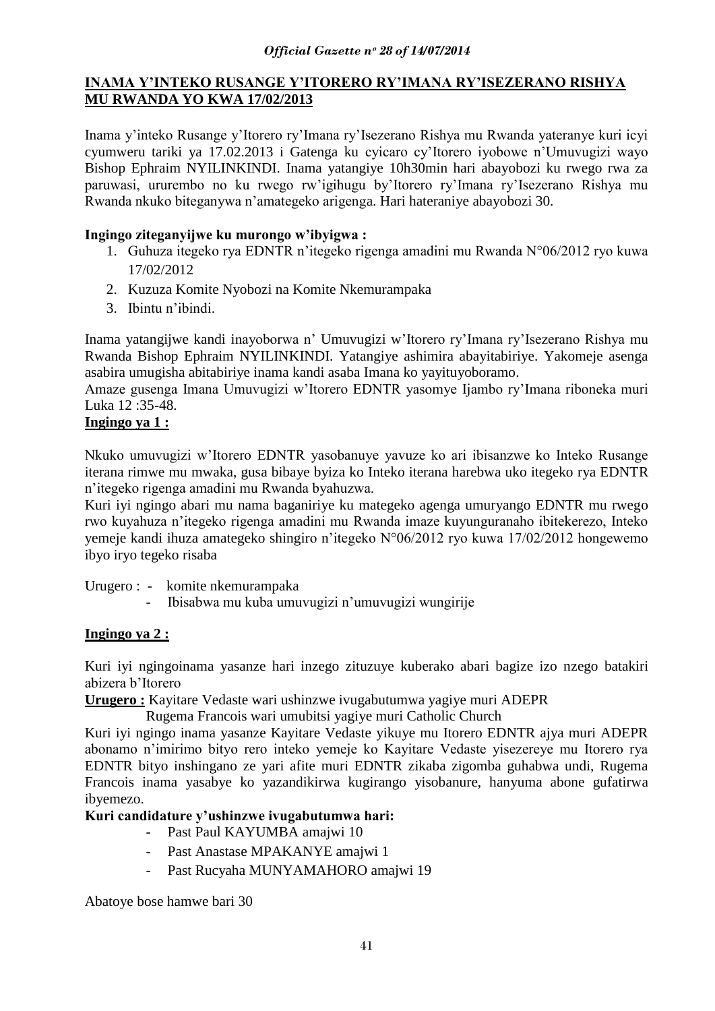## **INAMA Y"INTEKO RUSANGE Y"ITORERO RY"IMANA RY"ISEZERANO RISHYA MU RWANDA YO KWA 17/02/2013**

Inama y"inteko Rusange y"Itorero ry"Imana ry"Isezerano Rishya mu Rwanda yateranye kuri icyi cyumweru tariki ya 17.02.2013 i Gatenga ku cyicaro cy"Itorero iyobowe n"Umuvugizi wayo Bishop Ephraim NYILINKINDI. Inama yatangiye 10h30min hari abayobozi ku rwego rwa za paruwasi, ururembo no ku rwego rw"igihugu by"Itorero ry"Imana ry"Isezerano Rishya mu Rwanda nkuko biteganywa n"amategeko arigenga. Hari hateraniye abayobozi 30.

## **Ingingo ziteganyijwe ku murongo w"ibyigwa :**

- 1. Guhuza itegeko rya EDNTR n"itegeko rigenga amadini mu Rwanda N°06/2012 ryo kuwa 17/02/2012
- 2. Kuzuza Komite Nyobozi na Komite Nkemurampaka
- 3. Ibintu n"ibindi.

Inama yatangijwe kandi inayoborwa n" Umuvugizi w"Itorero ry"Imana ry"Isezerano Rishya mu Rwanda Bishop Ephraim NYILINKINDI. Yatangiye ashimira abayitabiriye. Yakomeje asenga asabira umugisha abitabiriye inama kandi asaba Imana ko yayituyoboramo.

Amaze gusenga Imana Umuvugizi w"Itorero EDNTR yasomye Ijambo ry"Imana riboneka muri Luka 12 :35-48.

## **Ingingo ya 1 :**

Nkuko umuvugizi w"Itorero EDNTR yasobanuye yavuze ko ari ibisanzwe ko Inteko Rusange iterana rimwe mu mwaka, gusa bibaye byiza ko Inteko iterana harebwa uko itegeko rya EDNTR n"itegeko rigenga amadini mu Rwanda byahuzwa.

Kuri iyi ngingo abari mu nama baganiriye ku mategeko agenga umuryango EDNTR mu rwego rwo kuyahuza n"itegeko rigenga amadini mu Rwanda imaze kuyunguranaho ibitekerezo, Inteko yemeje kandi ihuza amategeko shingiro n"itegeko N°06/2012 ryo kuwa 17/02/2012 hongewemo ibyo iryo tegeko risaba

Urugero : - komite nkemurampaka

- Ibisabwa mu kuba umuvugizi n"umuvugizi wungirije

## **Ingingo ya 2 :**

Kuri iyi ngingoinama yasanze hari inzego zituzuye kuberako abari bagize izo nzego batakiri abizera b"Itorero

**Urugero :** Kayitare Vedaste wari ushinzwe ivugabutumwa yagiye muri ADEPR

Rugema Francois wari umubitsi yagiye muri Catholic Church

Kuri iyi ngingo inama yasanze Kayitare Vedaste yikuye mu Itorero EDNTR ajya muri ADEPR abonamo n"imirimo bityo rero inteko yemeje ko Kayitare Vedaste yisezereye mu Itorero rya EDNTR bityo inshingano ze yari afite muri EDNTR zikaba zigomba guhabwa undi, Rugema Francois inama yasabye ko yazandikirwa kugirango yisobanure, hanyuma abone gufatirwa ibyemezo.

## **Kuri candidature y"ushinzwe ivugabutumwa hari:**

- Past Paul KAYUMBA amajwi 10
- Past Anastase MPAKANYE amajwi 1
- Past Rucyaha MUNYAMAHORO amajwi 19

Abatoye bose hamwe bari 30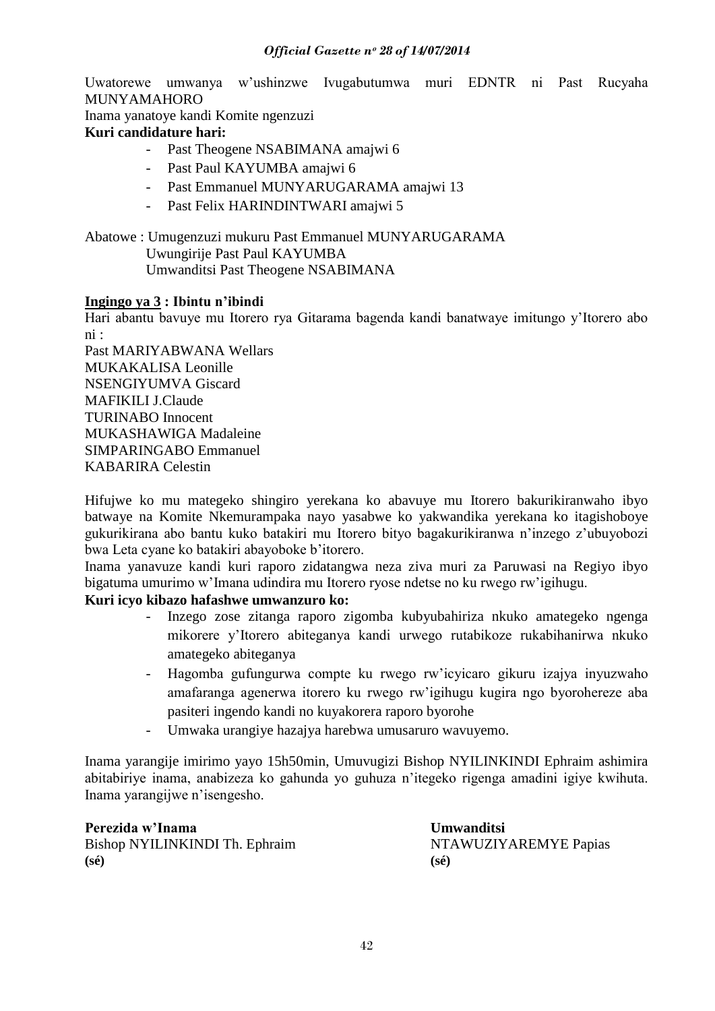Uwatorewe umwanya w"ushinzwe Ivugabutumwa muri EDNTR ni Past Rucyaha MUNYAMAHORO

Inama yanatoye kandi Komite ngenzuzi

## **Kuri candidature hari:**

- Past Theogene NSABIMANA amajwi 6
- Past Paul KAYUMBA amajwi 6
- Past Emmanuel MUNYARUGARAMA amajwi 13
- Past Felix HARINDINTWARI amajwi 5
- Abatowe : Umugenzuzi mukuru Past Emmanuel MUNYARUGARAMA Uwungirije Past Paul KAYUMBA Umwanditsi Past Theogene NSABIMANA

## **Ingingo ya 3 : Ibintu n"ibindi**

Hari abantu bavuye mu Itorero rya Gitarama bagenda kandi banatwaye imitungo y"Itorero abo ni :

Past MARIYABWANA Wellars MUKAKALISA Leonille NSENGIYUMVA Giscard MAFIKILI J.Claude TURINABO Innocent MUKASHAWIGA Madaleine SIMPARINGABO Emmanuel KABARIRA Celestin

Hifujwe ko mu mategeko shingiro yerekana ko abavuye mu Itorero bakurikiranwaho ibyo batwaye na Komite Nkemurampaka nayo yasabwe ko yakwandika yerekana ko itagishoboye gukurikirana abo bantu kuko batakiri mu Itorero bityo bagakurikiranwa n"inzego z"ubuyobozi bwa Leta cyane ko batakiri abayoboke b"itorero.

Inama yanavuze kandi kuri raporo zidatangwa neza ziva muri za Paruwasi na Regiyo ibyo bigatuma umurimo w"Imana udindira mu Itorero ryose ndetse no ku rwego rw"igihugu.

## **Kuri icyo kibazo hafashwe umwanzuro ko:**

- Inzego zose zitanga raporo zigomba kubyubahiriza nkuko amategeko ngenga mikorere y"Itorero abiteganya kandi urwego rutabikoze rukabihanirwa nkuko amategeko abiteganya
- Hagomba gufungurwa compte ku rwego rw"icyicaro gikuru izajya inyuzwaho amafaranga agenerwa itorero ku rwego rw"igihugu kugira ngo byorohereze aba pasiteri ingendo kandi no kuyakorera raporo byorohe
- Umwaka urangiye hazajya harebwa umusaruro wavuyemo.

Inama yarangije imirimo yayo 15h50min, Umuvugizi Bishop NYILINKINDI Ephraim ashimira abitabiriye inama, anabizeza ko gahunda yo guhuza n"itegeko rigenga amadini igiye kwihuta. Inama yarangijwe n"isengesho.

**Perezida w"Inama Umwanditsi** Bishop NYILINKINDI Th. Ephraim NTAWUZIYAREMYE Papias **(sé) (sé)**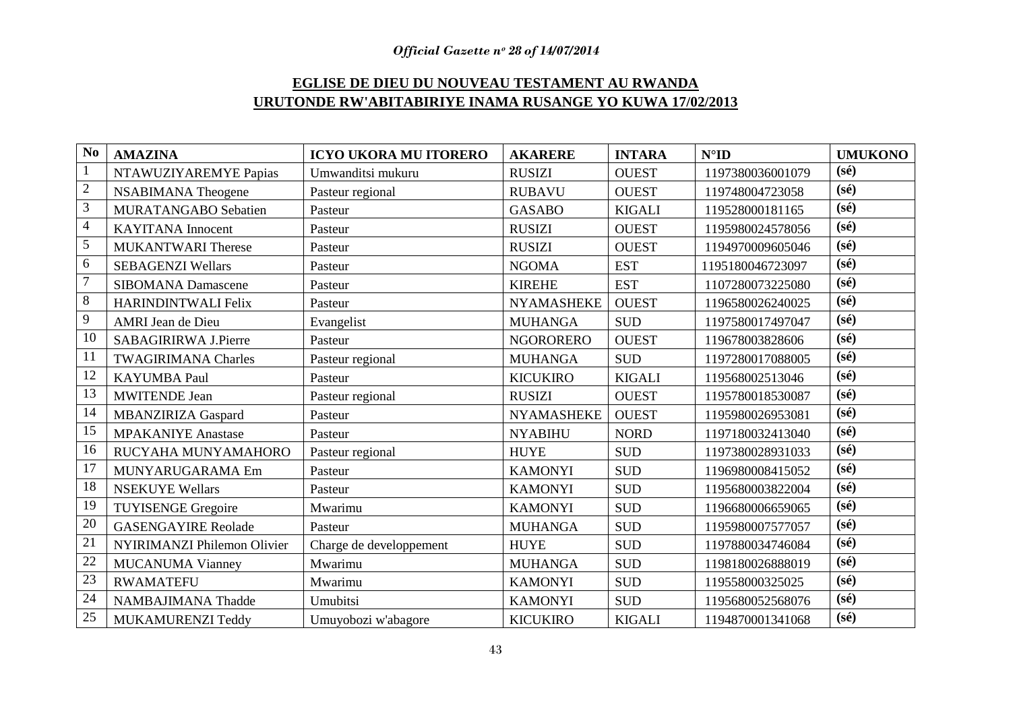## **EGLISE DE DIEU DU NOUVEAU TESTAMENT AU RWANDA URUTONDE RW'ABITABIRIYE INAMA RUSANGE YO KUWA 17/02/2013**

| N <sub>o</sub>  | <b>AMAZINA</b>              | <b>ICYO UKORA MU ITORERO</b> | <b>AKARERE</b>    | <b>INTARA</b>        | $N^{\circ}$ ID   | <b>UMUKONO</b>    |
|-----------------|-----------------------------|------------------------------|-------------------|----------------------|------------------|-------------------|
| $\mathbf{1}$    | NTAWUZIYAREMYE Papias       | Umwanditsi mukuru            | <b>RUSIZI</b>     | <b>OUEST</b>         | 1197380036001079 | $(s\acute{e})$    |
| $\overline{2}$  | <b>NSABIMANA</b> Theogene   | Pasteur regional             | <b>RUBAVU</b>     | <b>OUEST</b>         | 119748004723058  | $(s\acute{e})$    |
| 3               | MURATANGABO Sebatien        | Pasteur                      | <b>GASABO</b>     | <b>KIGALI</b>        | 119528000181165  | $(s\acute{e})$    |
| $\overline{4}$  | <b>KAYITANA</b> Innocent    | Pasteur                      | <b>RUSIZI</b>     | <b>OUEST</b>         | 1195980024578056 | (s <sub>é</sub> ) |
| 5               | <b>MUKANTWARI Therese</b>   | Pasteur                      | <b>RUSIZI</b>     | <b>OUEST</b>         | 1194970009605046 | $(s\acute{e})$    |
| 6               | <b>SEBAGENZI Wellars</b>    | Pasteur                      | <b>NGOMA</b>      | <b>EST</b>           | 1195180046723097 | $(s\acute{e})$    |
| $\overline{7}$  | <b>SIBOMANA Damascene</b>   | Pasteur                      | <b>KIREHE</b>     | <b>EST</b>           | 1107280073225080 | $(s\acute{e})$    |
| 8               | <b>HARINDINTWALI Felix</b>  | Pasteur                      | <b>NYAMASHEKE</b> | <b>OUEST</b>         | 1196580026240025 | $(s\acute{e})$    |
| 9               | AMRI Jean de Dieu           | Evangelist                   | <b>MUHANGA</b>    | <b>SUD</b>           | 1197580017497047 | $(s\acute{e})$    |
| 10              | SABAGIRIRWA J.Pierre        | Pasteur                      | <b>NGORORERO</b>  | <b>OUEST</b>         | 119678003828606  | $(s\acute{e})$    |
| 11              | <b>TWAGIRIMANA Charles</b>  | Pasteur regional             | <b>MUHANGA</b>    | <b>SUD</b>           | 1197280017088005 | $(s\acute{e})$    |
| 12              | <b>KAYUMBA Paul</b>         | Pasteur                      | <b>KICUKIRO</b>   | <b>KIGALI</b>        | 119568002513046  | (s <sub>é</sub> ) |
| 13              | <b>MWITENDE Jean</b>        | Pasteur regional             | <b>RUSIZI</b>     | <b>OUEST</b>         | 1195780018530087 | (sé)              |
| 14              | <b>MBANZIRIZA Gaspard</b>   | Pasteur                      | <b>NYAMASHEKE</b> | <b>OUEST</b>         | 1195980026953081 | $(s\acute{e})$    |
| 15              | <b>MPAKANIYE</b> Anastase   | Pasteur                      | <b>NYABIHU</b>    | <b>NORD</b>          | 1197180032413040 | $(s\acute{e})$    |
| 16              | RUCYAHA MUNYAMAHORO         | Pasteur regional             | <b>HUYE</b>       | <b>SUD</b>           | 1197380028931033 | $(s\acute{e})$    |
| 17              | MUNYARUGARAMA Em            | Pasteur                      | <b>KAMONYI</b>    | <b>SUD</b>           | 1196980008415052 | $(s\acute{e})$    |
| 18              | <b>NSEKUYE Wellars</b>      | Pasteur                      | <b>KAMONYI</b>    | <b>SUD</b>           | 1195680003822004 | $(s\acute{e})$    |
| 19              | <b>TUYISENGE Gregoire</b>   | Mwarimu                      | <b>KAMONYI</b>    | <b>SUD</b>           | 1196680006659065 | $(s\acute{e})$    |
| $\overline{20}$ | <b>GASENGAYIRE Reolade</b>  | Pasteur                      | <b>MUHANGA</b>    | <b>SUD</b>           | 1195980007577057 | $(s\acute{e})$    |
| 21              | NYIRIMANZI Philemon Olivier | Charge de developpement      | <b>HUYE</b>       | $\operatorname{SUB}$ | 1197880034746084 | $(s\acute{e})$    |
| 22              | <b>MUCANUMA Vianney</b>     | Mwarimu                      | <b>MUHANGA</b>    | <b>SUD</b>           | 1198180026888019 | (s <sub>é</sub> ) |
| 23              | <b>RWAMATEFU</b>            | Mwarimu                      | <b>KAMONYI</b>    | <b>SUD</b>           | 119558000325025  | $(s\acute{e})$    |
| 24              | <b>NAMBAJIMANA Thadde</b>   | Umubitsi                     | <b>KAMONYI</b>    | <b>SUD</b>           | 1195680052568076 | $(s\acute{e})$    |
| 25              | MUKAMURENZI Teddy           | Umuyobozi w'abagore          | <b>KICUKIRO</b>   | <b>KIGALI</b>        | 1194870001341068 | $(s\acute{e})$    |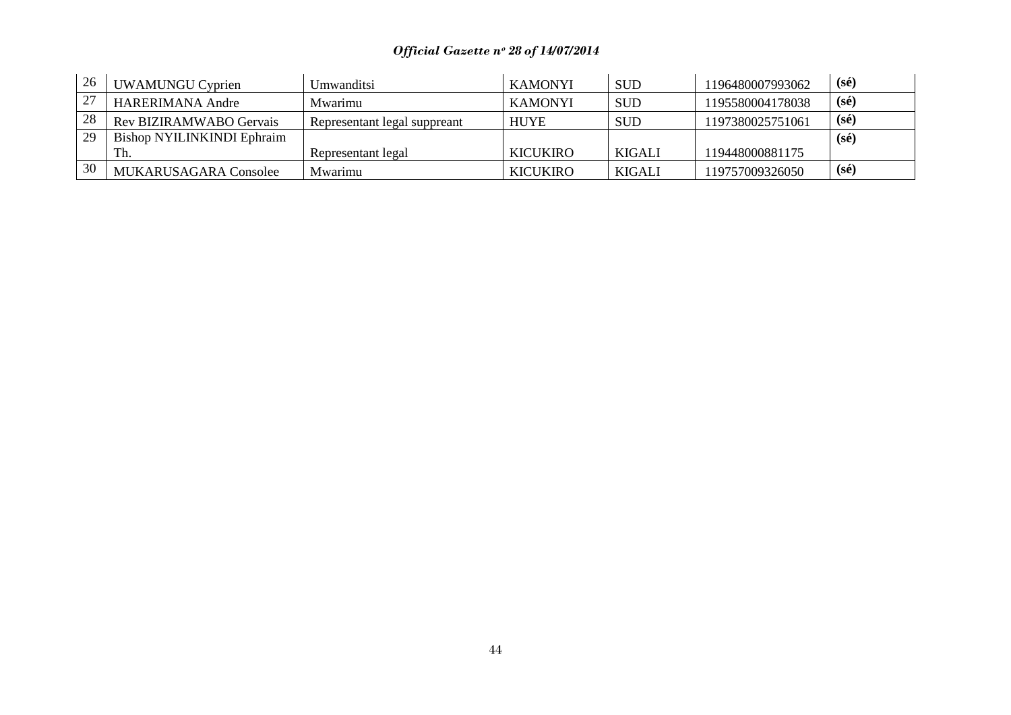| 26 | <b>UWAMUNGU Cyprien</b>    | Umwanditsi                   | <b>KAMONYI</b>  | <b>SUD</b> | 1196480007993062 | $(s\acute{e})$ |
|----|----------------------------|------------------------------|-----------------|------------|------------------|----------------|
|    | HARERIMANA Andre           | Mwarimu                      | <b>KAMONYI</b>  | <b>SUD</b> | 1195580004178038 | $(s\acute{e})$ |
| 28 | Rev BIZIRAMWABO Gervais    | Representant legal suppreant | <b>HUYE</b>     | <b>SUD</b> | 1197380025751061 | $(s\acute{e})$ |
| 29 | Bishop NYILINKINDI Ephraim |                              |                 |            |                  | $(s\acute{e})$ |
|    | Th.                        | Representant legal           | <b>KICUKIRO</b> | KIGALI     | 119448000881175  |                |
| 30 | MUKARUSAGARA Consolee      | Mwarimu                      | <b>KICUKIRO</b> | KIGALI     | 119757009326050  | $(s\acute{e})$ |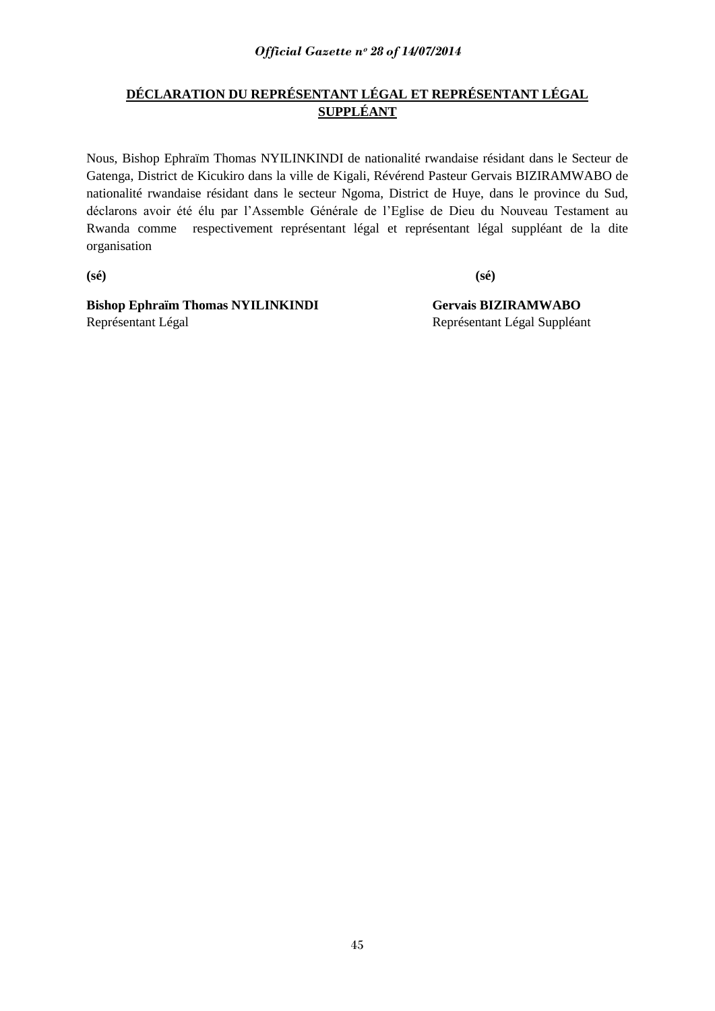## **DÉCLARATION DU REPRÉSENTANT LÉGAL ET REPRÉSENTANT LÉGAL SUPPLÉANT**

Nous, Bishop Ephraïm Thomas NYILINKINDI de nationalité rwandaise résidant dans le Secteur de Gatenga, District de Kicukiro dans la ville de Kigali, Révérend Pasteur Gervais BIZIRAMWABO de nationalité rwandaise résidant dans le secteur Ngoma, District de Huye, dans le province du Sud, déclarons avoir été élu par l"Assemble Générale de l"Eglise de Dieu du Nouveau Testament au Rwanda comme respectivement représentant légal et représentant légal suppléant de la dite organisation

**(sé) (sé)**

**Bishop Ephraïm Thomas NYILINKINDI Gervais BIZIRAMWABO** Représentant Légal Représentant Légal Suppléant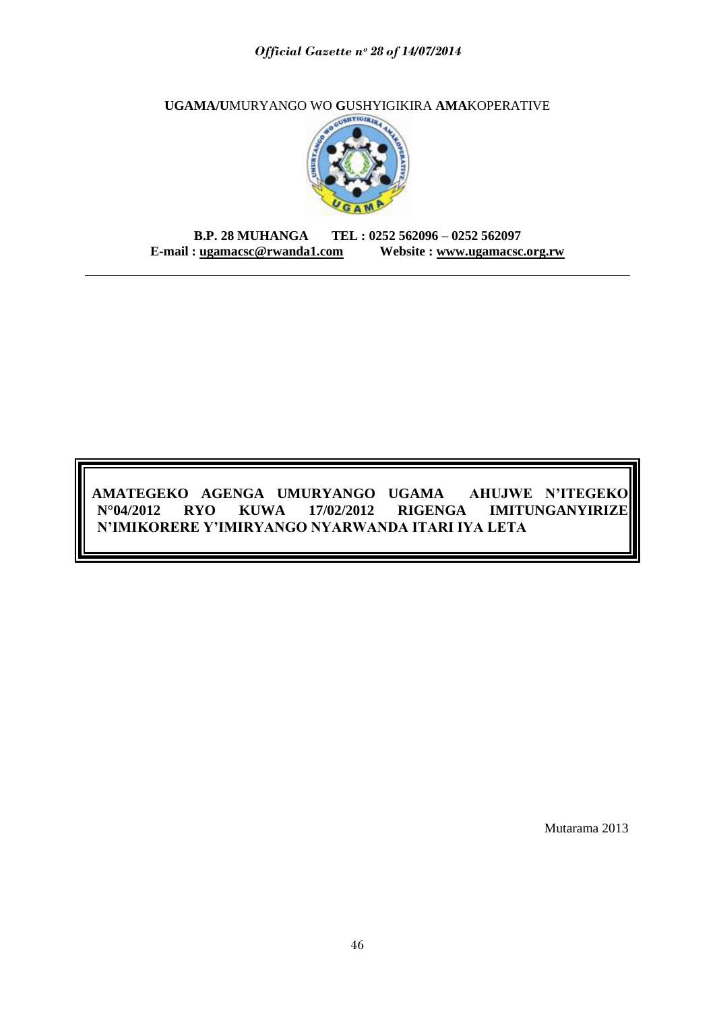**UGAMA/U**MURYANGO WO **G**USHYIGIKIRA **AMA**KOPERATIVE



**B.P. 28 MUHANGA TEL : 0252 562096 – 0252 562097 E-mail : [ugamacsc@rwanda1.com](mailto:ugamacsc@~rwanda1.com) Website : [www.ugamacsc.org.rw](http://www.ugamacsc.org.rw/)**

## **AMATEGEKO AGENGA UMURYANGO UGAMA AHUJWE N"ITEGEKO N°04/2012 RYO KUWA 17/02/2012 RIGENGA IMITUNGANYIRIZE N"IMIKORERE Y"IMIRYANGO NYARWANDA ITARI IYA LETA**

Mutarama 2013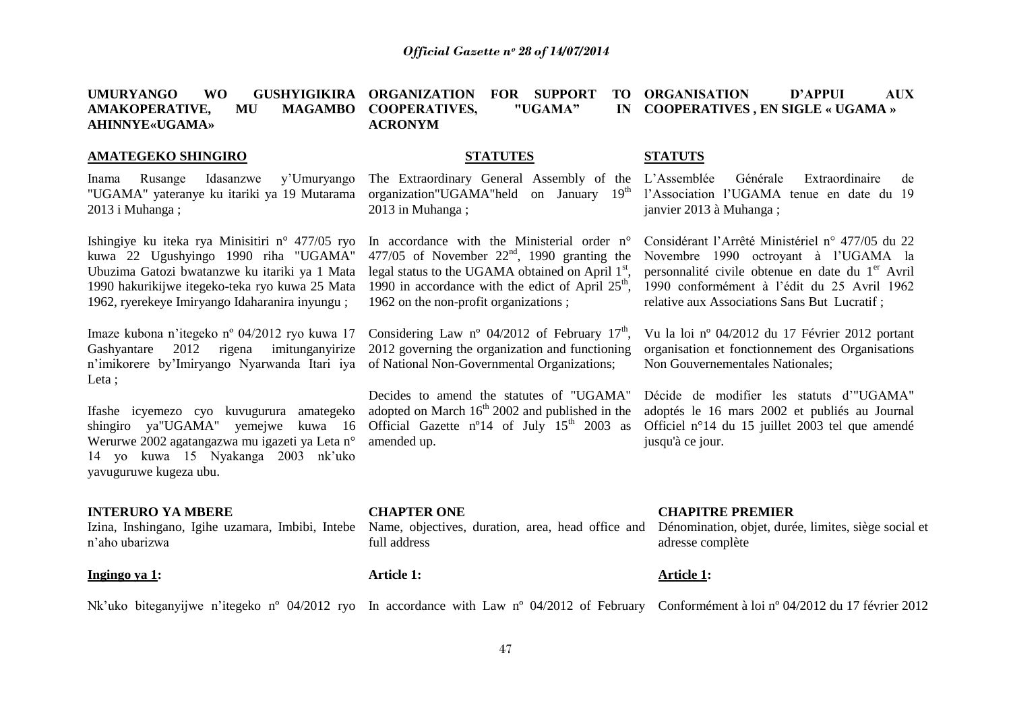|                           | <b>UMURYANGO</b><br><b>WO</b><br>AMAKOPERATIVE,<br><b>MAGAMBO</b><br>MU<br><b>AHINNYE</b> «UGAMA»                                                                                                                                            | GUSHYIGIKIRA ORGANIZATION<br><b>FOR SUPPORT</b><br><b>TO</b><br><b>COOPERATIVES,</b><br>"UGAMA"<br>IN<br><b>ACRONYM</b>                                                                                                                             | ORGANISATION<br><b>D'APPUI</b><br><b>AUX</b><br><b>COOPERATIVES, EN SIGLE « UGAMA »</b>                                                                                                                                                                 |  |  |
|---------------------------|----------------------------------------------------------------------------------------------------------------------------------------------------------------------------------------------------------------------------------------------|-----------------------------------------------------------------------------------------------------------------------------------------------------------------------------------------------------------------------------------------------------|---------------------------------------------------------------------------------------------------------------------------------------------------------------------------------------------------------------------------------------------------------|--|--|
| <b>AMATEGEKO SHINGIRO</b> |                                                                                                                                                                                                                                              | <b>STATUTES</b>                                                                                                                                                                                                                                     | <b>STATUTS</b>                                                                                                                                                                                                                                          |  |  |
|                           | Rusange<br>Idasanzwe<br>y'Umuryango<br>Inama<br>"UGAMA" yateranye ku itariki ya 19 Mutarama<br>2013 i Muhanga;                                                                                                                               | The Extraordinary General Assembly of the L'Assemblée<br>organization"UGAMA"held on January 19 <sup>th</sup> l'Association l'UGAMA tenue en date du 19<br>2013 in Muhanga;                                                                          | Générale<br>Extraordinaire<br>de<br>janvier 2013 à Muhanga;                                                                                                                                                                                             |  |  |
|                           | Ishingiye ku iteka rya Minisitiri n° 477/05 ryo<br>kuwa 22 Ugushyingo 1990 riha "UGAMA"<br>Ubuzima Gatozi bwatanzwe ku itariki ya 1 Mata<br>1990 hakurikijwe itegeko-teka ryo kuwa 25 Mata<br>1962, ryerekeye Imiryango Idaharanira inyungu; | In accordance with the Ministerial order n°<br>477/05 of November $22nd$ , 1990 granting the<br>legal status to the UGAMA obtained on April $1st$ ,<br>1990 in accordance with the edict of April $25th$ ,<br>1962 on the non-profit organizations; | Considérant l'Arrêté Ministériel n° 477/05 du 22<br>Novembre 1990 octroyant à l'UGAMA la<br>personnalité civile obtenue en date du 1 <sup>er</sup> Avril<br>1990 conformément à l'édit du 25 Avril 1962<br>relative aux Associations Sans But Lucratif; |  |  |
|                           | Imaze kubona n'itegeko nº 04/2012 ryo kuwa 17<br>2012 rigena imitunganyirize<br>Gashyantare<br>n'imikorere by'Imiryango Nyarwanda Itari iya<br>Leta;                                                                                         | Considering Law nº 04/2012 of February $17th$ ,<br>2012 governing the organization and functioning<br>of National Non-Governmental Organizations;                                                                                                   | Vu la loi nº 04/2012 du 17 Février 2012 portant<br>organisation et fonctionnement des Organisations<br>Non Gouvernementales Nationales;                                                                                                                 |  |  |
|                           | Ifashe icyemezo cyo kuvugurura amategeko<br>shingiro ya"UGAMA" yemejwe kuwa 16<br>Werurwe 2002 agatangazwa mu igazeti ya Leta n°<br>14 yo kuwa 15 Nyakanga 2003 nk'uko<br>yavuguruwe kugeza ubu.                                             | Decides to amend the statutes of "UGAMA"<br>adopted on March 16 <sup>th</sup> 2002 and published in the<br>Official Gazette n <sup>o</sup> 14 of July $15th$ 2003 as<br>amended up.                                                                 | Décide de modifier les statuts d'"UGAMA"<br>adoptés le 16 mars 2002 et publiés au Journal<br>Officiel n°14 du 15 juillet 2003 tel que amendé<br>jusqu'à ce jour.                                                                                        |  |  |
|                           | <b>INTERURO YA MBERE</b><br>Izina, Inshingano, Igihe uzamara, Imbibi, Intebe<br>n'aho ubarizwa                                                                                                                                               | <b>CHAPTER ONE</b><br>Name, objectives, duration, area, head office and<br>full address                                                                                                                                                             | <b>CHAPITRE PREMIER</b><br>Dénomination, objet, durée, limites, siège social et<br>adresse complète                                                                                                                                                     |  |  |
|                           | Ingingo ya 1:                                                                                                                                                                                                                                | <b>Article 1:</b>                                                                                                                                                                                                                                   | <b>Article 1:</b>                                                                                                                                                                                                                                       |  |  |
|                           |                                                                                                                                                                                                                                              |                                                                                                                                                                                                                                                     | Nk'uko biteganyijwe n'itegeko nº 04/2012 ryo In accordance with Law nº 04/2012 of February Conformément à loi nº 04/2012 du 17 février 2012                                                                                                             |  |  |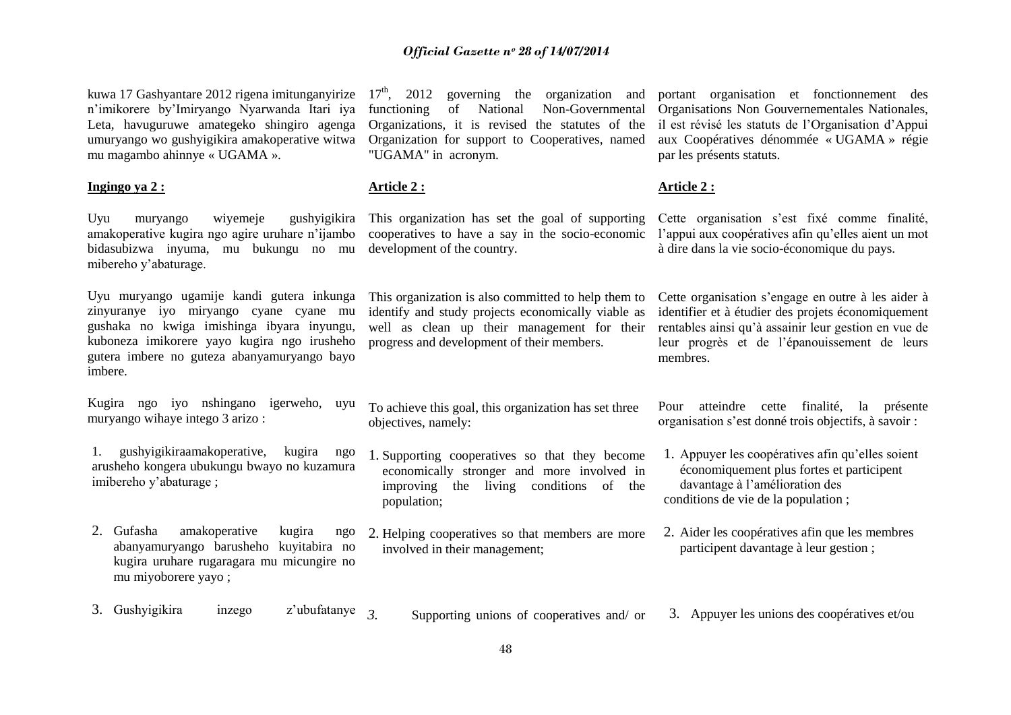kuwa 17 Gashyantare 2012 rigena imitunganyirize n"imikorere by"Imiryango Nyarwanda Itari iya Leta, havuguruwe amategeko shingiro agenga umuryango wo gushyigikira amakoperative witwa mu magambo ahinnye « UGAMA ».

#### **Ingingo ya 2 :**

Uyu muryango wiyemeje gushyigikira amakoperative kugira ngo agire uruhare n"ijambo bidasubizwa inyuma, mu bukungu no mu mibereho y"abaturage.

Uyu muryango ugamije kandi gutera inkunga zinyuranye iyo miryango cyane cyane mu gushaka no kwiga imishinga ibyara inyungu, kuboneza imikorere yayo kugira ngo irusheho gutera imbere no guteza abanyamuryango bayo imbere.

Kugira ngo iyo nshingano igerweho, uyu muryango wihaye intego 3 arizo :

1. gushyigikiraamakoperative, kugira ngo arusheho kongera ubukungu bwayo no kuzamura imibereho y"abaturage ;

2. Gufasha amakoperative kugira ngo abanyamuryango barusheho kuyitabira no kugira uruhare rugaragara mu micungire no mu miyoborere yayo ;

 $17<sup>th</sup>$ . 2012 governing the organization and functioning of National Non-Governmental Organizations, it is revised the statutes of the Organization for support to Cooperatives, named "UGAMA" in acronym.

### **Article 2 :**

This organization has set the goal of supporting cooperatives to have a say in the socio-economic development of the country.

This organization is also committed to help them to identify and study projects economically viable as well as clean up their management for their progress and development of their members.

To achieve this goal, this organization has set three objectives, namely:

- 1. Supporting cooperatives so that they become economically stronger and more involved in improving the living conditions of the population;
- 2. Helping cooperatives so that members are more involved in their management;

portant organisation et fonctionnement des Organisations Non Gouvernementales Nationales, il est révisé les statuts de l"Organisation d"Appui aux Coopératives dénommée « UGAMA » régie par les présents statuts.

#### **Article 2 :**

Cette organisation s'est fixé comme finalité, l"appui aux coopératives afin qu"elles aient un mot à dire dans la vie socio-économique du pays.

Cette organisation s"engage en outre à les aider à identifier et à étudier des projets économiquement rentables ainsi qu"à assainir leur gestion en vue de leur progrès et de l"épanouissement de leurs membres.

Pour atteindre cette finalité, la présente organisation s"est donné trois objectifs, à savoir :

- 1. Appuyer les coopératives afin qu"elles soient économiquement plus fortes et participent davantage à l"amélioration des conditions de vie de la population ;
- 2. Aider les coopératives afin que les membres participent davantage à leur gestion ;
- 3. Gushyigikira inzego z"ubufatanye *3.* Supporting unions of cooperatives and/ or 3. Appuyer les unions des coopératives et/ou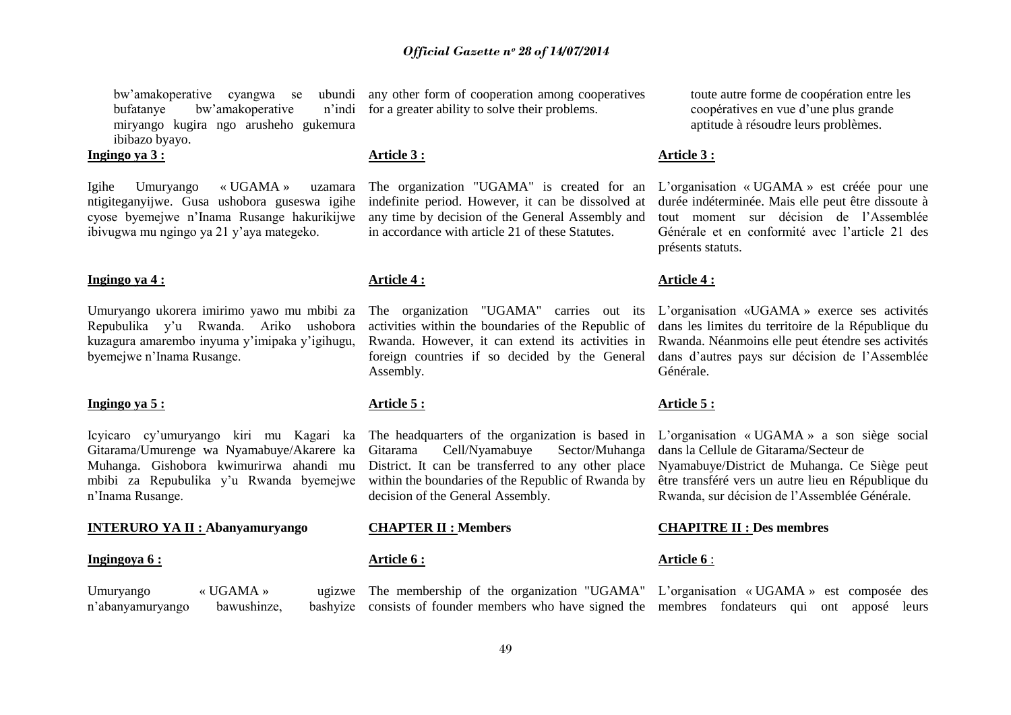bw"amakoperative cyangwa se ubundi bufatanye bw'amakoperative miryango kugira ngo arusheho gukemura ibibazo byayo.

#### **Ingingo ya 3 :**

Igihe Umuryango « UGAMA » ntigiteganyijwe. Gusa ushobora guseswa igihe cyose byemejwe n"Inama Rusange hakurikijwe ibivugwa mu ngingo ya 21 y"aya mategeko.

#### **Ingingo ya 4 :**

Repubulika y"u Rwanda. Ariko ushobora kuzagura amarembo inyuma y"imipaka y"igihugu, byemejwe n"Inama Rusange.

#### **Ingingo ya 5 :**

Gitarama/Umurenge wa Nyamabuye/Akarere ka Muhanga. Gishobora kwimurirwa ahandi mu mbibi za Repubulika y"u Rwanda byemejwe n"Inama Rusange.

#### **INTERURO YA II : Abanyamuryango CHAPTER II : Members CHAPITRE II : Des membres**

#### **Ingingoya 6 :**

Umuryango  $\mathbb{V}$  UGAMA » n'abanyamuryango bawushinze,

any other form of cooperation among cooperatives n'indi for a greater ability to solve their problems.

#### **Article 3 :**

uzamara The organization "UGAMA" is created for an indefinite period. However, it can be dissolved at any time by decision of the General Assembly and in accordance with article 21 of these Statutes.

#### **Article 4 :**

activities within the boundaries of the Republic of dans les limites du territoire de la République du Rwanda. However, it can extend its activities in Rwanda. Néanmoins elle peut étendre ses activités foreign countries if so decided by the General Assembly.

## **Article 5 :**

Icyicaro cy"umuryango kiri mu Kagari ka The headquarters of the organization is based in Gitarama Cell/Nyamabuye Sector/Muhanga District. It can be transferred to any other place within the boundaries of the Republic of Rwanda by decision of the General Assembly.

#### **Article 6 :**

toute autre forme de coopération entre les coopératives en vue d"une plus grande aptitude à résoudre leurs problèmes.

#### **Article 3 :**

L"organisation « UGAMA » est créée pour une durée indéterminée. Mais elle peut être dissoute à tout moment sur décision de l"Assemblée Générale et en conformité avec l"article 21 des présents statuts.

#### **Article 4 :**

Umuryango ukorera imirimo yawo mu mbibi za The organization "UGAMA" carries out its L"organisation «UGAMA » exerce ses activités dans d"autres pays sur décision de l"Assemblée Générale.

#### **Article 5 :**

L"organisation « UGAMA » a son siège social dans la Cellule de Gitarama/Secteur de Nyamabuye/District de Muhanga. Ce Siège peut être transféré vers un autre lieu en République du Rwanda, sur décision de l"Assemblée Générale.

#### **Article 6** :

The membership of the organization "UGAMA" L"organisation « UGAMA » est composée des consists of founder members who have signed the membres fondateurs qui ont apposé leurs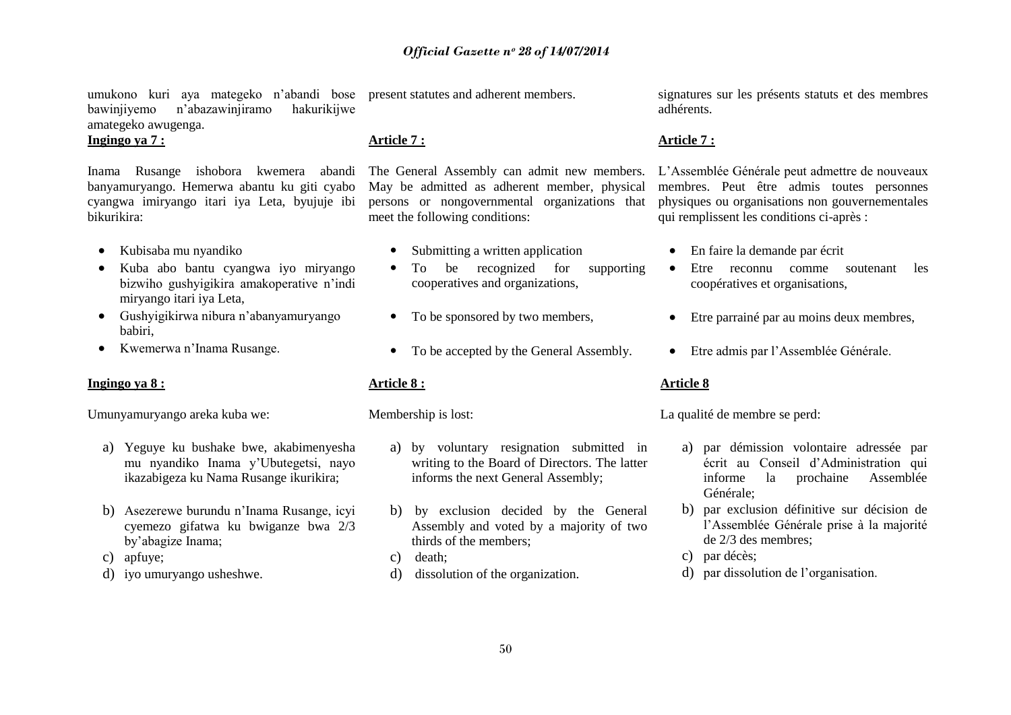umukono kuri aya mategeko n'abandi bose present statutes and adherent members. bawinjiyemo n"abazawinjiramo hakurikijwe amategeko awugenga.

**Ingingo ya 7 :**

Inama Rusange ishobora kwemera abandi The General Assembly can admit new members. banyamuryango. Hemerwa abantu ku giti cyabo cyangwa imiryango itari iya Leta, byujuje ibi bikurikira:

- Kubisaba mu nyandiko
- Kuba abo bantu cyangwa iyo miryango bizwiho gushyigikira amakoperative n"indi miryango itari iya Leta,
- Gushyigikirwa nibura n"abanyamuryango babiri,
- Kwemerwa n"Inama Rusange.

#### **Ingingo ya 8 :**

Umunyamuryango areka kuba we:

- a) Yeguye ku bushake bwe, akabimenyesha mu nyandiko Inama y"Ubutegetsi, nayo ikazabigeza ku Nama Rusange ikurikira;
- b) Asezerewe burundu n"Inama Rusange, icyi cyemezo gifatwa ku bwiganze bwa 2/3 by"abagize Inama;
- c) apfuye;
- d) iyo umuryango usheshwe.

#### **Article 7 :**

May be admitted as adherent member, physical persons or nongovernmental organizations that meet the following conditions:

- Submitting a written application
- To be recognized for supporting cooperatives and organizations,
- To be sponsored by two members,
- To be accepted by the General Assembly.

### **Article 8 :**

Membership is lost:

- a) by voluntary resignation submitted in writing to the Board of Directors. The latter informs the next General Assembly;
- b) by exclusion decided by the General Assembly and voted by a majority of two thirds of the members;
- c) death;
- d) dissolution of the organization.

signatures sur les présents statuts et des membres. adhérents.

#### **Article 7 :**

L"Assemblée Générale peut admettre de nouveaux membres. Peut être admis toutes personnes physiques ou organisations non gouvernementales qui remplissent les conditions ci-après :

- En faire la demande par écrit
- Etre reconnu comme soutenant les coopératives et organisations,
- Etre parrainé par au moins deux membres,
- Etre admis par l"Assemblée Générale.

#### **Article 8**

La qualité de membre se perd:

- a) par démission volontaire adressée par écrit au Conseil d"Administration qui informe la prochaine Assemblée Générale;
- b) par exclusion définitive sur décision de l"Assemblée Générale prise à la majorité de 2/3 des membres;
- c) par décès;
- d) par dissolution de l"organisation.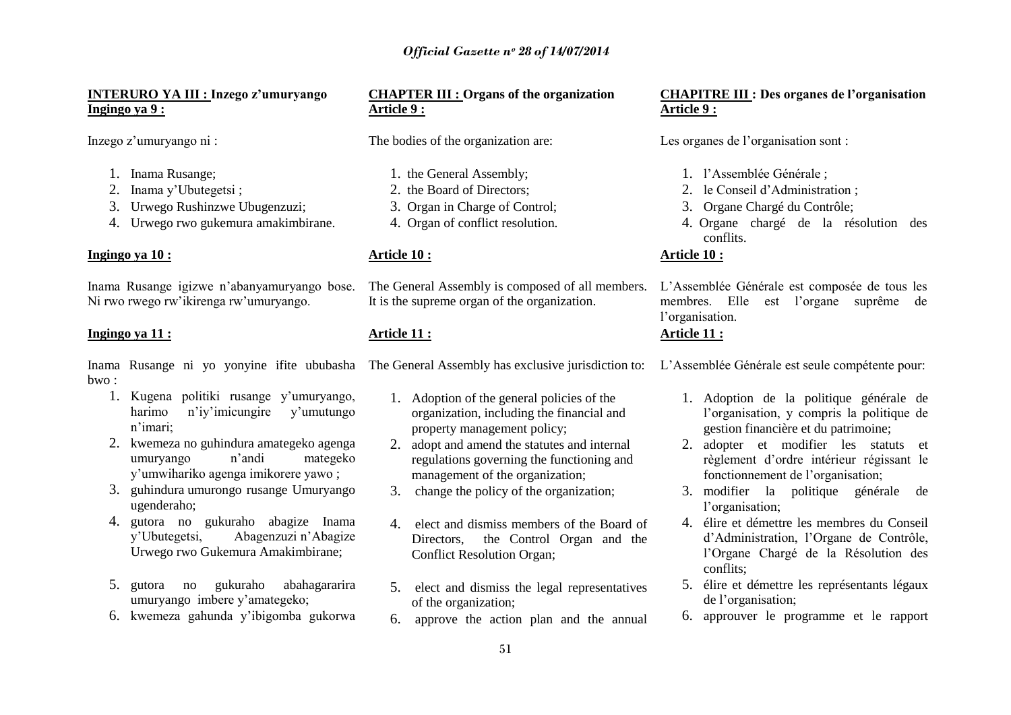#### **INTERURO YA III : Inzego z"umuryango CHAPTER III : Organs of the organization CHAPITRE III : Des organes de l"organisation Ingingo ya 9 :**

Inzego z"umuryango ni :

- 1. Inama Rusange;
- 2. Inama y"Ubutegetsi ;
- 3. Urwego Rushinzwe Ubugenzuzi;
- 4. Urwego rwo gukemura amakimbirane.

#### **Ingingo ya 10 :**

Ni rwo rwego rw"ikirenga rw"umuryango.

### **Ingingo ya 11 :**

Inama Rusange ni yo yonyine ifite ububasha The General Assembly has exclusive jurisdiction to: L'Assemblée Générale est seule compétente pour:  $hwo$ .

- 1. Kugena politiki rusange y"umuryango, harimo n'iv'imicungire v'umutungo n"imari;
- 2. kwemeza no guhindura amategeko agenga umuryango n"andi mategeko y"umwihariko agenga imikorere yawo ;
- 3. guhindura umurongo rusange Umuryango ugenderaho;
- 4. gutora no gukuraho abagize Inama y"Ubutegetsi, Abagenzuzi n"Abagize Urwego rwo Gukemura Amakimbirane;
- 5. gutora no gukuraho abahagararira umuryango imbere y"amategeko;
- 6. kwemeza gahunda y"ibigomba gukorwa

# **Article 9 :**

The bodies of the organization are:

- 1. the General Assembly;
- 2. the Board of Directors;
- 3. Organ in Charge of Control;
- 4. Organ of conflict resolution.

### **Article 10 :**

Inama Rusange igizwe n"abanyamuryango bose. The General Assembly is composed of all members. It is the supreme organ of the organization.

#### **Article 11 :**

- 1. Adoption of the general policies of the organization, including the financial and property management policy;
- 2. adopt and amend the statutes and internal regulations governing the functioning and management of the organization;
- 3. change the policy of the organization;
- 4. elect and dismiss members of the Board of Directors, the Control Organ and the Conflict Resolution Organ;
- 5. elect and dismiss the legal representatives of the organization;
- 6. approve the action plan and the annual

# **Article 9 :**

Les organes de l'organisation sont :

- 1. l"Assemblée Générale ;
- 2. le Conseil d"Administration ;
- 3. Organe Chargé du Contrôle;
- 4. Organe chargé de la résolution des conflits.

#### **Article 10 :**

L"Assemblée Générale est composée de tous les membres. Elle est l"organe suprême de l'organisation.

## **Article 11 :**

- 1. Adoption de la politique générale de l"organisation, y compris la politique de gestion financière et du patrimoine;
- 2. adopter et modifier les statuts et règlement d"ordre intérieur régissant le fonctionnement de l"organisation;
- 3. modifier la politique générale de l'organisation;
- 4. élire et démettre les membres du Conseil d"Administration, l"Organe de Contrôle, l"Organe Chargé de la Résolution des conflits;
- 5. élire et démettre les représentants légaux de l"organisation;
- 6. approuver le programme et le rapport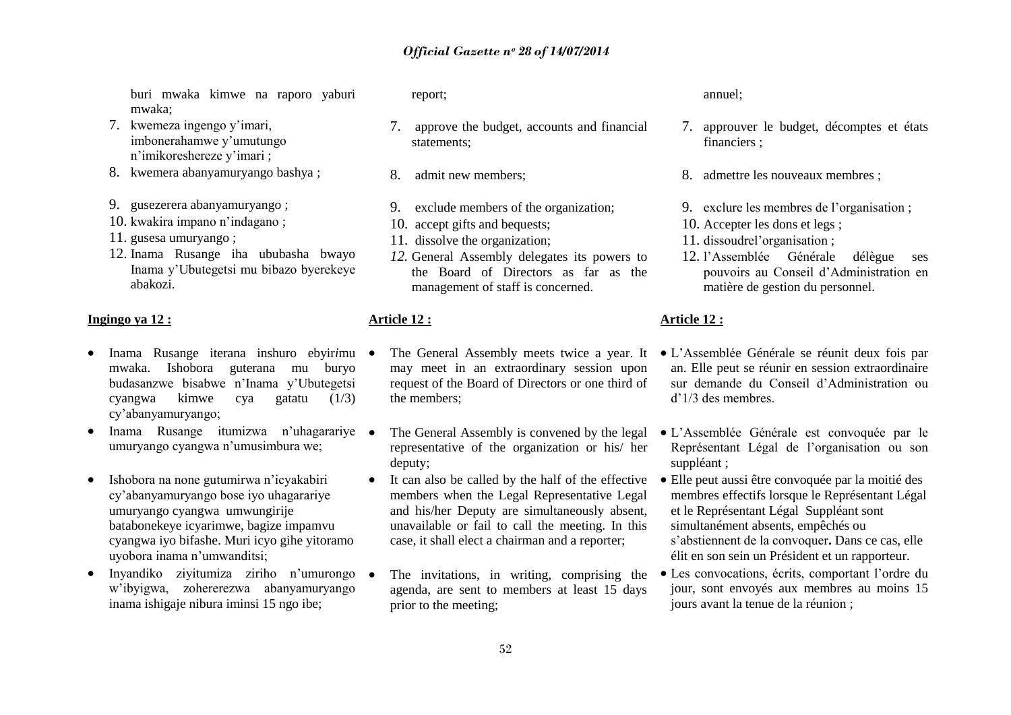buri mwaka kimwe na raporo yaburi mwaka;

- 7. kwemeza ingengo y"imari, imbonerahamwe y"umutungo n"imikoreshereze y"imari ;
- 8. kwemera abanyamuryango bashya ;
- 9. gusezerera abanyamuryango ;
- 10. kwakira impano n"indagano ;
- 11. gusesa umuryango ;
- 12. Inama Rusange iha ububasha bwayo Inama y"Ubutegetsi mu bibazo byerekeye abakozi.

#### **Ingingo ya 12 :**

- Inama Rusange iterana inshuro ebyir*i*mu mwaka. Ishobora guterana mu buryo budasanzwe bisabwe n"Inama y"Ubutegetsi cyangwa kimwe cya gatatu (1/3) cy"abanyamuryango;
- Inama Rusange itumizwa n'uhagarariye umuryango cyangwa n"umusimbura we;
- Ishobora na none gutumirwa n"icyakabiri cy"abanyamuryango bose iyo uhagarariye umuryango cyangwa umwungirije batabonekeye icyarimwe, bagize impamvu cyangwa iyo bifashe. Muri icyo gihe yitoramo uyobora inama n"umwanditsi;
- Invandiko zivitumiza ziriho n'umurongo w"ibyigwa, zohererezwa abanyamuryango inama ishigaje nibura iminsi 15 ngo ibe;

report;

- 7. approve the budget, accounts and financial statements;
- 8. admit new members;
- 9. exclude members of the organization;
- 10. accept gifts and bequests;
- 11. dissolve the organization;
- *12.* General Assembly delegates its powers to the Board of Directors as far as the management of staff is concerned.

#### **Article 12 :**

- may meet in an extraordinary session upon request of the Board of Directors or one third of the members;
- The General Assembly is convened by the legal representative of the organization or his/ her deputy;
- It can also be called by the half of the effective members when the Legal Representative Legal and his/her Deputy are simultaneously absent, unavailable or fail to call the meeting. In this case, it shall elect a chairman and a reporter;
- The invitations, in writing, comprising the agenda, are sent to members at least 15 days prior to the meeting;

annuel;

- 7. approuver le budget, décomptes et états financiers ;
- 8. admettre les nouveaux membres ;
- 9. exclure les membres de l"organisation ;
- 10. Accepter les dons et legs ;
- 11. dissoudrel"organisation ;
- 12. l"Assemblée Générale délègue ses pouvoirs au Conseil d"Administration en matière de gestion du personnel.

#### **Article 12 :**

- The General Assembly meets twice a year. It L'Assemblée Générale se réunit deux fois par an. Elle peut se réunir en session extraordinaire sur demande du Conseil d"Administration ou d"1/3 des membres.
	- L"Assemblée Générale est convoquée par le Représentant Légal de l"organisation ou son suppléant ;
	- Elle peut aussi être convoquée par la moitié des membres effectifs lorsque le Représentant Légal et le Représentant Légal Suppléant sont simultanément absents, empêchés ou s"abstiennent de la convoquer**.** Dans ce cas, elle élit en son sein un Président et un rapporteur.
	- Les convocations, écrits, comportant l"ordre du jour, sont envoyés aux membres au moins 15 jours avant la tenue de la réunion ;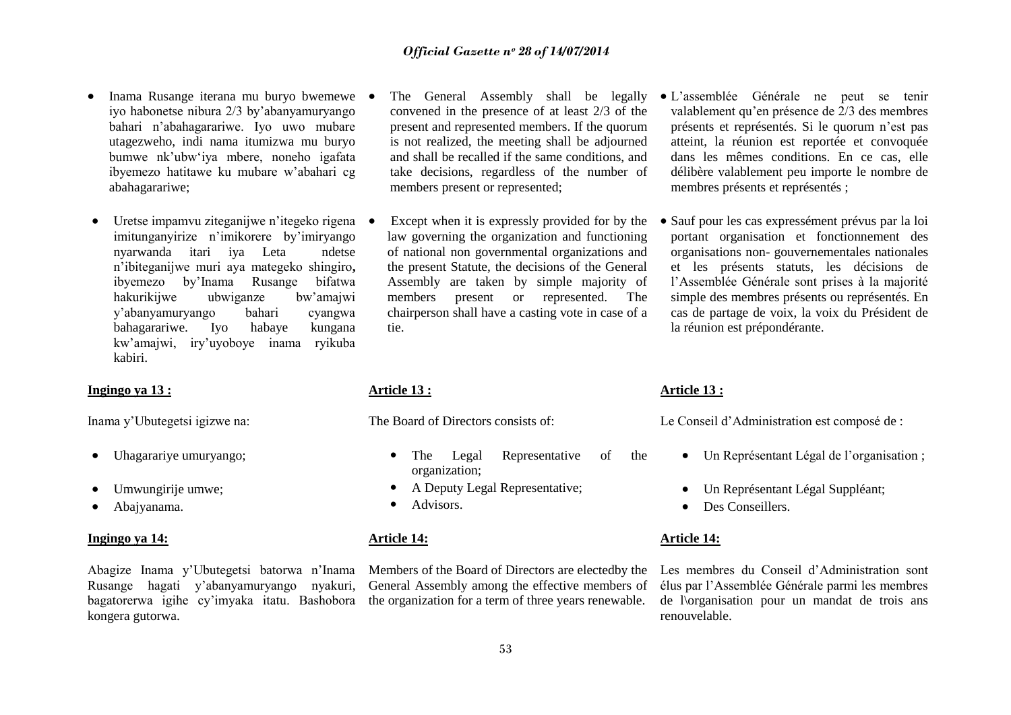- Inama Rusange iterana mu buryo bwemewe iyo habonetse nibura 2/3 by"abanyamuryango bahari n"abahagarariwe. Iyo uwo mubare utagezweho, indi nama itumizwa mu buryo bumwe nk"ubw"iya mbere, noneho igafata ibyemezo hatitawe ku mubare w"abahari cg abahagarariwe;
- Uretse impamvu ziteganijwe n'itegeko rigena imitunganyirize n"imikorere by"imiryango nyarwanda itari iya Leta ndetse n"ibiteganijwe muri aya mategeko shingiro**,**  ibyemezo by"Inama Rusange bifatwa hakurikijwe ubwiganze bw"amajwi y"abanyamuryango bahari cyangwa bahagarariwe. Iyo habaye kungana kw"amajwi, iry"uyoboye inama ryikuba kabiri.

## **Ingingo ya 13 :**

Inama y"Ubutegetsi igizwe na:

- Uhagarariye umuryango;
- Umwungirije umwe;
- Abajyanama.

#### **Ingingo ya 14:**

Rusange hagati y"abanyamuryango nyakuri, kongera gutorwa.

- The General Assembly shall be legally convened in the presence of at least 2/3 of the present and represented members. If the quorum is not realized, the meeting shall be adjourned and shall be recalled if the same conditions, and take decisions, regardless of the number of members present or represented;
- Except when it is expressly provided for by the law governing the organization and functioning of national non governmental organizations and the present Statute, the decisions of the General Assembly are taken by simple majority of members present or represented. The chairperson shall have a casting vote in case of a tie.

#### **Article 13 :**

The Board of Directors consists of:

- The Legal Representative of the organization;
- A Deputy Legal Representative;
- Advisors.

#### **Article 14:**

Abagize Inama y"Ubutegetsi batorwa n"Inama Members of the Board of Directors are electedby the bagatorerwa igihe cy'imyaka itatu. Bashobora the organization for a term of three years renewable. General Assembly among the effective members of

- L"assemblée Générale ne peut se tenir valablement qu"en présence de 2/3 des membres présents et représentés. Si le quorum n"est pas atteint, la réunion est reportée et convoquée dans les mêmes conditions. En ce cas, elle délibère valablement peu importe le nombre de membres présents et représentés ;
- Sauf pour les cas expressément prévus par la loi portant organisation et fonctionnement des organisations non- gouvernementales nationales et les présents statuts, les décisions de l"Assemblée Générale sont prises à la majorité simple des membres présents ou représentés. En cas de partage de voix, la voix du Président de la réunion est prépondérante.

#### **Article 13 :**

Le Conseil d"Administration est composé de :

- Un Représentant Légal de l"organisation ;
- Un Représentant Légal Suppléant;
- Des Conseillers.

#### **Article 14:**

Les membres du Conseil d"Administration sont élus par l"Assemblée Générale parmi les membres de l\organisation pour un mandat de trois ans renouvelable.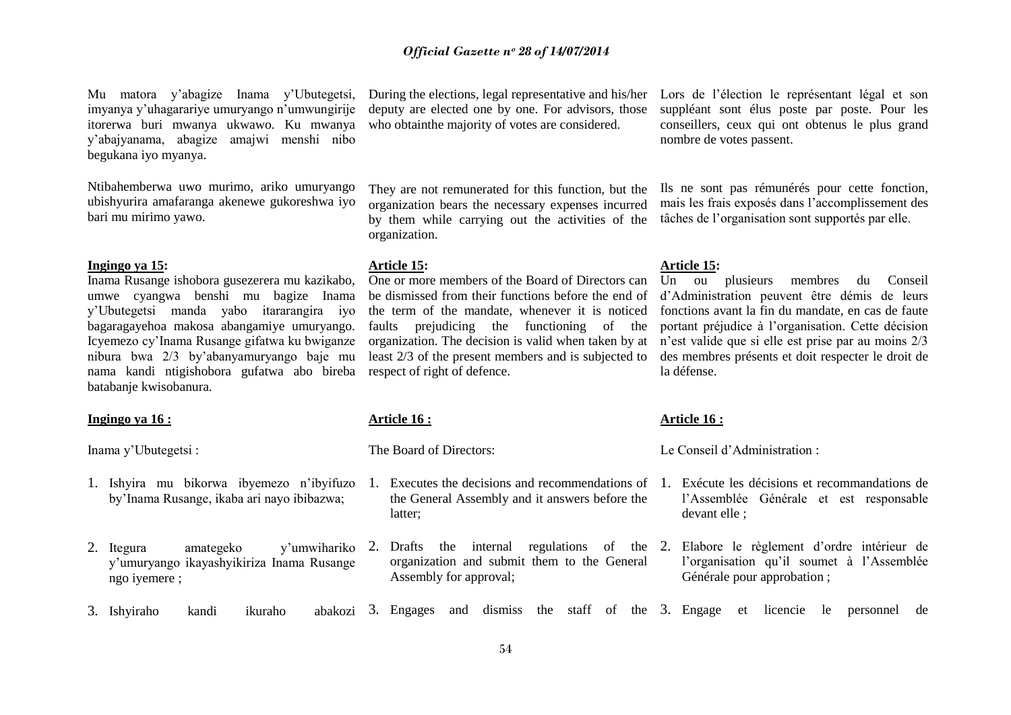Mu matora y"abagize Inama y"Ubutegetsi, imyanya y"uhagarariye umuryango n"umwungirije itorerwa buri mwanya ukwawo. Ku mwanya y"abajyanama, abagize amajwi menshi nibo begukana iyo myanya.

Ntibahemberwa uwo murimo, ariko umuryango ubishyurira amafaranga akenewe gukoreshwa iyo bari mu mirimo yawo.

#### **Ingingo ya 15:**

Inama Rusange ishobora gusezerera mu kazikabo, umwe cyangwa benshi mu bagize Inama y"Ubutegetsi manda yabo itararangira iyo bagaragayehoa makosa abangamiye umuryango. Icyemezo cy"Inama Rusange gifatwa ku bwiganze nibura bwa 2/3 by"abanyamuryango baje mu nama kandi ntigishobora gufatwa abo bireba respect of right of defence. batabanje kwisobanura.

#### **Ingingo ya 16 :**

Inama y"Ubutegetsi :

- 1. Ishyira mu bikorwa ibyemezo n"ibyifuzo by"Inama Rusange, ikaba ari nayo ibibazwa;
- 2. Itegura amategeko y'umwihariko 2. y"umuryango ikayashyikiriza Inama Rusange ngo iyemere ;

During the elections, legal representative and his/her deputy are elected one by one. For advisors, those who obtainthe majority of votes are considered.

They are not remunerated for this function, but the organization bears the necessary expenses incurred by them while carrying out the activities of the organization.

#### **Article 15:**

One or more members of the Board of Directors can be dismissed from their functions before the end of the term of the mandate, whenever it is noticed faults prejudicing the functioning of the organization. The decision is valid when taken by at least 2/3 of the present members and is subjected to

#### **Article 16 :**

The Board of Directors:

- 1. Executes the decisions and recommendations of the General Assembly and it answers before the latter;
	- Drafts the internal regulations of the 2. organization and submit them to the General Assembly for approval;

Lors de l"élection le représentant légal et son suppléant sont élus poste par poste. Pour les conseillers, ceux qui ont obtenus le plus grand nombre de votes passent.

Ils ne sont pas rémunérés pour cette fonction, mais les frais exposés dans l"accomplissement des tâches de l"organisation sont supportés par elle.

#### **Article 15:**

Un ou plusieurs membres du Conseil d"Administration peuvent être démis de leurs fonctions avant la fin du mandate, en cas de faute portant préjudice à l"organisation. Cette décision n"est valide que si elle est prise par au moins 2/3 des membres présents et doit respecter le droit de la défense.

#### **Article 16 :**

Le Conseil d"Administration :

- 1. Exécute les décisions et recommandations de l"Assemblée Générale et est responsable devant elle ;
- 2. Elabore le règlement d"ordre intérieur de l"organisation qu"il soumet à l"Assemblée Générale pour approbation ;
- 3. Ishyiraho kandi ikuraho 3. Engages and dismiss the staff of the 3. Engage et licencie le personnel de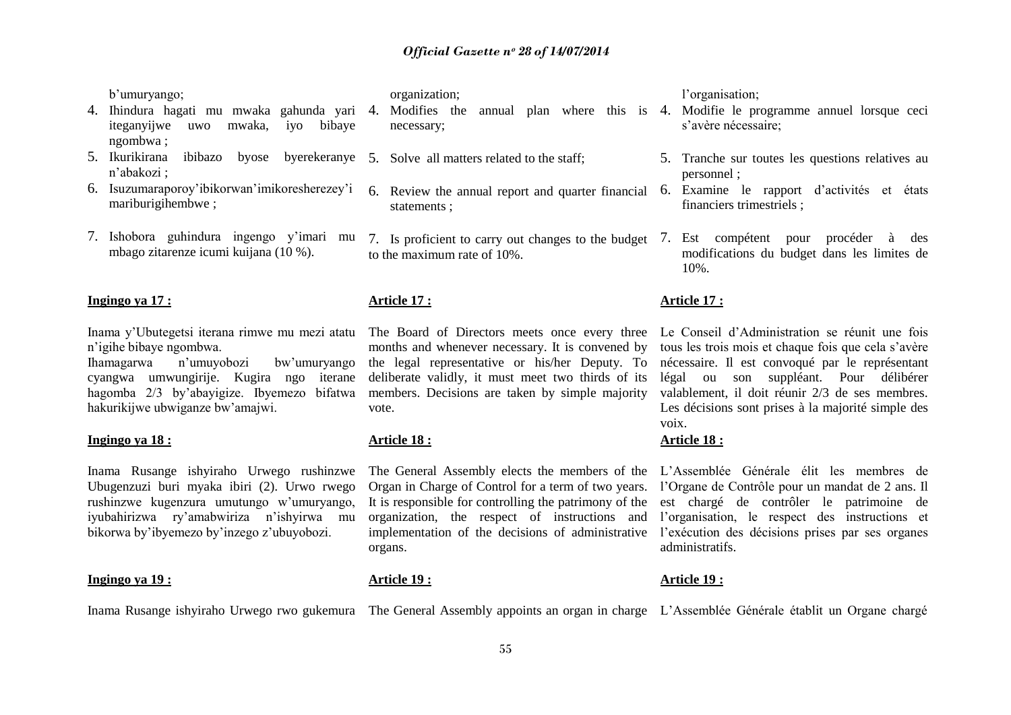b"umuryango;

- 4. Ihindura hagati mu mwaka gahunda yari 4. Modifies the annual plan where this is 4. Modifie le programme annuel lorsque ceci iteganyijwe uwo mwaka, iyo bibaye ngombwa ;
- 5. Ikurikirana ibibazo byose byerekeranye 5. Solve all matters related to the staff; n"abakozi ;
- 6. Isuzumaraporoy"ibikorwan"imikoresherezey"i mariburigihembwe ;
- 7. Ishobora guhindura ingengo y"imari mu mbago zitarenze icumi kuijana (10 %).

#### **Ingingo ya 17 :**

n"igihe bibaye ngombwa.

Ihamagarwa n"umuyobozi bw"umuryango cyangwa umwungirije. Kugira ngo iterane hagomba 2/3 by"abayigize. Ibyemezo bifatwa hakurikijwe ubwiganze bw"amajwi.

#### **Ingingo ya 18 :**

Inama Rusange ishyiraho Urwego rushinzwe Ubugenzuzi buri myaka ibiri (2). Urwo rwego rushinzwe kugenzura umutungo w"umuryango, iyubahirizwa ry"amabwiriza n"ishyirwa mu bikorwa by"ibyemezo by"inzego z"ubuyobozi.

#### **Ingingo ya 19 :**

#### organization;

- necessary;
- 
- statements ;
- to the maximum rate of 10%.

### **Article 17 :**

months and whenever necessary. It is convened by the legal representative or his/her Deputy. To deliberate validly, it must meet two thirds of its members. Decisions are taken by simple majority vote.

### **Article 18 :**

**Article 19 :**

Organ in Charge of Control for a term of two years. It is responsible for controlling the patrimony of the organization, the respect of instructions and implementation of the decisions of administrative organs.

Inama Rusange ishyiraho Urwego rwo gukemura The General Assembly appoints an organ in charge L'Assemblée Générale établit un Organe chargé

#### l'organisation:

- s"avère nécessaire;
- 5. Tranche sur toutes les questions relatives au personnel ;
- 6. Review the annual report and quarter financial 6. Examine le rapport d"activités et états financiers trimestriels ;
- 7. Is proficient to carry out changes to the budget 7. Est compétent pour procéder à des modifications du budget dans les limites de 10%.

#### **Article 17 :**

Inama y"Ubutegetsi iterana rimwe mu mezi atatu The Board of Directors meets once every three Le Conseil d"Administration se réunit une fois tous les trois mois et chaque fois que cela s"avère nécessaire. Il est convoqué par le représentant légal ou son suppléant. Pour délibérer valablement, il doit réunir 2/3 de ses membres. Les décisions sont prises à la majorité simple des voix.

#### **Article 18 :**

The General Assembly elects the members of the L"Assemblée Générale élit les membres de l"Organe de Contrôle pour un mandat de 2 ans. Il est chargé de contrôler le patrimoine de l"organisation, le respect des instructions et l'exécution des décisions prises par ses organes administratifs.

#### **Article 19 :**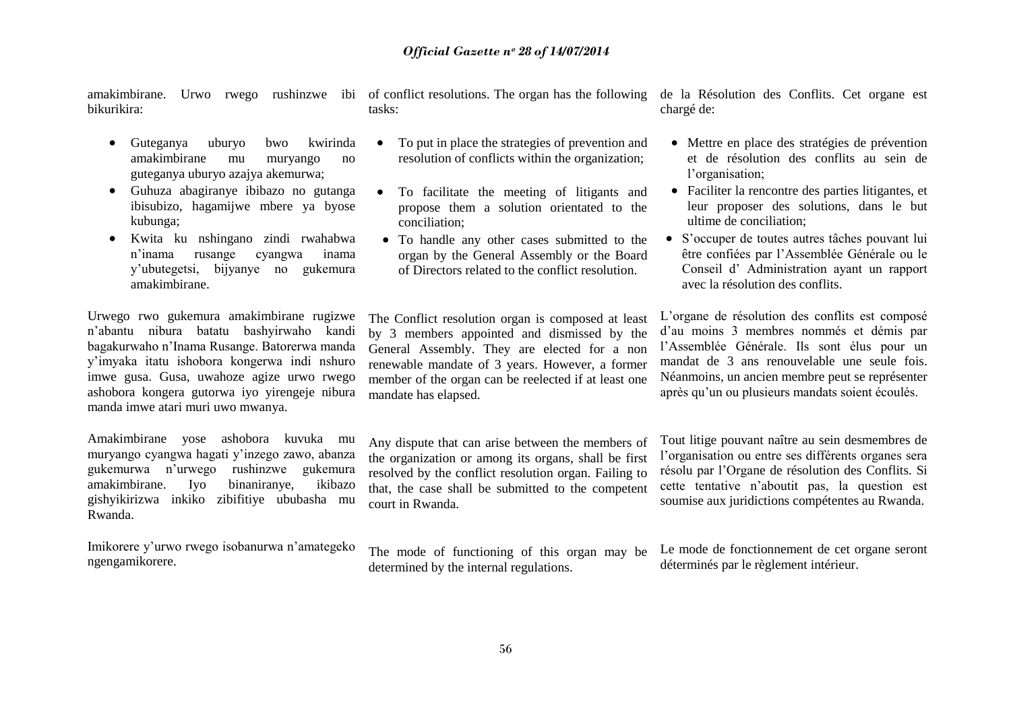bikurikira:

- Guteganya uburyo bwo kwirinda amakimbirane mu muryango no guteganya uburyo azajya akemurwa;
- Guhuza abagiranye ibibazo no gutanga ibisubizo, hagamijwe mbere ya byose kubunga;
- Kwita ku nshingano zindi rwahabwa n"inama rusange cyangwa inama y"ubutegetsi, bijyanye no gukemura amakimbirane.

Urwego rwo gukemura amakimbirane rugizwe n"abantu nibura batatu bashyirwaho kandi bagakurwaho n"Inama Rusange. Batorerwa manda y"imyaka itatu ishobora kongerwa indi nshuro imwe gusa. Gusa, uwahoze agize urwo rwego ashobora kongera gutorwa iyo yirengeje nibura manda imwe atari muri uwo mwanya.

Amakimbirane yose ashobora kuvuka mu muryango cyangwa hagati y"inzego zawo, abanza gukemurwa n"urwego rushinzwe gukemura amakimbirane. Iyo binaniranye, ikibazo gishyikirizwa inkiko zibifitiye ububasha mu Rwanda.

Imikorere y"urwo rwego isobanurwa n"amategeko ngengamikorere.

amakimbirane. Urwo rwego rushinzwe ibi of conflict resolutions. The organ has the following tasks:

- To put in place the strategies of prevention and resolution of conflicts within the organization;
- To facilitate the meeting of litigants and propose them a solution orientated to the conciliation;
- To handle any other cases submitted to the organ by the General Assembly or the Board of Directors related to the conflict resolution.

de la Résolution des Conflits. Cet organe est chargé de:

- Mettre en place des stratégies de prévention et de résolution des conflits au sein de l'organisation;
- Faciliter la rencontre des parties litigantes, et leur proposer des solutions, dans le but ultime de conciliation;
- S'occuper de toutes autres tâches pouvant lui être confiées par l"Assemblée Générale ou le Conseil d" Administration ayant un rapport avec la résolution des conflits.

The Conflict resolution organ is composed at least by 3 members appointed and dismissed by the General Assembly. They are elected for a non renewable mandate of 3 years. However, a former member of the organ can be reelected if at least one mandate has elapsed.

Any dispute that can arise between the members of the organization or among its organs, shall be first resolved by the conflict resolution organ. Failing to that, the case shall be submitted to the competent court in Rwanda.

The mode of functioning of this organ may be determined by the internal regulations.

L"organe de résolution des conflits est composé d"au moins 3 membres nommés et démis par l"Assemblée Générale. Ils sont élus pour un mandat de 3 ans renouvelable une seule fois. Néanmoins, un ancien membre peut se représenter après qu"un ou plusieurs mandats soient écoulés.

Tout litige pouvant naître au sein desmembres de l"organisation ou entre ses différents organes sera résolu par l"Organe de résolution des Conflits. Si cette tentative n"aboutit pas, la question est soumise aux juridictions compétentes au Rwanda.

Le mode de fonctionnement de cet organe seront déterminés par le règlement intérieur.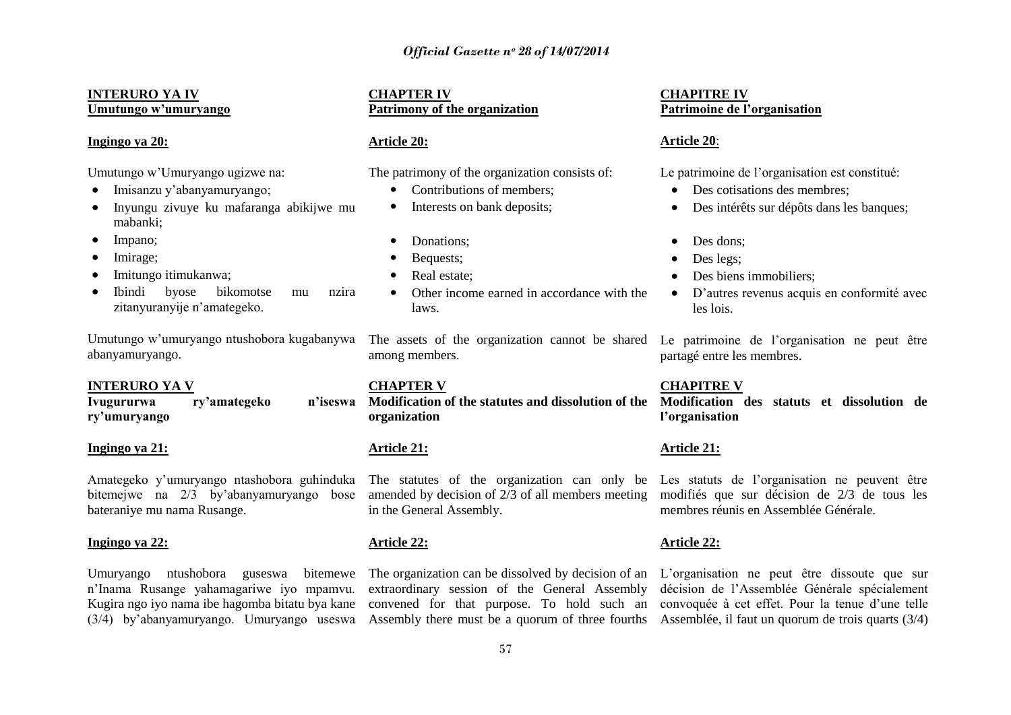#### **INTERURO YA IV Umutungo w"umuryango**

#### **Ingingo ya 20:**

Umutungo w"Umuryango ugizwe na:

- Imisanzu y'abanyamuryango;
- Inyungu zivuye ku mafaranga abikijwe mu mabanki;
- Impano;
- Imirage;
- Imitungo itimukanwa;
- Ibindi byose bikomotse mu nzira zitanyuranyije n"amategeko.

Umutungo w"umuryango ntushobora kugabanywa The assets of the organization cannot be shared abanyamuryango.

#### **INTERURO YA V**

**Ivugururwa ry"amategeko n"iseswa ry"umuryango**

#### **Ingingo ya 21:**

Amategeko y"umuryango ntashobora guhinduka bitemejwe na 2/3 by"abanyamuryango bose bateraniye mu nama Rusange.

#### **Ingingo ya 22:**

Umuryango ntushobora guseswa n"Inama Rusange yahamagariwe iyo mpamvu.

#### **CHAPTER IV Patrimony of the organization**

#### **Article 20:**

The patrimony of the organization consists of:

- Contributions of members:
- Interests on bank deposits;
- Donations:
- Bequests;
- Real estate:
- Other income earned in accordance with the laws.

among members.

**CHAPTER V Modification of the statutes and dissolution of the Modification des statuts et dissolution de organization**

#### **Article 21:**

amended by decision of 2/3 of all members meeting modifiés que sur décision de 2/3 de tous les in the General Assembly.

#### **Article 22:**

Kugira ngo iyo nama ibe hagomba bitatu bya kane convened for that purpose. To hold such an convoquée à cet effet. Pour la tenue d"une telle extraordinary session of the General Assembly

#### **CHAPITRE IV Patrimoine de l"organisation**

#### **Article 20**:

Le patrimoine de l"organisation est constitué:

- Des cotisations des membres:
- Des intérêts sur dépôts dans les banques:
- Des dons;
- Des legs;
- Des biens immobiliers;
- D"autres revenus acquis en conformité avec les lois.

Le patrimoine de l'organisation ne peut être partagé entre les membres.

#### **CHAPITRE V**

**l"organisation**

#### **Article 21:**

The statutes of the organization can only be Les statuts de l'organisation ne peuvent être membres réunis en Assemblée Générale.

#### **Article 22:**

(3/4) by'abanyamuryango. Umuryango useswa Assembly there must be a quorum of three fourths Assemblée, il faut un quorum de trois quarts (3/4) The organization can be dissolved by decision of an L"organisation ne peut être dissoute que sur décision de l"Assemblée Générale spécialement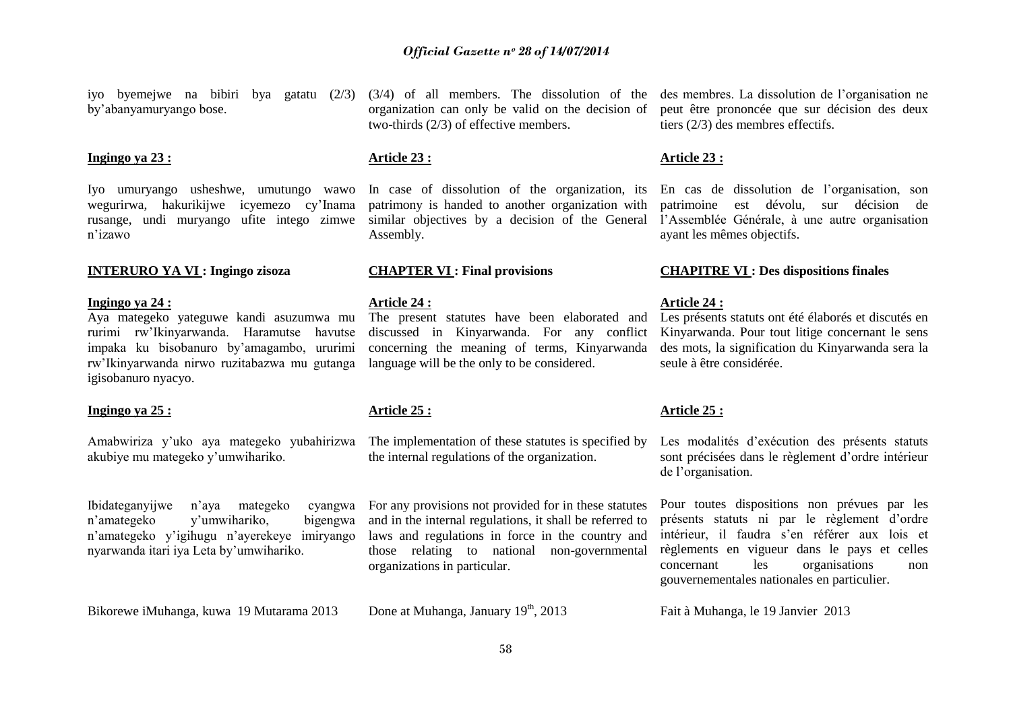by"abanyamuryango bose.

#### **Ingingo ya 23 :**

Iyo umuryango usheshwe, umutungo wawo wegurirwa, hakurikijwe icyemezo cy"Inama rusange, undi muryango ufite intego zimwe n"izawo

#### **Ingingo ya 24 :**

Aya mategeko yateguwe kandi asuzumwa mu rurimi rw"Ikinyarwanda. Haramutse havutse impaka ku bisobanuro by"amagambo, ururimi rw"Ikinyarwanda nirwo ruzitabazwa mu gutanga igisobanuro nyacyo.

#### **Ingingo ya 25 :**

akubiye mu mategeko y"umwihariko.

Ibidateganyijwe n'aya mategeko n"amategeko y"umwihariko, bigengwa n"amategeko y"igihugu n"ayerekeye imiryango nyarwanda itari iya Leta by"umwihariko.

Bikorewe iMuhanga, kuwa 19 Mutarama 2013 Done at Muhanga, January 19<sup>th</sup>, 2013 Fait à Muhanga, le 19 Janvier 2013

organization can only be valid on the decision of two-thirds (2/3) of effective members.

#### **Article 23 :**

In case of dissolution of the organization, its patrimony is handed to another organization with similar objectives by a decision of the General Assembly.

#### **Article 24 :**

The present statutes have been elaborated and discussed in Kinyarwanda. For any conflict concerning the meaning of terms, Kinyarwanda language will be the only to be considered.

#### **Article 25 :**

Amabwiriza y'uko aya mategeko yubahirizwa The implementation of these statutes is specified by the internal regulations of the organization.

> For any provisions not provided for in these statutes and in the internal regulations, it shall be referred to laws and regulations in force in the country and those relating to national non-governmental organizations in particular.

iyo byemejwe na bibiri bya gatatu (2/3) (3/4) of all members. The dissolution of the des membres. La dissolution de l"organisation ne peut être prononcée que sur décision des deux tiers (2/3) des membres effectifs.

#### **Article 23 :**

En cas de dissolution de l"organisation, son patrimoine est dévolu, sur décision de l"Assemblée Générale, à une autre organisation ayant les mêmes objectifs.

#### **INTERURO YA VI : Ingingo zisoza CHAPTER VI : Final provisions CHAPITRE VI : Des dispositions finales**

#### **Article 24 :**

Les présents statuts ont été élaborés et discutés en Kinyarwanda. Pour tout litige concernant le sens des mots, la signification du Kinyarwanda sera la seule à être considérée.

#### **Article 25 :**

Les modalités d'exécution des présents statuts sont précisées dans le règlement d"ordre intérieur de l"organisation.

Pour toutes dispositions non prévues par les présents statuts ni par le règlement d"ordre intérieur, il faudra s'en référer aux lois et règlements en vigueur dans le pays et celles concernant les organisations non gouvernementales nationales en particulier.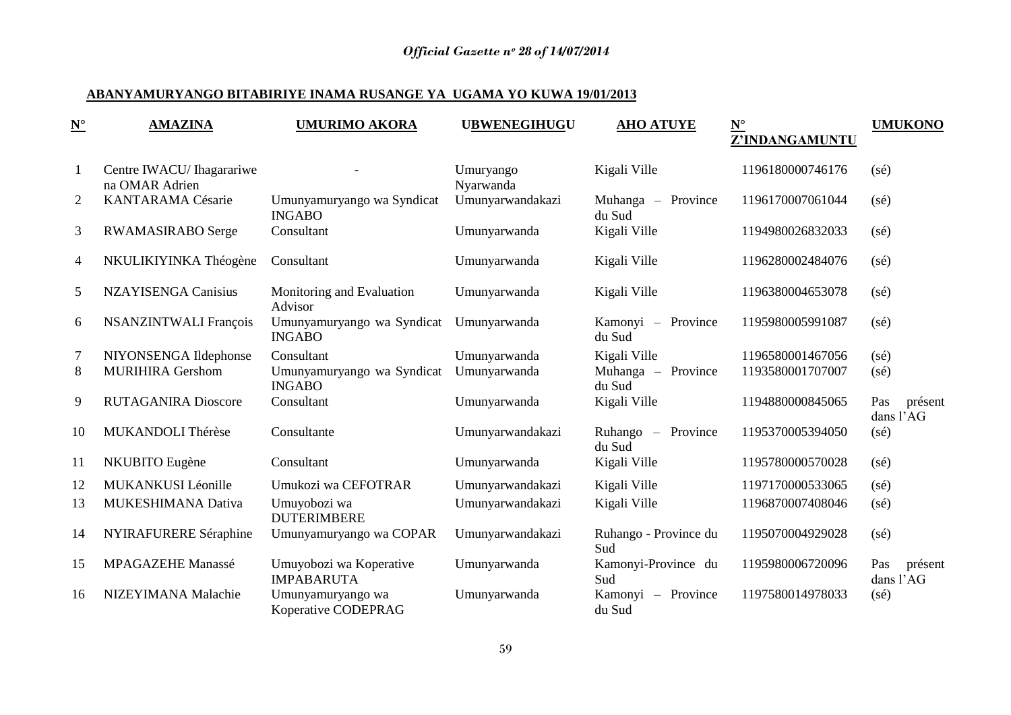## **ABANYAMURYANGO BITABIRIYE INAMA RUSANGE YA UGAMA YO KUWA 19/01/2013**

| $\underline{\mathbf{N}}^\circ$ | <b>AMAZINA</b>                              | <b>UMURIMO AKORA</b>                         | <b>UBWENEGIHUGU</b>    | <b>AHO ATUYE</b>             | $\underline{\mathbf{N}}^\circ$<br>Z'INDANGAMUNTU | <b>UMUKONO</b>              |
|--------------------------------|---------------------------------------------|----------------------------------------------|------------------------|------------------------------|--------------------------------------------------|-----------------------------|
| -1                             | Centre IWACU/ Ihagarariwe<br>na OMAR Adrien |                                              | Umuryango<br>Nyarwanda | Kigali Ville                 | 1196180000746176                                 | $(s\acute{e})$              |
| 2                              | KANTARAMA Césarie                           | Umunyamuryango wa Syndicat<br><b>INGABO</b>  | Umunyarwandakazi       | Muhanga – Province<br>du Sud | 1196170007061044                                 | $(s\acute{e})$              |
| 3                              | RWAMASIRABO Serge                           | Consultant                                   | Umunyarwanda           | Kigali Ville                 | 1194980026832033                                 | $(s\acute{e})$              |
| 4                              | NKULIKIYINKA Théogène                       | Consultant                                   | Umunyarwanda           | Kigali Ville                 | 1196280002484076                                 | $(s\acute{e})$              |
| 5                              | <b>NZAYISENGA Canisius</b>                  | Monitoring and Evaluation<br>Advisor         | Umunyarwanda           | Kigali Ville                 | 1196380004653078                                 | $(s\acute{e})$              |
| 6                              | <b>NSANZINTWALI François</b>                | Umunyamuryango wa Syndicat<br><b>INGABO</b>  | Umunyarwanda           | Kamonyi – Province<br>du Sud | 1195980005991087                                 | $(s\acute{e})$              |
| $\tau$                         | NIYONSENGA Ildephonse                       | Consultant                                   | Umunyarwanda           | Kigali Ville                 | 1196580001467056                                 | $(s\acute{e})$              |
| 8                              | <b>MURIHIRA Gershom</b>                     | Umunyamuryango wa Syndicat<br><b>INGABO</b>  | Umunyarwanda           | Muhanga - Province<br>du Sud | 1193580001707007                                 | (sé)                        |
| 9                              | <b>RUTAGANIRA Dioscore</b>                  | Consultant                                   | Umunyarwanda           | Kigali Ville                 | 1194880000845065                                 | Pas<br>présent<br>dans l'AG |
| 10                             | MUKANDOLI Thérèse                           | Consultante                                  | Umunyarwandakazi       | Ruhango – Province<br>du Sud | 1195370005394050                                 | $(s\acute{e})$              |
| 11                             | NKUBITO Eugène                              | Consultant                                   | Umunyarwanda           | Kigali Ville                 | 1195780000570028                                 | $(s\acute{e})$              |
| 12                             | MUKANKUSI Léonille                          | Umukozi wa CEFOTRAR                          | Umunyarwandakazi       | Kigali Ville                 | 1197170000533065                                 | $(s\acute{e})$              |
| 13                             | MUKESHIMANA Dativa                          | Umuyobozi wa<br><b>DUTERIMBERE</b>           | Umunyarwandakazi       | Kigali Ville                 | 1196870007408046                                 | $(s\acute{e})$              |
| 14                             | NYIRAFURERE Séraphine                       | Umunyamuryango wa COPAR                      | Umunyarwandakazi       | Ruhango - Province du<br>Sud | 1195070004929028                                 | $(s\acute{e})$              |
| 15                             | <b>MPAGAZEHE Manassé</b>                    | Umuyobozi wa Koperative<br><b>IMPABARUTA</b> | Umunyarwanda           | Kamonyi-Province du<br>Sud   | 1195980006720096                                 | Pas<br>présent<br>dans l'AG |
| 16                             | NIZEYIMANA Malachie                         | Umunyamuryango wa<br>Koperative CODEPRAG     | Umunyarwanda           | Kamonyi – Province<br>du Sud | 1197580014978033                                 | $(s\acute{e})$              |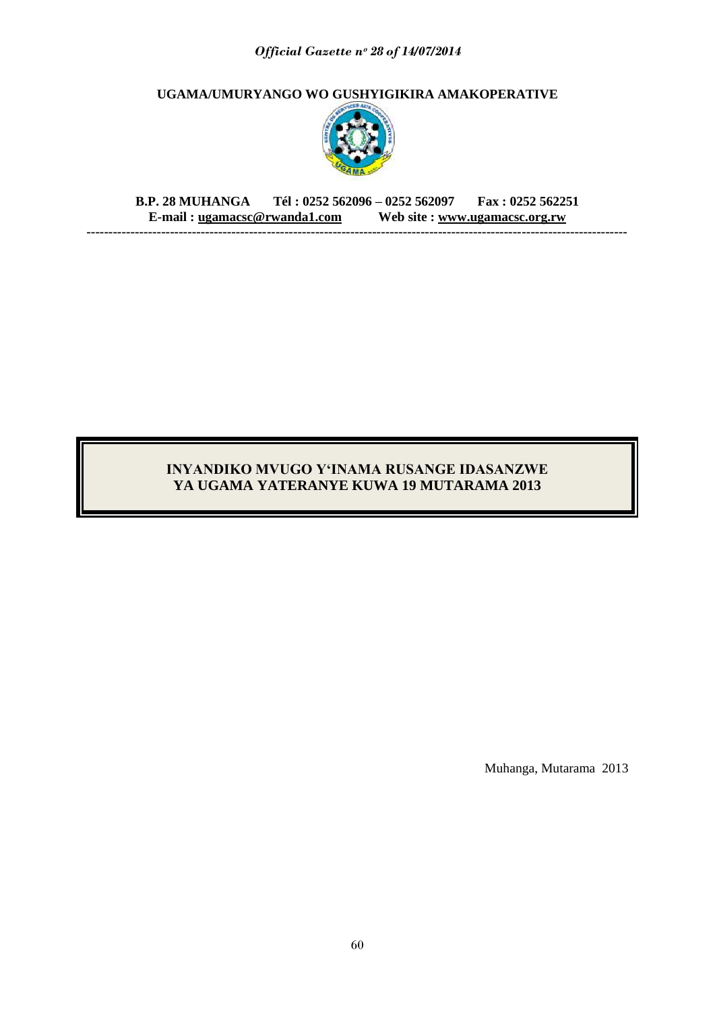**UGAMA/UMURYANGO WO GUSHYIGIKIRA AMAKOPERATIVE** 



**B.P. 28 MUHANGA Tél : 0252 562096 – 0252 562097 Fax : 0252 562251 E-mail : [ugamacsc@rwanda1.com](mailto:ugamacsc@~rwanda1.com) Web site : [www.ugamacsc.org.rw](http://www.ugamacsc.org.rw/) ---------------------------------------------------------------------------------------------------------------------------**

## **INYANDIKO MVUGO Y"INAMA RUSANGE IDASANZWE YA UGAMA YATERANYE KUWA 19 MUTARAMA 2013**

Muhanga, Mutarama 2013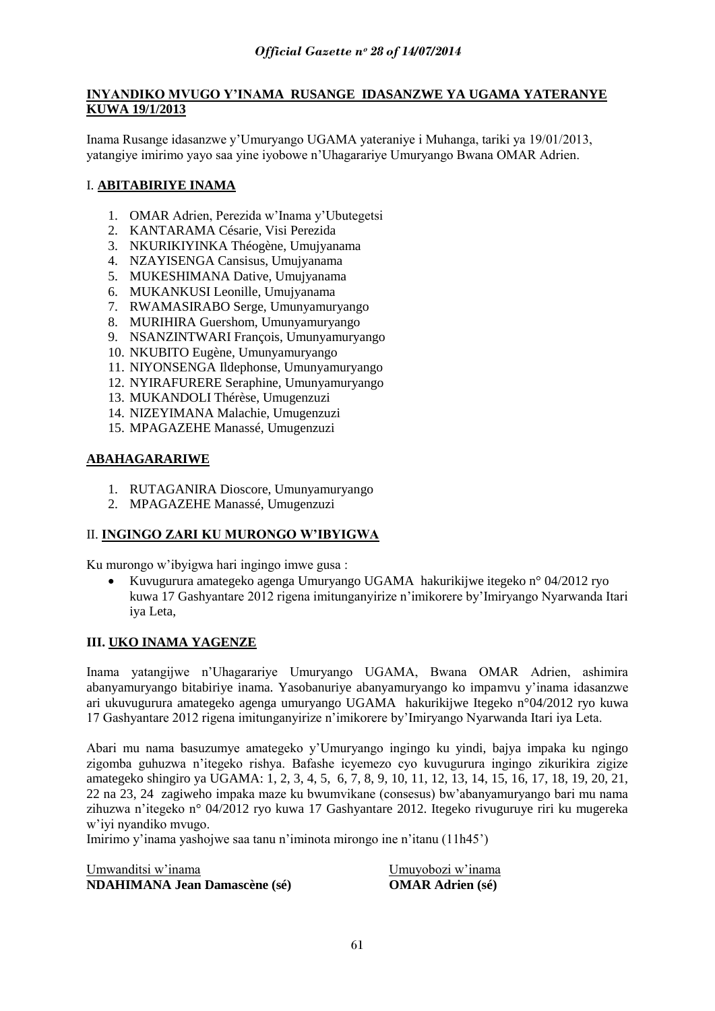## **INYANDIKO MVUGO Y"INAMA RUSANGE IDASANZWE YA UGAMA YATERANYE KUWA 19/1/2013**

Inama Rusange idasanzwe y"Umuryango UGAMA yateraniye i Muhanga, tariki ya 19/01/2013, yatangiye imirimo yayo saa yine iyobowe n"Uhagarariye Umuryango Bwana OMAR Adrien.

## I. **ABITABIRIYE INAMA**

- 1. OMAR Adrien, Perezida w"Inama y"Ubutegetsi
- 2. KANTARAMA Césarie, Visi Perezida
- 3. NKURIKIYINKA Théogène, Umujyanama
- 4. NZAYISENGA Cansisus, Umujyanama
- 5. MUKESHIMANA Dative, Umujyanama
- 6. MUKANKUSI Leonille, Umujyanama
- 7. RWAMASIRABO Serge, Umunyamuryango
- 8. MURIHIRA Guershom, Umunyamuryango
- 9. NSANZINTWARI François, Umunyamuryango
- 10. NKUBITO Eugène, Umunyamuryango
- 11. NIYONSENGA Ildephonse, Umunyamuryango
- 12. NYIRAFURERE Seraphine, Umunyamuryango
- 13. MUKANDOLI Thérèse, Umugenzuzi
- 14. NIZEYIMANA Malachie, Umugenzuzi
- 15. MPAGAZEHE Manassé, Umugenzuzi

## **ABAHAGARARIWE**

- 1. RUTAGANIRA Dioscore, Umunyamuryango
- 2. MPAGAZEHE Manassé, Umugenzuzi

## II. **INGINGO ZARI KU MURONGO W"IBYIGWA**

Ku murongo w"ibyigwa hari ingingo imwe gusa :

 Kuvugurura amategeko agenga Umuryango UGAMA hakurikijwe itegeko n° 04/2012 ryo kuwa 17 Gashyantare 2012 rigena imitunganyirize n"imikorere by"Imiryango Nyarwanda Itari iya Leta,

## **III. UKO INAMA YAGENZE**

Inama yatangijwe n"Uhagarariye Umuryango UGAMA, Bwana OMAR Adrien, ashimira abanyamuryango bitabiriye inama. Yasobanuriye abanyamuryango ko impamvu y"inama idasanzwe ari ukuvugurura amategeko agenga umuryango UGAMA hakurikijwe Itegeko n°04/2012 ryo kuwa 17 Gashyantare 2012 rigena imitunganyirize n"imikorere by"Imiryango Nyarwanda Itari iya Leta.

Abari mu nama basuzumye amategeko y"Umuryango ingingo ku yindi, bajya impaka ku ngingo zigomba guhuzwa n"itegeko rishya. Bafashe icyemezo cyo kuvugurura ingingo zikurikira zigize amategeko shingiro ya UGAMA: 1, 2, 3, 4, 5, 6, 7, 8, 9, 10, 11, 12, 13, 14, 15, 16, 17, 18, 19, 20, 21, 22 na 23, 24 zagiweho impaka maze ku bwumvikane (consesus) bw"abanyamuryango bari mu nama zihuzwa n"itegeko n° 04/2012 ryo kuwa 17 Gashyantare 2012. Itegeko rivuguruye riri ku mugereka w"iyi nyandiko mvugo.

Imirimo y"inama yashojwe saa tanu n"iminota mirongo ine n"itanu (11h45")

Umwanditsi w"inama Umuyobozi w"inama **NDAHIMANA Jean Damascène (sé) OMAR Adrien (sé)**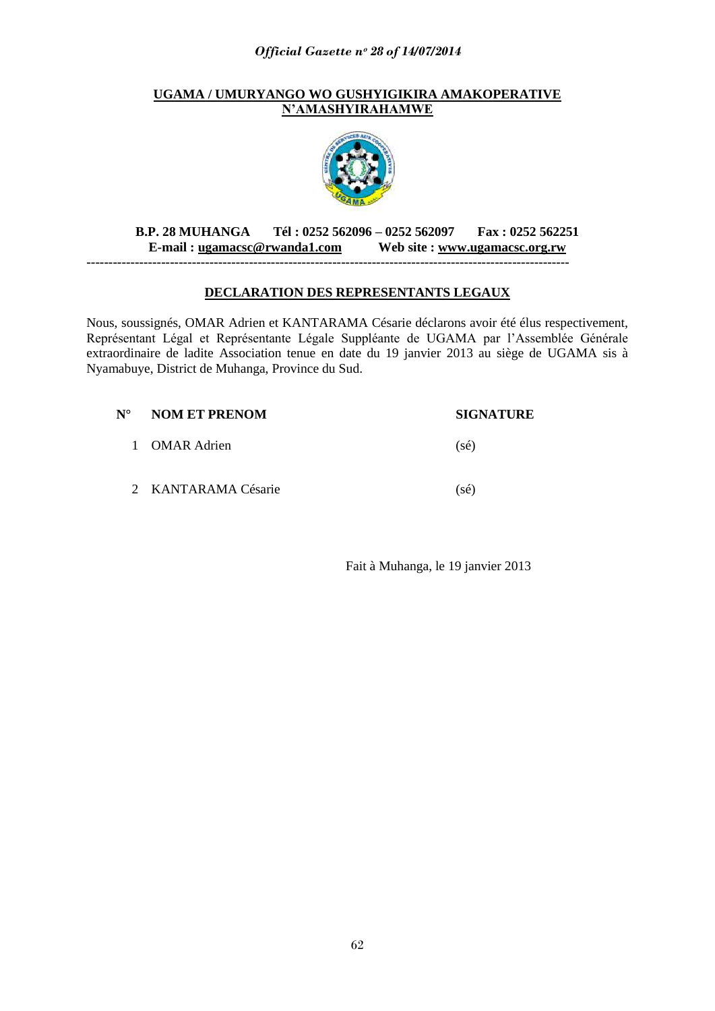## **UGAMA / UMURYANGO WO GUSHYIGIKIRA AMAKOPERATIVE N"AMASHYIRAHAMWE**



## **B.P. 28 MUHANGA Tél : 0252 562096 – 0252 562097 Fax : 0252 562251 E-mail : [ugamacsc@rwanda1.com](mailto:ugamacsc@~rwanda1.com) Web site : [www.ugamacsc.org.rw](http://www.ugamacsc.org.rw/)**

**--------------------------------------------------------------------------------------------------------------**

## **DECLARATION DES REPRESENTANTS LEGAUX**

Nous, soussignés, OMAR Adrien et KANTARAMA Césarie déclarons avoir été élus respectivement, Représentant Légal et Représentante Légale Suppléante de UGAMA par l"Assemblée Générale extraordinaire de ladite Association tenue en date du 19 janvier 2013 au siège de UGAMA sis à Nyamabuye, District de Muhanga, Province du Sud.

| $N^{\circ}$ | NOM ET PRENOM       | <b>SIGNATURE</b> |
|-------------|---------------------|------------------|
|             | 1 OMAR Adrien       | $(s\acute{e})$   |
|             | 2 KANTARAMA Césarie | $(s\acute{e})$   |

Fait à Muhanga, le 19 janvier 2013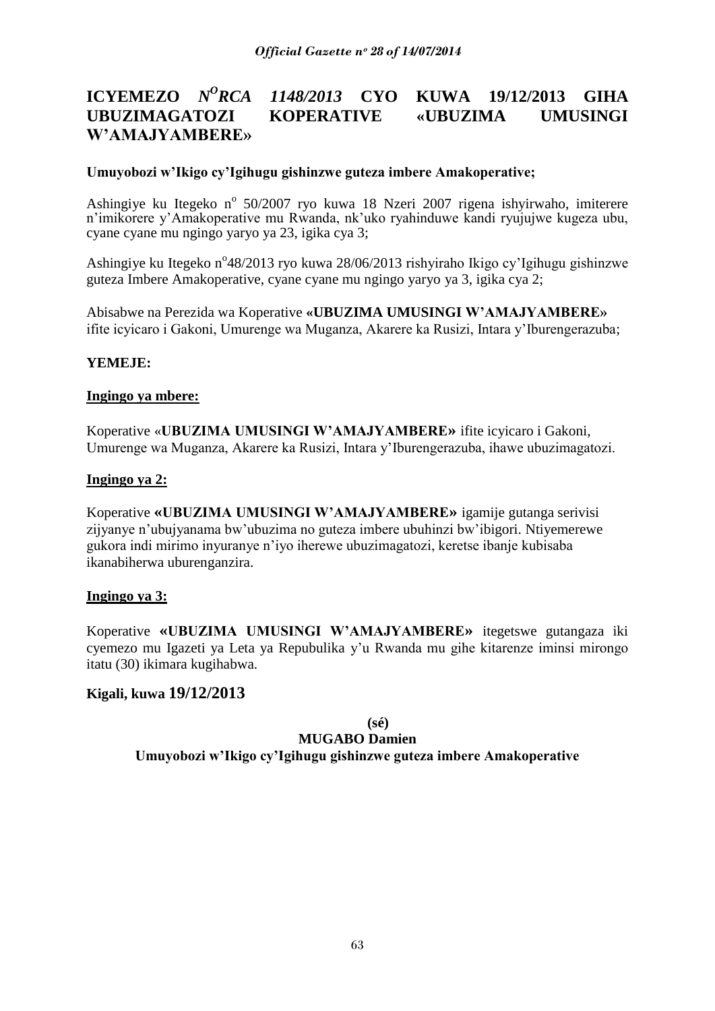#### **ICYEMEZO** *N <sup>O</sup>RCA 1148/2013* **CYO KUWA 19/12/2013 GIHA UBUZIMAGATOZI KOPERATIVE «UBUZIMA UMUSINGI W"AMAJYAMBERE»**

## **Umuyobozi w"Ikigo cy"Igihugu gishinzwe guteza imbere Amakoperative;**

Ashingiye ku Itegeko nº 50/2007 ryo kuwa 18 Nzeri 2007 rigena ishyirwaho, imiterere n"imikorere y"Amakoperative mu Rwanda, nk"uko ryahinduwe kandi ryujujwe kugeza ubu, cyane cyane mu ngingo yaryo ya 23, igika cya 3;

Ashingiye ku Itegeko n°48/2013 ryo kuwa 28/06/2013 rishyiraho Ikigo cy'Igihugu gishinzwe guteza Imbere Amakoperative, cyane cyane mu ngingo yaryo ya 3, igika cya 2;

Abisabwe na Perezida wa Koperative **«UBUZIMA UMUSINGI W"AMAJYAMBERE»**  ifite icyicaro i Gakoni, Umurenge wa Muganza, Akarere ka Rusizi, Intara y"Iburengerazuba;

## **YEMEJE:**

## **Ingingo ya mbere:**

Koperative «**UBUZIMA UMUSINGI W"AMAJYAMBERE»** ifite icyicaro i Gakoni, Umurenge wa Muganza, Akarere ka Rusizi, Intara y"Iburengerazuba, ihawe ubuzimagatozi.

## **Ingingo ya 2:**

Koperative **«UBUZIMA UMUSINGI W"AMAJYAMBERE»** igamije gutanga serivisi zijyanye n"ubujyanama bw"ubuzima no guteza imbere ubuhinzi bw"ibigori. Ntiyemerewe gukora indi mirimo inyuranye n"iyo iherewe ubuzimagatozi, keretse ibanje kubisaba ikanabiherwa uburenganzira.

## **Ingingo ya 3:**

Koperative **«UBUZIMA UMUSINGI W"AMAJYAMBERE»** itegetswe gutangaza iki cyemezo mu Igazeti ya Leta ya Repubulika y"u Rwanda mu gihe kitarenze iminsi mirongo itatu (30) ikimara kugihabwa.

## **Kigali, kuwa 19/12/2013**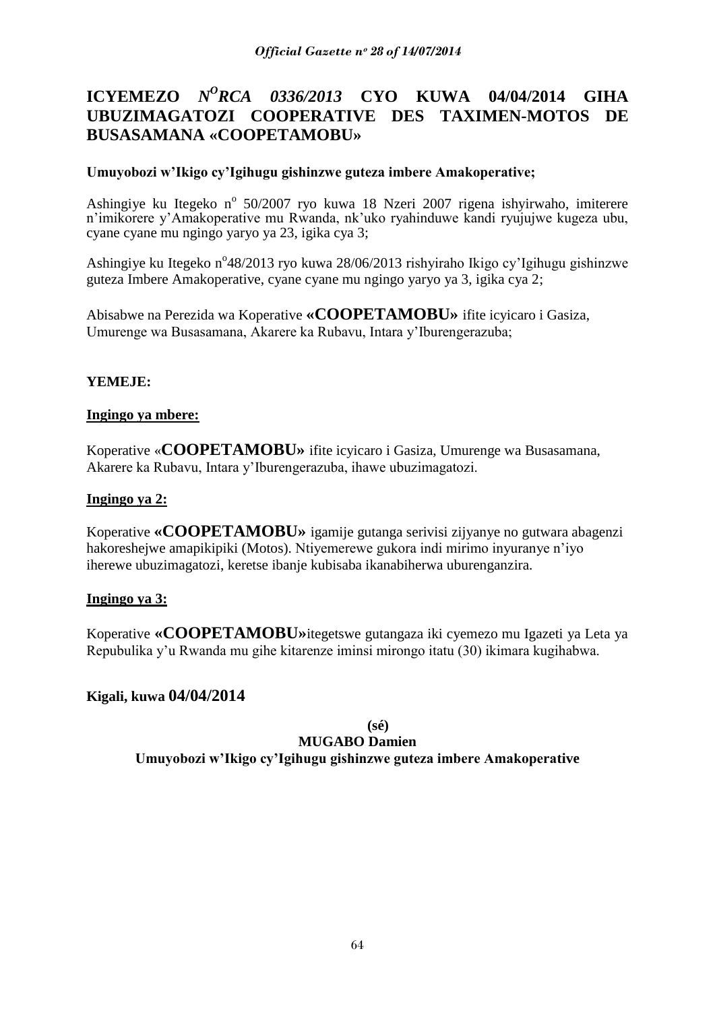# **ICYEMEZO** *N <sup>O</sup>RCA 0336/2013* **CYO KUWA 04/04/2014 GIHA UBUZIMAGATOZI COOPERATIVE DES TAXIMEN-MOTOS DE BUSASAMANA «COOPETAMOBU»**

## **Umuyobozi w"Ikigo cy"Igihugu gishinzwe guteza imbere Amakoperative;**

Ashingiye ku Itegeko nº 50/2007 ryo kuwa 18 Nzeri 2007 rigena ishyirwaho, imiterere n"imikorere y"Amakoperative mu Rwanda, nk"uko ryahinduwe kandi ryujujwe kugeza ubu, cyane cyane mu ngingo yaryo ya 23, igika cya 3;

Ashingiye ku Itegeko n°48/2013 ryo kuwa 28/06/2013 rishyiraho Ikigo cy'Igihugu gishinzwe guteza Imbere Amakoperative, cyane cyane mu ngingo yaryo ya 3, igika cya 2;

Abisabwe na Perezida wa Koperative **«COOPETAMOBU»** ifite icyicaro i Gasiza, Umurenge wa Busasamana, Akarere ka Rubavu, Intara y"Iburengerazuba;

## **YEMEJE:**

## **Ingingo ya mbere:**

Koperative «**COOPETAMOBU»** ifite icyicaro i Gasiza, Umurenge wa Busasamana, Akarere ka Rubavu, Intara y"Iburengerazuba, ihawe ubuzimagatozi.

## **Ingingo ya 2:**

Koperative **«COOPETAMOBU»** igamije gutanga serivisi zijyanye no gutwara abagenzi hakoreshejwe amapikipiki (Motos). Ntiyemerewe gukora indi mirimo inyuranye n"iyo iherewe ubuzimagatozi, keretse ibanje kubisaba ikanabiherwa uburenganzira.

## **Ingingo ya 3:**

Koperative **«COOPETAMOBU»**itegetswe gutangaza iki cyemezo mu Igazeti ya Leta ya Repubulika y"u Rwanda mu gihe kitarenze iminsi mirongo itatu (30) ikimara kugihabwa.

## **Kigali, kuwa 04/04/2014**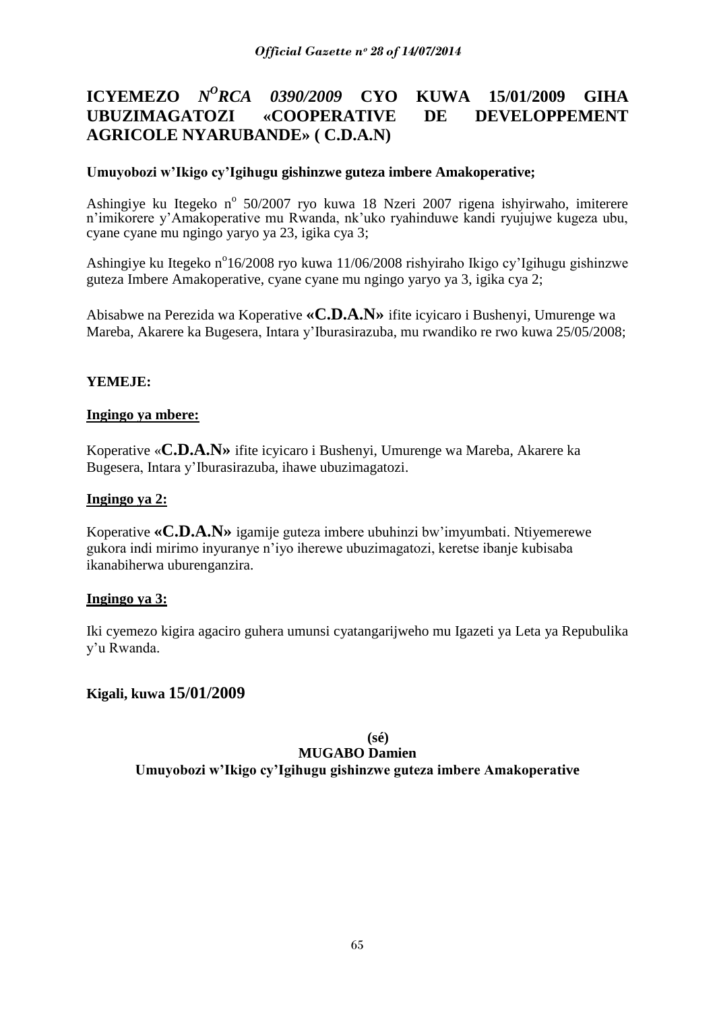#### **ICYEMEZO**  $N^O$ *RCA 0390/2009* CYO *<sup>O</sup>RCA 0390/2009* **CYO KUWA 15/01/2009 GIHA UBUZIMAGATOZI «COOPERATIVE DE DEVELOPPEMENT AGRICOLE NYARUBANDE» ( C.D.A.N)**

## **Umuyobozi w"Ikigo cy"Igihugu gishinzwe guteza imbere Amakoperative;**

Ashingiye ku Itegeko nº 50/2007 ryo kuwa 18 Nzeri 2007 rigena ishyirwaho, imiterere n"imikorere y"Amakoperative mu Rwanda, nk"uko ryahinduwe kandi ryujujwe kugeza ubu, cyane cyane mu ngingo yaryo ya 23, igika cya 3;

Ashingiye ku Itegeko n<sup>o</sup>16/2008 ryo kuwa 11/06/2008 rishyiraho Ikigo cy'Igihugu gishinzwe guteza Imbere Amakoperative, cyane cyane mu ngingo yaryo ya 3, igika cya 2;

Abisabwe na Perezida wa Koperative **«C.D.A.N»** ifite icyicaro i Bushenyi, Umurenge wa Mareba, Akarere ka Bugesera, Intara y"Iburasirazuba, mu rwandiko re rwo kuwa 25/05/2008;

## **YEMEJE:**

## **Ingingo ya mbere:**

Koperative «**C.D.A.N»** ifite icyicaro i Bushenyi, Umurenge wa Mareba, Akarere ka Bugesera, Intara y"Iburasirazuba, ihawe ubuzimagatozi.

## **Ingingo ya 2:**

Koperative **«C.D.A.N»** igamije guteza imbere ubuhinzi bw"imyumbati. Ntiyemerewe gukora indi mirimo inyuranye n"iyo iherewe ubuzimagatozi, keretse ibanje kubisaba ikanabiherwa uburenganzira.

## **Ingingo ya 3:**

Iki cyemezo kigira agaciro guhera umunsi cyatangarijweho mu Igazeti ya Leta ya Repubulika y"u Rwanda.

## **Kigali, kuwa 15/01/2009**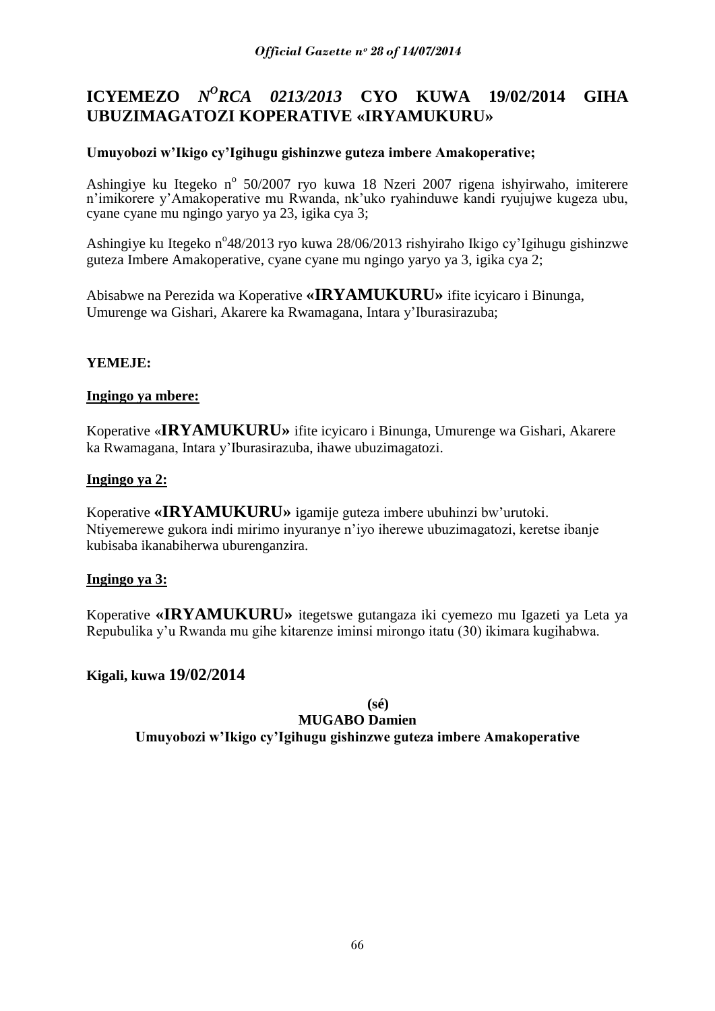# **ICYEMEZO** *N<sup>O</sup>RCA 0213/2013* **CYO KUWA 19/02/2014 GIHA UBUZIMAGATOZI KOPERATIVE «IRYAMUKURU»**

## **Umuyobozi w"Ikigo cy"Igihugu gishinzwe guteza imbere Amakoperative;**

Ashingiye ku Itegeko nº 50/2007 ryo kuwa 18 Nzeri 2007 rigena ishyirwaho, imiterere n"imikorere y"Amakoperative mu Rwanda, nk"uko ryahinduwe kandi ryujujwe kugeza ubu, cyane cyane mu ngingo yaryo ya 23, igika cya 3;

Ashingiye ku Itegeko n°48/2013 ryo kuwa 28/06/2013 rishyiraho Ikigo cy'Igihugu gishinzwe guteza Imbere Amakoperative, cyane cyane mu ngingo yaryo ya 3, igika cya 2;

Abisabwe na Perezida wa Koperative **«IRYAMUKURU»** ifite icyicaro i Binunga, Umurenge wa Gishari, Akarere ka Rwamagana, Intara y"Iburasirazuba;

## **YEMEJE:**

## **Ingingo ya mbere:**

Koperative «**IRYAMUKURU»** ifite icyicaro i Binunga, Umurenge wa Gishari, Akarere ka Rwamagana, Intara y"Iburasirazuba, ihawe ubuzimagatozi.

## **Ingingo ya 2:**

Koperative **«IRYAMUKURU»** igamije guteza imbere ubuhinzi bw"urutoki. Ntiyemerewe gukora indi mirimo inyuranye n"iyo iherewe ubuzimagatozi, keretse ibanje kubisaba ikanabiherwa uburenganzira.

## **Ingingo ya 3:**

Koperative **«IRYAMUKURU»** itegetswe gutangaza iki cyemezo mu Igazeti ya Leta ya Repubulika y"u Rwanda mu gihe kitarenze iminsi mirongo itatu (30) ikimara kugihabwa.

## **Kigali, kuwa 19/02/2014**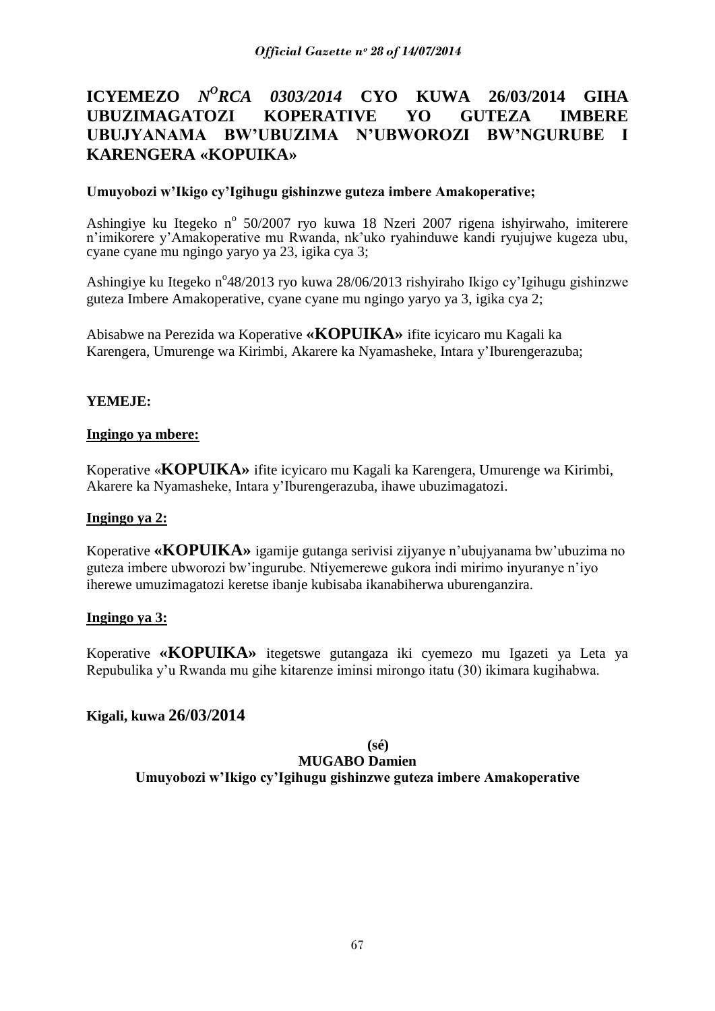# **ICYEMEZO** *N<sup>O</sup>RCA 0303/2014* **CYO KUWA 26/03/2014 GIHA UBUZIMAGATOZI KOPERATIVE YO GUTEZA IMBERE UBUJYANAMA BW"UBUZIMA N"UBWOROZI BW"NGURUBE I KARENGERA «KOPUIKA»**

## **Umuyobozi w"Ikigo cy"Igihugu gishinzwe guteza imbere Amakoperative;**

Ashingiye ku Itegeko nº 50/2007 ryo kuwa 18 Nzeri 2007 rigena ishyirwaho, imiterere n"imikorere y"Amakoperative mu Rwanda, nk"uko ryahinduwe kandi ryujujwe kugeza ubu, cyane cyane mu ngingo yaryo ya 23, igika cya 3;

Ashingiye ku Itegeko n°48/2013 ryo kuwa 28/06/2013 rishyiraho Ikigo cy'Igihugu gishinzwe guteza Imbere Amakoperative, cyane cyane mu ngingo yaryo ya 3, igika cya 2;

Abisabwe na Perezida wa Koperative **«KOPUIKA»** ifite icyicaro mu Kagali ka Karengera, Umurenge wa Kirimbi, Akarere ka Nyamasheke, Intara y"Iburengerazuba;

## **YEMEJE:**

## **Ingingo ya mbere:**

Koperative «**KOPUIKA»** ifite icyicaro mu Kagali ka Karengera, Umurenge wa Kirimbi, Akarere ka Nyamasheke, Intara y"Iburengerazuba, ihawe ubuzimagatozi.

## **Ingingo ya 2:**

Koperative **«KOPUIKA»** igamije gutanga serivisi zijyanye n"ubujyanama bw"ubuzima no guteza imbere ubworozi bw"ingurube. Ntiyemerewe gukora indi mirimo inyuranye n"iyo iherewe umuzimagatozi keretse ibanje kubisaba ikanabiherwa uburenganzira.

## **Ingingo ya 3:**

Koperative **«KOPUIKA»** itegetswe gutangaza iki cyemezo mu Igazeti ya Leta ya Repubulika y"u Rwanda mu gihe kitarenze iminsi mirongo itatu (30) ikimara kugihabwa.

## **Kigali, kuwa 26/03/2014**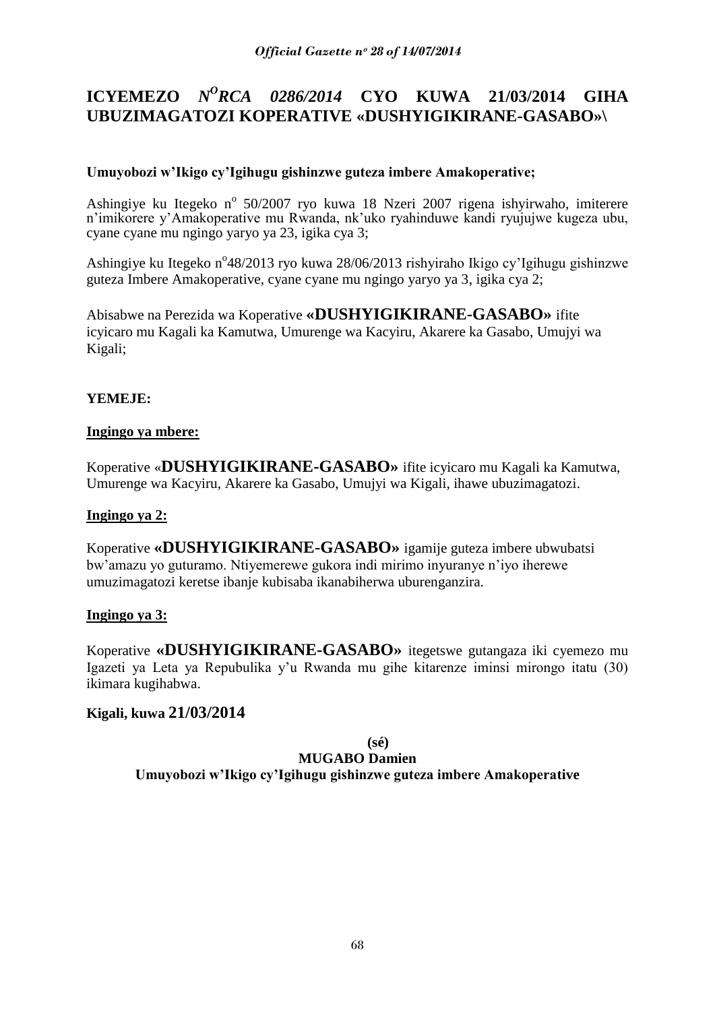# **ICYEMEZO** *N<sup>O</sup>RCA 0286/2014* **CYO KUWA 21/03/2014 GIHA UBUZIMAGATOZI KOPERATIVE «DUSHYIGIKIRANE-GASABO»\**

## **Umuyobozi w"Ikigo cy"Igihugu gishinzwe guteza imbere Amakoperative;**

Ashingiye ku Itegeko nº 50/2007 ryo kuwa 18 Nzeri 2007 rigena ishyirwaho, imiterere n"imikorere y"Amakoperative mu Rwanda, nk"uko ryahinduwe kandi ryujujwe kugeza ubu, cyane cyane mu ngingo yaryo ya 23, igika cya 3;

Ashingiye ku Itegeko n°48/2013 ryo kuwa 28/06/2013 rishyiraho Ikigo cy'Igihugu gishinzwe guteza Imbere Amakoperative, cyane cyane mu ngingo yaryo ya 3, igika cya 2;

Abisabwe na Perezida wa Koperative **«DUSHYIGIKIRANE-GASABO»** ifite icyicaro mu Kagali ka Kamutwa, Umurenge wa Kacyiru, Akarere ka Gasabo, Umujyi wa Kigali;

## **YEMEJE:**

## **Ingingo ya mbere:**

Koperative «**DUSHYIGIKIRANE-GASABO»** ifite icyicaro mu Kagali ka Kamutwa, Umurenge wa Kacyiru, Akarere ka Gasabo, Umujyi wa Kigali, ihawe ubuzimagatozi.

## **Ingingo ya 2:**

Koperative **«DUSHYIGIKIRANE-GASABO»** igamije guteza imbere ubwubatsi bw"amazu yo guturamo. Ntiyemerewe gukora indi mirimo inyuranye n"iyo iherewe umuzimagatozi keretse ibanje kubisaba ikanabiherwa uburenganzira.

## **Ingingo ya 3:**

Koperative **«DUSHYIGIKIRANE-GASABO»** itegetswe gutangaza iki cyemezo mu Igazeti ya Leta ya Repubulika y"u Rwanda mu gihe kitarenze iminsi mirongo itatu (30) ikimara kugihabwa.

## **Kigali, kuwa 21/03/2014**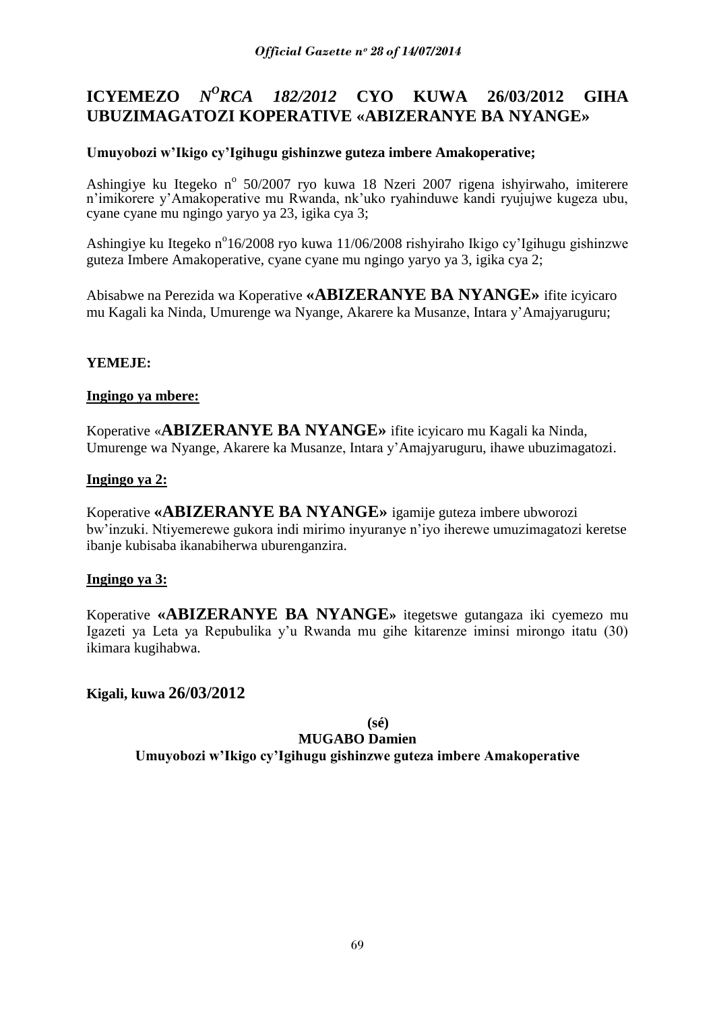#### **ICYEMEZO** *N <sup>O</sup>RCA 182/2012* **CYO KUWA 26/03/2012 GIHA UBUZIMAGATOZI KOPERATIVE «ABIZERANYE BA NYANGE»**

## **Umuyobozi w"Ikigo cy"Igihugu gishinzwe guteza imbere Amakoperative;**

Ashingiye ku Itegeko nº 50/2007 ryo kuwa 18 Nzeri 2007 rigena ishyirwaho, imiterere n"imikorere y"Amakoperative mu Rwanda, nk"uko ryahinduwe kandi ryujujwe kugeza ubu, cyane cyane mu ngingo yaryo ya 23, igika cya 3;

Ashingiye ku Itegeko n°16/2008 ryo kuwa 11/06/2008 rishyiraho Ikigo cy'Igihugu gishinzwe guteza Imbere Amakoperative, cyane cyane mu ngingo yaryo ya 3, igika cya 2;

Abisabwe na Perezida wa Koperative **«ABIZERANYE BA NYANGE»** ifite icyicaro mu Kagali ka Ninda, Umurenge wa Nyange, Akarere ka Musanze, Intara y"Amajyaruguru;

## **YEMEJE:**

## **Ingingo ya mbere:**

Koperative «**ABIZERANYE BA NYANGE»** ifite icyicaro mu Kagali ka Ninda, Umurenge wa Nyange, Akarere ka Musanze, Intara y"Amajyaruguru, ihawe ubuzimagatozi.

## **Ingingo ya 2:**

Koperative **«ABIZERANYE BA NYANGE»** igamije guteza imbere ubworozi bw"inzuki. Ntiyemerewe gukora indi mirimo inyuranye n"iyo iherewe umuzimagatozi keretse ibanje kubisaba ikanabiherwa uburenganzira.

## **Ingingo ya 3:**

Koperative **«ABIZERANYE BA NYANGE»** itegetswe gutangaza iki cyemezo mu Igazeti ya Leta ya Repubulika y"u Rwanda mu gihe kitarenze iminsi mirongo itatu (30) ikimara kugihabwa.

## **Kigali, kuwa 26/03/2012**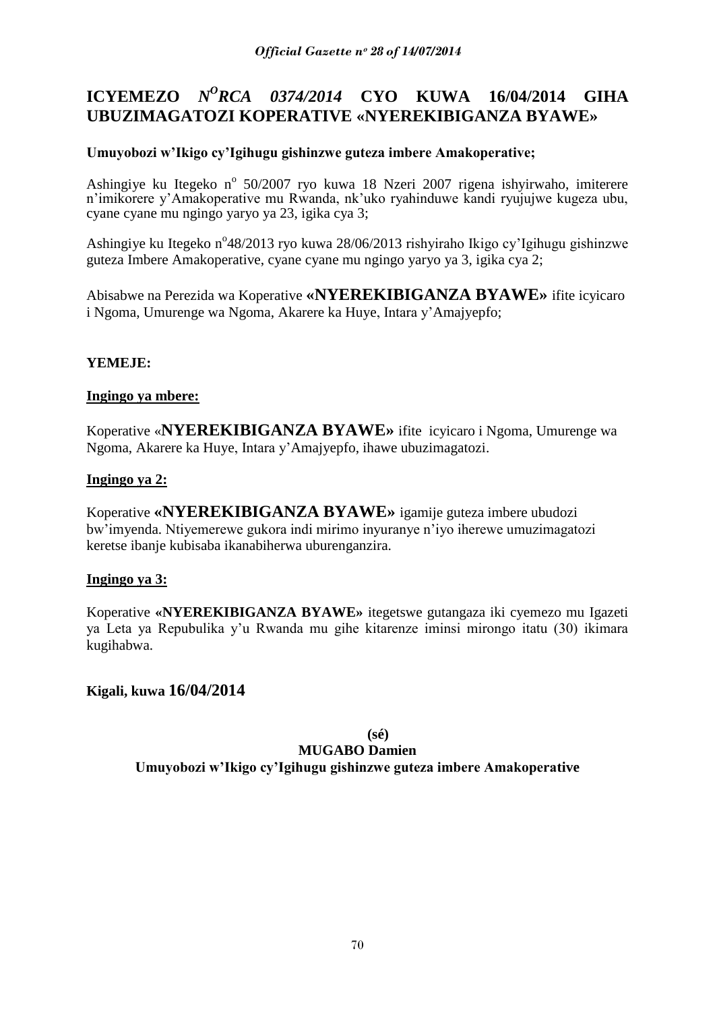# **ICYEMEZO** *N<sup>O</sup>RCA 0374/2014* **CYO KUWA 16/04/2014 GIHA UBUZIMAGATOZI KOPERATIVE «NYEREKIBIGANZA BYAWE»**

## **Umuyobozi w"Ikigo cy"Igihugu gishinzwe guteza imbere Amakoperative;**

Ashingiye ku Itegeko nº 50/2007 ryo kuwa 18 Nzeri 2007 rigena ishyirwaho, imiterere n"imikorere y"Amakoperative mu Rwanda, nk"uko ryahinduwe kandi ryujujwe kugeza ubu, cyane cyane mu ngingo yaryo ya 23, igika cya 3;

Ashingiye ku Itegeko n°48/2013 ryo kuwa 28/06/2013 rishyiraho Ikigo cy'Igihugu gishinzwe guteza Imbere Amakoperative, cyane cyane mu ngingo yaryo ya 3, igika cya 2;

Abisabwe na Perezida wa Koperative **«NYEREKIBIGANZA BYAWE»** ifite icyicaro i Ngoma, Umurenge wa Ngoma, Akarere ka Huye, Intara y"Amajyepfo;

## **YEMEJE:**

## **Ingingo ya mbere:**

Koperative «**NYEREKIBIGANZA BYAWE»** ifite icyicaro i Ngoma, Umurenge wa Ngoma, Akarere ka Huye, Intara y"Amajyepfo, ihawe ubuzimagatozi.

## **Ingingo ya 2:**

Koperative **«NYEREKIBIGANZA BYAWE»** igamije guteza imbere ubudozi bw"imyenda. Ntiyemerewe gukora indi mirimo inyuranye n"iyo iherewe umuzimagatozi keretse ibanje kubisaba ikanabiherwa uburenganzira.

## **Ingingo ya 3:**

Koperative **«NYEREKIBIGANZA BYAWE»** itegetswe gutangaza iki cyemezo mu Igazeti ya Leta ya Repubulika y"u Rwanda mu gihe kitarenze iminsi mirongo itatu (30) ikimara kugihabwa.

## **Kigali, kuwa 16/04/2014**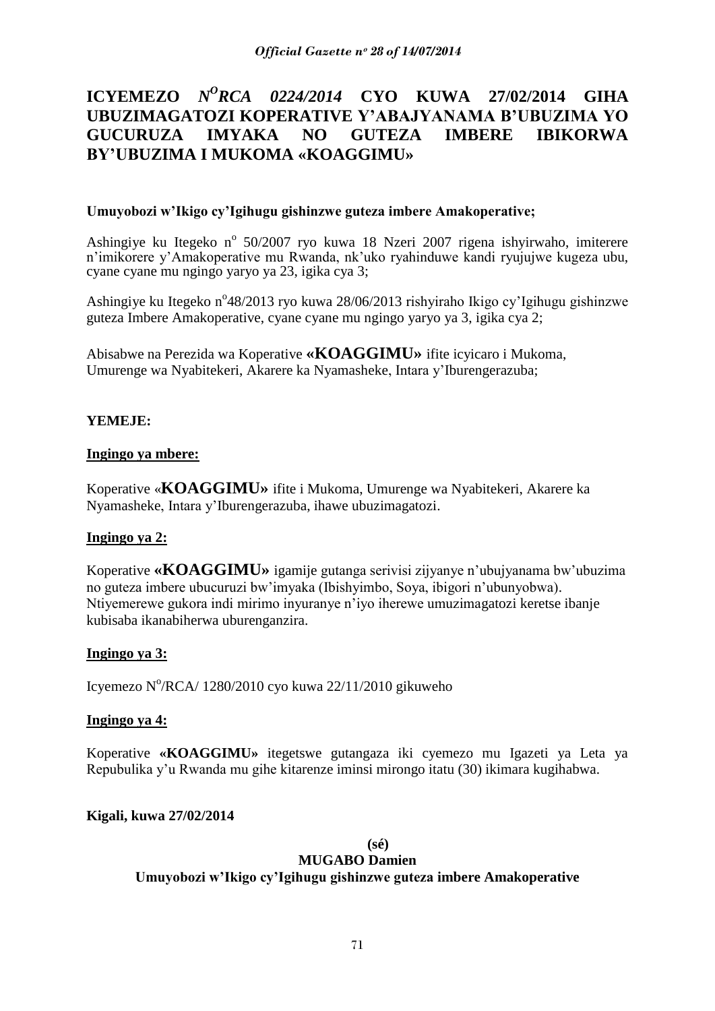# **ICYEMEZO** *N<sup>O</sup>RCA 0224/2014* **CYO KUWA 27/02/2014 GIHA UBUZIMAGATOZI KOPERATIVE Y"ABAJYANAMA B"UBUZIMA YO GUCURUZA IMYAKA NO GUTEZA IMBERE IBIKORWA BY"UBUZIMA I MUKOMA «KOAGGIMU»**

## **Umuyobozi w"Ikigo cy"Igihugu gishinzwe guteza imbere Amakoperative;**

Ashingiye ku Itegeko nº 50/2007 ryo kuwa 18 Nzeri 2007 rigena ishyirwaho, imiterere n"imikorere y"Amakoperative mu Rwanda, nk"uko ryahinduwe kandi ryujujwe kugeza ubu, cyane cyane mu ngingo yaryo ya 23, igika cya 3;

Ashingiye ku Itegeko n°48/2013 ryo kuwa 28/06/2013 rishyiraho Ikigo cy'Igihugu gishinzwe guteza Imbere Amakoperative, cyane cyane mu ngingo yaryo ya 3, igika cya 2;

Abisabwe na Perezida wa Koperative **«KOAGGIMU»** ifite icyicaro i Mukoma, Umurenge wa Nyabitekeri, Akarere ka Nyamasheke, Intara y"Iburengerazuba;

## **YEMEJE:**

## **Ingingo ya mbere:**

Koperative «**KOAGGIMU»** ifite i Mukoma, Umurenge wa Nyabitekeri, Akarere ka Nyamasheke, Intara y"Iburengerazuba, ihawe ubuzimagatozi.

## **Ingingo ya 2:**

Koperative **«KOAGGIMU»** igamije gutanga serivisi zijyanye n"ubujyanama bw"ubuzima no guteza imbere ubucuruzi bw"imyaka (Ibishyimbo, Soya, ibigori n"ubunyobwa). Ntiyemerewe gukora indi mirimo inyuranye n"iyo iherewe umuzimagatozi keretse ibanje kubisaba ikanabiherwa uburenganzira.

## **Ingingo ya 3:**

Icyemezo N°/RCA/ 1280/2010 cyo kuwa 22/11/2010 gikuweho

## **Ingingo ya 4:**

Koperative **«KOAGGIMU»** itegetswe gutangaza iki cyemezo mu Igazeti ya Leta ya Repubulika y"u Rwanda mu gihe kitarenze iminsi mirongo itatu (30) ikimara kugihabwa.

## **Kigali, kuwa 27/02/2014**

## **(sé)**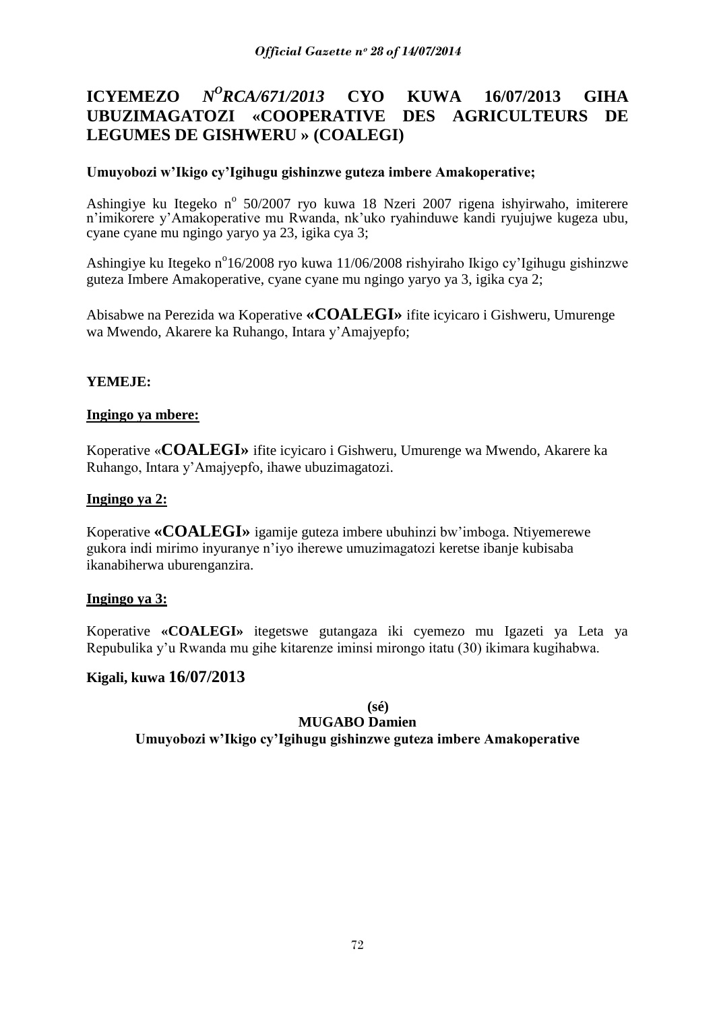### **ICYEMEZO** *N <sup>O</sup>RCA/671/2013* **CYO KUWA 16/07/2013 GIHA UBUZIMAGATOZI «COOPERATIVE DES AGRICULTEURS DE LEGUMES DE GISHWERU » (COALEGI)**

## **Umuyobozi w"Ikigo cy"Igihugu gishinzwe guteza imbere Amakoperative;**

Ashingiye ku Itegeko nº 50/2007 ryo kuwa 18 Nzeri 2007 rigena ishyirwaho, imiterere n"imikorere y"Amakoperative mu Rwanda, nk"uko ryahinduwe kandi ryujujwe kugeza ubu, cyane cyane mu ngingo yaryo ya 23, igika cya 3;

Ashingiye ku Itegeko n<sup>o</sup>16/2008 ryo kuwa 11/06/2008 rishyiraho Ikigo cy'Igihugu gishinzwe guteza Imbere Amakoperative, cyane cyane mu ngingo yaryo ya 3, igika cya 2;

Abisabwe na Perezida wa Koperative **«COALEGI»** ifite icyicaro i Gishweru, Umurenge wa Mwendo, Akarere ka Ruhango, Intara y"Amajyepfo;

## **YEMEJE:**

## **Ingingo ya mbere:**

Koperative «**COALEGI»** ifite icyicaro i Gishweru, Umurenge wa Mwendo, Akarere ka Ruhango, Intara y"Amajyepfo, ihawe ubuzimagatozi.

## **Ingingo ya 2:**

Koperative **«COALEGI»** igamije guteza imbere ubuhinzi bw"imboga. Ntiyemerewe gukora indi mirimo inyuranye n"iyo iherewe umuzimagatozi keretse ibanje kubisaba ikanabiherwa uburenganzira.

## **Ingingo ya 3:**

Koperative **«COALEGI»** itegetswe gutangaza iki cyemezo mu Igazeti ya Leta ya Repubulika y"u Rwanda mu gihe kitarenze iminsi mirongo itatu (30) ikimara kugihabwa.

## **Kigali, kuwa 16/07/2013**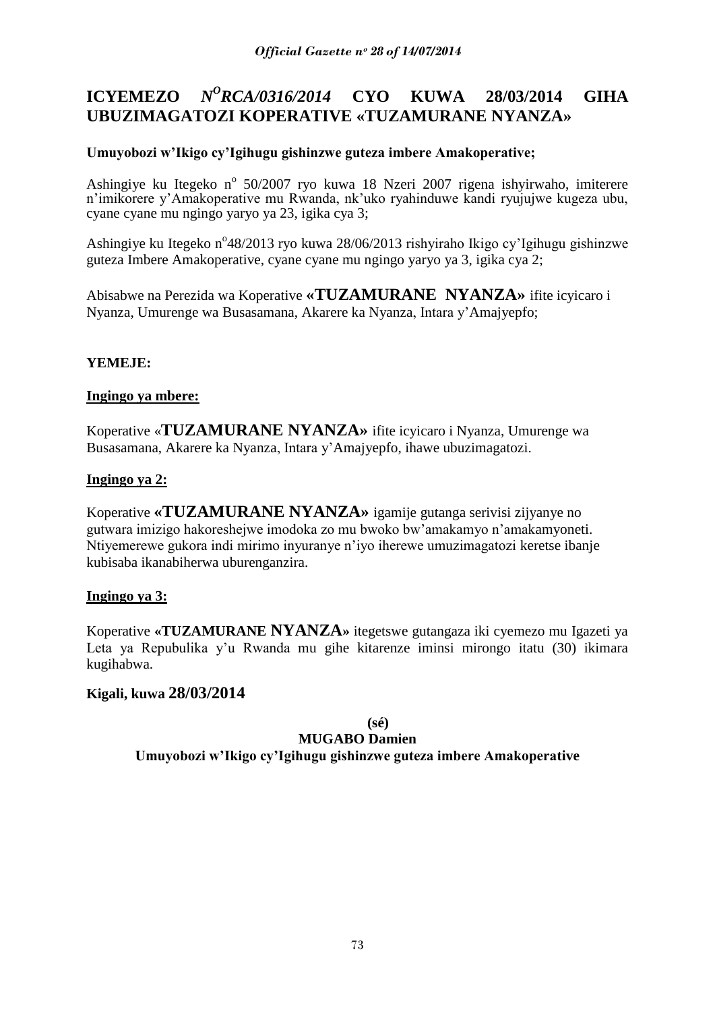#### **ICYEMEZO** *N <sup>O</sup>RCA/0316/2014* **CYO KUWA 28/03/2014 GIHA UBUZIMAGATOZI KOPERATIVE «TUZAMURANE NYANZA»**

# **Umuyobozi w"Ikigo cy"Igihugu gishinzwe guteza imbere Amakoperative;**

Ashingiye ku Itegeko nº 50/2007 ryo kuwa 18 Nzeri 2007 rigena ishyirwaho, imiterere n"imikorere y"Amakoperative mu Rwanda, nk"uko ryahinduwe kandi ryujujwe kugeza ubu, cyane cyane mu ngingo yaryo ya 23, igika cya 3;

Ashingiye ku Itegeko n°48/2013 ryo kuwa 28/06/2013 rishyiraho Ikigo cy'Igihugu gishinzwe guteza Imbere Amakoperative, cyane cyane mu ngingo yaryo ya 3, igika cya 2;

Abisabwe na Perezida wa Koperative **«TUZAMURANE NYANZA»** ifite icyicaro i Nyanza, Umurenge wa Busasamana, Akarere ka Nyanza, Intara y"Amajyepfo;

# **YEMEJE:**

## **Ingingo ya mbere:**

Koperative «**TUZAMURANE NYANZA»** ifite icyicaro i Nyanza, Umurenge wa Busasamana, Akarere ka Nyanza, Intara y"Amajyepfo, ihawe ubuzimagatozi.

## **Ingingo ya 2:**

Koperative **«TUZAMURANE NYANZA»** igamije gutanga serivisi zijyanye no gutwara imizigo hakoreshejwe imodoka zo mu bwoko bw"amakamyo n"amakamyoneti. Ntiyemerewe gukora indi mirimo inyuranye n"iyo iherewe umuzimagatozi keretse ibanje kubisaba ikanabiherwa uburenganzira.

# **Ingingo ya 3:**

Koperative **«TUZAMURANE NYANZA»** itegetswe gutangaza iki cyemezo mu Igazeti ya Leta ya Repubulika y'u Rwanda mu gihe kitarenze iminsi mirongo itatu (30) ikimara kugihabwa.

# **Kigali, kuwa 28/03/2014**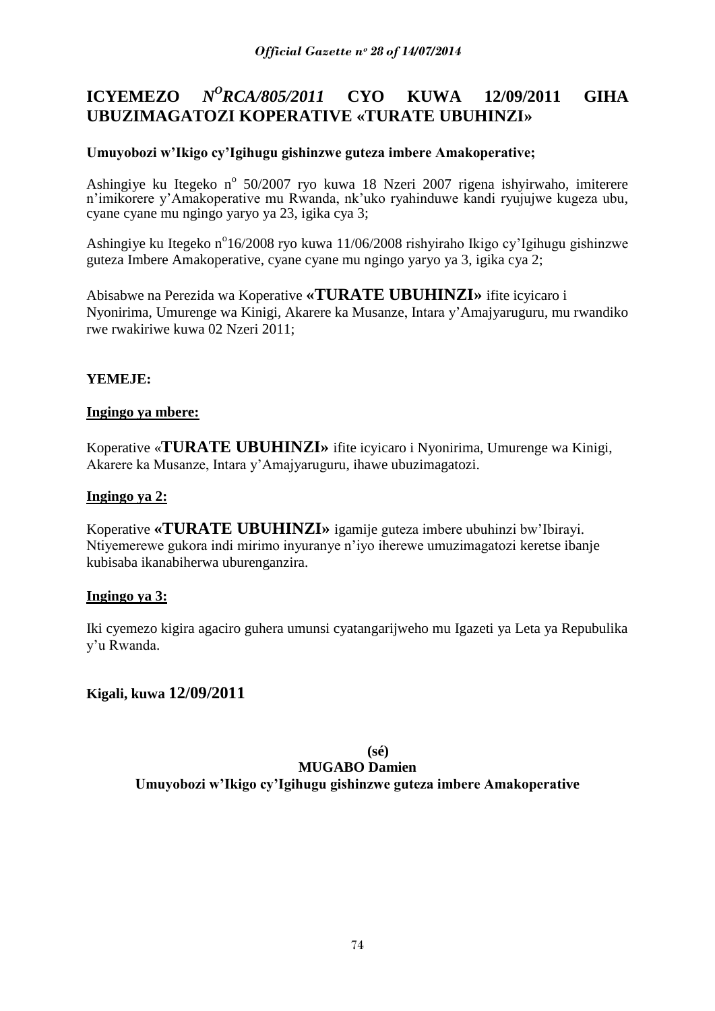#### **ICYEMEZO** *<sup>O</sup>RCA/805/2011* **CYO KUWA 12/09/2011 GIHA UBUZIMAGATOZI KOPERATIVE «TURATE UBUHINZI»**

# **Umuyobozi w"Ikigo cy"Igihugu gishinzwe guteza imbere Amakoperative;**

Ashingiye ku Itegeko nº 50/2007 ryo kuwa 18 Nzeri 2007 rigena ishyirwaho, imiterere n"imikorere y"Amakoperative mu Rwanda, nk"uko ryahinduwe kandi ryujujwe kugeza ubu, cyane cyane mu ngingo yaryo ya 23, igika cya 3;

Ashingiye ku Itegeko n°16/2008 ryo kuwa 11/06/2008 rishyiraho Ikigo cy'Igihugu gishinzwe guteza Imbere Amakoperative, cyane cyane mu ngingo yaryo ya 3, igika cya 2;

Abisabwe na Perezida wa Koperative **«TURATE UBUHINZI»** ifite icyicaro i Nyonirima, Umurenge wa Kinigi, Akarere ka Musanze, Intara y"Amajyaruguru, mu rwandiko rwe rwakiriwe kuwa 02 Nzeri 2011;

# **YEMEJE:**

# **Ingingo ya mbere:**

Koperative «**TURATE UBUHINZI»** ifite icyicaro i Nyonirima, Umurenge wa Kinigi, Akarere ka Musanze, Intara y"Amajyaruguru, ihawe ubuzimagatozi.

## **Ingingo ya 2:**

Koperative **«TURATE UBUHINZI»** igamije guteza imbere ubuhinzi bw"Ibirayi. Ntiyemerewe gukora indi mirimo inyuranye n"iyo iherewe umuzimagatozi keretse ibanje kubisaba ikanabiherwa uburenganzira.

### **Ingingo ya 3:**

Iki cyemezo kigira agaciro guhera umunsi cyatangarijweho mu Igazeti ya Leta ya Repubulika y"u Rwanda.

# **Kigali, kuwa 12/09/2011**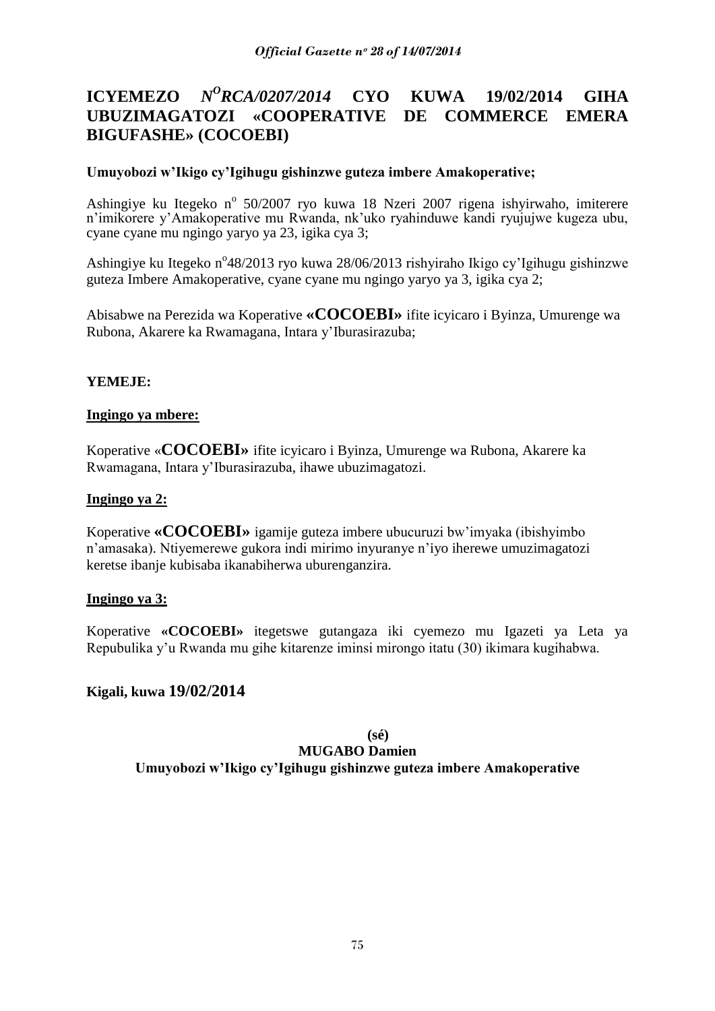#### **ICYEMEZO** *<sup>O</sup>RCA/0207/2014* **CYO KUWA 19/02/2014 GIHA UBUZIMAGATOZI «COOPERATIVE DE COMMERCE EMERA BIGUFASHE» (COCOEBI)**

## **Umuyobozi w"Ikigo cy"Igihugu gishinzwe guteza imbere Amakoperative;**

Ashingiye ku Itegeko nº 50/2007 ryo kuwa 18 Nzeri 2007 rigena ishyirwaho, imiterere n"imikorere y"Amakoperative mu Rwanda, nk"uko ryahinduwe kandi ryujujwe kugeza ubu, cyane cyane mu ngingo yaryo ya 23, igika cya 3;

Ashingiye ku Itegeko n°48/2013 ryo kuwa 28/06/2013 rishyiraho Ikigo cy'Igihugu gishinzwe guteza Imbere Amakoperative, cyane cyane mu ngingo yaryo ya 3, igika cya 2;

Abisabwe na Perezida wa Koperative **«COCOEBI»** ifite icyicaro i Byinza, Umurenge wa Rubona, Akarere ka Rwamagana, Intara y"Iburasirazuba;

## **YEMEJE:**

### **Ingingo ya mbere:**

Koperative «**COCOEBI»** ifite icyicaro i Byinza, Umurenge wa Rubona, Akarere ka Rwamagana, Intara y"Iburasirazuba, ihawe ubuzimagatozi.

#### **Ingingo ya 2:**

Koperative **«COCOEBI»** igamije guteza imbere ubucuruzi bw"imyaka (ibishyimbo n"amasaka). Ntiyemerewe gukora indi mirimo inyuranye n"iyo iherewe umuzimagatozi keretse ibanje kubisaba ikanabiherwa uburenganzira.

### **Ingingo ya 3:**

Koperative **«COCOEBI»** itegetswe gutangaza iki cyemezo mu Igazeti ya Leta ya Repubulika y"u Rwanda mu gihe kitarenze iminsi mirongo itatu (30) ikimara kugihabwa.

## **Kigali, kuwa 19/02/2014**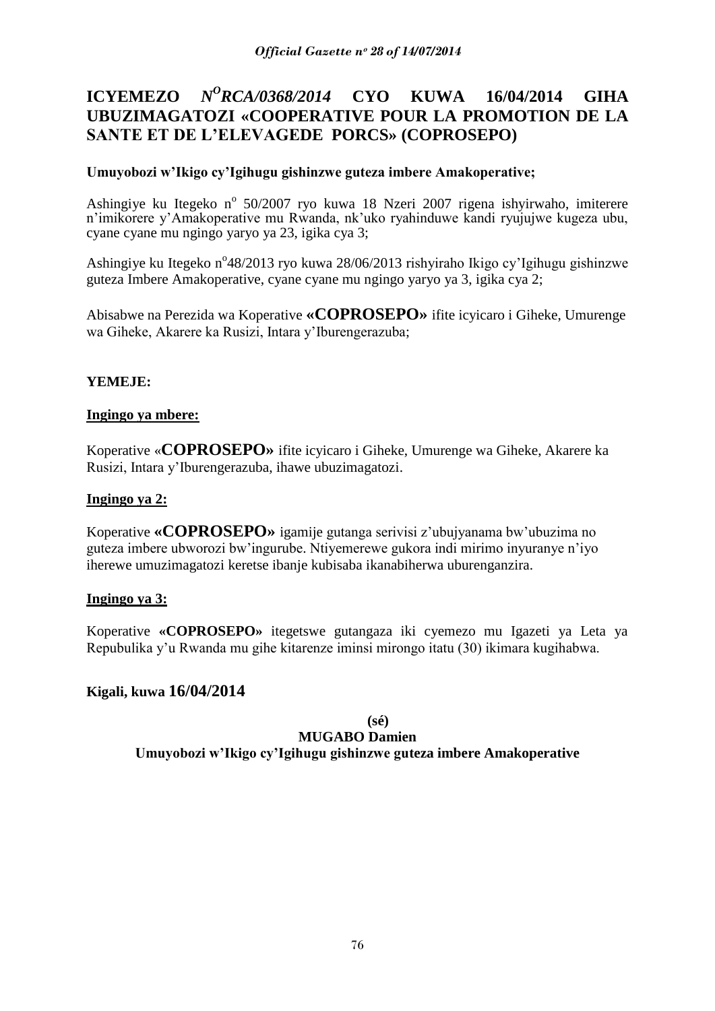#### **ICYEMEZO** *N <sup>O</sup>RCA/0368/2014* **CYO KUWA 16/04/2014 GIHA UBUZIMAGATOZI «COOPERATIVE POUR LA PROMOTION DE LA SANTE ET DE L"ELEVAGEDE PORCS» (COPROSEPO)**

# **Umuyobozi w"Ikigo cy"Igihugu gishinzwe guteza imbere Amakoperative;**

Ashingiye ku Itegeko nº 50/2007 ryo kuwa 18 Nzeri 2007 rigena ishyirwaho, imiterere n"imikorere y"Amakoperative mu Rwanda, nk"uko ryahinduwe kandi ryujujwe kugeza ubu, cyane cyane mu ngingo yaryo ya 23, igika cya 3;

Ashingiye ku Itegeko n°48/2013 ryo kuwa 28/06/2013 rishyiraho Ikigo cy'Igihugu gishinzwe guteza Imbere Amakoperative, cyane cyane mu ngingo yaryo ya 3, igika cya 2;

Abisabwe na Perezida wa Koperative **«COPROSEPO»** ifite icyicaro i Giheke, Umurenge wa Giheke, Akarere ka Rusizi, Intara y"Iburengerazuba;

# **YEMEJE:**

### **Ingingo ya mbere:**

Koperative «**COPROSEPO»** ifite icyicaro i Giheke, Umurenge wa Giheke, Akarere ka Rusizi, Intara y"Iburengerazuba, ihawe ubuzimagatozi.

## **Ingingo ya 2:**

Koperative **«COPROSEPO»** igamije gutanga serivisi z"ubujyanama bw"ubuzima no guteza imbere ubworozi bw"ingurube. Ntiyemerewe gukora indi mirimo inyuranye n"iyo iherewe umuzimagatozi keretse ibanje kubisaba ikanabiherwa uburenganzira.

### **Ingingo ya 3:**

Koperative **«COPROSEPO»** itegetswe gutangaza iki cyemezo mu Igazeti ya Leta ya Repubulika y"u Rwanda mu gihe kitarenze iminsi mirongo itatu (30) ikimara kugihabwa.

# **Kigali, kuwa 16/04/2014**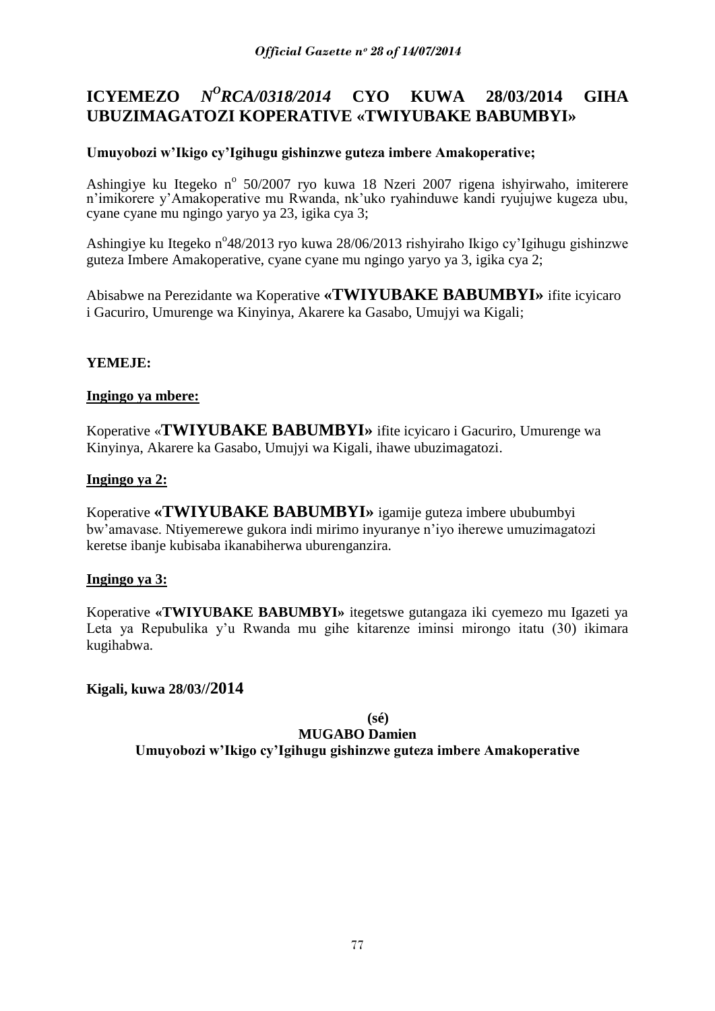#### **ICYEMEZO** *N <sup>O</sup>RCA/0318/2014* **CYO KUWA 28/03/2014 GIHA UBUZIMAGATOZI KOPERATIVE «TWIYUBAKE BABUMBYI»**

# **Umuyobozi w"Ikigo cy"Igihugu gishinzwe guteza imbere Amakoperative;**

Ashingiye ku Itegeko nº 50/2007 ryo kuwa 18 Nzeri 2007 rigena ishyirwaho, imiterere n"imikorere y"Amakoperative mu Rwanda, nk"uko ryahinduwe kandi ryujujwe kugeza ubu, cyane cyane mu ngingo yaryo ya 23, igika cya 3;

Ashingiye ku Itegeko n°48/2013 ryo kuwa 28/06/2013 rishyiraho Ikigo cy'Igihugu gishinzwe guteza Imbere Amakoperative, cyane cyane mu ngingo yaryo ya 3, igika cya 2;

Abisabwe na Perezidante wa Koperative **«TWIYUBAKE BABUMBYI»** ifite icyicaro i Gacuriro, Umurenge wa Kinyinya, Akarere ka Gasabo, Umujyi wa Kigali;

# **YEMEJE:**

## **Ingingo ya mbere:**

Koperative «**TWIYUBAKE BABUMBYI»** ifite icyicaro i Gacuriro, Umurenge wa Kinyinya, Akarere ka Gasabo, Umujyi wa Kigali, ihawe ubuzimagatozi.

## **Ingingo ya 2:**

Koperative **«TWIYUBAKE BABUMBYI»** igamije guteza imbere ububumbyi bw"amavase. Ntiyemerewe gukora indi mirimo inyuranye n"iyo iherewe umuzimagatozi keretse ibanje kubisaba ikanabiherwa uburenganzira.

# **Ingingo ya 3:**

Koperative **«TWIYUBAKE BABUMBYI»** itegetswe gutangaza iki cyemezo mu Igazeti ya Leta ya Repubulika y'u Rwanda mu gihe kitarenze iminsi mirongo itatu (30) ikimara kugihabwa.

# **Kigali, kuwa 28/03//2014**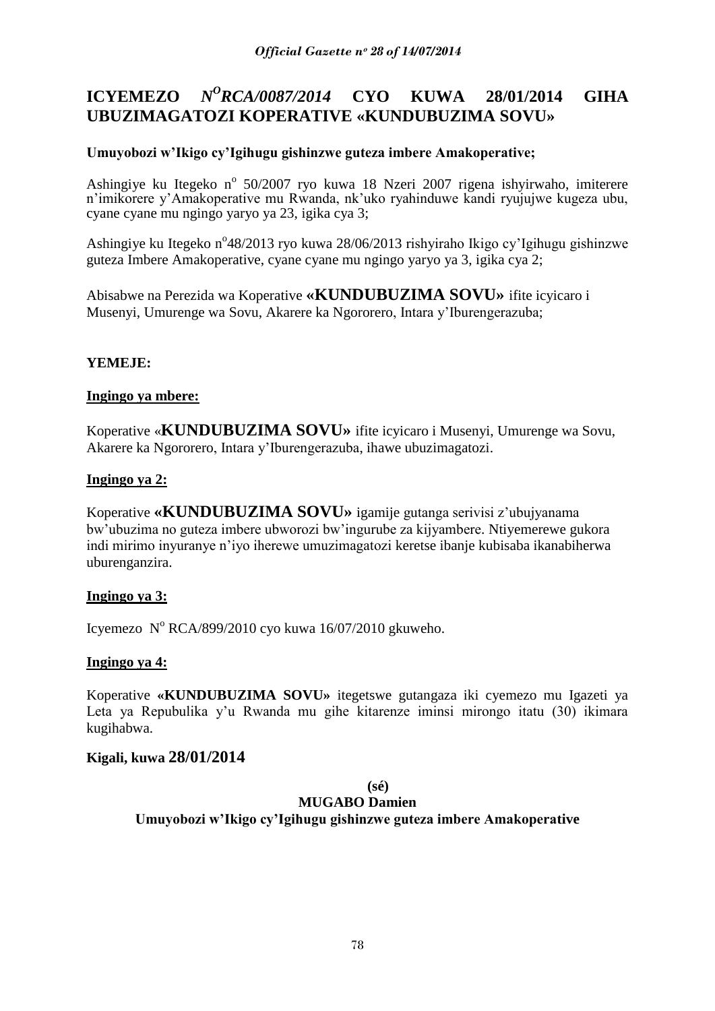#### **ICYEMEZO** *N <sup>O</sup>RCA/0087/2014* **CYO KUWA 28/01/2014 GIHA UBUZIMAGATOZI KOPERATIVE «KUNDUBUZIMA SOVU»**

# **Umuyobozi w"Ikigo cy"Igihugu gishinzwe guteza imbere Amakoperative;**

Ashingiye ku Itegeko nº 50/2007 ryo kuwa 18 Nzeri 2007 rigena ishyirwaho, imiterere n"imikorere y"Amakoperative mu Rwanda, nk"uko ryahinduwe kandi ryujujwe kugeza ubu, cyane cyane mu ngingo yaryo ya 23, igika cya 3;

Ashingiye ku Itegeko n°48/2013 ryo kuwa 28/06/2013 rishyiraho Ikigo cy'Igihugu gishinzwe guteza Imbere Amakoperative, cyane cyane mu ngingo yaryo ya 3, igika cya 2;

Abisabwe na Perezida wa Koperative **«KUNDUBUZIMA SOVU»** ifite icyicaro i Musenyi, Umurenge wa Sovu, Akarere ka Ngororero, Intara y"Iburengerazuba;

# **YEMEJE:**

## **Ingingo ya mbere:**

Koperative «**KUNDUBUZIMA SOVU»** ifite icyicaro i Musenyi, Umurenge wa Sovu, Akarere ka Ngororero, Intara y"Iburengerazuba, ihawe ubuzimagatozi.

## **Ingingo ya 2:**

Koperative **«KUNDUBUZIMA SOVU»** igamije gutanga serivisi z"ubujyanama bw"ubuzima no guteza imbere ubworozi bw"ingurube za kijyambere. Ntiyemerewe gukora indi mirimo inyuranye n"iyo iherewe umuzimagatozi keretse ibanje kubisaba ikanabiherwa uburenganzira.

# **Ingingo ya 3:**

Icyemezo Nº RCA/899/2010 cyo kuwa 16/07/2010 gkuweho.

# **Ingingo ya 4:**

Koperative **«KUNDUBUZIMA SOVU»** itegetswe gutangaza iki cyemezo mu Igazeti ya Leta ya Repubulika y'u Rwanda mu gihe kitarenze iminsi mirongo itatu (30) ikimara kugihabwa.

# **Kigali, kuwa 28/01/2014**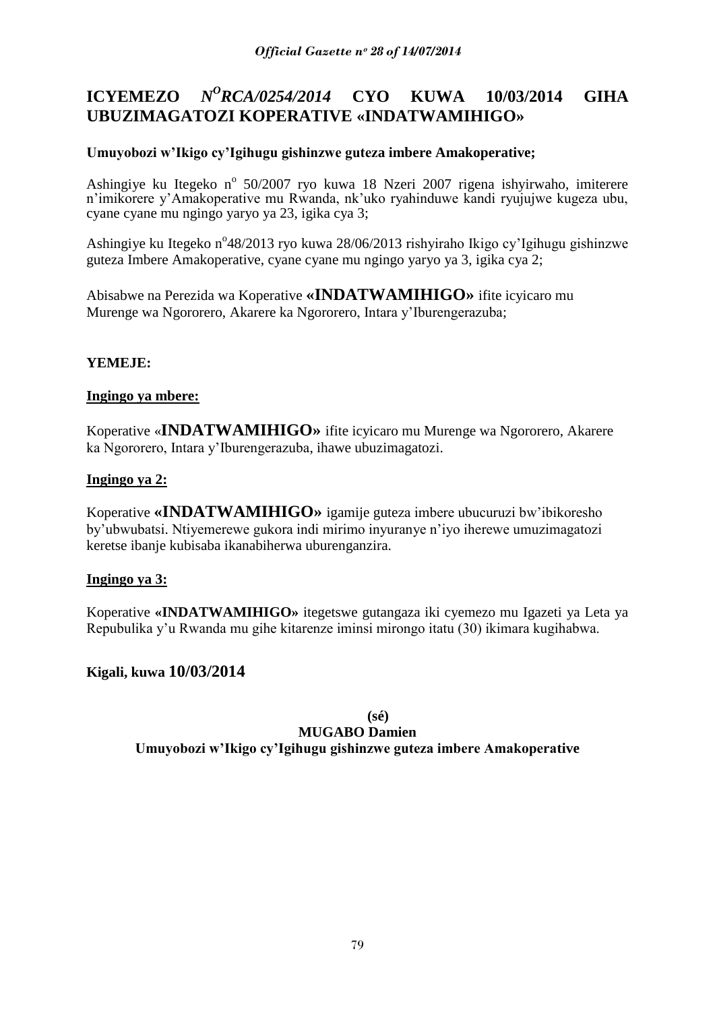#### **ICYEMEZO** *<sup>O</sup>RCA/0254/2014* **CYO KUWA 10/03/2014 GIHA UBUZIMAGATOZI KOPERATIVE «INDATWAMIHIGO»**

# **Umuyobozi w"Ikigo cy"Igihugu gishinzwe guteza imbere Amakoperative;**

Ashingiye ku Itegeko nº 50/2007 ryo kuwa 18 Nzeri 2007 rigena ishyirwaho, imiterere n"imikorere y"Amakoperative mu Rwanda, nk"uko ryahinduwe kandi ryujujwe kugeza ubu, cyane cyane mu ngingo yaryo ya 23, igika cya 3;

Ashingiye ku Itegeko n°48/2013 ryo kuwa 28/06/2013 rishyiraho Ikigo cy'Igihugu gishinzwe guteza Imbere Amakoperative, cyane cyane mu ngingo yaryo ya 3, igika cya 2;

Abisabwe na Perezida wa Koperative **«INDATWAMIHIGO»** ifite icyicaro mu Murenge wa Ngororero, Akarere ka Ngororero, Intara y"Iburengerazuba;

# **YEMEJE:**

## **Ingingo ya mbere:**

Koperative «**INDATWAMIHIGO»** ifite icyicaro mu Murenge wa Ngororero, Akarere ka Ngororero, Intara y"Iburengerazuba, ihawe ubuzimagatozi.

## **Ingingo ya 2:**

Koperative **«INDATWAMIHIGO»** igamije guteza imbere ubucuruzi bw"ibikoresho by"ubwubatsi. Ntiyemerewe gukora indi mirimo inyuranye n"iyo iherewe umuzimagatozi keretse ibanje kubisaba ikanabiherwa uburenganzira.

# **Ingingo ya 3:**

Koperative **«INDATWAMIHIGO»** itegetswe gutangaza iki cyemezo mu Igazeti ya Leta ya Repubulika y"u Rwanda mu gihe kitarenze iminsi mirongo itatu (30) ikimara kugihabwa.

# **Kigali, kuwa 10/03/2014**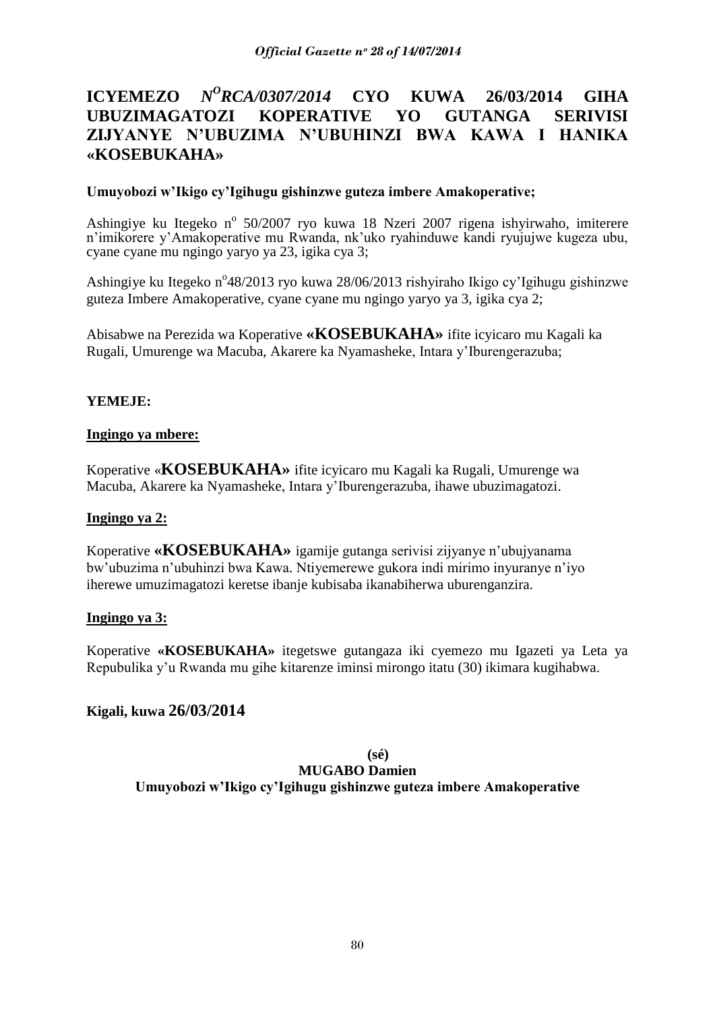# **ICYEMEZO** *N<sup>O</sup>RCA/0307/2014* **CYO KUWA 26/03/2014 GIHA UBUZIMAGATOZI KOPERATIVE YO GUTANGA SERIVISI ZIJYANYE N"UBUZIMA N"UBUHINZI BWA KAWA I HANIKA «KOSEBUKAHA»**

## **Umuyobozi w"Ikigo cy"Igihugu gishinzwe guteza imbere Amakoperative;**

Ashingiye ku Itegeko nº 50/2007 ryo kuwa 18 Nzeri 2007 rigena ishyirwaho, imiterere n"imikorere y"Amakoperative mu Rwanda, nk"uko ryahinduwe kandi ryujujwe kugeza ubu, cyane cyane mu ngingo yaryo ya 23, igika cya 3;

Ashingiye ku Itegeko n°48/2013 ryo kuwa 28/06/2013 rishyiraho Ikigo cy'Igihugu gishinzwe guteza Imbere Amakoperative, cyane cyane mu ngingo yaryo ya 3, igika cya 2;

Abisabwe na Perezida wa Koperative **«KOSEBUKAHA»** ifite icyicaro mu Kagali ka Rugali, Umurenge wa Macuba, Akarere ka Nyamasheke, Intara y"Iburengerazuba;

# **YEMEJE:**

### **Ingingo ya mbere:**

Koperative «**KOSEBUKAHA»** ifite icyicaro mu Kagali ka Rugali, Umurenge wa Macuba, Akarere ka Nyamasheke, Intara y"Iburengerazuba, ihawe ubuzimagatozi.

### **Ingingo ya 2:**

Koperative **«KOSEBUKAHA»** igamije gutanga serivisi zijyanye n"ubujyanama bw"ubuzima n"ubuhinzi bwa Kawa. Ntiyemerewe gukora indi mirimo inyuranye n"iyo iherewe umuzimagatozi keretse ibanje kubisaba ikanabiherwa uburenganzira.

### **Ingingo ya 3:**

Koperative **«KOSEBUKAHA»** itegetswe gutangaza iki cyemezo mu Igazeti ya Leta ya Repubulika y"u Rwanda mu gihe kitarenze iminsi mirongo itatu (30) ikimara kugihabwa.

# **Kigali, kuwa 26/03/2014**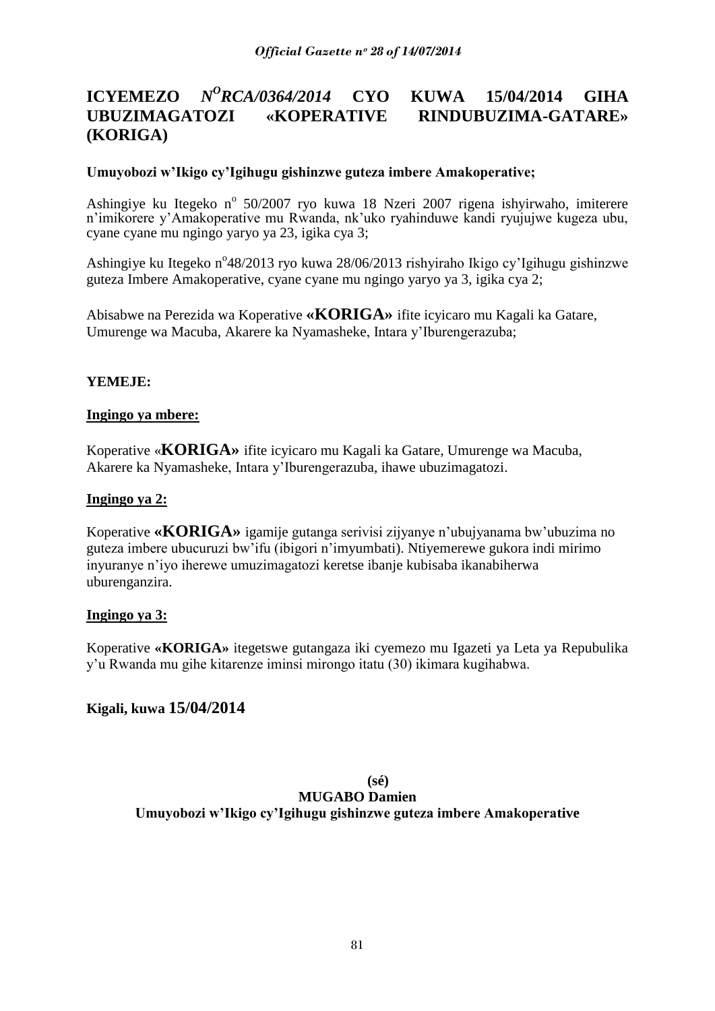#### **ICYEMEZO** *N <sup>O</sup>RCA/0364/2014* **CYO KUWA 15/04/2014 GIHA UBUZIMAGATOZI «KOPERATIVE RINDUBUZIMA-GATARE» (KORIGA)**

## **Umuyobozi w"Ikigo cy"Igihugu gishinzwe guteza imbere Amakoperative;**

Ashingiye ku Itegeko nº 50/2007 ryo kuwa 18 Nzeri 2007 rigena ishyirwaho, imiterere n"imikorere y"Amakoperative mu Rwanda, nk"uko ryahinduwe kandi ryujujwe kugeza ubu, cyane cyane mu ngingo yaryo ya 23, igika cya 3;

Ashingiye ku Itegeko n°48/2013 ryo kuwa 28/06/2013 rishyiraho Ikigo cy'Igihugu gishinzwe guteza Imbere Amakoperative, cyane cyane mu ngingo yaryo ya 3, igika cya 2;

Abisabwe na Perezida wa Koperative **«KORIGA»** ifite icyicaro mu Kagali ka Gatare, Umurenge wa Macuba, Akarere ka Nyamasheke, Intara y"Iburengerazuba;

## **YEMEJE:**

### **Ingingo ya mbere:**

Koperative «**KORIGA»** ifite icyicaro mu Kagali ka Gatare, Umurenge wa Macuba, Akarere ka Nyamasheke, Intara y"Iburengerazuba, ihawe ubuzimagatozi.

## **Ingingo ya 2:**

Koperative **«KORIGA»** igamije gutanga serivisi zijyanye n"ubujyanama bw"ubuzima no guteza imbere ubucuruzi bw"ifu (ibigori n"imyumbati). Ntiyemerewe gukora indi mirimo inyuranye n"iyo iherewe umuzimagatozi keretse ibanje kubisaba ikanabiherwa uburenganzira.

### **Ingingo ya 3:**

Koperative **«KORIGA»** itegetswe gutangaza iki cyemezo mu Igazeti ya Leta ya Repubulika y"u Rwanda mu gihe kitarenze iminsi mirongo itatu (30) ikimara kugihabwa.

# **Kigali, kuwa 15/04/2014**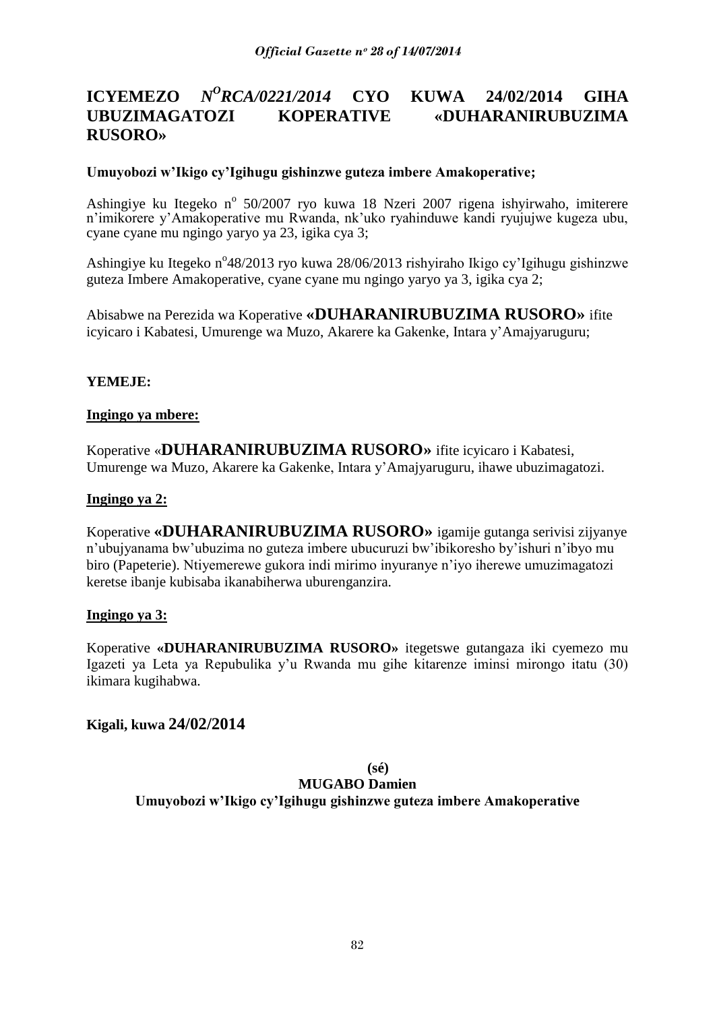#### **ICYEMEZO** *<sup>O</sup>RCA/0221/2014* **CYO KUWA 24/02/2014 GIHA UBUZIMAGATOZI KOPERATIVE «DUHARANIRUBUZIMA RUSORO»**

## **Umuyobozi w"Ikigo cy"Igihugu gishinzwe guteza imbere Amakoperative;**

Ashingiye ku Itegeko nº 50/2007 ryo kuwa 18 Nzeri 2007 rigena ishyirwaho, imiterere n"imikorere y"Amakoperative mu Rwanda, nk"uko ryahinduwe kandi ryujujwe kugeza ubu, cyane cyane mu ngingo yaryo ya 23, igika cya 3;

Ashingiye ku Itegeko n°48/2013 ryo kuwa 28/06/2013 rishyiraho Ikigo cy'Igihugu gishinzwe guteza Imbere Amakoperative, cyane cyane mu ngingo yaryo ya 3, igika cya 2;

Abisabwe na Perezida wa Koperative **«DUHARANIRUBUZIMA RUSORO»** ifite icyicaro i Kabatesi, Umurenge wa Muzo, Akarere ka Gakenke, Intara y"Amajyaruguru;

## **YEMEJE:**

### **Ingingo ya mbere:**

Koperative «**DUHARANIRUBUZIMA RUSORO»** ifite icyicaro i Kabatesi, Umurenge wa Muzo, Akarere ka Gakenke, Intara y"Amajyaruguru, ihawe ubuzimagatozi.

### **Ingingo ya 2:**

Koperative **«DUHARANIRUBUZIMA RUSORO»** igamije gutanga serivisi zijyanye n"ubujyanama bw"ubuzima no guteza imbere ubucuruzi bw"ibikoresho by"ishuri n"ibyo mu biro (Papeterie). Ntiyemerewe gukora indi mirimo inyuranye n"iyo iherewe umuzimagatozi keretse ibanje kubisaba ikanabiherwa uburenganzira.

### **Ingingo ya 3:**

Koperative **«DUHARANIRUBUZIMA RUSORO»** itegetswe gutangaza iki cyemezo mu Igazeti ya Leta ya Repubulika y"u Rwanda mu gihe kitarenze iminsi mirongo itatu (30) ikimara kugihabwa.

### **Kigali, kuwa 24/02/2014**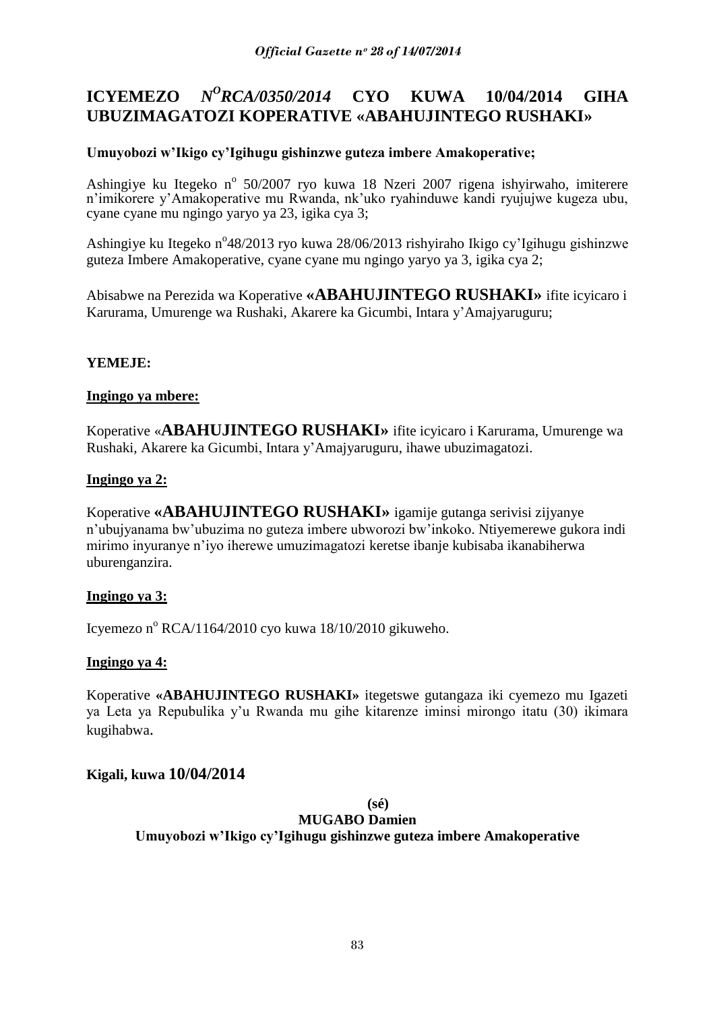#### **ICYEMEZO** *N <sup>O</sup>RCA/0350/2014* **CYO KUWA 10/04/2014 GIHA UBUZIMAGATOZI KOPERATIVE «ABAHUJINTEGO RUSHAKI»**

# **Umuyobozi w"Ikigo cy"Igihugu gishinzwe guteza imbere Amakoperative;**

Ashingiye ku Itegeko nº 50/2007 ryo kuwa 18 Nzeri 2007 rigena ishyirwaho, imiterere n"imikorere y"Amakoperative mu Rwanda, nk"uko ryahinduwe kandi ryujujwe kugeza ubu, cyane cyane mu ngingo yaryo ya 23, igika cya 3;

Ashingiye ku Itegeko n°48/2013 ryo kuwa 28/06/2013 rishyiraho Ikigo cy'Igihugu gishinzwe guteza Imbere Amakoperative, cyane cyane mu ngingo yaryo ya 3, igika cya 2;

Abisabwe na Perezida wa Koperative **«ABAHUJINTEGO RUSHAKI»** ifite icyicaro i Karurama, Umurenge wa Rushaki, Akarere ka Gicumbi, Intara y"Amajyaruguru;

# **YEMEJE:**

## **Ingingo ya mbere:**

Koperative «**ABAHUJINTEGO RUSHAKI»** ifite icyicaro i Karurama, Umurenge wa Rushaki, Akarere ka Gicumbi, Intara y"Amajyaruguru, ihawe ubuzimagatozi.

## **Ingingo ya 2:**

Koperative **«ABAHUJINTEGO RUSHAKI»** igamije gutanga serivisi zijyanye n"ubujyanama bw"ubuzima no guteza imbere ubworozi bw"inkoko. Ntiyemerewe gukora indi mirimo inyuranye n"iyo iherewe umuzimagatozi keretse ibanje kubisaba ikanabiherwa uburenganzira.

# **Ingingo ya 3:**

Icyemezo n<sup>o</sup> RCA/1164/2010 cyo kuwa 18/10/2010 gikuweho.

# **Ingingo ya 4:**

Koperative **«ABAHUJINTEGO RUSHAKI»** itegetswe gutangaza iki cyemezo mu Igazeti ya Leta ya Repubulika y"u Rwanda mu gihe kitarenze iminsi mirongo itatu (30) ikimara kugihabwa.

# **Kigali, kuwa 10/04/2014**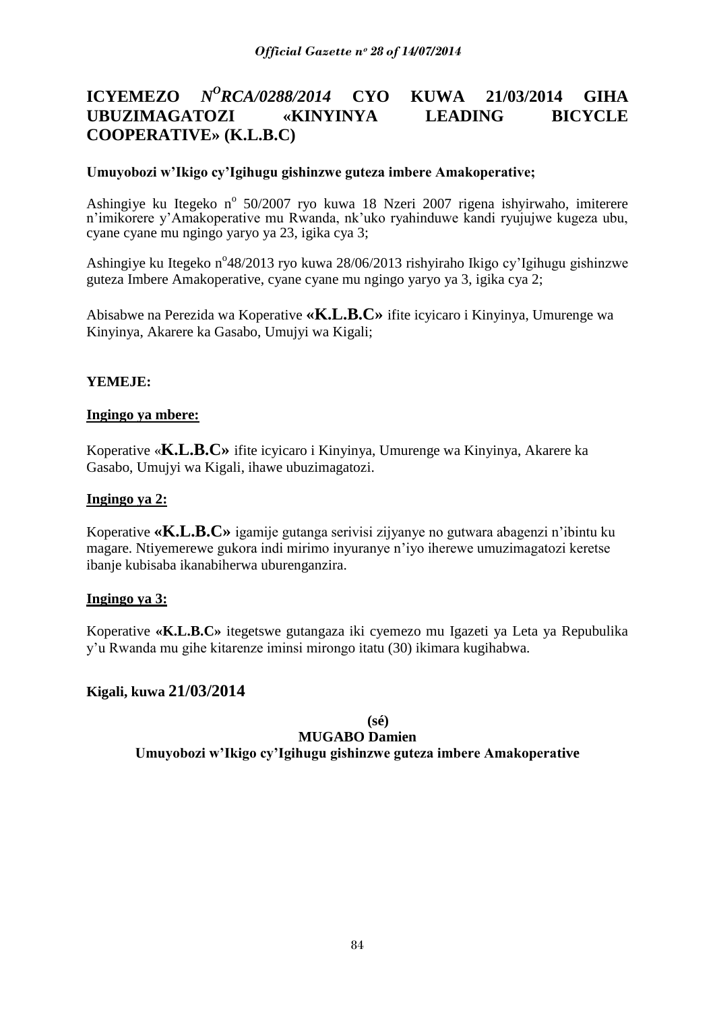#### **ICYEMEZO** *<sup>O</sup>RCA/0288/2014* **CYO KUWA 21/03/2014 GIHA UBUZIMAGATOZI «KINYINYA LEADING BICYCLE COOPERATIVE» (K.L.B.C)**

## **Umuyobozi w"Ikigo cy"Igihugu gishinzwe guteza imbere Amakoperative;**

Ashingiye ku Itegeko nº 50/2007 ryo kuwa 18 Nzeri 2007 rigena ishyirwaho, imiterere n"imikorere y"Amakoperative mu Rwanda, nk"uko ryahinduwe kandi ryujujwe kugeza ubu, cyane cyane mu ngingo yaryo ya 23, igika cya 3;

Ashingiye ku Itegeko n°48/2013 ryo kuwa 28/06/2013 rishyiraho Ikigo cy'Igihugu gishinzwe guteza Imbere Amakoperative, cyane cyane mu ngingo yaryo ya 3, igika cya 2;

Abisabwe na Perezida wa Koperative **«K.L.B.C»** ifite icyicaro i Kinyinya, Umurenge wa Kinyinya, Akarere ka Gasabo, Umujyi wa Kigali;

## **YEMEJE:**

### **Ingingo ya mbere:**

Koperative «**K.L.B.C»** ifite icyicaro i Kinyinya, Umurenge wa Kinyinya, Akarere ka Gasabo, Umujyi wa Kigali, ihawe ubuzimagatozi.

## **Ingingo ya 2:**

Koperative **«K.L.B.C»** igamije gutanga serivisi zijyanye no gutwara abagenzi n"ibintu ku magare. Ntiyemerewe gukora indi mirimo inyuranye n"iyo iherewe umuzimagatozi keretse ibanje kubisaba ikanabiherwa uburenganzira.

### **Ingingo ya 3:**

Koperative **«K.L.B.C»** itegetswe gutangaza iki cyemezo mu Igazeti ya Leta ya Repubulika y"u Rwanda mu gihe kitarenze iminsi mirongo itatu (30) ikimara kugihabwa.

# **Kigali, kuwa 21/03/2014**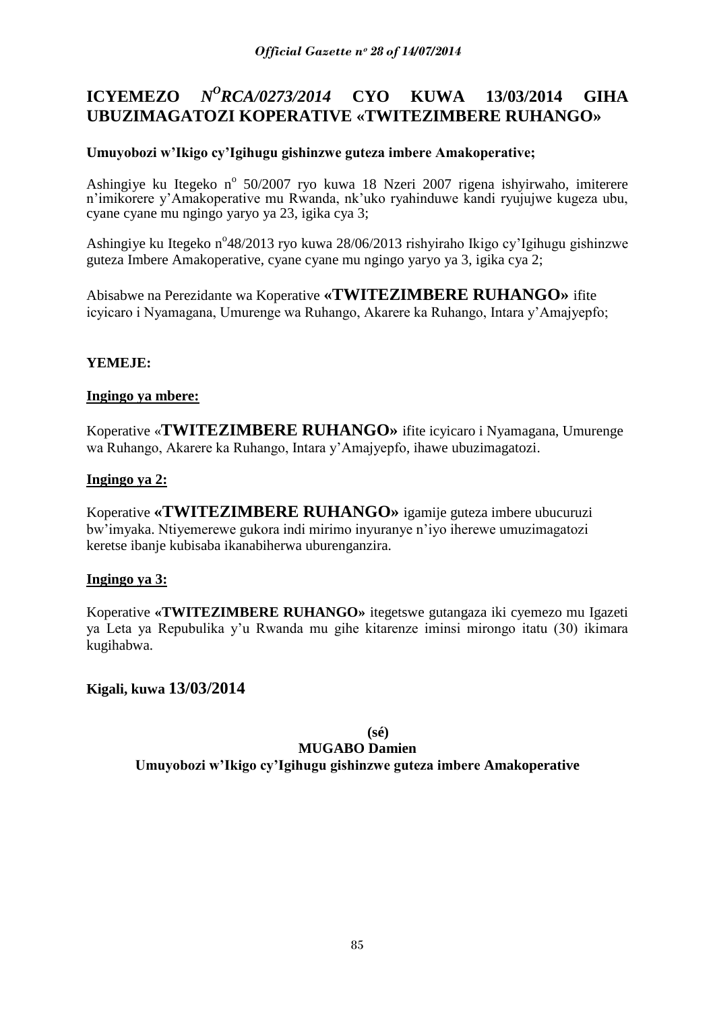#### **ICYEMEZO** *N <sup>O</sup>RCA/0273/2014* **CYO KUWA 13/03/2014 GIHA UBUZIMAGATOZI KOPERATIVE «TWITEZIMBERE RUHANGO»**

# **Umuyobozi w"Ikigo cy"Igihugu gishinzwe guteza imbere Amakoperative;**

Ashingiye ku Itegeko nº 50/2007 ryo kuwa 18 Nzeri 2007 rigena ishyirwaho, imiterere n"imikorere y"Amakoperative mu Rwanda, nk"uko ryahinduwe kandi ryujujwe kugeza ubu, cyane cyane mu ngingo yaryo ya 23, igika cya 3;

Ashingiye ku Itegeko n°48/2013 ryo kuwa 28/06/2013 rishyiraho Ikigo cy'Igihugu gishinzwe guteza Imbere Amakoperative, cyane cyane mu ngingo yaryo ya 3, igika cya 2;

Abisabwe na Perezidante wa Koperative **«TWITEZIMBERE RUHANGO»** ifite icyicaro i Nyamagana, Umurenge wa Ruhango, Akarere ka Ruhango, Intara y"Amajyepfo;

# **YEMEJE:**

## **Ingingo ya mbere:**

Koperative «**TWITEZIMBERE RUHANGO»** ifite icyicaro i Nyamagana, Umurenge wa Ruhango, Akarere ka Ruhango, Intara y"Amajyepfo, ihawe ubuzimagatozi.

## **Ingingo ya 2:**

Koperative **«TWITEZIMBERE RUHANGO»** igamije guteza imbere ubucuruzi bw"imyaka. Ntiyemerewe gukora indi mirimo inyuranye n"iyo iherewe umuzimagatozi keretse ibanje kubisaba ikanabiherwa uburenganzira.

# **Ingingo ya 3:**

Koperative **«TWITEZIMBERE RUHANGO»** itegetswe gutangaza iki cyemezo mu Igazeti ya Leta ya Repubulika y"u Rwanda mu gihe kitarenze iminsi mirongo itatu (30) ikimara kugihabwa.

# **Kigali, kuwa 13/03/2014**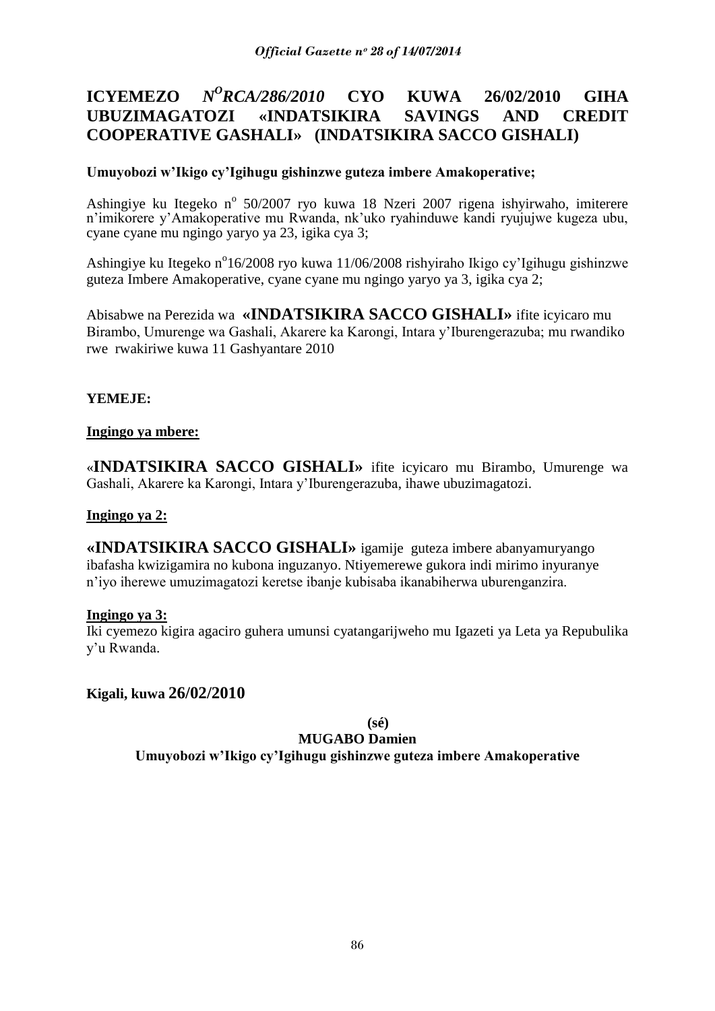#### **ICYEMEZO** *N <sup>O</sup>RCA/286/2010* **CYO KUWA 26/02/2010 GIHA UBUZIMAGATOZI «INDATSIKIRA SAVINGS AND CREDIT COOPERATIVE GASHALI» (INDATSIKIRA SACCO GISHALI)**

## **Umuyobozi w"Ikigo cy"Igihugu gishinzwe guteza imbere Amakoperative;**

Ashingiye ku Itegeko nº 50/2007 ryo kuwa 18 Nzeri 2007 rigena ishyirwaho, imiterere n"imikorere y"Amakoperative mu Rwanda, nk"uko ryahinduwe kandi ryujujwe kugeza ubu, cyane cyane mu ngingo yaryo ya 23, igika cya 3;

Ashingiye ku Itegeko n<sup>o</sup>16/2008 ryo kuwa 11/06/2008 rishyiraho Ikigo cy'Igihugu gishinzwe guteza Imbere Amakoperative, cyane cyane mu ngingo yaryo ya 3, igika cya 2;

Abisabwe na Perezida wa **«INDATSIKIRA SACCO GISHALI»** ifite icyicaro mu Birambo, Umurenge wa Gashali, Akarere ka Karongi, Intara y"Iburengerazuba; mu rwandiko rwe rwakiriwe kuwa 11 Gashyantare 2010

## **YEMEJE:**

### **Ingingo ya mbere:**

«**INDATSIKIRA SACCO GISHALI»** ifite icyicaro mu Birambo, Umurenge wa Gashali, Akarere ka Karongi, Intara y"Iburengerazuba, ihawe ubuzimagatozi.

### **Ingingo ya 2:**

**«INDATSIKIRA SACCO GISHALI»** igamije guteza imbere abanyamuryango ibafasha kwizigamira no kubona inguzanyo. Ntiyemerewe gukora indi mirimo inyuranye n"iyo iherewe umuzimagatozi keretse ibanje kubisaba ikanabiherwa uburenganzira.

### **Ingingo ya 3:**

Iki cyemezo kigira agaciro guhera umunsi cyatangarijweho mu Igazeti ya Leta ya Repubulika y"u Rwanda.

# **Kigali, kuwa 26/02/2010**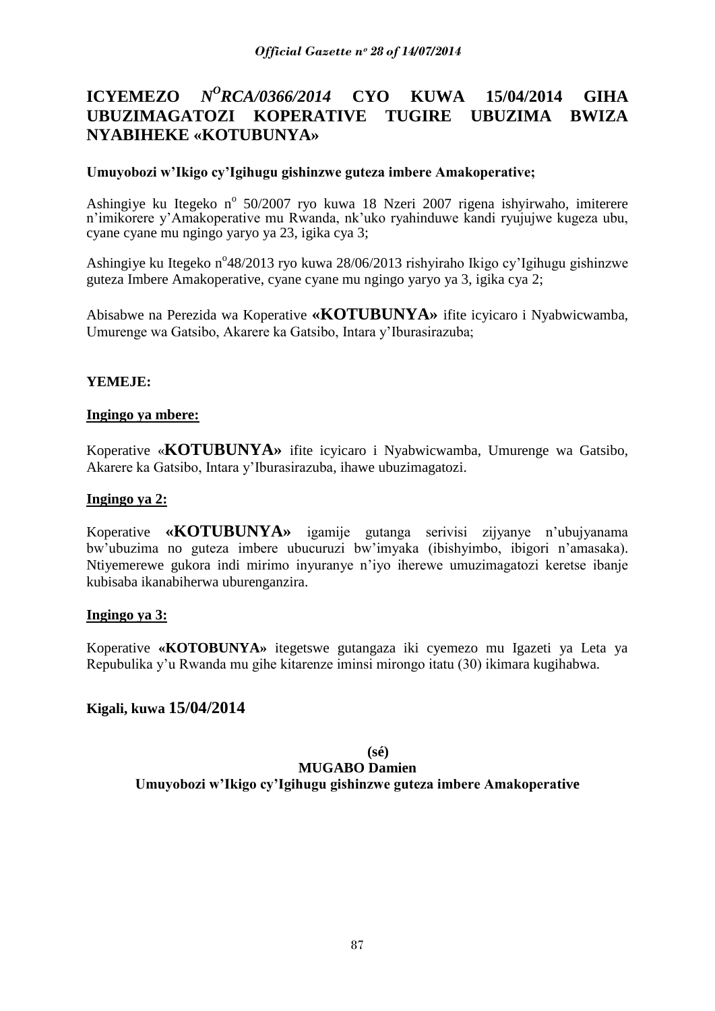#### **ICYEMEZO** *N <sup>O</sup>RCA/0366/2014* **CYO KUWA 15/04/2014 GIHA UBUZIMAGATOZI KOPERATIVE TUGIRE UBUZIMA BWIZA NYABIHEKE «KOTUBUNYA»**

## **Umuyobozi w"Ikigo cy"Igihugu gishinzwe guteza imbere Amakoperative;**

Ashingiye ku Itegeko nº 50/2007 ryo kuwa 18 Nzeri 2007 rigena ishyirwaho, imiterere n"imikorere y"Amakoperative mu Rwanda, nk"uko ryahinduwe kandi ryujujwe kugeza ubu, cyane cyane mu ngingo yaryo ya 23, igika cya 3;

Ashingiye ku Itegeko n°48/2013 ryo kuwa 28/06/2013 rishyiraho Ikigo cy'Igihugu gishinzwe guteza Imbere Amakoperative, cyane cyane mu ngingo yaryo ya 3, igika cya 2;

Abisabwe na Perezida wa Koperative **«KOTUBUNYA»** ifite icyicaro i Nyabwicwamba, Umurenge wa Gatsibo, Akarere ka Gatsibo, Intara y"Iburasirazuba;

## **YEMEJE:**

### **Ingingo ya mbere:**

Koperative «**KOTUBUNYA»** ifite icyicaro i Nyabwicwamba, Umurenge wa Gatsibo, Akarere ka Gatsibo, Intara y"Iburasirazuba, ihawe ubuzimagatozi.

## **Ingingo ya 2:**

Koperative **«KOTUBUNYA»** igamije gutanga serivisi zijyanye n"ubujyanama bw"ubuzima no guteza imbere ubucuruzi bw"imyaka (ibishyimbo, ibigori n"amasaka). Ntiyemerewe gukora indi mirimo inyuranye n"iyo iherewe umuzimagatozi keretse ibanje kubisaba ikanabiherwa uburenganzira.

### **Ingingo ya 3:**

Koperative **«KOTOBUNYA»** itegetswe gutangaza iki cyemezo mu Igazeti ya Leta ya Repubulika y"u Rwanda mu gihe kitarenze iminsi mirongo itatu (30) ikimara kugihabwa.

# **Kigali, kuwa 15/04/2014**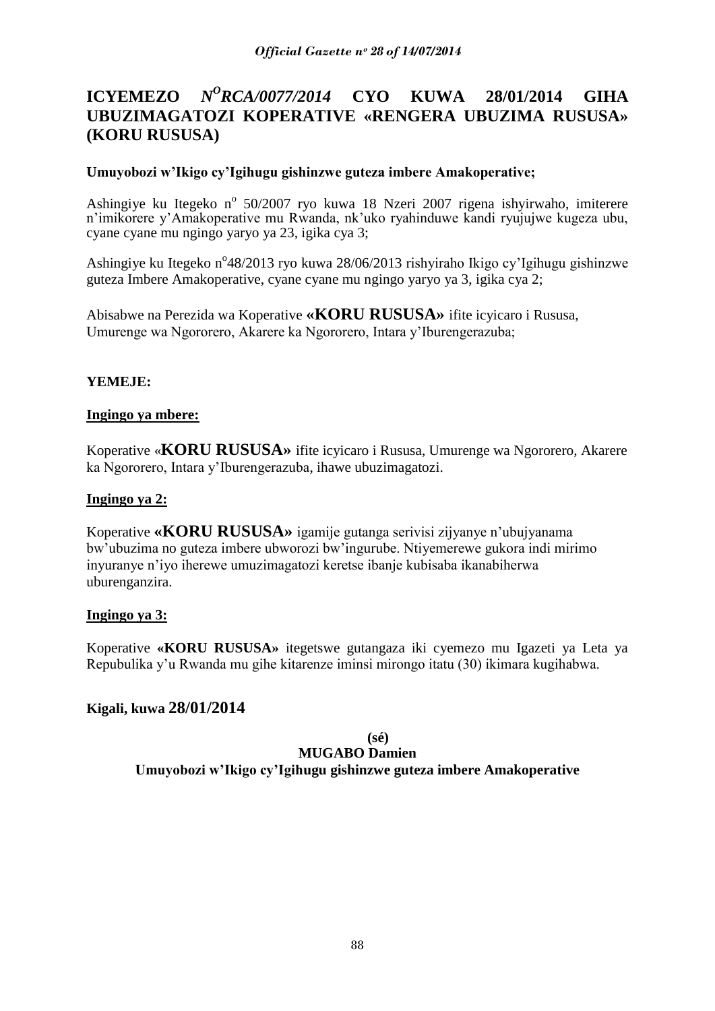#### **ICYEMEZO** *<sup>O</sup>RCA/0077/2014* **CYO KUWA 28/01/2014 GIHA UBUZIMAGATOZI KOPERATIVE «RENGERA UBUZIMA RUSUSA» (KORU RUSUSA)**

## **Umuyobozi w"Ikigo cy"Igihugu gishinzwe guteza imbere Amakoperative;**

Ashingiye ku Itegeko nº 50/2007 ryo kuwa 18 Nzeri 2007 rigena ishyirwaho, imiterere n"imikorere y"Amakoperative mu Rwanda, nk"uko ryahinduwe kandi ryujujwe kugeza ubu, cyane cyane mu ngingo yaryo ya 23, igika cya 3;

Ashingiye ku Itegeko n°48/2013 ryo kuwa 28/06/2013 rishyiraho Ikigo cy'Igihugu gishinzwe guteza Imbere Amakoperative, cyane cyane mu ngingo yaryo ya 3, igika cya 2;

Abisabwe na Perezida wa Koperative **«KORU RUSUSA»** ifite icyicaro i Rususa, Umurenge wa Ngororero, Akarere ka Ngororero, Intara y"Iburengerazuba;

## **YEMEJE:**

### **Ingingo ya mbere:**

Koperative «**KORU RUSUSA»** ifite icyicaro i Rususa, Umurenge wa Ngororero, Akarere ka Ngororero, Intara y"Iburengerazuba, ihawe ubuzimagatozi.

## **Ingingo ya 2:**

Koperative **«KORU RUSUSA»** igamije gutanga serivisi zijyanye n"ubujyanama bw"ubuzima no guteza imbere ubworozi bw"ingurube. Ntiyemerewe gukora indi mirimo inyuranye n"iyo iherewe umuzimagatozi keretse ibanje kubisaba ikanabiherwa uburenganzira.

### **Ingingo ya 3:**

Koperative **«KORU RUSUSA»** itegetswe gutangaza iki cyemezo mu Igazeti ya Leta ya Repubulika y"u Rwanda mu gihe kitarenze iminsi mirongo itatu (30) ikimara kugihabwa.

# **Kigali, kuwa 28/01/2014**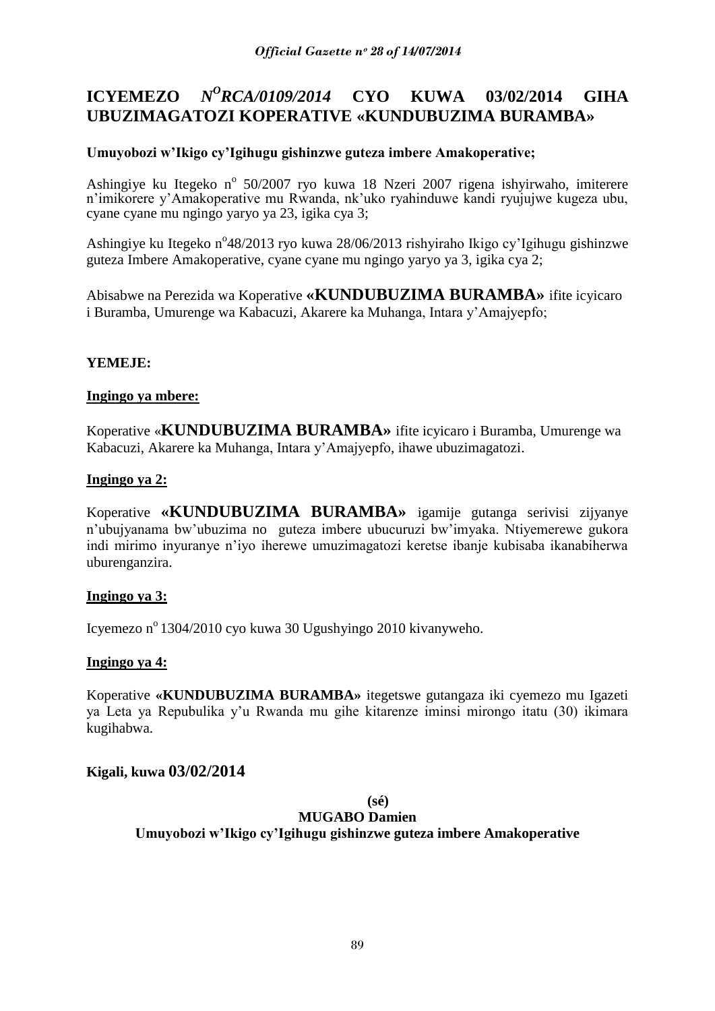#### **ICYEMEZO** *N <sup>O</sup>RCA/0109/2014* **CYO KUWA 03/02/2014 GIHA UBUZIMAGATOZI KOPERATIVE «KUNDUBUZIMA BURAMBA»**

# **Umuyobozi w"Ikigo cy"Igihugu gishinzwe guteza imbere Amakoperative;**

Ashingiye ku Itegeko nº 50/2007 ryo kuwa 18 Nzeri 2007 rigena ishyirwaho, imiterere n"imikorere y"Amakoperative mu Rwanda, nk"uko ryahinduwe kandi ryujujwe kugeza ubu, cyane cyane mu ngingo yaryo ya 23, igika cya 3;

Ashingiye ku Itegeko n°48/2013 ryo kuwa 28/06/2013 rishyiraho Ikigo cy'Igihugu gishinzwe guteza Imbere Amakoperative, cyane cyane mu ngingo yaryo ya 3, igika cya 2;

Abisabwe na Perezida wa Koperative **«KUNDUBUZIMA BURAMBA»** ifite icyicaro i Buramba, Umurenge wa Kabacuzi, Akarere ka Muhanga, Intara y"Amajyepfo;

# **YEMEJE:**

### **Ingingo ya mbere:**

Koperative «**KUNDUBUZIMA BURAMBA»** ifite icyicaro i Buramba, Umurenge wa Kabacuzi, Akarere ka Muhanga, Intara y"Amajyepfo, ihawe ubuzimagatozi.

## **Ingingo ya 2:**

Koperative **«KUNDUBUZIMA BURAMBA»** igamije gutanga serivisi zijyanye n"ubujyanama bw"ubuzima no guteza imbere ubucuruzi bw"imyaka. Ntiyemerewe gukora indi mirimo inyuranye n"iyo iherewe umuzimagatozi keretse ibanje kubisaba ikanabiherwa uburenganzira.

# **Ingingo ya 3:**

Icyemezo nº 1304/2010 cyo kuwa 30 Ugushyingo 2010 kivanyweho.

# **Ingingo ya 4:**

Koperative **«KUNDUBUZIMA BURAMBA»** itegetswe gutangaza iki cyemezo mu Igazeti ya Leta ya Repubulika y"u Rwanda mu gihe kitarenze iminsi mirongo itatu (30) ikimara kugihabwa.

# **Kigali, kuwa 03/02/2014**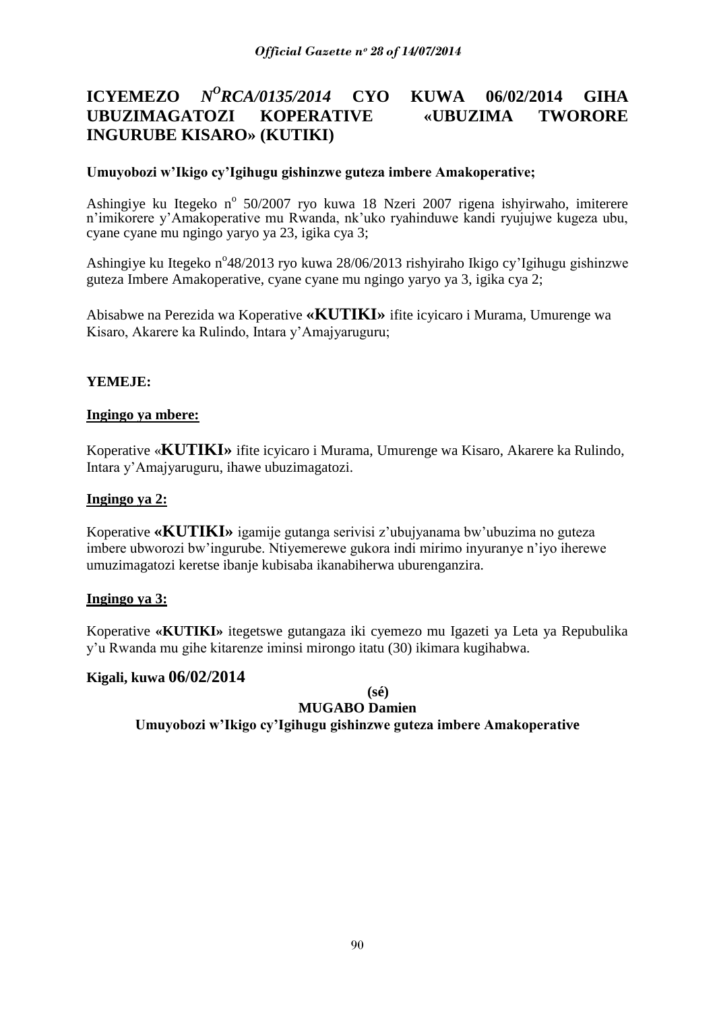#### **ICYEMEZO** *N <sup>O</sup>RCA/0135/2014* **CYO KUWA 06/02/2014 GIHA UBUZIMAGATOZI KOPERATIVE «UBUZIMA TWORORE INGURUBE KISARO» (KUTIKI)**

## **Umuyobozi w"Ikigo cy"Igihugu gishinzwe guteza imbere Amakoperative;**

Ashingiye ku Itegeko nº 50/2007 ryo kuwa 18 Nzeri 2007 rigena ishyirwaho, imiterere n"imikorere y"Amakoperative mu Rwanda, nk"uko ryahinduwe kandi ryujujwe kugeza ubu, cyane cyane mu ngingo yaryo ya 23, igika cya 3;

Ashingiye ku Itegeko n°48/2013 ryo kuwa 28/06/2013 rishyiraho Ikigo cy'Igihugu gishinzwe guteza Imbere Amakoperative, cyane cyane mu ngingo yaryo ya 3, igika cya 2;

Abisabwe na Perezida wa Koperative **«KUTIKI»** ifite icyicaro i Murama, Umurenge wa Kisaro, Akarere ka Rulindo, Intara y"Amajyaruguru;

## **YEMEJE:**

### **Ingingo ya mbere:**

Koperative «**KUTIKI»** ifite icyicaro i Murama, Umurenge wa Kisaro, Akarere ka Rulindo, Intara y"Amajyaruguru, ihawe ubuzimagatozi.

## **Ingingo ya 2:**

Koperative **«KUTIKI»** igamije gutanga serivisi z"ubujyanama bw"ubuzima no guteza imbere ubworozi bw"ingurube. Ntiyemerewe gukora indi mirimo inyuranye n"iyo iherewe umuzimagatozi keretse ibanje kubisaba ikanabiherwa uburenganzira.

### **Ingingo ya 3:**

Koperative **«KUTIKI»** itegetswe gutangaza iki cyemezo mu Igazeti ya Leta ya Repubulika y"u Rwanda mu gihe kitarenze iminsi mirongo itatu (30) ikimara kugihabwa.

### **Kigali, kuwa 06/02/2014**

**(sé)**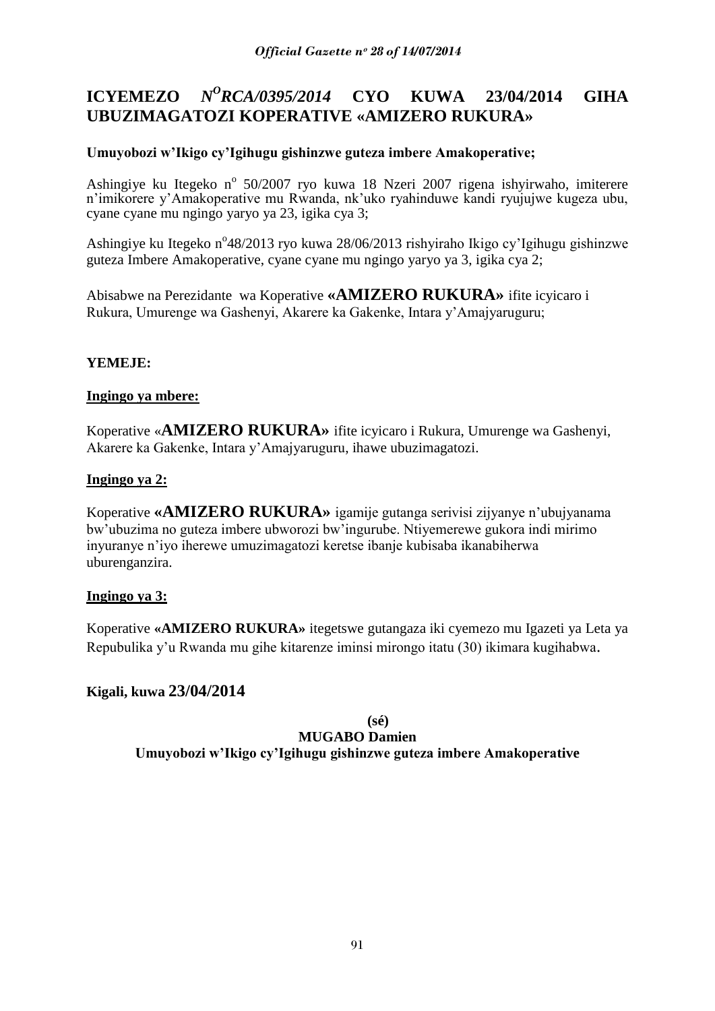#### **ICYEMEZO** *<sup>O</sup>RCA/0395/2014* **CYO KUWA 23/04/2014 GIHA UBUZIMAGATOZI KOPERATIVE «AMIZERO RUKURA»**

# **Umuyobozi w"Ikigo cy"Igihugu gishinzwe guteza imbere Amakoperative;**

Ashingiye ku Itegeko nº 50/2007 ryo kuwa 18 Nzeri 2007 rigena ishyirwaho, imiterere n"imikorere y"Amakoperative mu Rwanda, nk"uko ryahinduwe kandi ryujujwe kugeza ubu, cyane cyane mu ngingo yaryo ya 23, igika cya 3;

Ashingiye ku Itegeko n°48/2013 ryo kuwa 28/06/2013 rishyiraho Ikigo cy'Igihugu gishinzwe guteza Imbere Amakoperative, cyane cyane mu ngingo yaryo ya 3, igika cya 2;

Abisabwe na Perezidante wa Koperative **«AMIZERO RUKURA»** ifite icyicaro i Rukura, Umurenge wa Gashenyi, Akarere ka Gakenke, Intara y"Amajyaruguru;

# **YEMEJE:**

# **Ingingo ya mbere:**

Koperative «**AMIZERO RUKURA»** ifite icyicaro i Rukura, Umurenge wa Gashenyi, Akarere ka Gakenke, Intara y"Amajyaruguru, ihawe ubuzimagatozi.

## **Ingingo ya 2:**

Koperative **«AMIZERO RUKURA»** igamije gutanga serivisi zijyanye n"ubujyanama bw"ubuzima no guteza imbere ubworozi bw"ingurube. Ntiyemerewe gukora indi mirimo inyuranye n"iyo iherewe umuzimagatozi keretse ibanje kubisaba ikanabiherwa uburenganzira.

# **Ingingo ya 3:**

Koperative **«AMIZERO RUKURA»** itegetswe gutangaza iki cyemezo mu Igazeti ya Leta ya Repubulika y"u Rwanda mu gihe kitarenze iminsi mirongo itatu (30) ikimara kugihabwa.

# **Kigali, kuwa 23/04/2014**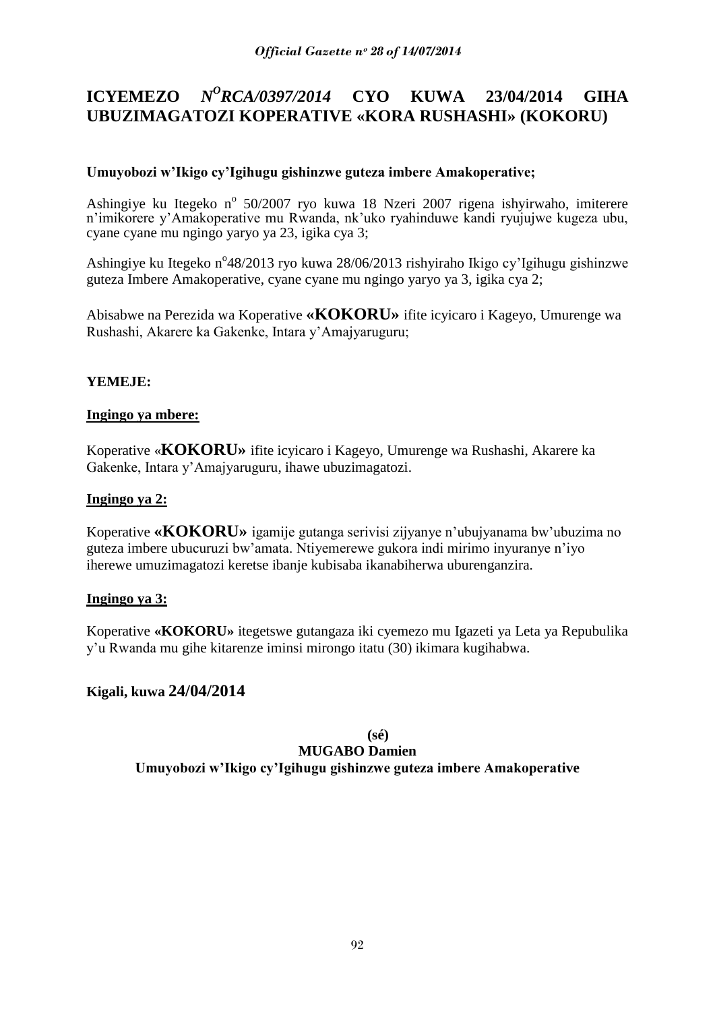#### **ICYEMEZO** *N <sup>O</sup>RCA/0397/2014* **CYO KUWA 23/04/2014 GIHA UBUZIMAGATOZI KOPERATIVE «KORA RUSHASHI» (KOKORU)**

# **Umuyobozi w"Ikigo cy"Igihugu gishinzwe guteza imbere Amakoperative;**

Ashingiye ku Itegeko nº 50/2007 ryo kuwa 18 Nzeri 2007 rigena ishyirwaho, imiterere n"imikorere y"Amakoperative mu Rwanda, nk"uko ryahinduwe kandi ryujujwe kugeza ubu, cyane cyane mu ngingo yaryo ya 23, igika cya 3;

Ashingiye ku Itegeko n°48/2013 ryo kuwa 28/06/2013 rishyiraho Ikigo cy'Igihugu gishinzwe guteza Imbere Amakoperative, cyane cyane mu ngingo yaryo ya 3, igika cya 2;

Abisabwe na Perezida wa Koperative **«KOKORU»** ifite icyicaro i Kageyo, Umurenge wa Rushashi, Akarere ka Gakenke, Intara y"Amajyaruguru;

# **YEMEJE:**

## **Ingingo ya mbere:**

Koperative «**KOKORU»** ifite icyicaro i Kageyo, Umurenge wa Rushashi, Akarere ka Gakenke, Intara y"Amajyaruguru, ihawe ubuzimagatozi.

## **Ingingo ya 2:**

Koperative **«KOKORU»** igamije gutanga serivisi zijyanye n"ubujyanama bw"ubuzima no guteza imbere ubucuruzi bw"amata. Ntiyemerewe gukora indi mirimo inyuranye n"iyo iherewe umuzimagatozi keretse ibanje kubisaba ikanabiherwa uburenganzira.

### **Ingingo ya 3:**

Koperative **«KOKORU»** itegetswe gutangaza iki cyemezo mu Igazeti ya Leta ya Repubulika y"u Rwanda mu gihe kitarenze iminsi mirongo itatu (30) ikimara kugihabwa.

# **Kigali, kuwa 24/04/2014**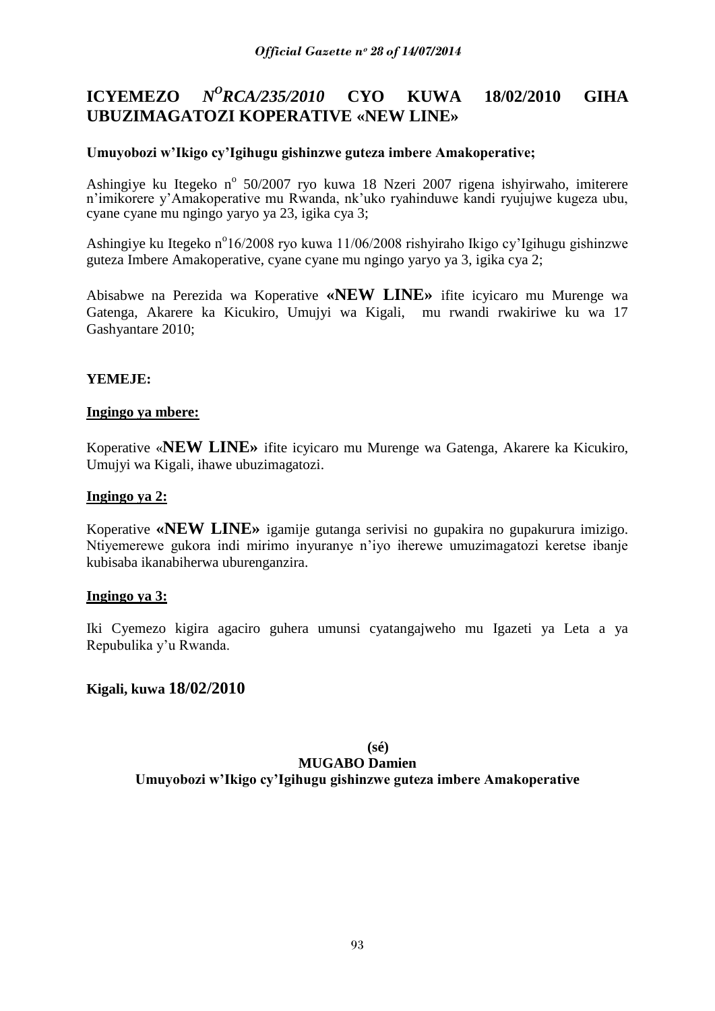#### **ICYEMEZO** *N <sup>O</sup>RCA/235/2010* **CYO KUWA 18/02/2010 GIHA UBUZIMAGATOZI KOPERATIVE «NEW LINE»**

## **Umuyobozi w"Ikigo cy"Igihugu gishinzwe guteza imbere Amakoperative;**

Ashingiye ku Itegeko nº 50/2007 ryo kuwa 18 Nzeri 2007 rigena ishyirwaho, imiterere n"imikorere y"Amakoperative mu Rwanda, nk"uko ryahinduwe kandi ryujujwe kugeza ubu, cyane cyane mu ngingo yaryo ya 23, igika cya 3;

Ashingiye ku Itegeko n°16/2008 ryo kuwa 11/06/2008 rishyiraho Ikigo cy'Igihugu gishinzwe guteza Imbere Amakoperative, cyane cyane mu ngingo yaryo ya 3, igika cya 2;

Abisabwe na Perezida wa Koperative **«NEW LINE»** ifite icyicaro mu Murenge wa Gatenga, Akarere ka Kicukiro, Umujyi wa Kigali, mu rwandi rwakiriwe ku wa 17 Gashyantare 2010;

## **YEMEJE:**

### **Ingingo ya mbere:**

Koperative «**NEW LINE»** ifite icyicaro mu Murenge wa Gatenga, Akarere ka Kicukiro, Umujyi wa Kigali, ihawe ubuzimagatozi.

#### **Ingingo ya 2:**

Koperative **«NEW LINE»** igamije gutanga serivisi no gupakira no gupakurura imizigo. Ntiyemerewe gukora indi mirimo inyuranye n"iyo iherewe umuzimagatozi keretse ibanje kubisaba ikanabiherwa uburenganzira.

### **Ingingo ya 3:**

Iki Cyemezo kigira agaciro guhera umunsi cyatangajweho mu Igazeti ya Leta a ya Repubulika y"u Rwanda.

### **Kigali, kuwa 18/02/2010**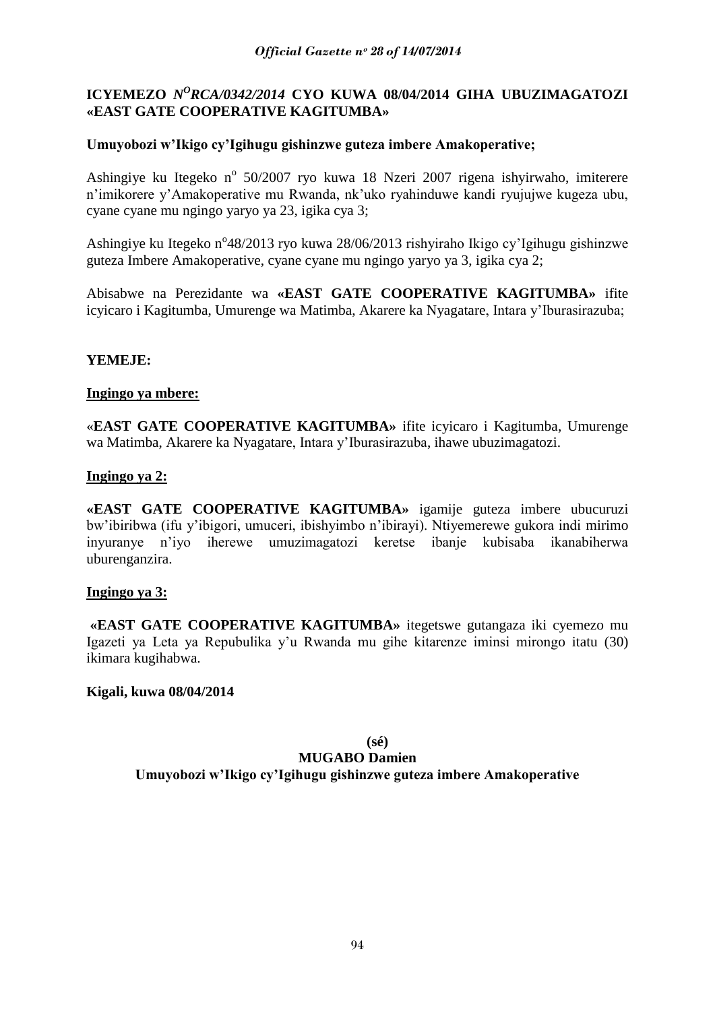# **ICYEMEZO** *N<sup>O</sup>RCA/0342/2014* CYO KUWA 08/04/2014 GIHA UBUZIMAGATOZI **«EAST GATE COOPERATIVE KAGITUMBA»**

## **Umuyobozi w"Ikigo cy"Igihugu gishinzwe guteza imbere Amakoperative;**

Ashingiye ku Itegeko nº 50/2007 ryo kuwa 18 Nzeri 2007 rigena ishyirwaho, imiterere n"imikorere y"Amakoperative mu Rwanda, nk"uko ryahinduwe kandi ryujujwe kugeza ubu, cyane cyane mu ngingo yaryo ya 23, igika cya 3;

Ashingiye ku Itegeko n°48/2013 ryo kuwa 28/06/2013 rishyiraho Ikigo cy'Igihugu gishinzwe guteza Imbere Amakoperative, cyane cyane mu ngingo yaryo ya 3, igika cya 2;

Abisabwe na Perezidante wa **«EAST GATE COOPERATIVE KAGITUMBA»** ifite icyicaro i Kagitumba, Umurenge wa Matimba, Akarere ka Nyagatare, Intara y"Iburasirazuba;

## **YEMEJE:**

### **Ingingo ya mbere:**

«**EAST GATE COOPERATIVE KAGITUMBA»** ifite icyicaro i Kagitumba, Umurenge wa Matimba, Akarere ka Nyagatare, Intara y"Iburasirazuba, ihawe ubuzimagatozi.

### **Ingingo ya 2:**

**«EAST GATE COOPERATIVE KAGITUMBA»** igamije guteza imbere ubucuruzi bw"ibiribwa (ifu y"ibigori, umuceri, ibishyimbo n"ibirayi). Ntiyemerewe gukora indi mirimo inyuranye n"iyo iherewe umuzimagatozi keretse ibanje kubisaba ikanabiherwa uburenganzira.

### **Ingingo ya 3:**

**«EAST GATE COOPERATIVE KAGITUMBA»** itegetswe gutangaza iki cyemezo mu Igazeti ya Leta ya Repubulika y"u Rwanda mu gihe kitarenze iminsi mirongo itatu (30) ikimara kugihabwa.

### **Kigali, kuwa 08/04/2014**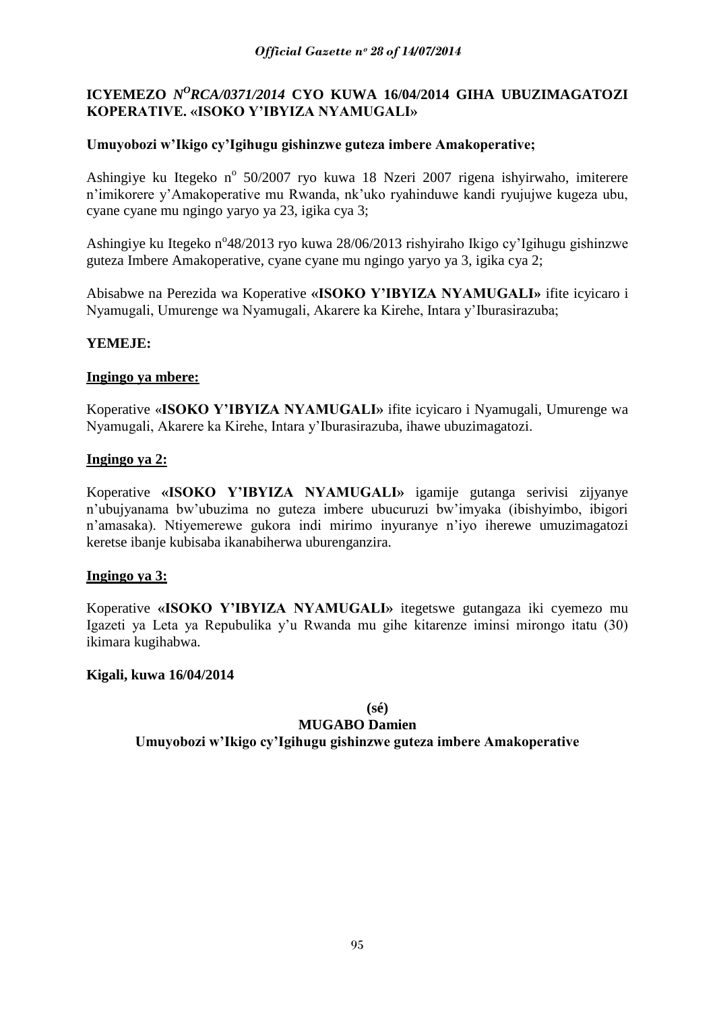# **ICYEMEZO** *N<sup>O</sup>RCA/0371/2014* CYO KUWA 16/04/2014 GIHA UBUZIMAGATOZI **KOPERATIVE. «ISOKO Y"IBYIZA NYAMUGALI»**

# **Umuyobozi w"Ikigo cy"Igihugu gishinzwe guteza imbere Amakoperative;**

Ashingiye ku Itegeko nº 50/2007 ryo kuwa 18 Nzeri 2007 rigena ishyirwaho, imiterere n"imikorere y"Amakoperative mu Rwanda, nk"uko ryahinduwe kandi ryujujwe kugeza ubu, cyane cyane mu ngingo yaryo ya 23, igika cya 3;

Ashingiye ku Itegeko n°48/2013 ryo kuwa 28/06/2013 rishyiraho Ikigo cy'Igihugu gishinzwe guteza Imbere Amakoperative, cyane cyane mu ngingo yaryo ya 3, igika cya 2;

Abisabwe na Perezida wa Koperative **«ISOKO Y"IBYIZA NYAMUGALI»** ifite icyicaro i Nyamugali, Umurenge wa Nyamugali, Akarere ka Kirehe, Intara y"Iburasirazuba;

## **YEMEJE:**

## **Ingingo ya mbere:**

Koperative «**ISOKO Y"IBYIZA NYAMUGALI»** ifite icyicaro i Nyamugali, Umurenge wa Nyamugali, Akarere ka Kirehe, Intara y"Iburasirazuba, ihawe ubuzimagatozi.

## **Ingingo ya 2:**

Koperative **«ISOKO Y"IBYIZA NYAMUGALI»** igamije gutanga serivisi zijyanye n"ubujyanama bw"ubuzima no guteza imbere ubucuruzi bw"imyaka (ibishyimbo, ibigori n"amasaka). Ntiyemerewe gukora indi mirimo inyuranye n"iyo iherewe umuzimagatozi keretse ibanje kubisaba ikanabiherwa uburenganzira.

### **Ingingo ya 3:**

Koperative **«ISOKO Y"IBYIZA NYAMUGALI»** itegetswe gutangaza iki cyemezo mu Igazeti ya Leta ya Repubulika y"u Rwanda mu gihe kitarenze iminsi mirongo itatu (30) ikimara kugihabwa.

### **Kigali, kuwa 16/04/2014**

**(sé)**